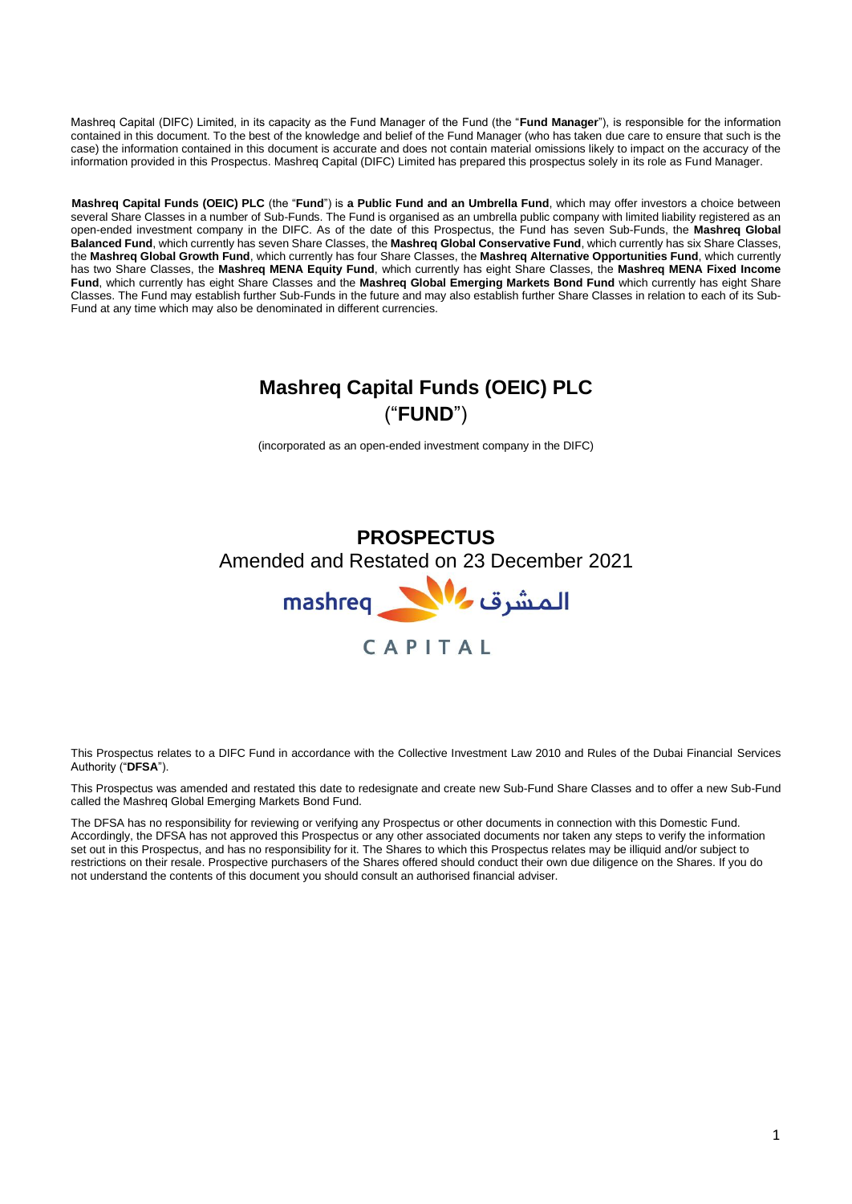Mashreq Capital (DIFC) Limited, in its capacity as the Fund Manager of the Fund (the "**Fund Manager**"), is responsible for the information contained in this document. To the best of the knowledge and belief of the Fund Manager (who has taken due care to ensure that such is the case) the information contained in this document is accurate and does not contain material omissions likely to impact on the accuracy of the information provided in this Prospectus. Mashreq Capital (DIFC) Limited has prepared this prospectus solely in its role as Fund Manager.

**Mashreq Capital Funds (OEIC) PLC** (the "**Fund**") is **a Public Fund and an Umbrella Fund**, which may offer investors a choice between several Share Classes in a number of Sub-Funds. The Fund is organised as an umbrella public company with limited liability registered as an open-ended investment company in the DIFC. As of the date of this Prospectus, the Fund has seven Sub-Funds, the **Mashreq Global Balanced Fund**, which currently has seven Share Classes, the **Mashreq Global Conservative Fund**, which currently has six Share Classes, the **Mashreq Global Growth Fund**, which currently has four Share Classes, the **Mashreq Alternative Opportunities Fund**, which currently has two Share Classes, the **Mashreq MENA Equity Fund**, which currently has eight Share Classes, the **Mashreq MENA Fixed Income Fund**, which currently has eight Share Classes and the **Mashreq Global Emerging Markets Bond Fund** which currently has eight Share Classes. The Fund may establish further Sub-Funds in the future and may also establish further Share Classes in relation to each of its Sub-Fund at any time which may also be denominated in different currencies.

# **Mashreq Capital Funds (OEIC) PLC** ("**FUND**")

(incorporated as an open-ended investment company in the DIFC)

# **PROSPECTUS** Amended and Restated on 23 December 2021



This Prospectus relates to a DIFC Fund in accordance with the Collective Investment Law 2010 and Rules of the Dubai Financial Services Authority ("**DFSA**").

This Prospectus was amended and restated this date to redesignate and create new Sub-Fund Share Classes and to offer a new Sub-Fund called the Mashreq Global Emerging Markets Bond Fund.

The DFSA has no responsibility for reviewing or verifying any Prospectus or other documents in connection with this Domestic Fund. Accordingly, the DFSA has not approved this Prospectus or any other associated documents nor taken any steps to verify the information set out in this Prospectus, and has no responsibility for it. The Shares to which this Prospectus relates may be illiquid and/or subject to restrictions on their resale. Prospective purchasers of the Shares offered should conduct their own due diligence on the Shares. If you do not understand the contents of this document you should consult an authorised financial adviser.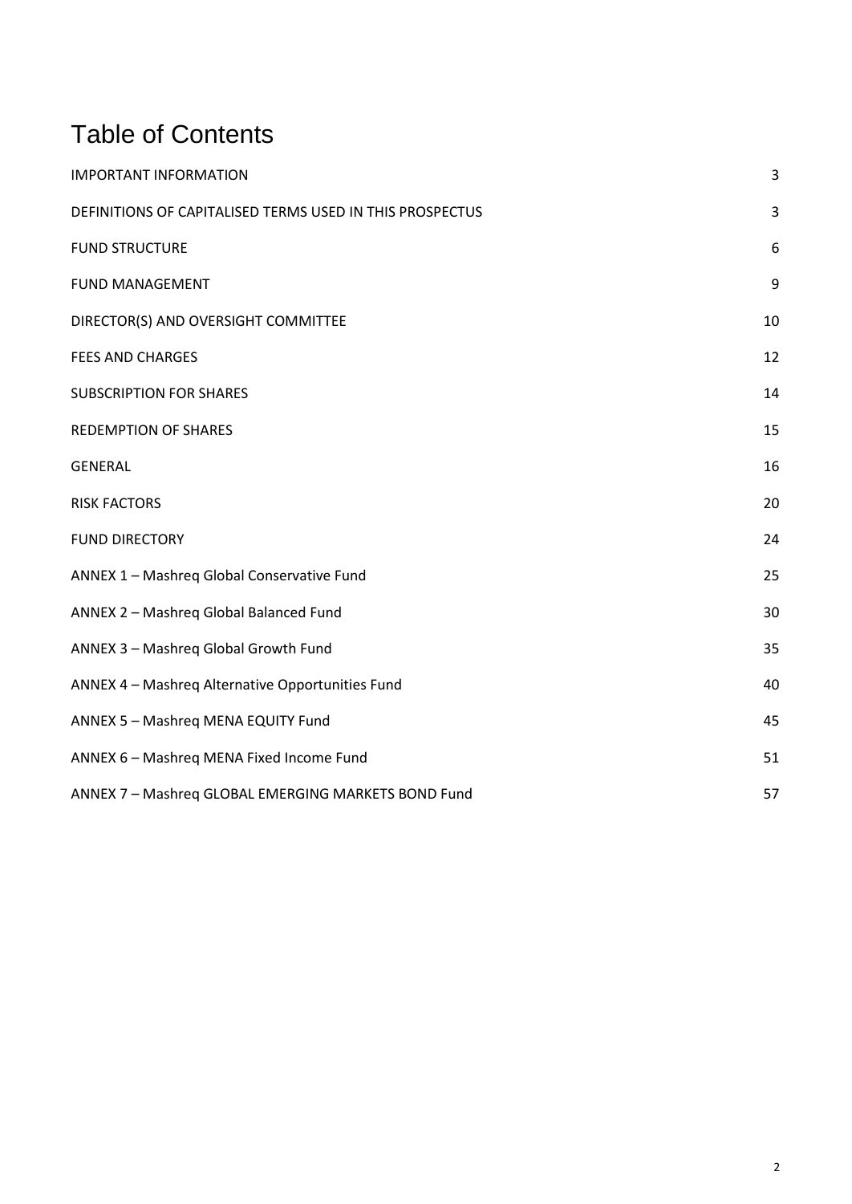# Table of Contents

| <b>IMPORTANT INFORMATION</b>                             | 3           |
|----------------------------------------------------------|-------------|
| DEFINITIONS OF CAPITALISED TERMS USED IN THIS PROSPECTUS | $\mathsf 3$ |
| <b>FUND STRUCTURE</b>                                    | 6           |
| <b>FUND MANAGEMENT</b>                                   | 9           |
| DIRECTOR(S) AND OVERSIGHT COMMITTEE                      | 10          |
| <b>FEES AND CHARGES</b>                                  | 12          |
| <b>SUBSCRIPTION FOR SHARES</b>                           | 14          |
| <b>REDEMPTION OF SHARES</b>                              | 15          |
| <b>GENERAL</b>                                           | 16          |
| <b>RISK FACTORS</b>                                      | 20          |
| <b>FUND DIRECTORY</b>                                    | 24          |
| ANNEX 1 - Mashreq Global Conservative Fund               | 25          |
| ANNEX 2 - Mashreg Global Balanced Fund                   | 30          |
| ANNEX 3 - Mashreq Global Growth Fund                     | 35          |
| ANNEX 4 - Mashreq Alternative Opportunities Fund         | 40          |
| ANNEX 5 - Mashreq MENA EQUITY Fund                       | 45          |
| ANNEX 6 - Mashreq MENA Fixed Income Fund                 | 51          |
| ANNEX 7 - Mashreq GLOBAL EMERGING MARKETS BOND Fund      | 57          |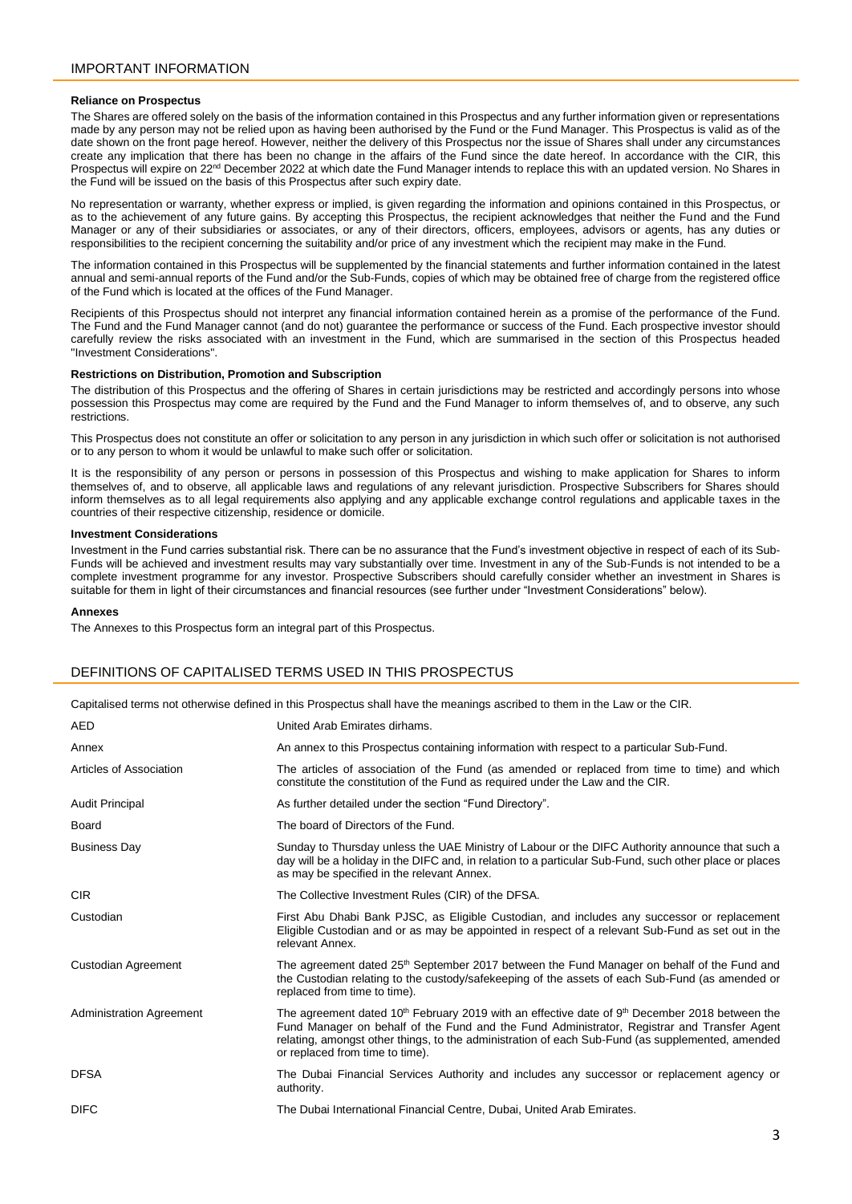# <span id="page-2-0"></span>**Reliance on Prospectus**

The Shares are offered solely on the basis of the information contained in this Prospectus and any further information given or representations made by any person may not be relied upon as having been authorised by the Fund or the Fund Manager. This Prospectus is valid as of the date shown on the front page hereof. However, neither the delivery of this Prospectus nor the issue of Shares shall under any circumstances create any implication that there has been no change in the affairs of the Fund since the date hereof. In accordance with the CIR, this Prospectus will expire on 22<sup>nd</sup> December 2022 at which date the Fund Manager intends to replace this with an updated version. No Shares in the Fund will be issued on the basis of this Prospectus after such expiry date.

No representation or warranty, whether express or implied, is given regarding the information and opinions contained in this Prospectus, or as to the achievement of any future gains. By accepting this Prospectus, the recipient acknowledges that neither the Fund and the Fund Manager or any of their subsidiaries or associates, or any of their directors, officers, employees, advisors or agents, has any duties or responsibilities to the recipient concerning the suitability and/or price of any investment which the recipient may make in the Fund.

The information contained in this Prospectus will be supplemented by the financial statements and further information contained in the latest annual and semi-annual reports of the Fund and/or the Sub-Funds, copies of which may be obtained free of charge from the registered office of the Fund which is located at the offices of the Fund Manager.

Recipients of this Prospectus should not interpret any financial information contained herein as a promise of the performance of the Fund. The Fund and the Fund Manager cannot (and do not) guarantee the performance or success of the Fund. Each prospective investor should carefully review the risks associated with an investment in the Fund, which are summarised in the section of this Prospectus headed "Investment Considerations".

## **Restrictions on Distribution, Promotion and Subscription**

The distribution of this Prospectus and the offering of Shares in certain jurisdictions may be restricted and accordingly persons into whose possession this Prospectus may come are required by the Fund and the Fund Manager to inform themselves of, and to observe, any such **restrictions** 

This Prospectus does not constitute an offer or solicitation to any person in any jurisdiction in which such offer or solicitation is not authorised or to any person to whom it would be unlawful to make such offer or solicitation.

It is the responsibility of any person or persons in possession of this Prospectus and wishing to make application for Shares to inform themselves of, and to observe, all applicable laws and regulations of any relevant jurisdiction. Prospective Subscribers for Shares should inform themselves as to all legal requirements also applying and any applicable exchange control regulations and applicable taxes in the countries of their respective citizenship, residence or domicile.

#### **Investment Considerations**

Investment in the Fund carries substantial risk. There can be no assurance that the Fund's investment objective in respect of each of its Sub-Funds will be achieved and investment results may vary substantially over time. Investment in any of the Sub-Funds is not intended to be a complete investment programme for any investor. Prospective Subscribers should carefully consider whether an investment in Shares is suitable for them in light of their circumstances and financial resources (see further under "Investment Considerations" below).

#### **Annexes**

The Annexes to this Prospectus form an integral part of this Prospectus.

# <span id="page-2-1"></span>DEFINITIONS OF CAPITALISED TERMS USED IN THIS PROSPECTUS

Capitalised terms not otherwise defined in this Prospectus shall have the meanings ascribed to them in the Law or the CIR.

| United Arab Emirates dirhams.                                                                                                                                                                                                                                                                                                                                |
|--------------------------------------------------------------------------------------------------------------------------------------------------------------------------------------------------------------------------------------------------------------------------------------------------------------------------------------------------------------|
| An annex to this Prospectus containing information with respect to a particular Sub-Fund.                                                                                                                                                                                                                                                                    |
| The articles of association of the Fund (as amended or replaced from time to time) and which<br>constitute the constitution of the Fund as required under the Law and the CIR.                                                                                                                                                                               |
| As further detailed under the section "Fund Directory".                                                                                                                                                                                                                                                                                                      |
| The board of Directors of the Fund.                                                                                                                                                                                                                                                                                                                          |
| Sunday to Thursday unless the UAE Ministry of Labour or the DIFC Authority announce that such a<br>day will be a holiday in the DIFC and, in relation to a particular Sub-Fund, such other place or places<br>as may be specified in the relevant Annex.                                                                                                     |
| The Collective Investment Rules (CIR) of the DFSA.                                                                                                                                                                                                                                                                                                           |
| First Abu Dhabi Bank PJSC, as Eligible Custodian, and includes any successor or replacement<br>Eligible Custodian and or as may be appointed in respect of a relevant Sub-Fund as set out in the<br>relevant Annex.                                                                                                                                          |
| The agreement dated 25 <sup>th</sup> September 2017 between the Fund Manager on behalf of the Fund and<br>the Custodian relating to the custody/safekeeping of the assets of each Sub-Fund (as amended or<br>replaced from time to time).                                                                                                                    |
| The agreement dated 10 <sup>th</sup> February 2019 with an effective date of 9 <sup>th</sup> December 2018 between the<br>Fund Manager on behalf of the Fund and the Fund Administrator, Registrar and Transfer Agent<br>relating, amongst other things, to the administration of each Sub-Fund (as supplemented, amended<br>or replaced from time to time). |
| The Dubai Financial Services Authority and includes any successor or replacement agency or<br>authority.                                                                                                                                                                                                                                                     |
| The Dubai International Financial Centre, Dubai, United Arab Emirates.                                                                                                                                                                                                                                                                                       |
|                                                                                                                                                                                                                                                                                                                                                              |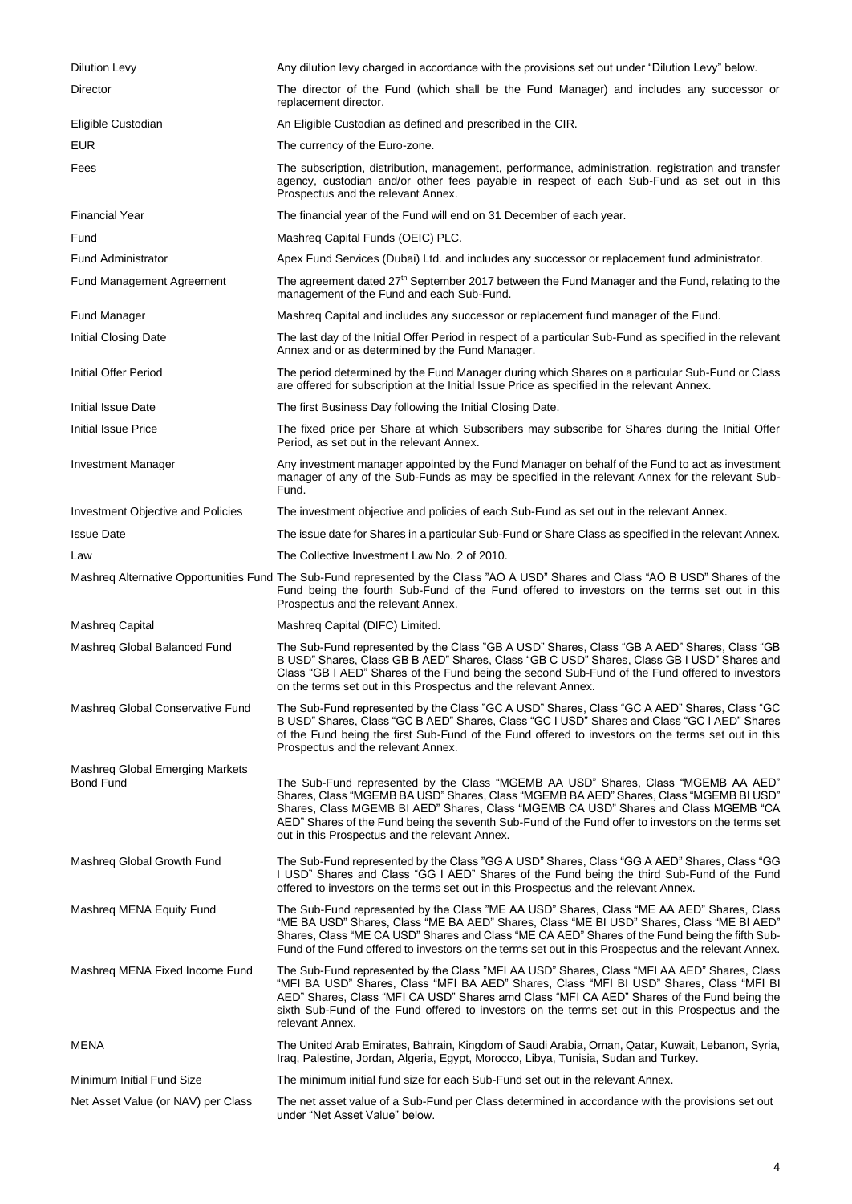| Dilution Levy                                | Any dilution levy charged in accordance with the provisions set out under "Dilution Levy" below.                                                                                                                                                                                                                                                                                                                           |
|----------------------------------------------|----------------------------------------------------------------------------------------------------------------------------------------------------------------------------------------------------------------------------------------------------------------------------------------------------------------------------------------------------------------------------------------------------------------------------|
| Director                                     | The director of the Fund (which shall be the Fund Manager) and includes any successor or<br>replacement director.                                                                                                                                                                                                                                                                                                          |
| Eligible Custodian                           | An Eligible Custodian as defined and prescribed in the CIR.                                                                                                                                                                                                                                                                                                                                                                |
| <b>EUR</b>                                   | The currency of the Euro-zone.                                                                                                                                                                                                                                                                                                                                                                                             |
| Fees                                         | The subscription, distribution, management, performance, administration, registration and transfer<br>agency, custodian and/or other fees payable in respect of each Sub-Fund as set out in this<br>Prospectus and the relevant Annex.                                                                                                                                                                                     |
| <b>Financial Year</b>                        | The financial year of the Fund will end on 31 December of each year.                                                                                                                                                                                                                                                                                                                                                       |
| Fund                                         | Mashreg Capital Funds (OEIC) PLC.                                                                                                                                                                                                                                                                                                                                                                                          |
| <b>Fund Administrator</b>                    | Apex Fund Services (Dubai) Ltd. and includes any successor or replacement fund administrator.                                                                                                                                                                                                                                                                                                                              |
| <b>Fund Management Agreement</b>             | The agreement dated 27 <sup>th</sup> September 2017 between the Fund Manager and the Fund, relating to the<br>management of the Fund and each Sub-Fund.                                                                                                                                                                                                                                                                    |
| Fund Manager                                 | Mashreq Capital and includes any successor or replacement fund manager of the Fund.                                                                                                                                                                                                                                                                                                                                        |
| Initial Closing Date                         | The last day of the Initial Offer Period in respect of a particular Sub-Fund as specified in the relevant<br>Annex and or as determined by the Fund Manager.                                                                                                                                                                                                                                                               |
| Initial Offer Period                         | The period determined by the Fund Manager during which Shares on a particular Sub-Fund or Class<br>are offered for subscription at the Initial Issue Price as specified in the relevant Annex.                                                                                                                                                                                                                             |
| Initial Issue Date                           | The first Business Day following the Initial Closing Date.                                                                                                                                                                                                                                                                                                                                                                 |
| <b>Initial Issue Price</b>                   | The fixed price per Share at which Subscribers may subscribe for Shares during the Initial Offer<br>Period, as set out in the relevant Annex.                                                                                                                                                                                                                                                                              |
| Investment Manager                           | Any investment manager appointed by the Fund Manager on behalf of the Fund to act as investment<br>manager of any of the Sub-Funds as may be specified in the relevant Annex for the relevant Sub-<br>Fund.                                                                                                                                                                                                                |
| Investment Objective and Policies            | The investment objective and policies of each Sub-Fund as set out in the relevant Annex.                                                                                                                                                                                                                                                                                                                                   |
| <b>Issue Date</b>                            | The issue date for Shares in a particular Sub-Fund or Share Class as specified in the relevant Annex.                                                                                                                                                                                                                                                                                                                      |
| Law                                          | The Collective Investment Law No. 2 of 2010.                                                                                                                                                                                                                                                                                                                                                                               |
|                                              | Mashreg Alternative Opportunities Fund The Sub-Fund represented by the Class "AO A USD" Shares and Class "AO B USD" Shares of the<br>Fund being the fourth Sub-Fund of the Fund offered to investors on the terms set out in this<br>Prospectus and the relevant Annex.                                                                                                                                                    |
| Mashreg Capital                              | Mashreg Capital (DIFC) Limited.                                                                                                                                                                                                                                                                                                                                                                                            |
| Mashreq Global Balanced Fund                 | The Sub-Fund represented by the Class "GB A USD" Shares, Class "GB A AED" Shares, Class "GB<br>B USD" Shares, Class GB B AED" Shares, Class "GB C USD" Shares, Class GB I USD" Shares and<br>Class "GB I AED" Shares of the Fund being the second Sub-Fund of the Fund offered to investors<br>on the terms set out in this Prospectus and the relevant Annex.                                                             |
| Mashreq Global Conservative Fund             | The Sub-Fund represented by the Class "GC A USD" Shares, Class "GC A AED" Shares, Class "GC<br>B USD" Shares, Class "GC B AED" Shares, Class "GC I USD" Shares and Class "GC I AED" Shares<br>of the Fund being the first Sub-Fund of the Fund offered to investors on the terms set out in this<br>Prospectus and the relevant Annex.                                                                                     |
| Mashreq Global Emerging Markets<br>Bond Fund | The Sub-Fund represented by the Class "MGEMB AA USD" Shares, Class "MGEMB AA AED"<br>Shares, Class "MGEMB BA USD" Shares, Class "MGEMB BA AED" Shares, Class "MGEMB BI USD"<br>Shares, Class MGEMB BI AED" Shares, Class "MGEMB CA USD" Shares and Class MGEMB "CA<br>AED" Shares of the Fund being the seventh Sub-Fund of the Fund offer to investors on the terms set<br>out in this Prospectus and the relevant Annex. |
| Mashreg Global Growth Fund                   | The Sub-Fund represented by the Class "GG A USD" Shares, Class "GG A AED" Shares, Class "GG<br>I USD" Shares and Class "GG I AED" Shares of the Fund being the third Sub-Fund of the Fund<br>offered to investors on the terms set out in this Prospectus and the relevant Annex.                                                                                                                                          |
| Mashreq MENA Equity Fund                     | The Sub-Fund represented by the Class "ME AA USD" Shares, Class "ME AA AED" Shares, Class<br>"ME BA USD" Shares, Class "ME BA AED" Shares, Class "ME BI USD" Shares, Class "ME BI AED"<br>Shares, Class "ME CA USD" Shares and Class "ME CA AED" Shares of the Fund being the fifth Sub-<br>Fund of the Fund offered to investors on the terms set out in this Prospectus and the relevant Annex.                          |
| Mashreq MENA Fixed Income Fund               | The Sub-Fund represented by the Class "MFI AA USD" Shares, Class "MFI AA AED" Shares, Class<br>"MFI BA USD" Shares, Class "MFI BA AED" Shares, Class "MFI BI USD" Shares, Class "MFI BI<br>AED" Shares, Class "MFI CA USD" Shares amd Class "MFI CA AED" Shares of the Fund being the<br>sixth Sub-Fund of the Fund offered to investors on the terms set out in this Prospectus and the<br>relevant Annex.                |
| MENA                                         | The United Arab Emirates, Bahrain, Kingdom of Saudi Arabia, Oman, Qatar, Kuwait, Lebanon, Syria,<br>Iraq, Palestine, Jordan, Algeria, Egypt, Morocco, Libya, Tunisia, Sudan and Turkey.                                                                                                                                                                                                                                    |
| Minimum Initial Fund Size                    | The minimum initial fund size for each Sub-Fund set out in the relevant Annex.                                                                                                                                                                                                                                                                                                                                             |
| Net Asset Value (or NAV) per Class           | The net asset value of a Sub-Fund per Class determined in accordance with the provisions set out<br>under "Net Asset Value" below.                                                                                                                                                                                                                                                                                         |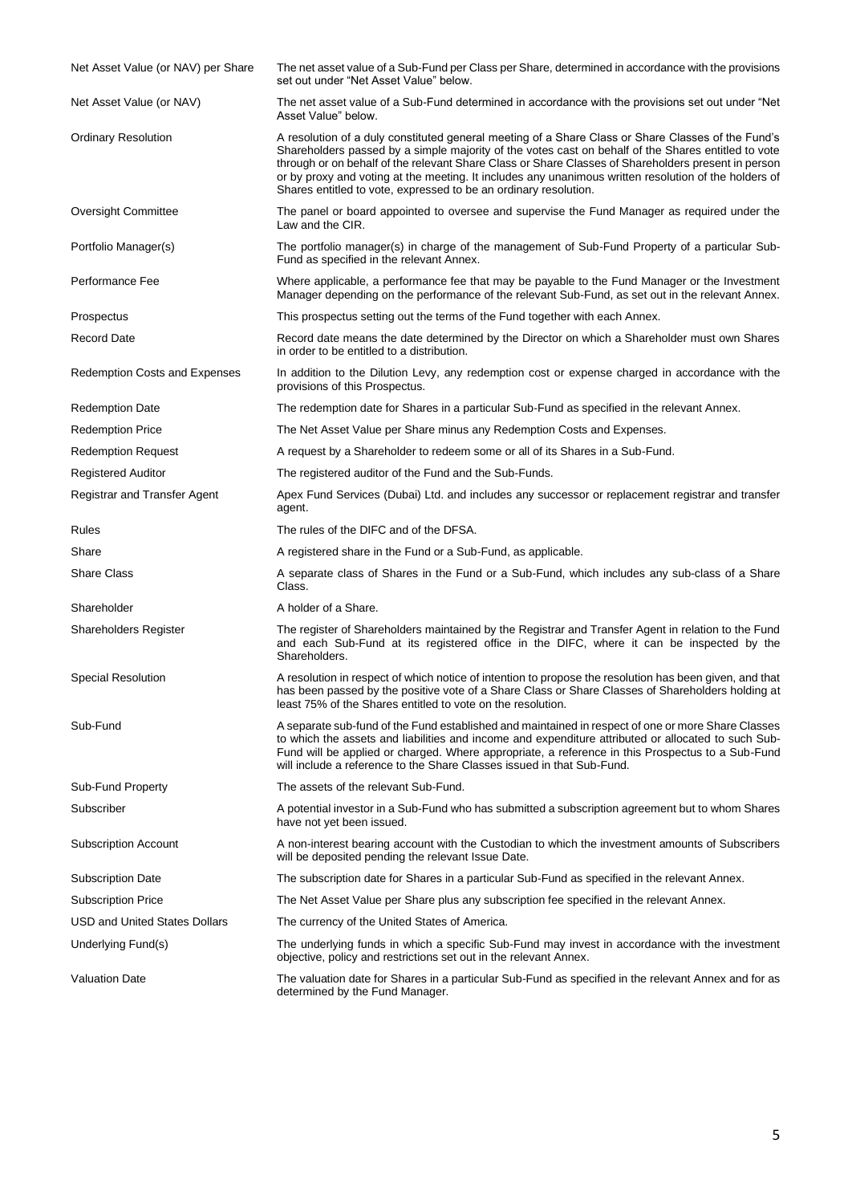| Net Asset Value (or NAV) per Share | The net asset value of a Sub-Fund per Class per Share, determined in accordance with the provisions<br>set out under "Net Asset Value" below.                                                                                                                                                                                                                                                                                                                                                 |
|------------------------------------|-----------------------------------------------------------------------------------------------------------------------------------------------------------------------------------------------------------------------------------------------------------------------------------------------------------------------------------------------------------------------------------------------------------------------------------------------------------------------------------------------|
| Net Asset Value (or NAV)           | The net asset value of a Sub-Fund determined in accordance with the provisions set out under "Net<br>Asset Value" below.                                                                                                                                                                                                                                                                                                                                                                      |
| <b>Ordinary Resolution</b>         | A resolution of a duly constituted general meeting of a Share Class or Share Classes of the Fund's<br>Shareholders passed by a simple majority of the votes cast on behalf of the Shares entitled to vote<br>through or on behalf of the relevant Share Class or Share Classes of Shareholders present in person<br>or by proxy and voting at the meeting. It includes any unanimous written resolution of the holders of<br>Shares entitled to vote, expressed to be an ordinary resolution. |
| <b>Oversight Committee</b>         | The panel or board appointed to oversee and supervise the Fund Manager as required under the<br>Law and the CIR.                                                                                                                                                                                                                                                                                                                                                                              |
| Portfolio Manager(s)               | The portfolio manager(s) in charge of the management of Sub-Fund Property of a particular Sub-<br>Fund as specified in the relevant Annex.                                                                                                                                                                                                                                                                                                                                                    |
| Performance Fee                    | Where applicable, a performance fee that may be payable to the Fund Manager or the Investment<br>Manager depending on the performance of the relevant Sub-Fund, as set out in the relevant Annex.                                                                                                                                                                                                                                                                                             |
| Prospectus                         | This prospectus setting out the terms of the Fund together with each Annex.                                                                                                                                                                                                                                                                                                                                                                                                                   |
| <b>Record Date</b>                 | Record date means the date determined by the Director on which a Shareholder must own Shares<br>in order to be entitled to a distribution.                                                                                                                                                                                                                                                                                                                                                    |
| Redemption Costs and Expenses      | In addition to the Dilution Levy, any redemption cost or expense charged in accordance with the<br>provisions of this Prospectus.                                                                                                                                                                                                                                                                                                                                                             |
| <b>Redemption Date</b>             | The redemption date for Shares in a particular Sub-Fund as specified in the relevant Annex.                                                                                                                                                                                                                                                                                                                                                                                                   |
| <b>Redemption Price</b>            | The Net Asset Value per Share minus any Redemption Costs and Expenses.                                                                                                                                                                                                                                                                                                                                                                                                                        |
| <b>Redemption Request</b>          | A request by a Shareholder to redeem some or all of its Shares in a Sub-Fund.                                                                                                                                                                                                                                                                                                                                                                                                                 |
| <b>Registered Auditor</b>          | The registered auditor of the Fund and the Sub-Funds.                                                                                                                                                                                                                                                                                                                                                                                                                                         |
| Registrar and Transfer Agent       | Apex Fund Services (Dubai) Ltd. and includes any successor or replacement registrar and transfer<br>agent.                                                                                                                                                                                                                                                                                                                                                                                    |
| Rules                              | The rules of the DIFC and of the DFSA.                                                                                                                                                                                                                                                                                                                                                                                                                                                        |
| Share                              | A registered share in the Fund or a Sub-Fund, as applicable.                                                                                                                                                                                                                                                                                                                                                                                                                                  |
| <b>Share Class</b>                 | A separate class of Shares in the Fund or a Sub-Fund, which includes any sub-class of a Share<br>Class.                                                                                                                                                                                                                                                                                                                                                                                       |
| Shareholder                        | A holder of a Share.                                                                                                                                                                                                                                                                                                                                                                                                                                                                          |
| Shareholders Register              | The register of Shareholders maintained by the Registrar and Transfer Agent in relation to the Fund<br>and each Sub-Fund at its registered office in the DIFC, where it can be inspected by the<br>Shareholders.                                                                                                                                                                                                                                                                              |
| Special Resolution                 | A resolution in respect of which notice of intention to propose the resolution has been given, and that<br>has been passed by the positive vote of a Share Class or Share Classes of Shareholders holding at<br>least 75% of the Shares entitled to vote on the resolution.                                                                                                                                                                                                                   |
| Sub-Fund                           | A separate sub-fund of the Fund established and maintained in respect of one or more Share Classes<br>to which the assets and liabilities and income and expenditure attributed or allocated to such Sub-<br>Fund will be applied or charged. Where appropriate, a reference in this Prospectus to a Sub-Fund<br>will include a reference to the Share Classes issued in that Sub-Fund.                                                                                                       |
| Sub-Fund Property                  | The assets of the relevant Sub-Fund.                                                                                                                                                                                                                                                                                                                                                                                                                                                          |
| Subscriber                         | A potential investor in a Sub-Fund who has submitted a subscription agreement but to whom Shares<br>have not yet been issued.                                                                                                                                                                                                                                                                                                                                                                 |
| <b>Subscription Account</b>        | A non-interest bearing account with the Custodian to which the investment amounts of Subscribers<br>will be deposited pending the relevant Issue Date.                                                                                                                                                                                                                                                                                                                                        |
| <b>Subscription Date</b>           | The subscription date for Shares in a particular Sub-Fund as specified in the relevant Annex.                                                                                                                                                                                                                                                                                                                                                                                                 |
| <b>Subscription Price</b>          | The Net Asset Value per Share plus any subscription fee specified in the relevant Annex.                                                                                                                                                                                                                                                                                                                                                                                                      |
| USD and United States Dollars      | The currency of the United States of America.                                                                                                                                                                                                                                                                                                                                                                                                                                                 |
| Underlying Fund(s)                 | The underlying funds in which a specific Sub-Fund may invest in accordance with the investment<br>objective, policy and restrictions set out in the relevant Annex.                                                                                                                                                                                                                                                                                                                           |
| <b>Valuation Date</b>              | The valuation date for Shares in a particular Sub-Fund as specified in the relevant Annex and for as<br>determined by the Fund Manager.                                                                                                                                                                                                                                                                                                                                                       |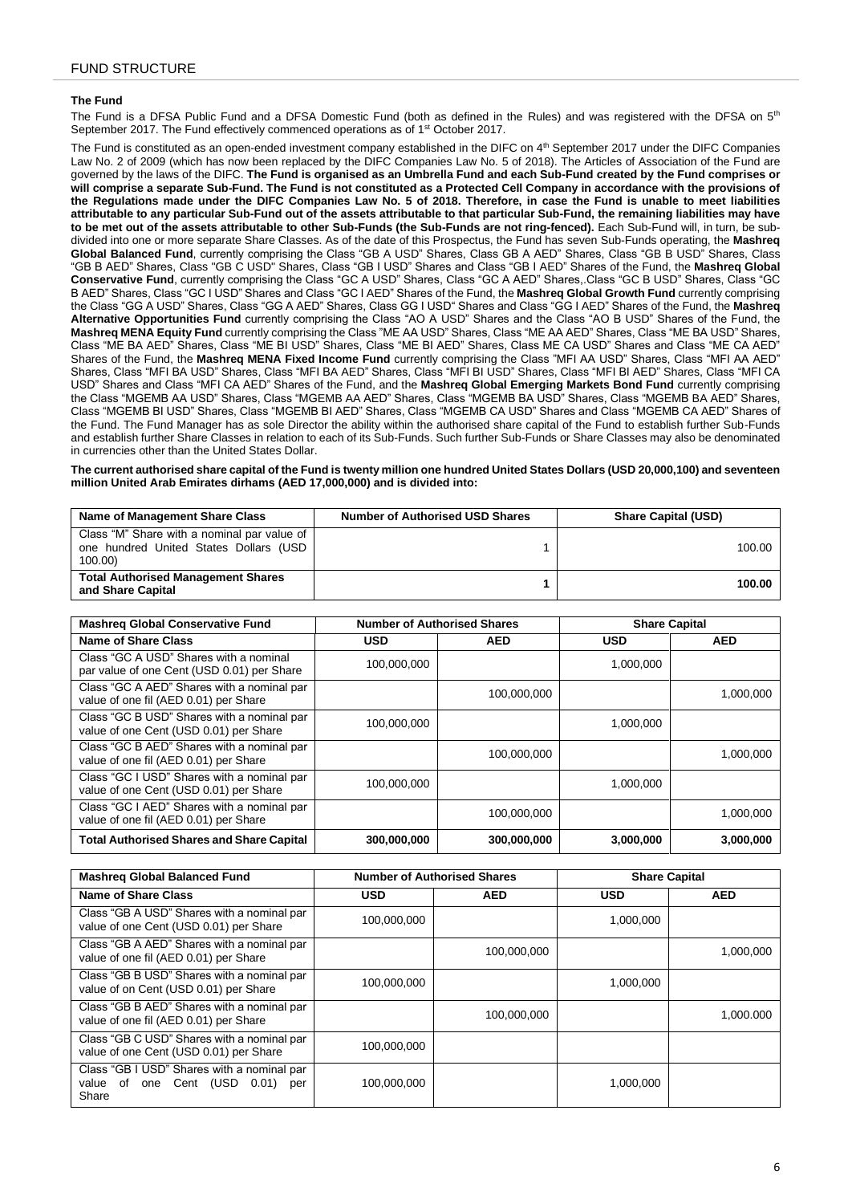## <span id="page-5-0"></span>**The Fund**

The Fund is a DFSA Public Fund and a DFSA Domestic Fund (both as defined in the Rules) and was registered with the DFSA on  $5<sup>th</sup>$ September 2017. The Fund effectively commenced operations as of 1<sup>st</sup> October 2017.

The Fund is constituted as an open-ended investment company established in the DIFC on 4<sup>th</sup> September 2017 under the DIFC Companies Law No. 2 of 2009 (which has now been replaced by the DIFC Companies Law No. 5 of 2018). The Articles of Association of the Fund are governed by the laws of the DIFC. **The Fund is organised as an Umbrella Fund and each Sub-Fund created by the Fund comprises or will comprise a separate Sub-Fund. The Fund is not constituted as a Protected Cell Company in accordance with the provisions of the Regulations made under the DIFC Companies Law No. 5 of 2018. Therefore, in case the Fund is unable to meet liabilities attributable to any particular Sub-Fund out of the assets attributable to that particular Sub-Fund, the remaining liabilities may have to be met out of the assets attributable to other Sub-Funds (the Sub-Funds are not ring-fenced).** Each Sub-Fund will, in turn, be subdivided into one or more separate Share Classes. As of the date of this Prospectus, the Fund has seven Sub-Funds operating, the **Mashreq Global Balanced Fund**, currently comprising the Class "GB A USD" Shares, Class GB A AED" Shares, Class "GB B USD" Shares, Class "GB B AED" Shares, Class "GB C USD" Shares, Class "GB I USD" Shares and Class "GB I AED" Shares of the Fund, the **Mashreq Global Conservative Fund**, currently comprising the Class "GC A USD" Shares, Class "GC A AED" Shares,.Class "GC B USD" Shares, Class "GC B AED" Shares, Class "GC I USD" Shares and Class "GC I AED" Shares of the Fund, the **Mashreq Global Growth Fund** currently comprising the Class "GG A USD" Shares, Class "GG A AED" Shares, Class GG I USD" Shares and Class "GG I AED" Shares of the Fund, the **Mashreq Alternative Opportunities Fund** currently comprising the Class "AO A USD" Shares and the Class "AO B USD" Shares of the Fund, the **Mashreq MENA Equity Fund** currently comprising the Class "ME AA USD" Shares, Class "ME AA AED" Shares, Class "ME BA USD" Shares, Class "ME BA AED" Shares, Class "ME BI USD" Shares, Class "ME BI AED" Shares, Class ME CA USD" Shares and Class "ME CA AED" Shares of the Fund, the **Mashreq MENA Fixed Income Fund** currently comprising the Class "MFI AA USD" Shares, Class "MFI AA AED" Shares, Class "MFI BA USD" Shares, Class "MFI BA AED" Shares, Class "MFI BI USD" Shares, Class "MFI BI AED" Shares, Class "MFI CA USD" Shares and Class "MFI CA AED" Shares of the Fund, and the **Mashreq Global Emerging Markets Bond Fund** currently comprising the Class "MGEMB AA USD" Shares, Class "MGEMB AA AED" Shares, Class "MGEMB BA USD" Shares, Class "MGEMB BA AED" Shares, Class "MGEMB BI USD" Shares, Class "MGEMB BI AED" Shares, Class "MGEMB CA USD" Shares and Class "MGEMB CA AED" Shares of the Fund. The Fund Manager has as sole Director the ability within the authorised share capital of the Fund to establish further Sub-Funds and establish further Share Classes in relation to each of its Sub-Funds. Such further Sub-Funds or Share Classes may also be denominated in currencies other than the United States Dollar.

**The current authorised share capital of the Fund is twenty million one hundred United States Dollars (USD 20,000,100) and seventeen million United Arab Emirates dirhams (AED 17,000,000) and is divided into:**

| Name of Management Share Class                                                                  | <b>Number of Authorised USD Shares</b> | <b>Share Capital (USD)</b> |
|-------------------------------------------------------------------------------------------------|----------------------------------------|----------------------------|
| Class "M" Share with a nominal par value of<br>one hundred United States Dollars (USD<br>100.00 |                                        | 100.00                     |
| <b>Total Authorised Management Shares</b><br>and Share Capital                                  |                                        | 100.00                     |

| <b>Mashreg Global Conservative Fund</b>                                              | <b>Number of Authorised Shares</b> |             | <b>Share Capital</b> |            |
|--------------------------------------------------------------------------------------|------------------------------------|-------------|----------------------|------------|
| <b>Name of Share Class</b>                                                           | <b>USD</b>                         | <b>AED</b>  | <b>USD</b>           | <b>AED</b> |
| Class "GC A USD" Shares with a nominal<br>par value of one Cent (USD 0.01) per Share | 100,000,000                        |             | 1,000,000            |            |
| Class "GC A AED" Shares with a nominal par<br>value of one fil (AED 0.01) per Share  |                                    | 100,000,000 |                      | 1,000,000  |
| Class "GC B USD" Shares with a nominal par<br>value of one Cent (USD 0.01) per Share | 100,000,000                        |             | 1,000,000            |            |
| Class "GC B AED" Shares with a nominal par<br>value of one fil (AED 0.01) per Share  |                                    | 100,000,000 |                      | 1,000,000  |
| Class "GC I USD" Shares with a nominal par<br>value of one Cent (USD 0.01) per Share | 100,000,000                        |             | 1,000,000            |            |
| Class "GC I AED" Shares with a nominal par<br>value of one fil (AED 0.01) per Share  |                                    | 100.000.000 |                      | 1.000.000  |
| <b>Total Authorised Shares and Share Capital</b>                                     | 300,000,000                        | 300,000,000 | 3,000,000            | 3.000.000  |

| <b>Mashreg Global Balanced Fund</b>                                                           | <b>Number of Authorised Shares</b> |             |           | <b>Share Capital</b> |
|-----------------------------------------------------------------------------------------------|------------------------------------|-------------|-----------|----------------------|
| <b>Name of Share Class</b>                                                                    | USD                                | <b>AED</b>  | USD       | <b>AED</b>           |
| Class "GB A USD" Shares with a nominal par<br>value of one Cent (USD 0.01) per Share          | 100,000,000                        |             | 1,000,000 |                      |
| Class "GB A AED" Shares with a nominal par<br>value of one fil (AED 0.01) per Share           |                                    | 100,000,000 |           | 1,000,000            |
| Class "GB B USD" Shares with a nominal par<br>value of on Cent (USD 0.01) per Share           | 100,000,000                        |             | 1,000,000 |                      |
| Class "GB B AED" Shares with a nominal par<br>value of one fil (AED 0.01) per Share           |                                    | 100,000,000 |           | 1,000.000            |
| Class "GB C USD" Shares with a nominal par<br>value of one Cent (USD 0.01) per Share          | 100,000,000                        |             |           |                      |
| Class "GB I USD" Shares with a nominal par<br>of one Cent (USD 0.01)<br>value<br>per<br>Share | 100,000,000                        |             | 1,000,000 |                      |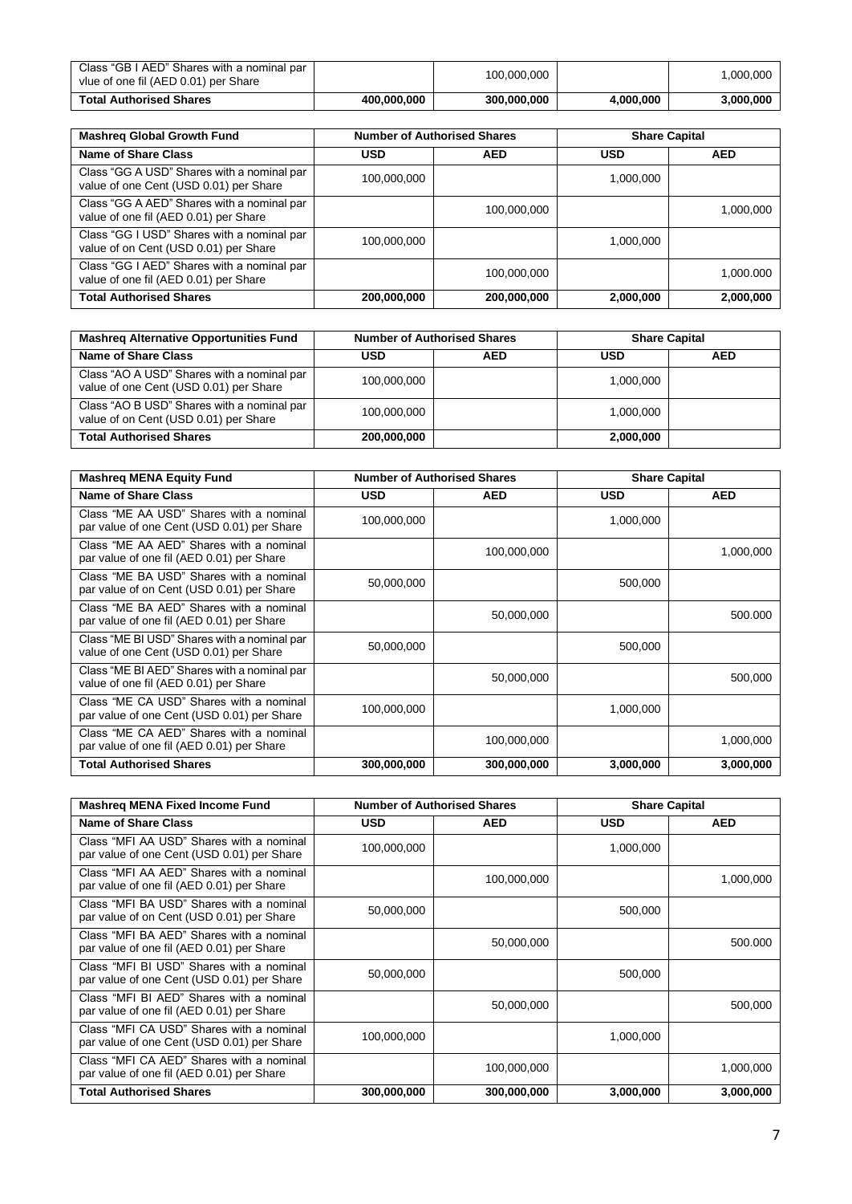| Class "GB I AED" Shares with a nominal par<br>vlue of one fil (AED 0.01) per Share |             | 100,000,000 |           | .000.000  |
|------------------------------------------------------------------------------------|-------------|-------------|-----------|-----------|
| <b>Total Authorised Shares</b>                                                     | 400.000.000 | 300,000,000 | 4.000.000 | 3.000.000 |

| <b>Mashreg Global Growth Fund</b>                                                    | <b>Number of Authorised Shares</b> |             |            | <b>Share Capital</b> |
|--------------------------------------------------------------------------------------|------------------------------------|-------------|------------|----------------------|
| <b>Name of Share Class</b>                                                           | <b>USD</b>                         | <b>AED</b>  | <b>USD</b> | <b>AED</b>           |
| Class "GG A USD" Shares with a nominal par<br>value of one Cent (USD 0.01) per Share | 100,000,000                        |             | 1,000,000  |                      |
| Class "GG A AED" Shares with a nominal par<br>value of one fil (AED 0.01) per Share  |                                    | 100,000,000 |            | 1,000,000            |
| Class "GG I USD" Shares with a nominal par<br>value of on Cent (USD 0.01) per Share  | 100.000.000                        |             | 1.000.000  |                      |
| Class "GG I AED" Shares with a nominal par<br>value of one fil (AED 0.01) per Share  |                                    | 100,000,000 |            | 1.000.000            |
| <b>Total Authorised Shares</b>                                                       | 200,000,000                        | 200,000,000 | 2,000,000  | 2,000,000            |

| <b>Mashreg Alternative Opportunities Fund</b>                                        | <b>Number of Authorised Shares</b> |            | <b>Share Capital</b> |            |
|--------------------------------------------------------------------------------------|------------------------------------|------------|----------------------|------------|
| <b>Name of Share Class</b>                                                           | <b>USD</b>                         | <b>AED</b> | <b>USD</b>           | <b>AED</b> |
| Class "AO A USD" Shares with a nominal par<br>value of one Cent (USD 0.01) per Share | 100.000.000                        |            | 1.000.000            |            |
| Class "AO B USD" Shares with a nominal par<br>value of on Cent (USD 0.01) per Share  | 100,000,000                        |            | 1,000,000            |            |
| <b>Total Authorised Shares</b>                                                       | 200,000,000                        |            | 2,000,000            |            |

| <b>Mashreg MENA Equity Fund</b>                                                       | <b>Number of Authorised Shares</b> |             |           | <b>Share Capital</b> |
|---------------------------------------------------------------------------------------|------------------------------------|-------------|-----------|----------------------|
| <b>Name of Share Class</b>                                                            | <b>USD</b>                         | <b>AED</b>  | USD       | <b>AED</b>           |
| Class "ME AA USD" Shares with a nominal<br>par value of one Cent (USD 0.01) per Share | 100,000,000                        |             | 1,000,000 |                      |
| Class "ME AA AED" Shares with a nominal<br>par value of one fil (AED 0.01) per Share  |                                    | 100,000,000 |           | 1,000,000            |
| Class "ME BA USD" Shares with a nominal<br>par value of on Cent (USD 0.01) per Share  | 50,000,000                         |             | 500,000   |                      |
| Class "ME BA AED" Shares with a nominal<br>par value of one fil (AED 0.01) per Share  |                                    | 50,000,000  |           | 500,000              |
| Class "ME BI USD" Shares with a nominal par<br>value of one Cent (USD 0.01) per Share | 50,000,000                         |             | 500,000   |                      |
| Class "ME BI AED" Shares with a nominal par<br>value of one fil (AED 0.01) per Share  |                                    | 50,000,000  |           | 500,000              |
| Class "ME CA USD" Shares with a nominal<br>par value of one Cent (USD 0.01) per Share | 100,000,000                        |             | 1,000,000 |                      |
| Class "ME CA AED" Shares with a nominal<br>par value of one fil (AED 0.01) per Share  |                                    | 100,000,000 |           | 1,000,000            |
| <b>Total Authorised Shares</b>                                                        | 300,000,000                        | 300,000,000 | 3,000,000 | 3,000,000            |

| <b>Mashreg MENA Fixed Income Fund</b>                                                  | <b>Number of Authorised Shares</b> |             | <b>Share Capital</b> |            |
|----------------------------------------------------------------------------------------|------------------------------------|-------------|----------------------|------------|
| Name of Share Class                                                                    | USD                                | <b>AED</b>  | <b>USD</b>           | <b>AED</b> |
| Class "MFI AA USD" Shares with a nominal<br>par value of one Cent (USD 0.01) per Share | 100,000,000                        |             | 1,000,000            |            |
| Class "MFI AA AED" Shares with a nominal<br>par value of one fil (AED 0.01) per Share  |                                    | 100,000,000 |                      | 1,000,000  |
| Class "MFI BA USD" Shares with a nominal<br>par value of on Cent (USD 0.01) per Share  | 50,000,000                         |             | 500,000              |            |
| Class "MFI BA AED" Shares with a nominal<br>par value of one fil (AED 0.01) per Share  |                                    | 50,000,000  |                      | 500.000    |
| Class "MFI BI USD" Shares with a nominal<br>par value of one Cent (USD 0.01) per Share | 50,000,000                         |             | 500,000              |            |
| Class "MFI BI AED" Shares with a nominal<br>par value of one fil (AED 0.01) per Share  |                                    | 50,000,000  |                      | 500,000    |
| Class "MFI CA USD" Shares with a nominal<br>par value of one Cent (USD 0.01) per Share | 100,000,000                        |             | 1,000,000            |            |
| Class "MFI CA AED" Shares with a nominal<br>par value of one fil (AED 0.01) per Share  |                                    | 100,000,000 |                      | 1,000,000  |
| <b>Total Authorised Shares</b>                                                         | 300,000,000                        | 300,000,000 | 3,000,000            | 3,000,000  |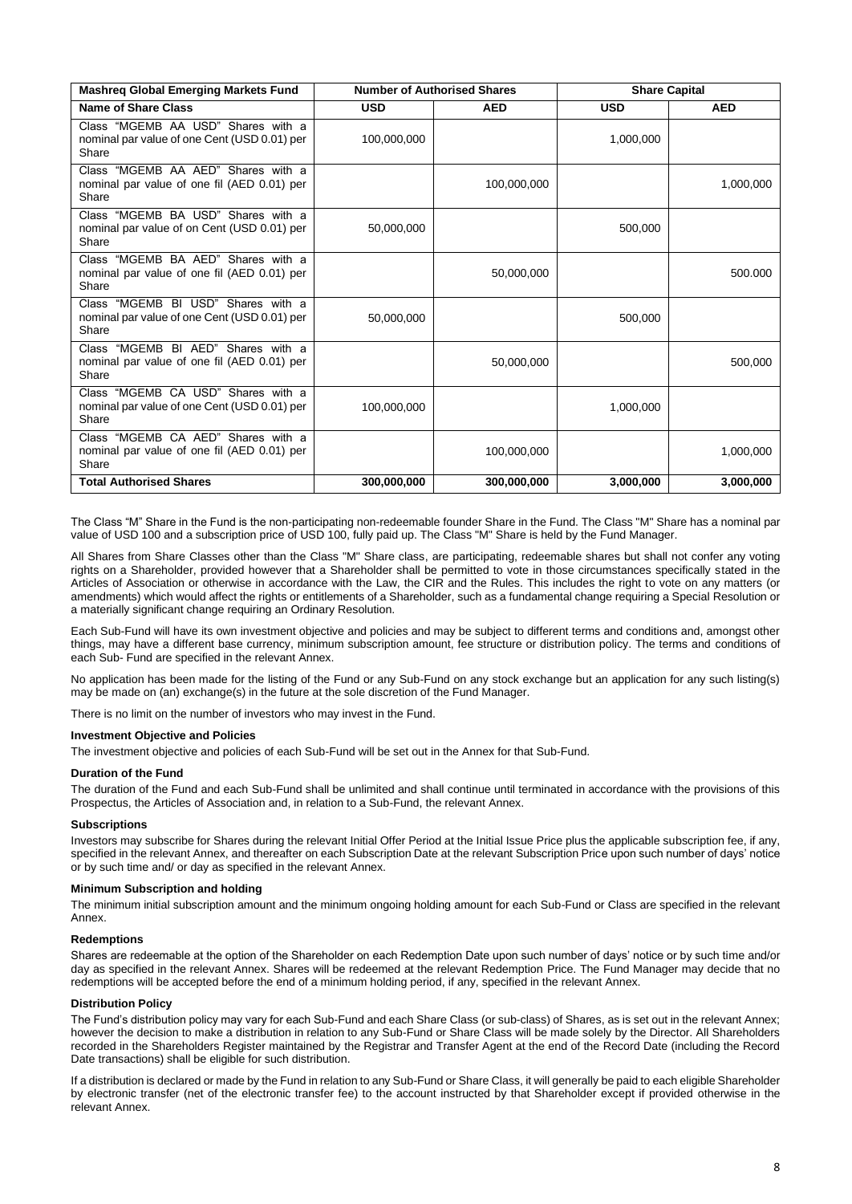| <b>Mashreg Global Emerging Markets Fund</b>                                                 |             | <b>Number of Authorised Shares</b> |            | <b>Share Capital</b> |
|---------------------------------------------------------------------------------------------|-------------|------------------------------------|------------|----------------------|
| <b>Name of Share Class</b>                                                                  | <b>USD</b>  | <b>AED</b>                         | <b>USD</b> | <b>AED</b>           |
| Class "MGEMB AA USD" Shares with a<br>nominal par value of one Cent (USD 0.01) per<br>Share | 100,000,000 |                                    | 1,000,000  |                      |
| Class "MGEMB AA AED" Shares with a<br>nominal par value of one fil (AED 0.01) per<br>Share  |             | 100,000,000                        |            | 1,000,000            |
| Class "MGEMB BA USD" Shares with a<br>nominal par value of on Cent (USD 0.01) per<br>Share  | 50,000,000  |                                    | 500,000    |                      |
| Class "MGEMB BA AED" Shares with a<br>nominal par value of one fil (AED 0.01) per<br>Share  |             | 50,000,000                         |            | 500.000              |
| Class "MGEMB BI USD" Shares with a<br>nominal par value of one Cent (USD 0.01) per<br>Share | 50,000,000  |                                    | 500,000    |                      |
| Class "MGEMB BI AED" Shares with a<br>nominal par value of one fil (AED 0.01) per<br>Share  |             | 50,000,000                         |            | 500,000              |
| Class "MGEMB CA USD" Shares with a<br>nominal par value of one Cent (USD 0.01) per<br>Share | 100,000,000 |                                    | 1,000,000  |                      |
| Class "MGEMB CA AED" Shares with a<br>nominal par value of one fil (AED 0.01) per<br>Share  |             | 100,000,000                        |            | 1,000,000            |
| <b>Total Authorised Shares</b>                                                              | 300,000,000 | 300,000,000                        | 3.000.000  | 3,000,000            |

The Class "M" Share in the Fund is the non-participating non-redeemable founder Share in the Fund. The Class "M" Share has a nominal par value of USD 100 and a subscription price of USD 100, fully paid up. The Class "M" Share is held by the Fund Manager.

All Shares from Share Classes other than the Class "M" Share class, are participating, redeemable shares but shall not confer any voting rights on a Shareholder, provided however that a Shareholder shall be permitted to vote in those circumstances specifically stated in the Articles of Association or otherwise in accordance with the Law, the CIR and the Rules. This includes the right to vote on any matters (or amendments) which would affect the rights or entitlements of a Shareholder, such as a fundamental change requiring a Special Resolution or a materially significant change requiring an Ordinary Resolution.

Each Sub-Fund will have its own investment objective and policies and may be subject to different terms and conditions and, amongst other things, may have a different base currency, minimum subscription amount, fee structure or distribution policy. The terms and conditions of each Sub- Fund are specified in the relevant Annex.

No application has been made for the listing of the Fund or any Sub-Fund on any stock exchange but an application for any such listing(s) may be made on (an) exchange(s) in the future at the sole discretion of the Fund Manager.

There is no limit on the number of investors who may invest in the Fund.

# **Investment Objective and Policies**

The investment objective and policies of each Sub-Fund will be set out in the Annex for that Sub-Fund.

## **Duration of the Fund**

The duration of the Fund and each Sub-Fund shall be unlimited and shall continue until terminated in accordance with the provisions of this Prospectus, the Articles of Association and, in relation to a Sub-Fund, the relevant Annex.

## **Subscriptions**

Investors may subscribe for Shares during the relevant Initial Offer Period at the Initial Issue Price plus the applicable subscription fee, if any, specified in the relevant Annex, and thereafter on each Subscription Date at the relevant Subscription Price upon such number of days' notice or by such time and/ or day as specified in the relevant Annex.

#### **Minimum Subscription and holding**

The minimum initial subscription amount and the minimum ongoing holding amount for each Sub-Fund or Class are specified in the relevant Annex.

#### **Redemptions**

Shares are redeemable at the option of the Shareholder on each Redemption Date upon such number of days' notice or by such time and/or day as specified in the relevant Annex. Shares will be redeemed at the relevant Redemption Price. The Fund Manager may decide that no redemptions will be accepted before the end of a minimum holding period, if any, specified in the relevant Annex.

## **Distribution Policy**

The Fund's distribution policy may vary for each Sub-Fund and each Share Class (or sub-class) of Shares, as is set out in the relevant Annex; however the decision to make a distribution in relation to any Sub-Fund or Share Class will be made solely by the Director. All Shareholders recorded in the Shareholders Register maintained by the Registrar and Transfer Agent at the end of the Record Date (including the Record Date transactions) shall be eligible for such distribution.

If a distribution is declared or made by the Fund in relation to any Sub-Fund or Share Class, it will generally be paid to each eligible Shareholder by electronic transfer (net of the electronic transfer fee) to the account instructed by that Shareholder except if provided otherwise in the relevant Annex.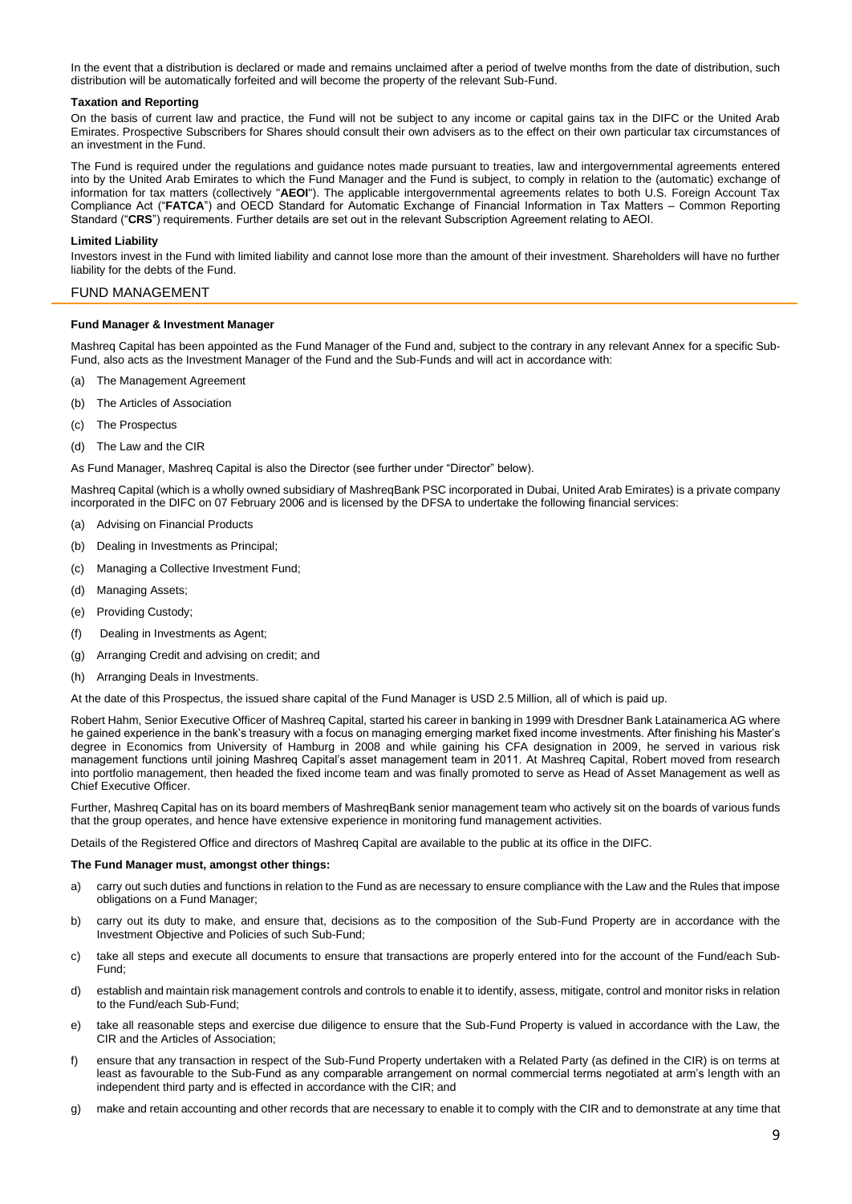In the event that a distribution is declared or made and remains unclaimed after a period of twelve months from the date of distribution, such distribution will be automatically forfeited and will become the property of the relevant Sub-Fund.

## **Taxation and Reporting**

On the basis of current law and practice, the Fund will not be subject to any income or capital gains tax in the DIFC or the United Arab Emirates. Prospective Subscribers for Shares should consult their own advisers as to the effect on their own particular tax circumstances of an investment in the Fund.

The Fund is required under the regulations and guidance notes made pursuant to treaties, law and intergovernmental agreements entered into by the United Arab Emirates to which the Fund Manager and the Fund is subject, to comply in relation to the (automatic) exchange of information for tax matters (collectively "**AEOI**"). The applicable intergovernmental agreements relates to both U.S. Foreign Account Tax Compliance Act ("**FATCA**") and OECD Standard for Automatic Exchange of Financial Information in Tax Matters – Common Reporting Standard ("**CRS**") requirements. Further details are set out in the relevant Subscription Agreement relating to AEOI.

## **Limited Liability**

Investors invest in the Fund with limited liability and cannot lose more than the amount of their investment. Shareholders will have no further liability for the debts of the Fund.

# <span id="page-8-0"></span>FUND MANAGEMENT

## **Fund Manager & Investment Manager**

Mashreq Capital has been appointed as the Fund Manager of the Fund and, subject to the contrary in any relevant Annex for a specific Sub-Fund, also acts as the Investment Manager of the Fund and the Sub-Funds and will act in accordance with:

- (a) The Management Agreement
- (b) The Articles of Association
- (c) The Prospectus
- (d) The Law and the CIR

As Fund Manager, Mashreq Capital is also the Director (see further under "Director" below).

Mashreq Capital (which is a wholly owned subsidiary of MashreqBank PSC incorporated in Dubai, United Arab Emirates) is a private company incorporated in the DIFC on 07 February 2006 and is licensed by the DFSA to undertake the following financial services:

- (a) Advising on Financial Products
- (b) Dealing in Investments as Principal;
- (c) Managing a Collective Investment Fund;
- (d) Managing Assets;
- (e) Providing Custody;
- (f) Dealing in Investments as Agent;
- (g) Arranging Credit and advising on credit; and
- (h) Arranging Deals in Investments.

At the date of this Prospectus, the issued share capital of the Fund Manager is USD 2.5 Million, all of which is paid up.

Robert Hahm, Senior Executive Officer of Mashreq Capital, started his career in banking in 1999 with Dresdner Bank Latainamerica AG where he gained experience in the bank's treasury with a focus on managing emerging market fixed income investments. After finishing his Master's degree in Economics from University of Hamburg in 2008 and while gaining his CFA designation in 2009, he served in various risk management functions until joining Mashreq Capital's asset management team in 2011. At Mashreq Capital, Robert moved from research into portfolio management, then headed the fixed income team and was finally promoted to serve as Head of Asset Management as well as Chief Executive Officer.

Further, Mashreq Capital has on its board members of MashreqBank senior management team who actively sit on the boards of various funds that the group operates, and hence have extensive experience in monitoring fund management activities.

Details of the Registered Office and directors of Mashreq Capital are available to the public at its office in the DIFC.

#### **The Fund Manager must, amongst other things:**

- a) carry out such duties and functions in relation to the Fund as are necessary to ensure compliance with the Law and the Rules that impose obligations on a Fund Manager;
- b) carry out its duty to make, and ensure that, decisions as to the composition of the Sub-Fund Property are in accordance with the Investment Objective and Policies of such Sub-Fund;
- c) take all steps and execute all documents to ensure that transactions are properly entered into for the account of the Fund/each Sub-Fund;
- d) establish and maintain risk management controls and controls to enable it to identify, assess, mitigate, control and monitor risks in relation to the Fund/each Sub-Fund;
- e) take all reasonable steps and exercise due diligence to ensure that the Sub-Fund Property is valued in accordance with the Law, the CIR and the Articles of Association;
- f) ensure that any transaction in respect of the Sub-Fund Property undertaken with a Related Party (as defined in the CIR) is on terms at least as favourable to the Sub-Fund as any comparable arrangement on normal commercial terms negotiated at arm's length with an independent third party and is effected in accordance with the CIR; and
- g) make and retain accounting and other records that are necessary to enable it to comply with the CIR and to demonstrate at any time that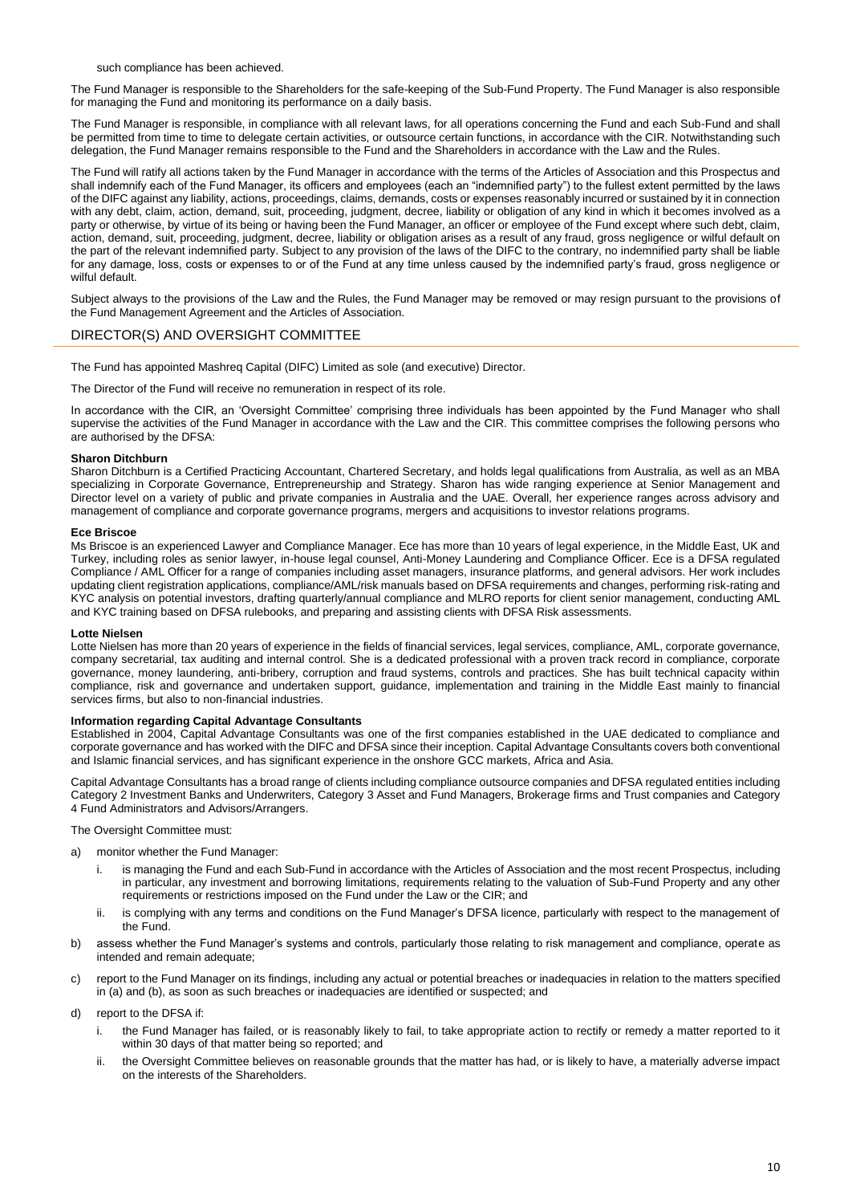such compliance has been achieved.

The Fund Manager is responsible to the Shareholders for the safe-keeping of the Sub-Fund Property. The Fund Manager is also responsible for managing the Fund and monitoring its performance on a daily basis.

The Fund Manager is responsible, in compliance with all relevant laws, for all operations concerning the Fund and each Sub-Fund and shall be permitted from time to time to delegate certain activities, or outsource certain functions, in accordance with the CIR. Notwithstanding such delegation, the Fund Manager remains responsible to the Fund and the Shareholders in accordance with the Law and the Rules.

The Fund will ratify all actions taken by the Fund Manager in accordance with the terms of the Articles of Association and this Prospectus and shall indemnify each of the Fund Manager, its officers and employees (each an "indemnified party") to the fullest extent permitted by the laws of the DIFC against any liability, actions, proceedings, claims, demands, costs or expenses reasonably incurred or sustained by it in connection with any debt, claim, action, demand, suit, proceeding, judgment, decree, liability or obligation of any kind in which it becomes involved as a party or otherwise, by virtue of its being or having been the Fund Manager, an officer or employee of the Fund except where such debt, claim, action, demand, suit, proceeding, judgment, decree, liability or obligation arises as a result of any fraud, gross negligence or wilful default on the part of the relevant indemnified party. Subject to any provision of the laws of the DIFC to the contrary, no indemnified party shall be liable for any damage, loss, costs or expenses to or of the Fund at any time unless caused by the indemnified party's fraud, gross negligence or wilful default.

Subject always to the provisions of the Law and the Rules, the Fund Manager may be removed or may resign pursuant to the provisions of the Fund Management Agreement and the Articles of Association.

# <span id="page-9-0"></span>DIRECTOR(S) AND OVERSIGHT COMMITTEE

The Fund has appointed Mashreq Capital (DIFC) Limited as sole (and executive) Director.

The Director of the Fund will receive no remuneration in respect of its role.

In accordance with the CIR, an 'Oversight Committee' comprising three individuals has been appointed by the Fund Manager who shall supervise the activities of the Fund Manager in accordance with the Law and the CIR. This committee comprises the following persons who are authorised by the DFSA:

#### **Sharon Ditchburn**

Sharon Ditchburn is a Certified Practicing Accountant, Chartered Secretary, and holds legal qualifications from Australia, as well as an MBA specializing in Corporate Governance, Entrepreneurship and Strategy. Sharon has wide ranging experience at Senior Management and Director level on a variety of public and private companies in Australia and the UAE. Overall, her experience ranges across advisory and management of compliance and corporate governance programs, mergers and acquisitions to investor relations programs.

#### **Ece Briscoe**

Ms Briscoe is an experienced Lawyer and Compliance Manager. Ece has more than 10 years of legal experience, in the Middle East, UK and Turkey, including roles as senior lawyer, in-house legal counsel, Anti-Money Laundering and Compliance Officer. Ece is a DFSA regulated Compliance / AML Officer for a range of companies including asset managers, insurance platforms, and general advisors. Her work includes updating client registration applications, compliance/AML/risk manuals based on DFSA requirements and changes, performing risk-rating and KYC analysis on potential investors, drafting quarterly/annual compliance and MLRO reports for client senior management, conducting AML and KYC training based on DFSA rulebooks, and preparing and assisting clients with DFSA Risk assessments.

#### **Lotte Nielsen**

Lotte Nielsen has more than 20 years of experience in the fields of financial services, legal services, compliance, AML, corporate governance, company secretarial, tax auditing and internal control. She is a dedicated professional with a proven track record in compliance, corporate governance, money laundering, anti-bribery, corruption and fraud systems, controls and practices. She has built technical capacity within compliance, risk and governance and undertaken support, guidance, implementation and training in the Middle East mainly to financial services firms, but also to non-financial industries.

#### **Information regarding Capital Advantage Consultants**

Established in 2004, Capital Advantage Consultants was one of the first companies established in the UAE dedicated to compliance and corporate governance and has worked with the DIFC and DFSA since their inception. Capital Advantage Consultants covers both conventional and Islamic financial services, and has significant experience in the onshore GCC markets, Africa and Asia.

Capital Advantage Consultants has a broad range of clients including compliance outsource companies and DFSA regulated entities including Category 2 Investment Banks and Underwriters, Category 3 Asset and Fund Managers, Brokerage firms and Trust companies and Category 4 Fund Administrators and Advisors/Arrangers.

#### The Oversight Committee must:

- a) monitor whether the Fund Manager:
	- i. is managing the Fund and each Sub-Fund in accordance with the Articles of Association and the most recent Prospectus, including in particular, any investment and borrowing limitations, requirements relating to the valuation of Sub-Fund Property and any other requirements or restrictions imposed on the Fund under the Law or the CIR; and
	- ii. is complying with any terms and conditions on the Fund Manager's DFSA licence, particularly with respect to the management of the Fund.
- b) assess whether the Fund Manager's systems and controls, particularly those relating to risk management and compliance, operate as intended and remain adequate;
- c) report to the Fund Manager on its findings, including any actual or potential breaches or inadequacies in relation to the matters specified in (a) and (b), as soon as such breaches or inadequacies are identified or suspected; and
- d) report to the DFSA if:
	- i. the Fund Manager has failed, or is reasonably likely to fail, to take appropriate action to rectify or remedy a matter reported to it within 30 days of that matter being so reported; and
	- ii. the Oversight Committee believes on reasonable grounds that the matter has had, or is likely to have, a materially adverse impact on the interests of the Shareholders.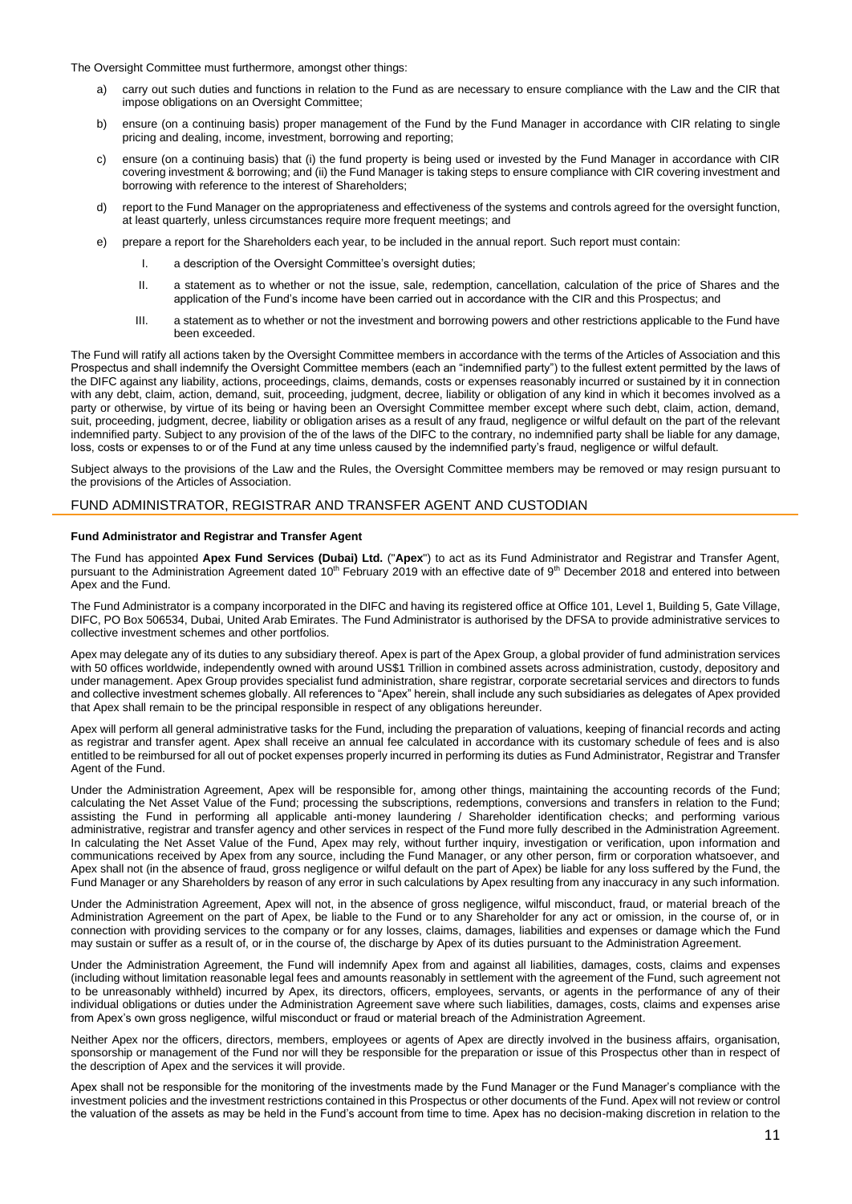The Oversight Committee must furthermore, amongst other things:

- a) carry out such duties and functions in relation to the Fund as are necessary to ensure compliance with the Law and the CIR that impose obligations on an Oversight Committee;
- b) ensure (on a continuing basis) proper management of the Fund by the Fund Manager in accordance with CIR relating to single pricing and dealing, income, investment, borrowing and reporting;
- c) ensure (on a continuing basis) that (i) the fund property is being used or invested by the Fund Manager in accordance with CIR covering investment & borrowing; and (ii) the Fund Manager is taking steps to ensure compliance with CIR covering investment and borrowing with reference to the interest of Shareholders;
- d) report to the Fund Manager on the appropriateness and effectiveness of the systems and controls agreed for the oversight function, at least quarterly, unless circumstances require more frequent meetings; and
- e) prepare a report for the Shareholders each year, to be included in the annual report. Such report must contain:
	- I. a description of the Oversight Committee's oversight duties;
	- II. a statement as to whether or not the issue, sale, redemption, cancellation, calculation of the price of Shares and the application of the Fund's income have been carried out in accordance with the CIR and this Prospectus; and
	- III. a statement as to whether or not the investment and borrowing powers and other restrictions applicable to the Fund have been exceeded.

The Fund will ratify all actions taken by the Oversight Committee members in accordance with the terms of the Articles of Association and this Prospectus and shall indemnify the Oversight Committee members (each an "indemnified party") to the fullest extent permitted by the laws of the DIFC against any liability, actions, proceedings, claims, demands, costs or expenses reasonably incurred or sustained by it in connection with any debt, claim, action, demand, suit, proceeding, judgment, decree, liability or obligation of any kind in which it becomes involved as a party or otherwise, by virtue of its being or having been an Oversight Committee member except where such debt, claim, action, demand, suit, proceeding, judgment, decree, liability or obligation arises as a result of any fraud, negligence or wilful default on the part of the relevant indemnified party. Subject to any provision of the of the laws of the DIFC to the contrary, no indemnified party shall be liable for any damage, loss, costs or expenses to or of the Fund at any time unless caused by the indemnified party's fraud, negligence or wilful default.

Subject always to the provisions of the Law and the Rules, the Oversight Committee members may be removed or may resign pursuant to the provisions of the Articles of Association.

# FUND ADMINISTRATOR, REGISTRAR AND TRANSFER AGENT AND CUSTODIAN

## **Fund Administrator and Registrar and Transfer Agent**

The Fund has appointed **Apex Fund Services (Dubai) Ltd.** ("**Apex**") to act as its Fund Administrator and Registrar and Transfer Agent, pursuant to the Administration Agreement dated 10<sup>th</sup> February 2019 with an effective date of 9<sup>th</sup> December 2018 and entered into between Apex and the Fund.

The Fund Administrator is a company incorporated in the DIFC and having its registered office at Office 101, Level 1, Building 5, Gate Village, DIFC, PO Box 506534, Dubai, United Arab Emirates. The Fund Administrator is authorised by the DFSA to provide administrative services to collective investment schemes and other portfolios.

Apex may delegate any of its duties to any subsidiary thereof. Apex is part of the Apex Group, a global provider of fund administration services with 50 offices worldwide, independently owned with around US\$1 Trillion in combined assets across administration, custody, depository and under management. Apex Group provides specialist fund administration, share registrar, corporate secretarial services and directors to funds and collective investment schemes globally. All references to "Apex" herein, shall include any such subsidiaries as delegates of Apex provided that Apex shall remain to be the principal responsible in respect of any obligations hereunder.

Apex will perform all general administrative tasks for the Fund, including the preparation of valuations, keeping of financial records and acting as registrar and transfer agent. Apex shall receive an annual fee calculated in accordance with its customary schedule of fees and is also entitled to be reimbursed for all out of pocket expenses properly incurred in performing its duties as Fund Administrator, Registrar and Transfer Agent of the Fund.

Under the Administration Agreement, Apex will be responsible for, among other things, maintaining the accounting records of the Fund; calculating the Net Asset Value of the Fund; processing the subscriptions, redemptions, conversions and transfers in relation to the Fund; assisting the Fund in performing all applicable anti-money laundering / Shareholder identification checks; and performing various administrative, registrar and transfer agency and other services in respect of the Fund more fully described in the Administration Agreement. In calculating the Net Asset Value of the Fund, Apex may rely, without further inquiry, investigation or verification, upon information and communications received by Apex from any source, including the Fund Manager, or any other person, firm or corporation whatsoever, and Apex shall not (in the absence of fraud, gross negligence or wilful default on the part of Apex) be liable for any loss suffered by the Fund, the Fund Manager or any Shareholders by reason of any error in such calculations by Apex resulting from any inaccuracy in any such information.

Under the Administration Agreement, Apex will not, in the absence of gross negligence, wilful misconduct, fraud, or material breach of the Administration Agreement on the part of Apex, be liable to the Fund or to any Shareholder for any act or omission, in the course of, or in connection with providing services to the company or for any losses, claims, damages, liabilities and expenses or damage which the Fund may sustain or suffer as a result of, or in the course of, the discharge by Apex of its duties pursuant to the Administration Agreement.

Under the Administration Agreement, the Fund will indemnify Apex from and against all liabilities, damages, costs, claims and expenses (including without limitation reasonable legal fees and amounts reasonably in settlement with the agreement of the Fund, such agreement not to be unreasonably withheld) incurred by Apex, its directors, officers, employees, servants, or agents in the performance of any of their individual obligations or duties under the Administration Agreement save where such liabilities, damages, costs, claims and expenses arise from Apex's own gross negligence, wilful misconduct or fraud or material breach of the Administration Agreement.

Neither Apex nor the officers, directors, members, employees or agents of Apex are directly involved in the business affairs, organisation, sponsorship or management of the Fund nor will they be responsible for the preparation or issue of this Prospectus other than in respect of the description of Apex and the services it will provide.

Apex shall not be responsible for the monitoring of the investments made by the Fund Manager or the Fund Manager's compliance with the investment policies and the investment restrictions contained in this Prospectus or other documents of the Fund. Apex will not review or control the valuation of the assets as may be held in the Fund's account from time to time. Apex has no decision-making discretion in relation to the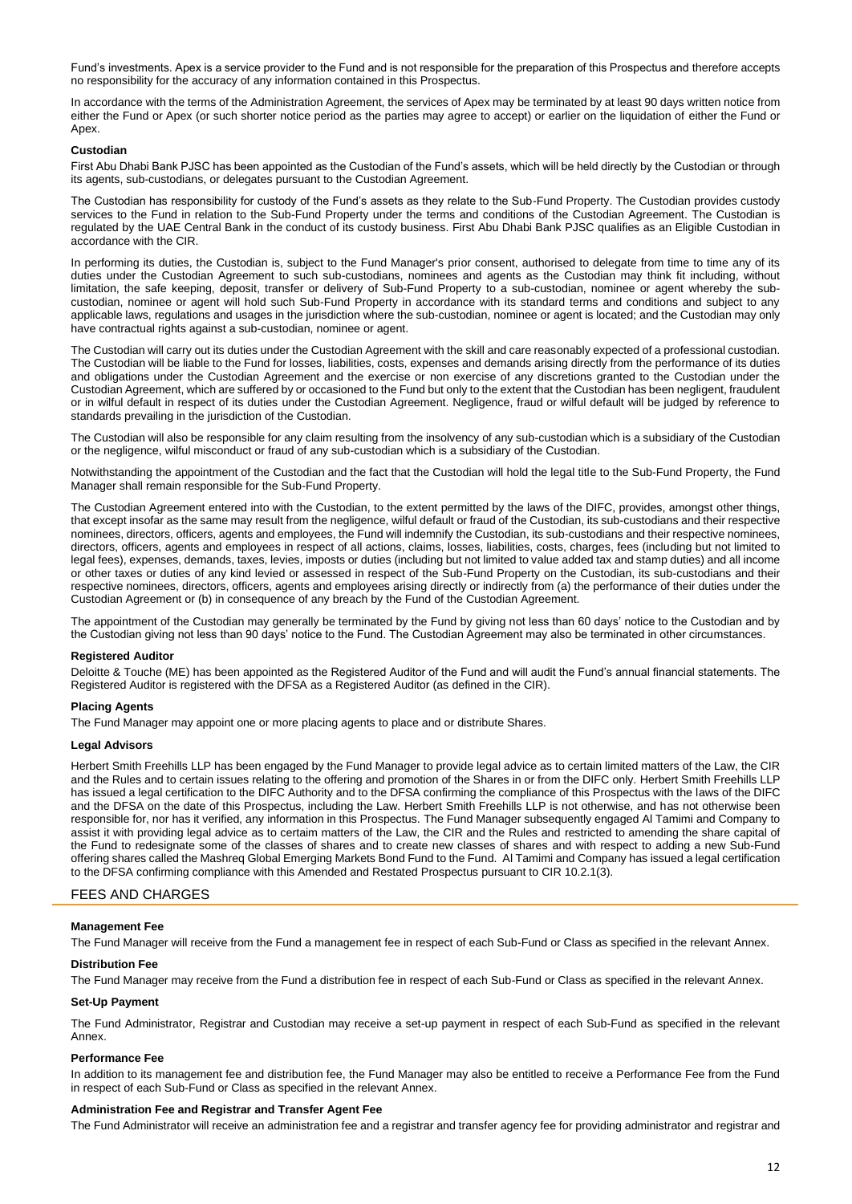Fund's investments. Apex is a service provider to the Fund and is not responsible for the preparation of this Prospectus and therefore accepts no responsibility for the accuracy of any information contained in this Prospectus.

In accordance with the terms of the Administration Agreement, the services of Apex may be terminated by at least 90 days written notice from either the Fund or Apex (or such shorter notice period as the parties may agree to accept) or earlier on the liquidation of either the Fund or Apex.

## **Custodian**

First Abu Dhabi Bank PJSC has been appointed as the Custodian of the Fund's assets, which will be held directly by the Custodian or through its agents, sub-custodians, or delegates pursuant to the Custodian Agreement.

The Custodian has responsibility for custody of the Fund's assets as they relate to the Sub-Fund Property. The Custodian provides custody services to the Fund in relation to the Sub-Fund Property under the terms and conditions of the Custodian Agreement. The Custodian is regulated by the UAE Central Bank in the conduct of its custody business. First Abu Dhabi Bank PJSC qualifies as an Eligible Custodian in accordance with the CIR.

In performing its duties, the Custodian is, subject to the Fund Manager's prior consent, authorised to delegate from time to time any of its duties under the Custodian Agreement to such sub-custodians, nominees and agents as the Custodian may think fit including, without limitation, the safe keeping, deposit, transfer or delivery of Sub-Fund Property to a sub-custodian, nominee or agent whereby the subcustodian, nominee or agent will hold such Sub-Fund Property in accordance with its standard terms and conditions and subject to any applicable laws, regulations and usages in the jurisdiction where the sub-custodian, nominee or agent is located; and the Custodian may only have contractual rights against a sub-custodian, nominee or agent.

The Custodian will carry out its duties under the Custodian Agreement with the skill and care reasonably expected of a professional custodian. The Custodian will be liable to the Fund for losses, liabilities, costs, expenses and demands arising directly from the performance of its duties and obligations under the Custodian Agreement and the exercise or non exercise of any discretions granted to the Custodian under the Custodian Agreement, which are suffered by or occasioned to the Fund but only to the extent that the Custodian has been negligent, fraudulent or in wilful default in respect of its duties under the Custodian Agreement. Negligence, fraud or wilful default will be judged by reference to standards prevailing in the jurisdiction of the Custodian.

The Custodian will also be responsible for any claim resulting from the insolvency of any sub-custodian which is a subsidiary of the Custodian or the negligence, wilful misconduct or fraud of any sub-custodian which is a subsidiary of the Custodian.

Notwithstanding the appointment of the Custodian and the fact that the Custodian will hold the legal title to the Sub-Fund Property, the Fund Manager shall remain responsible for the Sub-Fund Property.

The Custodian Agreement entered into with the Custodian, to the extent permitted by the laws of the DIFC, provides, amongst other things, that except insofar as the same may result from the negligence, wilful default or fraud of the Custodian, its sub-custodians and their respective nominees, directors, officers, agents and employees, the Fund will indemnify the Custodian, its sub-custodians and their respective nominees, directors, officers, agents and employees in respect of all actions, claims, losses, liabilities, costs, charges, fees (including but not limited to legal fees), expenses, demands, taxes, levies, imposts or duties (including but not limited to value added tax and stamp duties) and all income or other taxes or duties of any kind levied or assessed in respect of the Sub-Fund Property on the Custodian, its sub-custodians and their respective nominees, directors, officers, agents and employees arising directly or indirectly from (a) the performance of their duties under the Custodian Agreement or (b) in consequence of any breach by the Fund of the Custodian Agreement.

The appointment of the Custodian may generally be terminated by the Fund by giving not less than 60 days' notice to the Custodian and by the Custodian giving not less than 90 days' notice to the Fund. The Custodian Agreement may also be terminated in other circumstances.

## **Registered Auditor**

Deloitte & Touche (ME) has been appointed as the Registered Auditor of the Fund and will audit the Fund's annual financial statements. The Registered Auditor is registered with the DFSA as a Registered Auditor (as defined in the CIR).

## **Placing Agents**

The Fund Manager may appoint one or more placing agents to place and or distribute Shares.

# **Legal Advisors**

Herbert Smith Freehills LLP has been engaged by the Fund Manager to provide legal advice as to certain limited matters of the Law, the CIR and the Rules and to certain issues relating to the offering and promotion of the Shares in or from the DIFC only. Herbert Smith Freehills LLP has issued a legal certification to the DIFC Authority and to the DFSA confirming the compliance of this Prospectus with the laws of the DIFC and the DFSA on the date of this Prospectus, including the Law. Herbert Smith Freehills LLP is not otherwise, and has not otherwise been responsible for, nor has it verified, any information in this Prospectus. The Fund Manager subsequently engaged Al Tamimi and Company to assist it with providing legal advice as to certaim matters of the Law, the CIR and the Rules and restricted to amending the share capital of the Fund to redesignate some of the classes of shares and to create new classes of shares and with respect to adding a new Sub-Fund offering shares called the Mashreq Global Emerging Markets Bond Fund to the Fund. Al Tamimi and Company has issued a legal certification to the DFSA confirming compliance with this Amended and Restated Prospectus pursuant to CIR 10.2.1(3).

# <span id="page-11-0"></span>FEES AND CHARGES

## **Management Fee**

The Fund Manager will receive from the Fund a management fee in respect of each Sub-Fund or Class as specified in the relevant Annex.

## **Distribution Fee**

The Fund Manager may receive from the Fund a distribution fee in respect of each Sub-Fund or Class as specified in the relevant Annex.

#### **Set-Up Payment**

The Fund Administrator, Registrar and Custodian may receive a set-up payment in respect of each Sub-Fund as specified in the relevant Annex.

#### **Performance Fee**

In addition to its management fee and distribution fee, the Fund Manager may also be entitled to receive a Performance Fee from the Fund in respect of each Sub-Fund or Class as specified in the relevant Annex.

#### **Administration Fee and Registrar and Transfer Agent Fee**

The Fund Administrator will receive an administration fee and a registrar and transfer agency fee for providing administrator and registrar and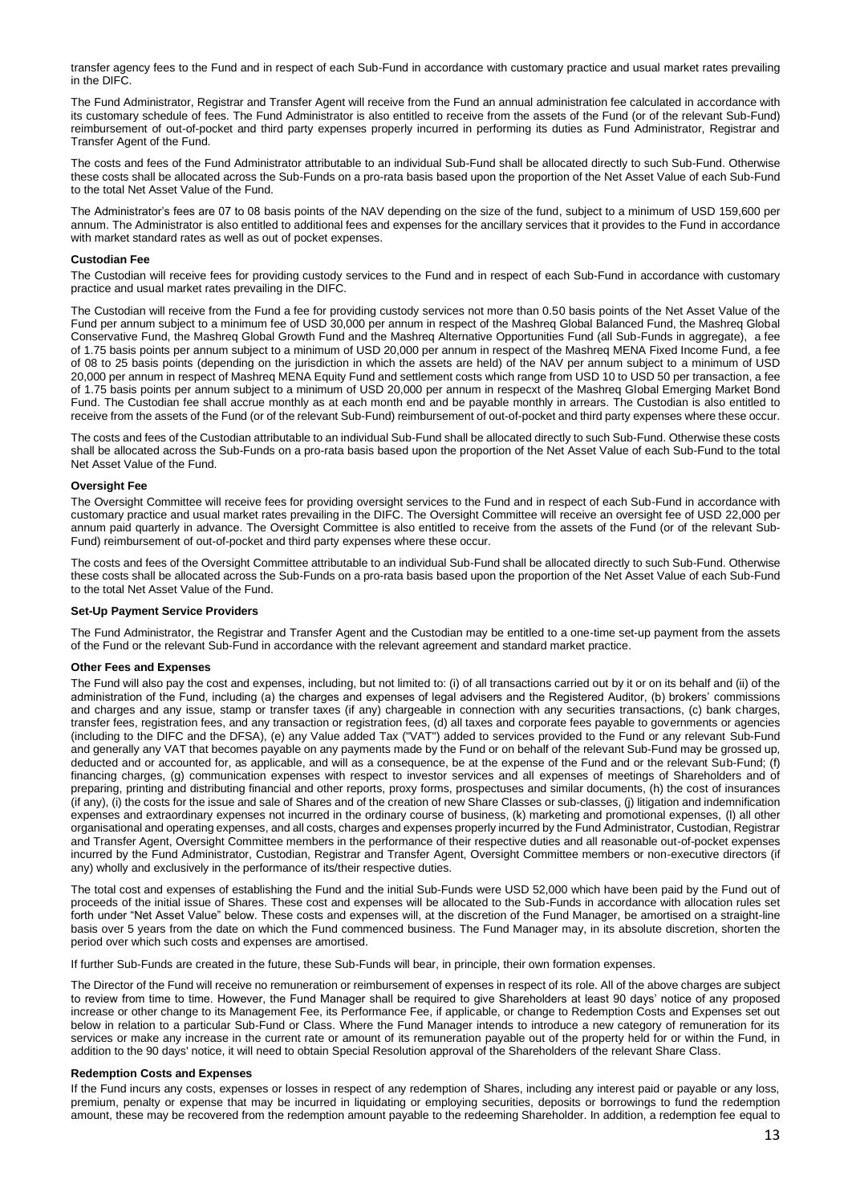transfer agency fees to the Fund and in respect of each Sub-Fund in accordance with customary practice and usual market rates prevailing in the DIFC.

The Fund Administrator, Registrar and Transfer Agent will receive from the Fund an annual administration fee calculated in accordance with its customary schedule of fees. The Fund Administrator is also entitled to receive from the assets of the Fund (or of the relevant Sub-Fund) reimbursement of out-of-pocket and third party expenses properly incurred in performing its duties as Fund Administrator, Registrar and Transfer Agent of the Fund.

The costs and fees of the Fund Administrator attributable to an individual Sub-Fund shall be allocated directly to such Sub-Fund. Otherwise these costs shall be allocated across the Sub-Funds on a pro-rata basis based upon the proportion of the Net Asset Value of each Sub-Fund to the total Net Asset Value of the Fund.

The Administrator's fees are 07 to 08 basis points of the NAV depending on the size of the fund, subject to a minimum of USD 159,600 per annum. The Administrator is also entitled to additional fees and expenses for the ancillary services that it provides to the Fund in accordance with market standard rates as well as out of pocket expenses.

## **Custodian Fee**

The Custodian will receive fees for providing custody services to the Fund and in respect of each Sub-Fund in accordance with customary practice and usual market rates prevailing in the DIFC.

The Custodian will receive from the Fund a fee for providing custody services not more than 0.50 basis points of the Net Asset Value of the Fund per annum subject to a minimum fee of USD 30,000 per annum in respect of the Mashreq Global Balanced Fund, the Mashreq Global Conservative Fund, the Mashreq Global Growth Fund and the Mashreq Alternative Opportunities Fund (all Sub-Funds in aggregate), a fee of 1.75 basis points per annum subject to a minimum of USD 20,000 per annum in respect of the Mashreq MENA Fixed Income Fund, a fee of 08 to 25 basis points (depending on the jurisdiction in which the assets are held) of the NAV per annum subject to a minimum of USD 20,000 per annum in respect of Mashreq MENA Equity Fund and settlement costs which range from USD 10 to USD 50 per transaction, a fee of 1.75 basis points per annum subject to a minimum of USD 20,000 per annum in respecxt of the Mashreq Global Emerging Market Bond Fund. The Custodian fee shall accrue monthly as at each month end and be payable monthly in arrears. The Custodian is also entitled to receive from the assets of the Fund (or of the relevant Sub-Fund) reimbursement of out-of-pocket and third party expenses where these occur.

The costs and fees of the Custodian attributable to an individual Sub-Fund shall be allocated directly to such Sub-Fund. Otherwise these costs shall be allocated across the Sub-Funds on a pro-rata basis based upon the proportion of the Net Asset Value of each Sub-Fund to the total Net Asset Value of the Fund.

# **Oversight Fee**

The Oversight Committee will receive fees for providing oversight services to the Fund and in respect of each Sub-Fund in accordance with customary practice and usual market rates prevailing in the DIFC. The Oversight Committee will receive an oversight fee of USD 22,000 per annum paid quarterly in advance. The Oversight Committee is also entitled to receive from the assets of the Fund (or of the relevant Sub-Fund) reimbursement of out-of-pocket and third party expenses where these occur.

The costs and fees of the Oversight Committee attributable to an individual Sub-Fund shall be allocated directly to such Sub-Fund. Otherwise these costs shall be allocated across the Sub-Funds on a pro-rata basis based upon the proportion of the Net Asset Value of each Sub-Fund to the total Net Asset Value of the Fund.

## **Set-Up Payment Service Providers**

The Fund Administrator, the Registrar and Transfer Agent and the Custodian may be entitled to a one-time set-up payment from the assets of the Fund or the relevant Sub-Fund in accordance with the relevant agreement and standard market practice.

## **Other Fees and Expenses**

The Fund will also pay the cost and expenses, including, but not limited to: (i) of all transactions carried out by it or on its behalf and (ii) of the administration of the Fund, including (a) the charges and expenses of legal advisers and the Registered Auditor, (b) brokers' commissions and charges and any issue, stamp or transfer taxes (if any) chargeable in connection with any securities transactions, (c) bank charges, transfer fees, registration fees, and any transaction or registration fees, (d) all taxes and corporate fees payable to governments or agencies (including to the DIFC and the DFSA), (e) any Value added Tax ("VAT") added to services provided to the Fund or any relevant Sub-Fund and generally any VAT that becomes payable on any payments made by the Fund or on behalf of the relevant Sub-Fund may be grossed up, deducted and or accounted for, as applicable, and will as a consequence, be at the expense of the Fund and or the relevant Sub-Fund; (f) financing charges, (g) communication expenses with respect to investor services and all expenses of meetings of Shareholders and of preparing, printing and distributing financial and other reports, proxy forms, prospectuses and similar documents, (h) the cost of insurances (if any), (i) the costs for the issue and sale of Shares and of the creation of new Share Classes or sub-classes, (j) litigation and indemnification expenses and extraordinary expenses not incurred in the ordinary course of business, (k) marketing and promotional expenses, (l) all other organisational and operating expenses, and all costs, charges and expenses properly incurred by the Fund Administrator, Custodian, Registrar and Transfer Agent, Oversight Committee members in the performance of their respective duties and all reasonable out-of-pocket expenses incurred by the Fund Administrator, Custodian, Registrar and Transfer Agent, Oversight Committee members or non-executive directors (if any) wholly and exclusively in the performance of its/their respective duties.

The total cost and expenses of establishing the Fund and the initial Sub-Funds were USD 52,000 which have been paid by the Fund out of proceeds of the initial issue of Shares. These cost and expenses will be allocated to the Sub-Funds in accordance with allocation rules set forth under "Net Asset Value" below. These costs and expenses will, at the discretion of the Fund Manager, be amortised on a straight-line basis over 5 years from the date on which the Fund commenced business. The Fund Manager may, in its absolute discretion, shorten the period over which such costs and expenses are amortised.

If further Sub-Funds are created in the future, these Sub-Funds will bear, in principle, their own formation expenses.

The Director of the Fund will receive no remuneration or reimbursement of expenses in respect of its role. All of the above charges are subject to review from time to time. However, the Fund Manager shall be required to give Shareholders at least 90 days' notice of any proposed increase or other change to its Management Fee, its Performance Fee, if applicable, or change to Redemption Costs and Expenses set out below in relation to a particular Sub-Fund or Class. Where the Fund Manager intends to introduce a new category of remuneration for its services or make any increase in the current rate or amount of its remuneration payable out of the property held for or within the Fund, in addition to the 90 days' notice, it will need to obtain Special Resolution approval of the Shareholders of the relevant Share Class.

## **Redemption Costs and Expenses**

If the Fund incurs any costs, expenses or losses in respect of any redemption of Shares, including any interest paid or payable or any loss, premium, penalty or expense that may be incurred in liquidating or employing securities, deposits or borrowings to fund the redemption amount, these may be recovered from the redemption amount payable to the redeeming Shareholder. In addition, a redemption fee equal to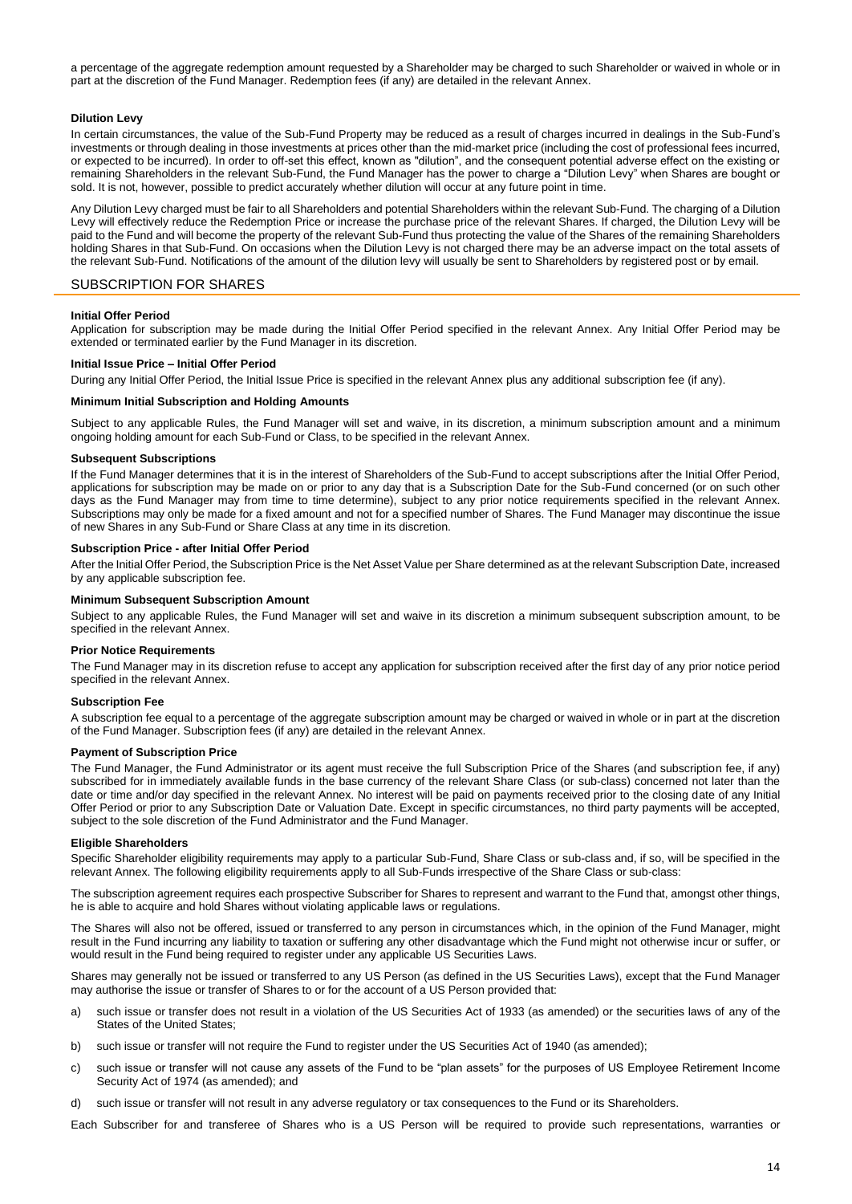a percentage of the aggregate redemption amount requested by a Shareholder may be charged to such Shareholder or waived in whole or in part at the discretion of the Fund Manager. Redemption fees (if any) are detailed in the relevant Annex.

## **Dilution Levy**

In certain circumstances, the value of the Sub-Fund Property may be reduced as a result of charges incurred in dealings in the Sub-Fund's investments or through dealing in those investments at prices other than the mid-market price (including the cost of professional fees incurred, or expected to be incurred). In order to off-set this effect, known as "dilution", and the consequent potential adverse effect on the existing or remaining Shareholders in the relevant Sub-Fund, the Fund Manager has the power to charge a "Dilution Levy" when Shares are bought or sold. It is not, however, possible to predict accurately whether dilution will occur at any future point in time.

Any Dilution Levy charged must be fair to all Shareholders and potential Shareholders within the relevant Sub-Fund. The charging of a Dilution Levy will effectively reduce the Redemption Price or increase the purchase price of the relevant Shares. If charged, the Dilution Levy will be paid to the Fund and will become the property of the relevant Sub-Fund thus protecting the value of the Shares of the remaining Shareholders holding Shares in that Sub-Fund. On occasions when the Dilution Levy is not charged there may be an adverse impact on the total assets of the relevant Sub-Fund. Notifications of the amount of the dilution levy will usually be sent to Shareholders by registered post or by email.

# <span id="page-13-0"></span>SUBSCRIPTION FOR SHARES

#### **Initial Offer Period**

Application for subscription may be made during the Initial Offer Period specified in the relevant Annex. Any Initial Offer Period may be extended or terminated earlier by the Fund Manager in its discretion.

#### **Initial Issue Price – Initial Offer Period**

During any Initial Offer Period, the Initial Issue Price is specified in the relevant Annex plus any additional subscription fee (if any).

## **Minimum Initial Subscription and Holding Amounts**

Subject to any applicable Rules, the Fund Manager will set and waive, in its discretion, a minimum subscription amount and a minimum ongoing holding amount for each Sub-Fund or Class, to be specified in the relevant Annex.

## **Subsequent Subscriptions**

If the Fund Manager determines that it is in the interest of Shareholders of the Sub-Fund to accept subscriptions after the Initial Offer Period, applications for subscription may be made on or prior to any day that is a Subscription Date for the Sub-Fund concerned (or on such other days as the Fund Manager may from time to time determine), subject to any prior notice requirements specified in the relevant Annex. Subscriptions may only be made for a fixed amount and not for a specified number of Shares. The Fund Manager may discontinue the issue of new Shares in any Sub-Fund or Share Class at any time in its discretion.

#### **Subscription Price - after Initial Offer Period**

After the Initial Offer Period, the Subscription Price is the Net Asset Value per Share determined as at the relevant Subscription Date, increased by any applicable subscription fee.

#### **Minimum Subsequent Subscription Amount**

Subject to any applicable Rules, the Fund Manager will set and waive in its discretion a minimum subsequent subscription amount, to be specified in the relevant Annex.

## **Prior Notice Requirements**

The Fund Manager may in its discretion refuse to accept any application for subscription received after the first day of any prior notice period specified in the relevant Annex.

#### **Subscription Fee**

A subscription fee equal to a percentage of the aggregate subscription amount may be charged or waived in whole or in part at the discretion of the Fund Manager. Subscription fees (if any) are detailed in the relevant Annex.

#### **Payment of Subscription Price**

The Fund Manager, the Fund Administrator or its agent must receive the full Subscription Price of the Shares (and subscription fee, if any) subscribed for in immediately available funds in the base currency of the relevant Share Class (or sub-class) concerned not later than the date or time and/or day specified in the relevant Annex. No interest will be paid on payments received prior to the closing date of any Initial Offer Period or prior to any Subscription Date or Valuation Date. Except in specific circumstances, no third party payments will be accepted, subject to the sole discretion of the Fund Administrator and the Fund Manager.

#### **Eligible Shareholders**

Specific Shareholder eligibility requirements may apply to a particular Sub-Fund, Share Class or sub-class and, if so, will be specified in the relevant Annex. The following eligibility requirements apply to all Sub-Funds irrespective of the Share Class or sub-class:

The subscription agreement requires each prospective Subscriber for Shares to represent and warrant to the Fund that, amongst other things, he is able to acquire and hold Shares without violating applicable laws or regulations.

The Shares will also not be offered, issued or transferred to any person in circumstances which, in the opinion of the Fund Manager, might result in the Fund incurring any liability to taxation or suffering any other disadvantage which the Fund might not otherwise incur or suffer, or would result in the Fund being required to register under any applicable US Securities Laws.

Shares may generally not be issued or transferred to any US Person (as defined in the US Securities Laws), except that the Fund Manager may authorise the issue or transfer of Shares to or for the account of a US Person provided that:

- a) such issue or transfer does not result in a violation of the US Securities Act of 1933 (as amended) or the securities laws of any of the States of the United States;
- b) such issue or transfer will not require the Fund to register under the US Securities Act of 1940 (as amended);
- c) such issue or transfer will not cause any assets of the Fund to be "plan assets" for the purposes of US Employee Retirement Income Security Act of 1974 (as amended); and
- d) such issue or transfer will not result in any adverse regulatory or tax consequences to the Fund or its Shareholders.

Each Subscriber for and transferee of Shares who is a US Person will be required to provide such representations, warranties or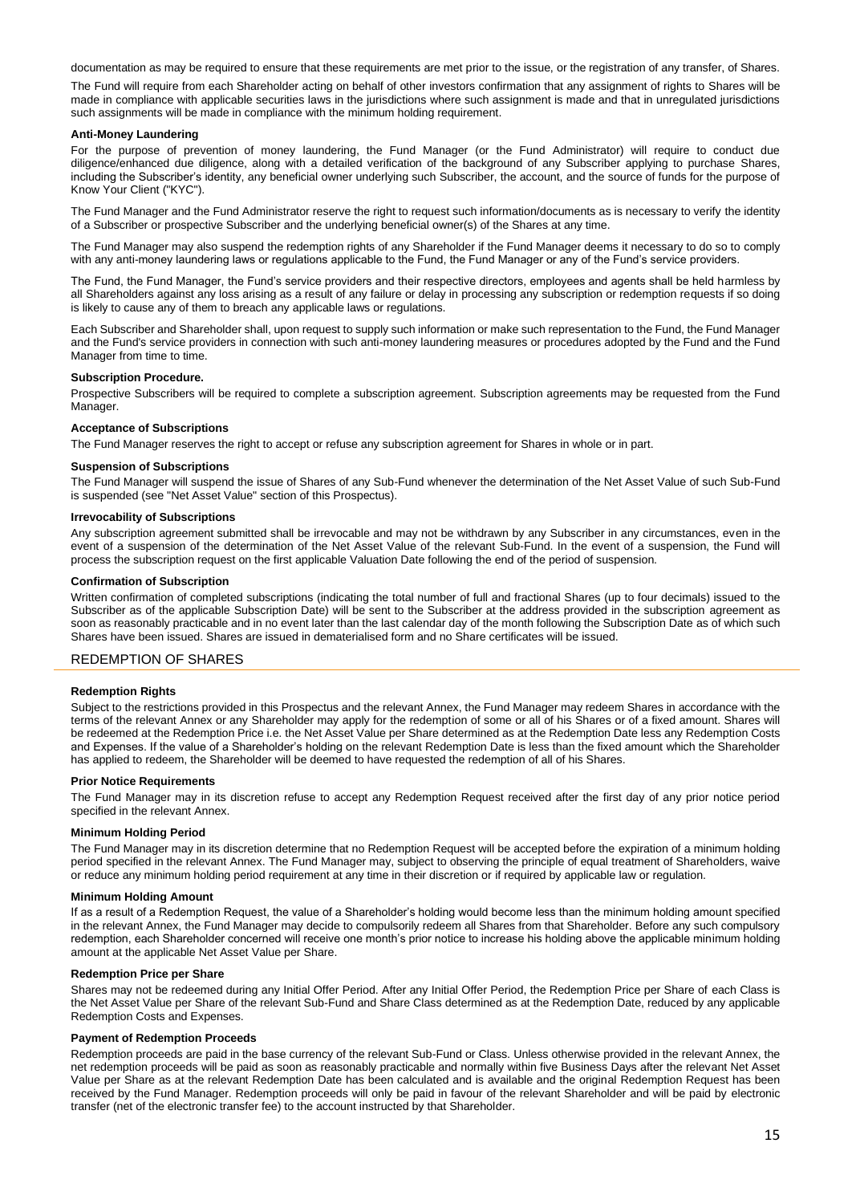documentation as may be required to ensure that these requirements are met prior to the issue, or the registration of any transfer, of Shares.

The Fund will require from each Shareholder acting on behalf of other investors confirmation that any assignment of rights to Shares will be made in compliance with applicable securities laws in the jurisdictions where such assignment is made and that in unregulated jurisdictions such assignments will be made in compliance with the minimum holding requirement.

#### **Anti-Money Laundering**

For the purpose of prevention of money laundering, the Fund Manager (or the Fund Administrator) will require to conduct due diligence/enhanced due diligence, along with a detailed verification of the background of any Subscriber applying to purchase Shares, including the Subscriber's identity, any beneficial owner underlying such Subscriber, the account, and the source of funds for the purpose of Know Your Client ("KYC").

The Fund Manager and the Fund Administrator reserve the right to request such information/documents as is necessary to verify the identity of a Subscriber or prospective Subscriber and the underlying beneficial owner(s) of the Shares at any time.

The Fund Manager may also suspend the redemption rights of any Shareholder if the Fund Manager deems it necessary to do so to comply with any anti-money laundering laws or regulations applicable to the Fund, the Fund Manager or any of the Fund's service providers.

The Fund, the Fund Manager, the Fund's service providers and their respective directors, employees and agents shall be held harmless by all Shareholders against any loss arising as a result of any failure or delay in processing any subscription or redemption requests if so doing is likely to cause any of them to breach any applicable laws or regulations.

Each Subscriber and Shareholder shall, upon request to supply such information or make such representation to the Fund, the Fund Manager and the Fund's service providers in connection with such anti-money laundering measures or procedures adopted by the Fund and the Fund Manager from time to time.

#### **Subscription Procedure.**

Prospective Subscribers will be required to complete a subscription agreement. Subscription agreements may be requested from the Fund Manager.

#### **Acceptance of Subscriptions**

The Fund Manager reserves the right to accept or refuse any subscription agreement for Shares in whole or in part.

## **Suspension of Subscriptions**

The Fund Manager will suspend the issue of Shares of any Sub-Fund whenever the determination of the Net Asset Value of such Sub-Fund is suspended (see "Net Asset Value" section of this Prospectus).

#### **Irrevocability of Subscriptions**

Any subscription agreement submitted shall be irrevocable and may not be withdrawn by any Subscriber in any circumstances, even in the event of a suspension of the determination of the Net Asset Value of the relevant Sub-Fund. In the event of a suspension, the Fund will process the subscription request on the first applicable Valuation Date following the end of the period of suspension.

## **Confirmation of Subscription**

Written confirmation of completed subscriptions (indicating the total number of full and fractional Shares (up to four decimals) issued to the Subscriber as of the applicable Subscription Date) will be sent to the Subscriber at the address provided in the subscription agreement as soon as reasonably practicable and in no event later than the last calendar day of the month following the Subscription Date as of which such Shares have been issued. Shares are issued in dematerialised form and no Share certificates will be issued.

## <span id="page-14-0"></span>REDEMPTION OF SHARES

#### **Redemption Rights**

Subject to the restrictions provided in this Prospectus and the relevant Annex, the Fund Manager may redeem Shares in accordance with the terms of the relevant Annex or any Shareholder may apply for the redemption of some or all of his Shares or of a fixed amount. Shares will be redeemed at the Redemption Price i.e. the Net Asset Value per Share determined as at the Redemption Date less any Redemption Costs and Expenses. If the value of a Shareholder's holding on the relevant Redemption Date is less than the fixed amount which the Shareholder has applied to redeem, the Shareholder will be deemed to have requested the redemption of all of his Shares.

#### **Prior Notice Requirements**

The Fund Manager may in its discretion refuse to accept any Redemption Request received after the first day of any prior notice period specified in the relevant Annex.

## **Minimum Holding Period**

The Fund Manager may in its discretion determine that no Redemption Request will be accepted before the expiration of a minimum holding period specified in the relevant Annex. The Fund Manager may, subject to observing the principle of equal treatment of Shareholders, waive or reduce any minimum holding period requirement at any time in their discretion or if required by applicable law or regulation.

#### **Minimum Holding Amount**

If as a result of a Redemption Request, the value of a Shareholder's holding would become less than the minimum holding amount specified in the relevant Annex, the Fund Manager may decide to compulsorily redeem all Shares from that Shareholder. Before any such compulsory redemption, each Shareholder concerned will receive one month's prior notice to increase his holding above the applicable minimum holding amount at the applicable Net Asset Value per Share.

#### **Redemption Price per Share**

Shares may not be redeemed during any Initial Offer Period. After any Initial Offer Period, the Redemption Price per Share of each Class is the Net Asset Value per Share of the relevant Sub-Fund and Share Class determined as at the Redemption Date, reduced by any applicable Redemption Costs and Expenses.

#### **Payment of Redemption Proceeds**

Redemption proceeds are paid in the base currency of the relevant Sub-Fund or Class. Unless otherwise provided in the relevant Annex, the net redemption proceeds will be paid as soon as reasonably practicable and normally within five Business Days after the relevant Net Asset Value per Share as at the relevant Redemption Date has been calculated and is available and the original Redemption Request has been received by the Fund Manager. Redemption proceeds will only be paid in favour of the relevant Shareholder and will be paid by electronic transfer (net of the electronic transfer fee) to the account instructed by that Shareholder.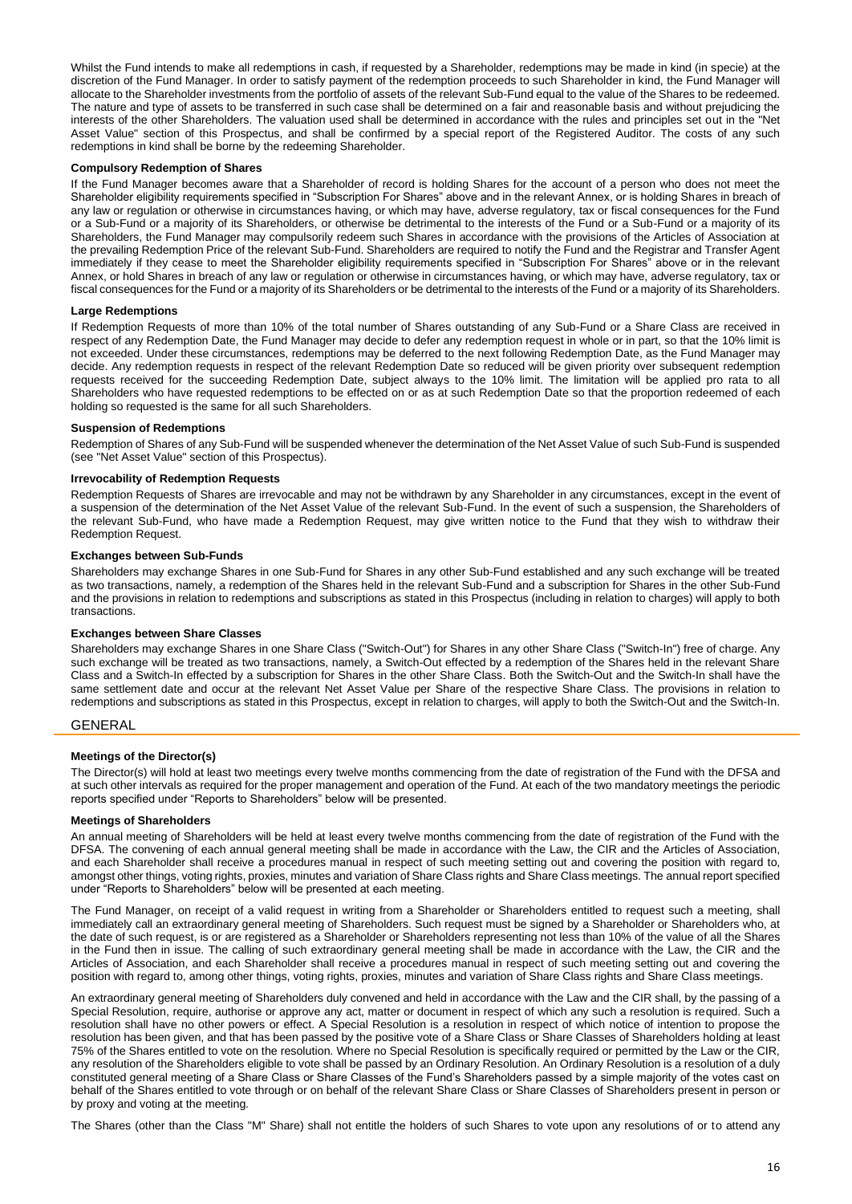Whilst the Fund intends to make all redemptions in cash, if requested by a Shareholder, redemptions may be made in kind (in specie) at the discretion of the Fund Manager. In order to satisfy payment of the redemption proceeds to such Shareholder in kind, the Fund Manager will allocate to the Shareholder investments from the portfolio of assets of the relevant Sub-Fund equal to the value of the Shares to be redeemed. The nature and type of assets to be transferred in such case shall be determined on a fair and reasonable basis and without prejudicing the interests of the other Shareholders. The valuation used shall be determined in accordance with the rules and principles set out in the "Net Asset Value" section of this Prospectus, and shall be confirmed by a special report of the Registered Auditor. The costs of any such redemptions in kind shall be borne by the redeeming Shareholder.

#### **Compulsory Redemption of Shares**

If the Fund Manager becomes aware that a Shareholder of record is holding Shares for the account of a person who does not meet the Shareholder eligibility requirements specified in "Subscription For Shares" above and in the relevant Annex, or is holding Shares in breach of any law or regulation or otherwise in circumstances having, or which may have, adverse regulatory, tax or fiscal consequences for the Fund or a Sub-Fund or a majority of its Shareholders, or otherwise be detrimental to the interests of the Fund or a Sub-Fund or a majority of its Shareholders, the Fund Manager may compulsorily redeem such Shares in accordance with the provisions of the Articles of Association at the prevailing Redemption Price of the relevant Sub-Fund. Shareholders are required to notify the Fund and the Registrar and Transfer Agent immediately if they cease to meet the Shareholder eligibility requirements specified in "Subscription For Shares" above or in the relevant Annex, or hold Shares in breach of any law or regulation or otherwise in circumstances having, or which may have, adverse regulatory, tax or fiscal consequences for the Fund or a majority of its Shareholders or be detrimental to the interests of the Fund or a majority of its Shareholders.

#### **Large Redemptions**

If Redemption Requests of more than 10% of the total number of Shares outstanding of any Sub-Fund or a Share Class are received in respect of any Redemption Date, the Fund Manager may decide to defer any redemption request in whole or in part, so that the 10% limit is not exceeded. Under these circumstances, redemptions may be deferred to the next following Redemption Date, as the Fund Manager may decide. Any redemption requests in respect of the relevant Redemption Date so reduced will be given priority over subsequent redemption requests received for the succeeding Redemption Date, subject always to the 10% limit. The limitation will be applied pro rata to all Shareholders who have requested redemptions to be effected on or as at such Redemption Date so that the proportion redeemed of each holding so requested is the same for all such Shareholders.

#### **Suspension of Redemptions**

Redemption of Shares of any Sub-Fund will be suspended whenever the determination of the Net Asset Value of such Sub-Fund is suspended (see "Net Asset Value" section of this Prospectus).

#### **Irrevocability of Redemption Requests**

Redemption Requests of Shares are irrevocable and may not be withdrawn by any Shareholder in any circumstances, except in the event of a suspension of the determination of the Net Asset Value of the relevant Sub-Fund. In the event of such a suspension, the Shareholders of the relevant Sub-Fund, who have made a Redemption Request, may give written notice to the Fund that they wish to withdraw their Redemption Request.

## **Exchanges between Sub-Funds**

Shareholders may exchange Shares in one Sub-Fund for Shares in any other Sub-Fund established and any such exchange will be treated as two transactions, namely, a redemption of the Shares held in the relevant Sub-Fund and a subscription for Shares in the other Sub-Fund and the provisions in relation to redemptions and subscriptions as stated in this Prospectus (including in relation to charges) will apply to both transactions.

#### **Exchanges between Share Classes**

Shareholders may exchange Shares in one Share Class ("Switch-Out") for Shares in any other Share Class ("Switch-In") free of charge. Any such exchange will be treated as two transactions, namely, a Switch-Out effected by a redemption of the Shares held in the relevant Share Class and a Switch-In effected by a subscription for Shares in the other Share Class. Both the Switch-Out and the Switch-In shall have the same settlement date and occur at the relevant Net Asset Value per Share of the respective Share Class. The provisions in relation to redemptions and subscriptions as stated in this Prospectus, except in relation to charges, will apply to both the Switch-Out and the Switch-In.

## <span id="page-15-0"></span>GENERAL

## **Meetings of the Director(s)**

The Director(s) will hold at least two meetings every twelve months commencing from the date of registration of the Fund with the DFSA and at such other intervals as required for the proper management and operation of the Fund. At each of the two mandatory meetings the periodic reports specified under "Reports to Shareholders" below will be presented.

#### **Meetings of Shareholders**

An annual meeting of Shareholders will be held at least every twelve months commencing from the date of registration of the Fund with the DFSA. The convening of each annual general meeting shall be made in accordance with the Law, the CIR and the Articles of Association, and each Shareholder shall receive a procedures manual in respect of such meeting setting out and covering the position with regard to, amongst other things, voting rights, proxies, minutes and variation of Share Class rights and Share Class meetings. The annual report specified under "Reports to Shareholders" below will be presented at each meeting.

The Fund Manager, on receipt of a valid request in writing from a Shareholder or Shareholders entitled to request such a meeting, shall immediately call an extraordinary general meeting of Shareholders. Such request must be signed by a Shareholder or Shareholders who, at the date of such request, is or are registered as a Shareholder or Shareholders representing not less than 10% of the value of all the Shares in the Fund then in issue. The calling of such extraordinary general meeting shall be made in accordance with the Law, the CIR and the Articles of Association, and each Shareholder shall receive a procedures manual in respect of such meeting setting out and covering the position with regard to, among other things, voting rights, proxies, minutes and variation of Share Class rights and Share Class meetings.

An extraordinary general meeting of Shareholders duly convened and held in accordance with the Law and the CIR shall, by the passing of a Special Resolution, require, authorise or approve any act, matter or document in respect of which any such a resolution is required. Such a resolution shall have no other powers or effect. A Special Resolution is a resolution in respect of which notice of intention to propose the resolution has been given, and that has been passed by the positive vote of a Share Class or Share Classes of Shareholders holding at least 75% of the Shares entitled to vote on the resolution. Where no Special Resolution is specifically required or permitted by the Law or the CIR, any resolution of the Shareholders eligible to vote shall be passed by an Ordinary Resolution. An Ordinary Resolution is a resolution of a duly constituted general meeting of a Share Class or Share Classes of the Fund's Shareholders passed by a simple majority of the votes cast on behalf of the Shares entitled to vote through or on behalf of the relevant Share Class or Share Classes of Shareholders present in person or by proxy and voting at the meeting.

The Shares (other than the Class "M" Share) shall not entitle the holders of such Shares to vote upon any resolutions of or to attend any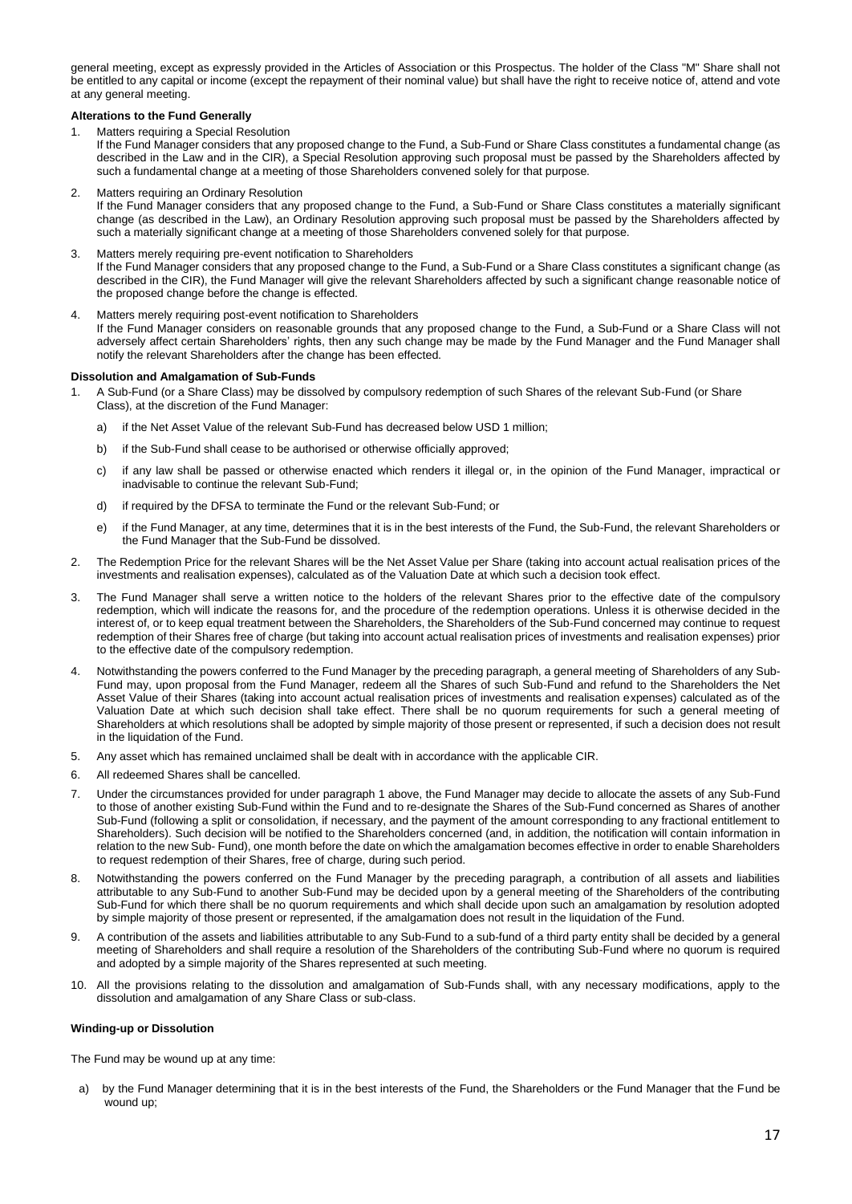general meeting, except as expressly provided in the Articles of Association or this Prospectus. The holder of the Class "M" Share shall not be entitled to any capital or income (except the repayment of their nominal value) but shall have the right to receive notice of, attend and vote at any general meeting.

## **Alterations to the Fund Generally**

1. Matters requiring a Special Resolution

If the Fund Manager considers that any proposed change to the Fund, a Sub-Fund or Share Class constitutes a fundamental change (as described in the Law and in the CIR), a Special Resolution approving such proposal must be passed by the Shareholders affected by such a fundamental change at a meeting of those Shareholders convened solely for that purpose.

2. Matters requiring an Ordinary Resolution

If the Fund Manager considers that any proposed change to the Fund, a Sub-Fund or Share Class constitutes a materially significant change (as described in the Law), an Ordinary Resolution approving such proposal must be passed by the Shareholders affected by such a materially significant change at a meeting of those Shareholders convened solely for that purpose.

3. Matters merely requiring pre-event notification to Shareholders

If the Fund Manager considers that any proposed change to the Fund, a Sub-Fund or a Share Class constitutes a significant change (as described in the CIR), the Fund Manager will give the relevant Shareholders affected by such a significant change reasonable notice of the proposed change before the change is effected.

4. Matters merely requiring post-event notification to Shareholders If the Fund Manager considers on reasonable grounds that any proposed change to the Fund, a Sub-Fund or a Share Class will not adversely affect certain Shareholders' rights, then any such change may be made by the Fund Manager and the Fund Manager shall notify the relevant Shareholders after the change has been effected.

## **Dissolution and Amalgamation of Sub-Funds**

- 1. A Sub-Fund (or a Share Class) may be dissolved by compulsory redemption of such Shares of the relevant Sub-Fund (or Share Class), at the discretion of the Fund Manager:
	- a) if the Net Asset Value of the relevant Sub-Fund has decreased below USD 1 million;
	- b) if the Sub-Fund shall cease to be authorised or otherwise officially approved;
	- c) if any law shall be passed or otherwise enacted which renders it illegal or, in the opinion of the Fund Manager, impractical or inadvisable to continue the relevant Sub-Fund;
	- d) if required by the DFSA to terminate the Fund or the relevant Sub-Fund; or
	- e) if the Fund Manager, at any time, determines that it is in the best interests of the Fund, the Sub-Fund, the relevant Shareholders or the Fund Manager that the Sub-Fund be dissolved.
- 2. The Redemption Price for the relevant Shares will be the Net Asset Value per Share (taking into account actual realisation prices of the investments and realisation expenses), calculated as of the Valuation Date at which such a decision took effect.
- 3. The Fund Manager shall serve a written notice to the holders of the relevant Shares prior to the effective date of the compulsory redemption, which will indicate the reasons for, and the procedure of the redemption operations. Unless it is otherwise decided in the interest of, or to keep equal treatment between the Shareholders, the Shareholders of the Sub-Fund concerned may continue to request redemption of their Shares free of charge (but taking into account actual realisation prices of investments and realisation expenses) prior to the effective date of the compulsory redemption.
- 4. Notwithstanding the powers conferred to the Fund Manager by the preceding paragraph, a general meeting of Shareholders of any Sub-Fund may, upon proposal from the Fund Manager, redeem all the Shares of such Sub-Fund and refund to the Shareholders the Net Asset Value of their Shares (taking into account actual realisation prices of investments and realisation expenses) calculated as of the Valuation Date at which such decision shall take effect. There shall be no quorum requirements for such a general meeting of Shareholders at which resolutions shall be adopted by simple majority of those present or represented, if such a decision does not result in the liquidation of the Fund.
- 5. Any asset which has remained unclaimed shall be dealt with in accordance with the applicable CIR.
- 6. All redeemed Shares shall be cancelled.
- 7. Under the circumstances provided for under paragraph 1 above, the Fund Manager may decide to allocate the assets of any Sub-Fund to those of another existing Sub-Fund within the Fund and to re-designate the Shares of the Sub-Fund concerned as Shares of another Sub-Fund (following a split or consolidation, if necessary, and the payment of the amount corresponding to any fractional entitlement to Shareholders). Such decision will be notified to the Shareholders concerned (and, in addition, the notification will contain information in relation to the new Sub- Fund), one month before the date on which the amalgamation becomes effective in order to enable Shareholders to request redemption of their Shares, free of charge, during such period.
- 8. Notwithstanding the powers conferred on the Fund Manager by the preceding paragraph, a contribution of all assets and liabilities attributable to any Sub-Fund to another Sub-Fund may be decided upon by a general meeting of the Shareholders of the contributing Sub-Fund for which there shall be no quorum requirements and which shall decide upon such an amalgamation by resolution adopted by simple majority of those present or represented, if the amalgamation does not result in the liquidation of the Fund.
- 9. A contribution of the assets and liabilities attributable to any Sub-Fund to a sub-fund of a third party entity shall be decided by a general meeting of Shareholders and shall require a resolution of the Shareholders of the contributing Sub-Fund where no quorum is required and adopted by a simple majority of the Shares represented at such meeting.
- 10. All the provisions relating to the dissolution and amalgamation of Sub-Funds shall, with any necessary modifications, apply to the dissolution and amalgamation of any Share Class or sub-class.

## **Winding-up or Dissolution**

The Fund may be wound up at any time:

a) by the Fund Manager determining that it is in the best interests of the Fund, the Shareholders or the Fund Manager that the Fund be wound up;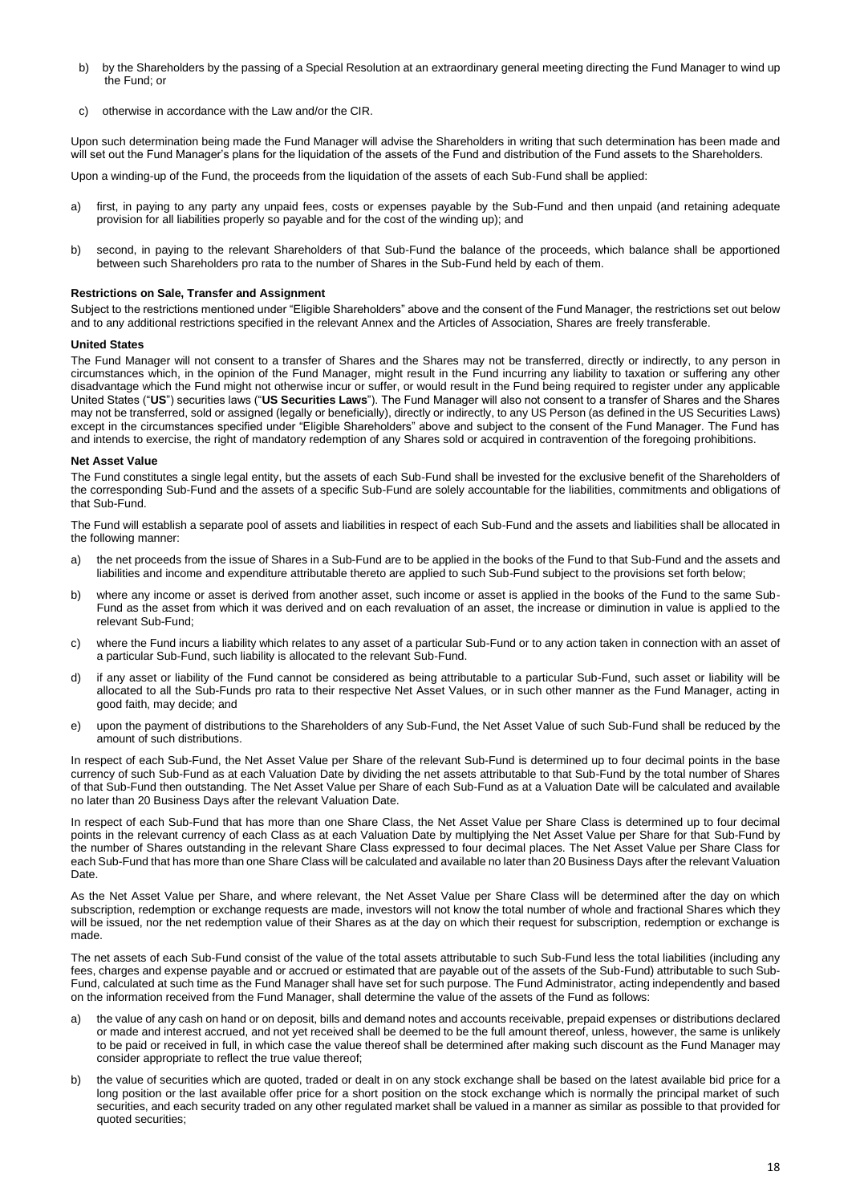- b) by the Shareholders by the passing of a Special Resolution at an extraordinary general meeting directing the Fund Manager to wind up the Fund; or
- c) otherwise in accordance with the Law and/or the CIR.

Upon such determination being made the Fund Manager will advise the Shareholders in writing that such determination has been made and will set out the Fund Manager's plans for the liquidation of the assets of the Fund and distribution of the Fund assets to the Shareholders.

Upon a winding-up of the Fund, the proceeds from the liquidation of the assets of each Sub-Fund shall be applied:

- a) first, in paying to any party any unpaid fees, costs or expenses payable by the Sub-Fund and then unpaid (and retaining adequate provision for all liabilities properly so payable and for the cost of the winding up); and
- b) second, in paying to the relevant Shareholders of that Sub-Fund the balance of the proceeds, which balance shall be apportioned between such Shareholders pro rata to the number of Shares in the Sub-Fund held by each of them.

## **Restrictions on Sale, Transfer and Assignment**

Subject to the restrictions mentioned under "Eligible Shareholders" above and the consent of the Fund Manager, the restrictions set out below and to any additional restrictions specified in the relevant Annex and the Articles of Association, Shares are freely transferable.

## **United States**

The Fund Manager will not consent to a transfer of Shares and the Shares may not be transferred, directly or indirectly, to any person in circumstances which, in the opinion of the Fund Manager, might result in the Fund incurring any liability to taxation or suffering any other disadvantage which the Fund might not otherwise incur or suffer, or would result in the Fund being required to register under any applicable United States ("**US**") securities laws ("**US Securities Laws**"). The Fund Manager will also not consent to a transfer of Shares and the Shares may not be transferred, sold or assigned (legally or beneficially), directly or indirectly, to any US Person (as defined in the US Securities Laws) except in the circumstances specified under "Eligible Shareholders" above and subject to the consent of the Fund Manager. The Fund has and intends to exercise, the right of mandatory redemption of any Shares sold or acquired in contravention of the foregoing prohibitions.

## **Net Asset Value**

The Fund constitutes a single legal entity, but the assets of each Sub-Fund shall be invested for the exclusive benefit of the Shareholders of the corresponding Sub-Fund and the assets of a specific Sub-Fund are solely accountable for the liabilities, commitments and obligations of that Sub-Fund.

The Fund will establish a separate pool of assets and liabilities in respect of each Sub-Fund and the assets and liabilities shall be allocated in the following manner:

- a) the net proceeds from the issue of Shares in a Sub-Fund are to be applied in the books of the Fund to that Sub-Fund and the assets and liabilities and income and expenditure attributable thereto are applied to such Sub-Fund subject to the provisions set forth below;
- b) where any income or asset is derived from another asset, such income or asset is applied in the books of the Fund to the same Sub-Fund as the asset from which it was derived and on each revaluation of an asset, the increase or diminution in value is applied to the relevant Sub-Fund;
- c) where the Fund incurs a liability which relates to any asset of a particular Sub-Fund or to any action taken in connection with an asset of a particular Sub-Fund, such liability is allocated to the relevant Sub-Fund.
- d) if any asset or liability of the Fund cannot be considered as being attributable to a particular Sub-Fund, such asset or liability will be allocated to all the Sub-Funds pro rata to their respective Net Asset Values, or in such other manner as the Fund Manager, acting in good faith, may decide; and
- e) upon the payment of distributions to the Shareholders of any Sub-Fund, the Net Asset Value of such Sub-Fund shall be reduced by the amount of such distributions.

In respect of each Sub-Fund, the Net Asset Value per Share of the relevant Sub-Fund is determined up to four decimal points in the base currency of such Sub-Fund as at each Valuation Date by dividing the net assets attributable to that Sub-Fund by the total number of Shares of that Sub-Fund then outstanding. The Net Asset Value per Share of each Sub-Fund as at a Valuation Date will be calculated and available no later than 20 Business Days after the relevant Valuation Date.

In respect of each Sub-Fund that has more than one Share Class, the Net Asset Value per Share Class is determined up to four decimal points in the relevant currency of each Class as at each Valuation Date by multiplying the Net Asset Value per Share for that Sub-Fund by the number of Shares outstanding in the relevant Share Class expressed to four decimal places. The Net Asset Value per Share Class for each Sub-Fund that has more than one Share Class will be calculated and available no later than 20 Business Days after the relevant Valuation Date.

As the Net Asset Value per Share, and where relevant, the Net Asset Value per Share Class will be determined after the day on which subscription, redemption or exchange requests are made, investors will not know the total number of whole and fractional Shares which they will be issued, nor the net redemption value of their Shares as at the day on which their request for subscription, redemption or exchange is made.

The net assets of each Sub-Fund consist of the value of the total assets attributable to such Sub-Fund less the total liabilities (including any fees, charges and expense payable and or accrued or estimated that are payable out of the assets of the Sub-Fund) attributable to such Sub-Fund, calculated at such time as the Fund Manager shall have set for such purpose. The Fund Administrator, acting independently and based on the information received from the Fund Manager, shall determine the value of the assets of the Fund as follows:

- a) the value of any cash on hand or on deposit, bills and demand notes and accounts receivable, prepaid expenses or distributions declared or made and interest accrued, and not yet received shall be deemed to be the full amount thereof, unless, however, the same is unlikely to be paid or received in full, in which case the value thereof shall be determined after making such discount as the Fund Manager may consider appropriate to reflect the true value thereof;
- b) the value of securities which are quoted, traded or dealt in on any stock exchange shall be based on the latest available bid price for a long position or the last available offer price for a short position on the stock exchange which is normally the principal market of such securities, and each security traded on any other regulated market shall be valued in a manner as similar as possible to that provided for quoted securities;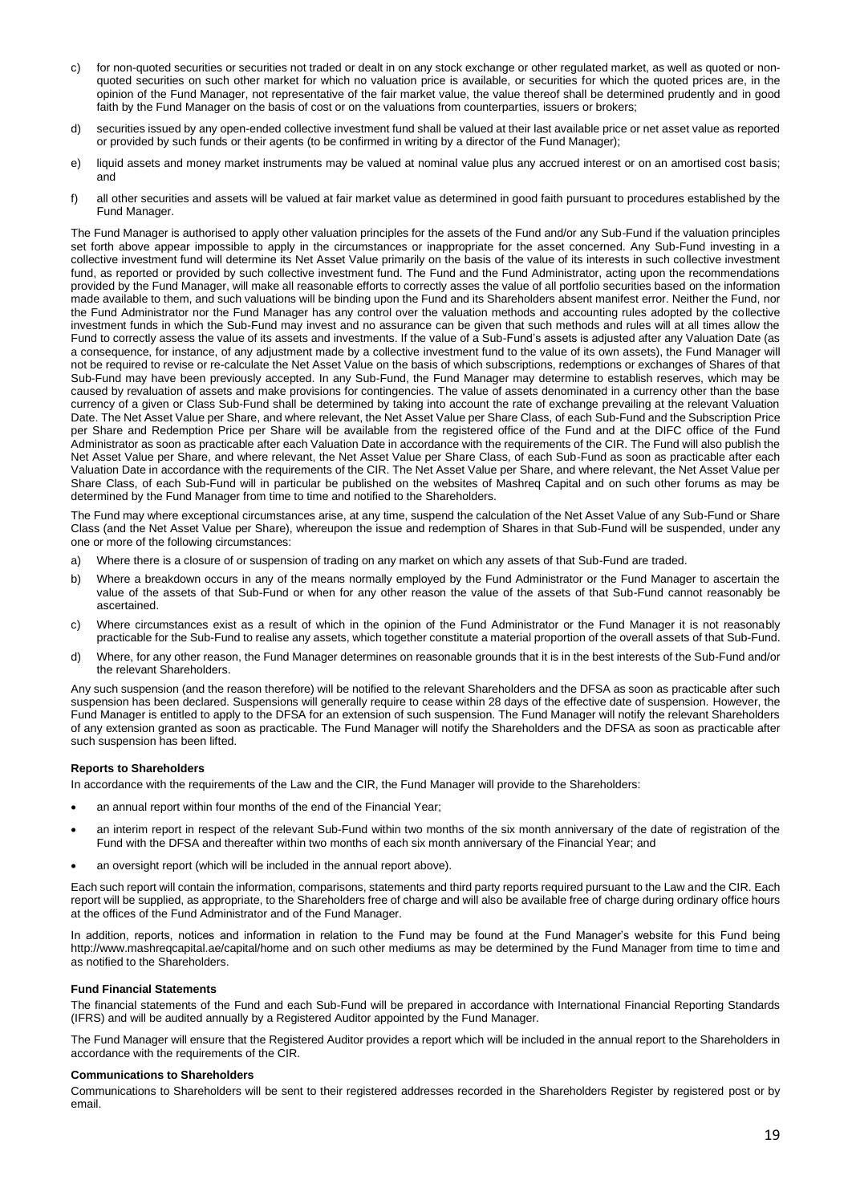- c) for non-quoted securities or securities not traded or dealt in on any stock exchange or other regulated market, as well as quoted or nonquoted securities on such other market for which no valuation price is available, or securities for which the quoted prices are, in the opinion of the Fund Manager, not representative of the fair market value, the value thereof shall be determined prudently and in good faith by the Fund Manager on the basis of cost or on the valuations from counterparties, issuers or brokers;
- d) securities issued by any open-ended collective investment fund shall be valued at their last available price or net asset value as reported or provided by such funds or their agents (to be confirmed in writing by a director of the Fund Manager);
- e) liquid assets and money market instruments may be valued at nominal value plus any accrued interest or on an amortised cost basis; and
- f) all other securities and assets will be valued at fair market value as determined in good faith pursuant to procedures established by the Fund Manager.

The Fund Manager is authorised to apply other valuation principles for the assets of the Fund and/or any Sub-Fund if the valuation principles set forth above appear impossible to apply in the circumstances or inappropriate for the asset concerned. Any Sub-Fund investing in a collective investment fund will determine its Net Asset Value primarily on the basis of the value of its interests in such collective investment fund, as reported or provided by such collective investment fund. The Fund and the Fund Administrator, acting upon the recommendations provided by the Fund Manager, will make all reasonable efforts to correctly asses the value of all portfolio securities based on the information made available to them, and such valuations will be binding upon the Fund and its Shareholders absent manifest error. Neither the Fund, nor the Fund Administrator nor the Fund Manager has any control over the valuation methods and accounting rules adopted by the collective investment funds in which the Sub-Fund may invest and no assurance can be given that such methods and rules will at all times allow the Fund to correctly assess the value of its assets and investments. If the value of a Sub-Fund's assets is adjusted after any Valuation Date (as a consequence, for instance, of any adjustment made by a collective investment fund to the value of its own assets), the Fund Manager will not be required to revise or re-calculate the Net Asset Value on the basis of which subscriptions, redemptions or exchanges of Shares of that Sub-Fund may have been previously accepted. In any Sub-Fund, the Fund Manager may determine to establish reserves, which may be caused by revaluation of assets and make provisions for contingencies. The value of assets denominated in a currency other than the base currency of a given or Class Sub-Fund shall be determined by taking into account the rate of exchange prevailing at the relevant Valuation Date. The Net Asset Value per Share, and where relevant, the Net Asset Value per Share Class, of each Sub-Fund and the Subscription Price per Share and Redemption Price per Share will be available from the registered office of the Fund and at the DIFC office of the Fund Administrator as soon as practicable after each Valuation Date in accordance with the requirements of the CIR. The Fund will also publish the Net Asset Value per Share, and where relevant, the Net Asset Value per Share Class, of each Sub-Fund as soon as practicable after each Valuation Date in accordance with the requirements of the CIR. The Net Asset Value per Share, and where relevant, the Net Asset Value per Share Class, of each Sub-Fund will in particular be published on the websites of Mashreq Capital and on such other forums as may be determined by the Fund Manager from time to time and notified to the Shareholders.

The Fund may where exceptional circumstances arise, at any time, suspend the calculation of the Net Asset Value of any Sub-Fund or Share Class (and the Net Asset Value per Share), whereupon the issue and redemption of Shares in that Sub-Fund will be suspended, under any one or more of the following circumstances:

- a) Where there is a closure of or suspension of trading on any market on which any assets of that Sub-Fund are traded.
- b) Where a breakdown occurs in any of the means normally employed by the Fund Administrator or the Fund Manager to ascertain the value of the assets of that Sub-Fund or when for any other reason the value of the assets of that Sub-Fund cannot reasonably be ascertained.
- c) Where circumstances exist as a result of which in the opinion of the Fund Administrator or the Fund Manager it is not reasonably practicable for the Sub-Fund to realise any assets, which together constitute a material proportion of the overall assets of that Sub-Fund.
- d) Where, for any other reason, the Fund Manager determines on reasonable grounds that it is in the best interests of the Sub-Fund and/or the relevant Shareholders.

Any such suspension (and the reason therefore) will be notified to the relevant Shareholders and the DFSA as soon as practicable after such suspension has been declared. Suspensions will generally require to cease within 28 days of the effective date of suspension. However, the Fund Manager is entitled to apply to the DFSA for an extension of such suspension. The Fund Manager will notify the relevant Shareholders of any extension granted as soon as practicable. The Fund Manager will notify the Shareholders and the DFSA as soon as practicable after such suspension has been lifted.

## **Reports to Shareholders**

In accordance with the requirements of the Law and the CIR, the Fund Manager will provide to the Shareholders:

- an annual report within four months of the end of the Financial Year;
- an interim report in respect of the relevant Sub-Fund within two months of the six month anniversary of the date of registration of the Fund with the DFSA and thereafter within two months of each six month anniversary of the Financial Year; and
- an oversight report (which will be included in the annual report above).

Each such report will contain the information, comparisons, statements and third party reports required pursuant to the Law and the CIR. Each report will be supplied, as appropriate, to the Shareholders free of charge and will also be available free of charge during ordinary office hours at the offices of the Fund Administrator and of the Fund Manager.

In addition, reports, notices and information in relation to the Fund may be found at the Fund Manager's website for this Fund being http://www.mashreqcapital.ae/capital/home and on such other mediums as may be determined by the Fund Manager from time to time and as notified to the Shareholders.

## **Fund Financial Statements**

The financial statements of the Fund and each Sub-Fund will be prepared in accordance with International Financial Reporting Standards (IFRS) and will be audited annually by a Registered Auditor appointed by the Fund Manager.

The Fund Manager will ensure that the Registered Auditor provides a report which will be included in the annual report to the Shareholders in accordance with the requirements of the CIR.

## **Communications to Shareholders**

Communications to Shareholders will be sent to their registered addresses recorded in the Shareholders Register by registered post or by email.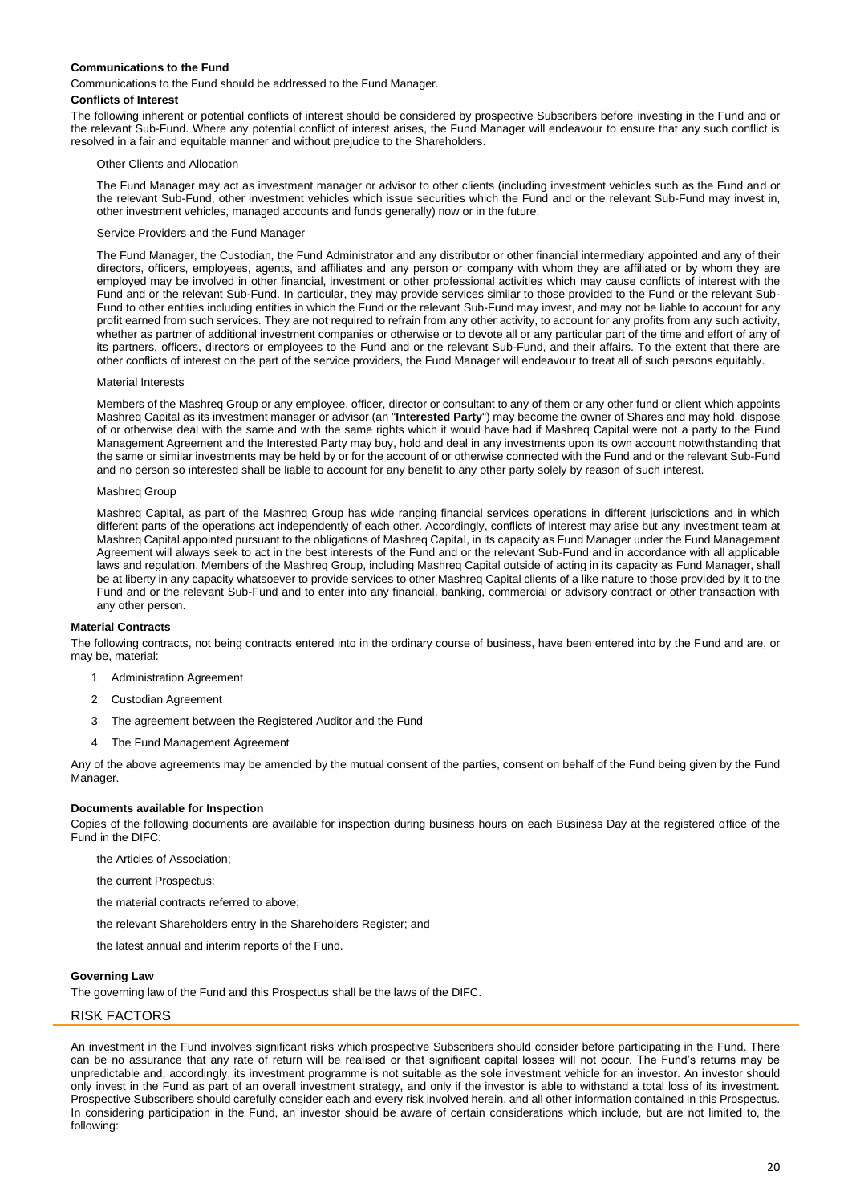## **Communications to the Fund**

Communications to the Fund should be addressed to the Fund Manager.

#### **Conflicts of Interest**

The following inherent or potential conflicts of interest should be considered by prospective Subscribers before investing in the Fund and or the relevant Sub-Fund. Where any potential conflict of interest arises, the Fund Manager will endeavour to ensure that any such conflict is resolved in a fair and equitable manner and without prejudice to the Shareholders.

#### Other Clients and Allocation

The Fund Manager may act as investment manager or advisor to other clients (including investment vehicles such as the Fund and or the relevant Sub-Fund, other investment vehicles which issue securities which the Fund and or the relevant Sub-Fund may invest in, other investment vehicles, managed accounts and funds generally) now or in the future.

#### Service Providers and the Fund Manager

The Fund Manager, the Custodian, the Fund Administrator and any distributor or other financial intermediary appointed and any of their directors, officers, employees, agents, and affiliates and any person or company with whom they are affiliated or by whom they are employed may be involved in other financial, investment or other professional activities which may cause conflicts of interest with the Fund and or the relevant Sub-Fund. In particular, they may provide services similar to those provided to the Fund or the relevant Sub-Fund to other entities including entities in which the Fund or the relevant Sub-Fund may invest, and may not be liable to account for any profit earned from such services. They are not required to refrain from any other activity, to account for any profits from any such activity, whether as partner of additional investment companies or otherwise or to devote all or any particular part of the time and effort of any of its partners, officers, directors or employees to the Fund and or the relevant Sub-Fund, and their affairs. To the extent that there are other conflicts of interest on the part of the service providers, the Fund Manager will endeavour to treat all of such persons equitably.

#### Material Interests

Members of the Mashreq Group or any employee, officer, director or consultant to any of them or any other fund or client which appoints Mashreq Capital as its investment manager or advisor (an "**Interested Party**") may become the owner of Shares and may hold, dispose of or otherwise deal with the same and with the same rights which it would have had if Mashreq Capital were not a party to the Fund Management Agreement and the Interested Party may buy, hold and deal in any investments upon its own account notwithstanding that the same or similar investments may be held by or for the account of or otherwise connected with the Fund and or the relevant Sub-Fund and no person so interested shall be liable to account for any benefit to any other party solely by reason of such interest.

#### Mashreq Group

Mashreq Capital, as part of the Mashreq Group has wide ranging financial services operations in different jurisdictions and in which different parts of the operations act independently of each other. Accordingly, conflicts of interest may arise but any investment team at Mashreq Capital appointed pursuant to the obligations of Mashreq Capital, in its capacity as Fund Manager under the Fund Management Agreement will always seek to act in the best interests of the Fund and or the relevant Sub-Fund and in accordance with all applicable laws and regulation. Members of the Mashreq Group, including Mashreq Capital outside of acting in its capacity as Fund Manager, shall be at liberty in any capacity whatsoever to provide services to other Mashreq Capital clients of a like nature to those provided by it to the Fund and or the relevant Sub-Fund and to enter into any financial, banking, commercial or advisory contract or other transaction with any other person.

#### **Material Contracts**

The following contracts, not being contracts entered into in the ordinary course of business, have been entered into by the Fund and are, or may be, material:

- 1 Administration Agreement
- 2 Custodian Agreement
- 3 The agreement between the Registered Auditor and the Fund
- 4 The Fund Management Agreement

Any of the above agreements may be amended by the mutual consent of the parties, consent on behalf of the Fund being given by the Fund Manager.

## **Documents available for Inspection**

Copies of the following documents are available for inspection during business hours on each Business Day at the registered office of the Fund in the DIFC:

- the Articles of Association;
- the current Prospectus;
- the material contracts referred to above;
- the relevant Shareholders entry in the Shareholders Register; and
- the latest annual and interim reports of the Fund.

#### **Governing Law**

The governing law of the Fund and this Prospectus shall be the laws of the DIFC.

## <span id="page-19-0"></span>RISK FACTORS

An investment in the Fund involves significant risks which prospective Subscribers should consider before participating in the Fund. There can be no assurance that any rate of return will be realised or that significant capital losses will not occur. The Fund's returns may be unpredictable and, accordingly, its investment programme is not suitable as the sole investment vehicle for an investor. An investor should only invest in the Fund as part of an overall investment strategy, and only if the investor is able to withstand a total loss of its investment. Prospective Subscribers should carefully consider each and every risk involved herein, and all other information contained in this Prospectus. In considering participation in the Fund, an investor should be aware of certain considerations which include, but are not limited to, the following: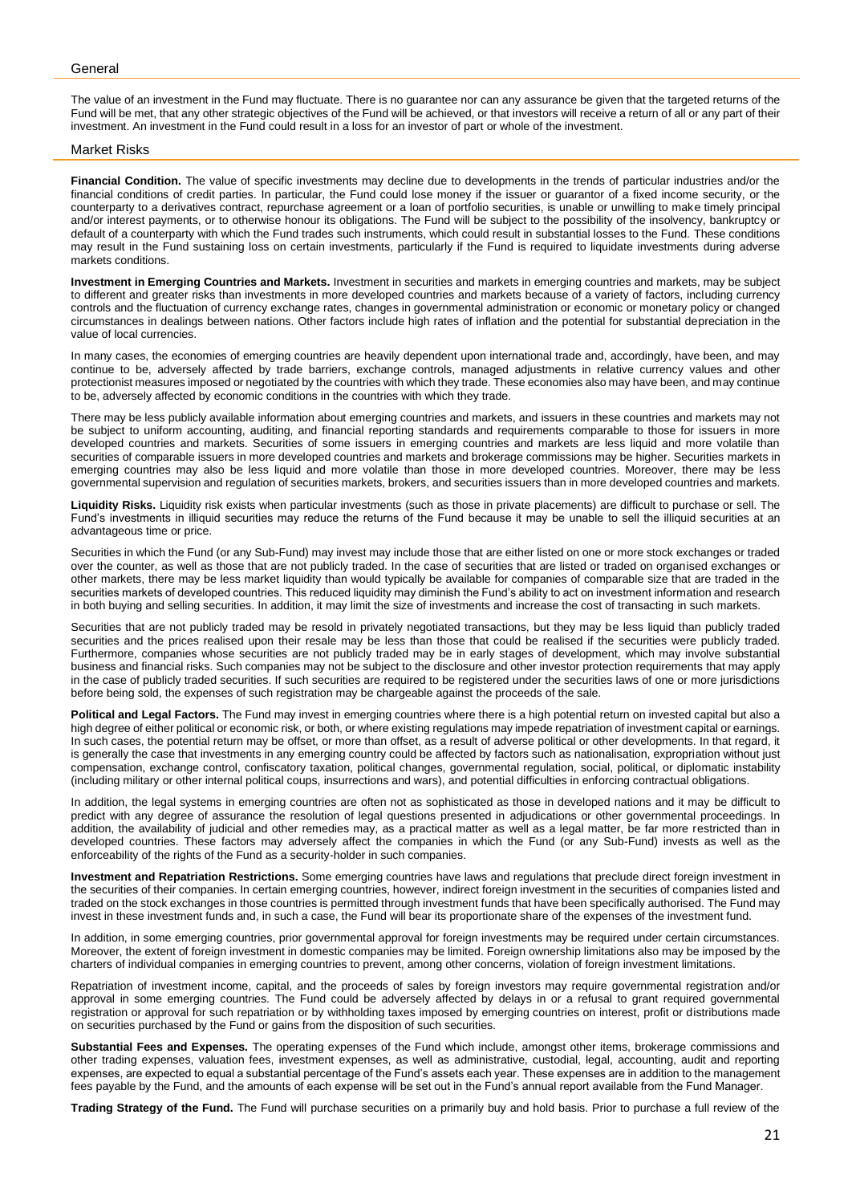#### General

The value of an investment in the Fund may fluctuate. There is no guarantee nor can any assurance be given that the targeted returns of the Fund will be met, that any other strategic objectives of the Fund will be achieved, or that investors will receive a return of all or any part of their investment. An investment in the Fund could result in a loss for an investor of part or whole of the investment.

# Market Risks

**Financial Condition.** The value of specific investments may decline due to developments in the trends of particular industries and/or the financial conditions of credit parties. In particular, the Fund could lose money if the issuer or guarantor of a fixed income security, or the counterparty to a derivatives contract, repurchase agreement or a loan of portfolio securities, is unable or unwilling to make timely principal and/or interest payments, or to otherwise honour its obligations. The Fund will be subject to the possibility of the insolvency, bankruptcy or default of a counterparty with which the Fund trades such instruments, which could result in substantial losses to the Fund. These conditions may result in the Fund sustaining loss on certain investments, particularly if the Fund is required to liquidate investments during adverse markets conditions.

**Investment in Emerging Countries and Markets.** Investment in securities and markets in emerging countries and markets, may be subject to different and greater risks than investments in more developed countries and markets because of a variety of factors, including currency controls and the fluctuation of currency exchange rates, changes in governmental administration or economic or monetary policy or changed circumstances in dealings between nations. Other factors include high rates of inflation and the potential for substantial depreciation in the value of local currencies.

In many cases, the economies of emerging countries are heavily dependent upon international trade and, accordingly, have been, and may continue to be, adversely affected by trade barriers, exchange controls, managed adjustments in relative currency values and other protectionist measures imposed or negotiated by the countries with which they trade. These economies also may have been, and may continue to be, adversely affected by economic conditions in the countries with which they trade.

There may be less publicly available information about emerging countries and markets, and issuers in these countries and markets may not be subject to uniform accounting, auditing, and financial reporting standards and requirements comparable to those for issuers in more developed countries and markets. Securities of some issuers in emerging countries and markets are less liquid and more volatile than securities of comparable issuers in more developed countries and markets and brokerage commissions may be higher. Securities markets in emerging countries may also be less liquid and more volatile than those in more developed countries. Moreover, there may be less governmental supervision and regulation of securities markets, brokers, and securities issuers than in more developed countries and markets.

**Liquidity Risks.** Liquidity risk exists when particular investments (such as those in private placements) are difficult to purchase or sell. The Fund's investments in illiquid securities may reduce the returns of the Fund because it may be unable to sell the illiquid securities at an advantageous time or price.

Securities in which the Fund (or any Sub-Fund) may invest may include those that are either listed on one or more stock exchanges or traded over the counter, as well as those that are not publicly traded. In the case of securities that are listed or traded on organised exchanges or other markets, there may be less market liquidity than would typically be available for companies of comparable size that are traded in the securities markets of developed countries. This reduced liquidity may diminish the Fund's ability to act on investment information and research in both buying and selling securities. In addition, it may limit the size of investments and increase the cost of transacting in such markets.

Securities that are not publicly traded may be resold in privately negotiated transactions, but they may be less liquid than publicly traded securities and the prices realised upon their resale may be less than those that could be realised if the securities were publicly traded. Furthermore, companies whose securities are not publicly traded may be in early stages of development, which may involve substantial business and financial risks. Such companies may not be subject to the disclosure and other investor protection requirements that may apply in the case of publicly traded securities. If such securities are required to be registered under the securities laws of one or more jurisdictions before being sold, the expenses of such registration may be chargeable against the proceeds of the sale.

**Political and Legal Factors.** The Fund may invest in emerging countries where there is a high potential return on invested capital but also a high degree of either political or economic risk, or both, or where existing regulations may impede repatriation of investment capital or earnings. In such cases, the potential return may be offset, or more than offset, as a result of adverse political or other developments. In that regard, it is generally the case that investments in any emerging country could be affected by factors such as nationalisation, expropriation without just compensation, exchange control, confiscatory taxation, political changes, governmental regulation, social, political, or diplomatic instability (including military or other internal political coups, insurrections and wars), and potential difficulties in enforcing contractual obligations.

In addition, the legal systems in emerging countries are often not as sophisticated as those in developed nations and it may be difficult to predict with any degree of assurance the resolution of legal questions presented in adjudications or other governmental proceedings. In addition, the availability of judicial and other remedies may, as a practical matter as well as a legal matter, be far more restricted than in developed countries. These factors may adversely affect the companies in which the Fund (or any Sub-Fund) invests as well as the enforceability of the rights of the Fund as a security-holder in such companies.

**Investment and Repatriation Restrictions.** Some emerging countries have laws and regulations that preclude direct foreign investment in the securities of their companies. In certain emerging countries, however, indirect foreign investment in the securities of companies listed and traded on the stock exchanges in those countries is permitted through investment funds that have been specifically authorised. The Fund may invest in these investment funds and, in such a case, the Fund will bear its proportionate share of the expenses of the investment fund.

In addition, in some emerging countries, prior governmental approval for foreign investments may be required under certain circumstances. Moreover, the extent of foreign investment in domestic companies may be limited. Foreign ownership limitations also may be imposed by the charters of individual companies in emerging countries to prevent, among other concerns, violation of foreign investment limitations.

Repatriation of investment income, capital, and the proceeds of sales by foreign investors may require governmental registration and/or approval in some emerging countries. The Fund could be adversely affected by delays in or a refusal to grant required governmental registration or approval for such repatriation or by withholding taxes imposed by emerging countries on interest, profit or distributions made on securities purchased by the Fund or gains from the disposition of such securities.

**Substantial Fees and Expenses.** The operating expenses of the Fund which include, amongst other items, brokerage commissions and other trading expenses, valuation fees, investment expenses, as well as administrative, custodial, legal, accounting, audit and reporting expenses, are expected to equal a substantial percentage of the Fund's assets each year. These expenses are in addition to the management fees payable by the Fund, and the amounts of each expense will be set out in the Fund's annual report available from the Fund Manager.

**Trading Strategy of the Fund.** The Fund will purchase securities on a primarily buy and hold basis. Prior to purchase a full review of the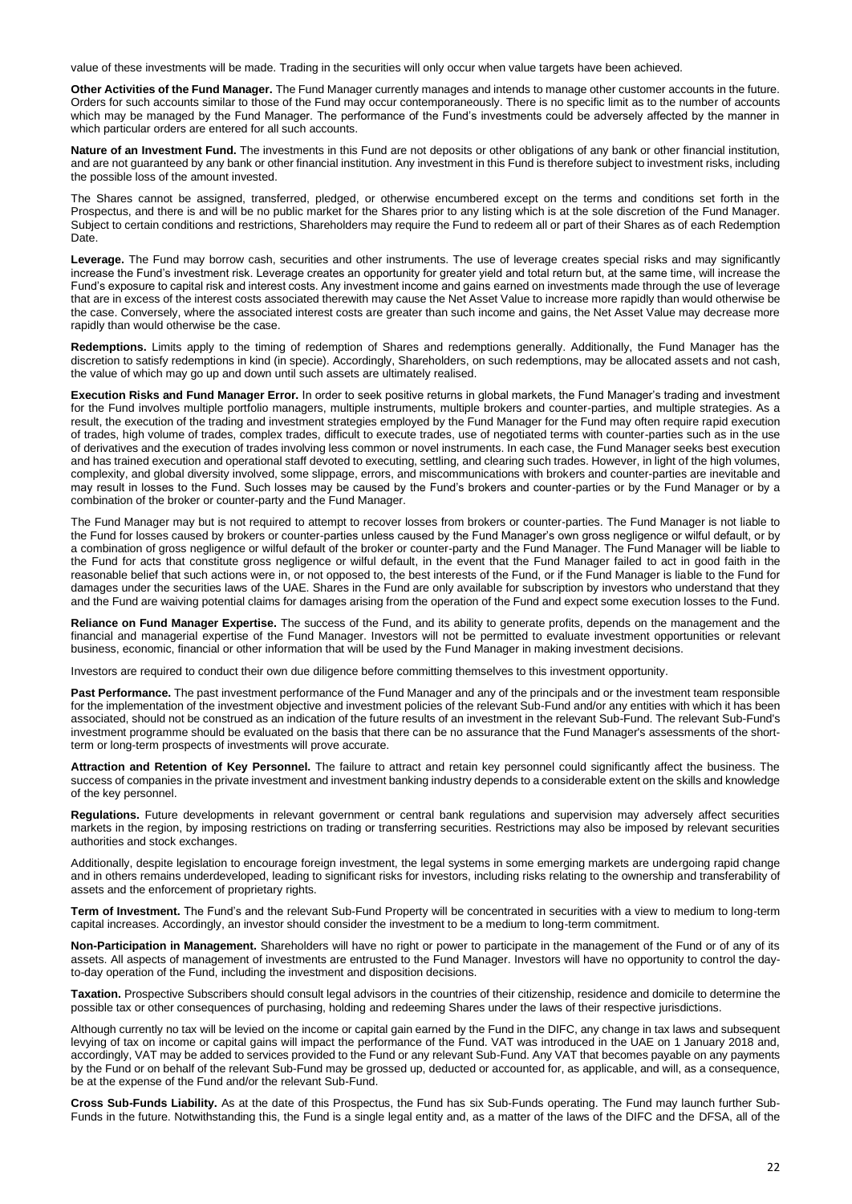value of these investments will be made. Trading in the securities will only occur when value targets have been achieved.

**Other Activities of the Fund Manager.** The Fund Manager currently manages and intends to manage other customer accounts in the future. Orders for such accounts similar to those of the Fund may occur contemporaneously. There is no specific limit as to the number of accounts which may be managed by the Fund Manager. The performance of the Fund's investments could be adversely affected by the manner in which particular orders are entered for all such accounts.

**Nature of an Investment Fund.** The investments in this Fund are not deposits or other obligations of any bank or other financial institution, and are not guaranteed by any bank or other financial institution. Any investment in this Fund is therefore subject to investment risks, including the possible loss of the amount invested.

The Shares cannot be assigned, transferred, pledged, or otherwise encumbered except on the terms and conditions set forth in the Prospectus, and there is and will be no public market for the Shares prior to any listing which is at the sole discretion of the Fund Manager. Subject to certain conditions and restrictions, Shareholders may require the Fund to redeem all or part of their Shares as of each Redemption Date.

Leverage. The Fund may borrow cash, securities and other instruments. The use of leverage creates special risks and may significantly increase the Fund's investment risk. Leverage creates an opportunity for greater yield and total return but, at the same time, will increase the Fund's exposure to capital risk and interest costs. Any investment income and gains earned on investments made through the use of leverage that are in excess of the interest costs associated therewith may cause the Net Asset Value to increase more rapidly than would otherwise be the case. Conversely, where the associated interest costs are greater than such income and gains, the Net Asset Value may decrease more rapidly than would otherwise be the case.

**Redemptions.** Limits apply to the timing of redemption of Shares and redemptions generally. Additionally, the Fund Manager has the discretion to satisfy redemptions in kind (in specie). Accordingly, Shareholders, on such redemptions, may be allocated assets and not cash, the value of which may go up and down until such assets are ultimately realised.

**Execution Risks and Fund Manager Error.** In order to seek positive returns in global markets, the Fund Manager's trading and investment for the Fund involves multiple portfolio managers, multiple instruments, multiple brokers and counter-parties, and multiple strategies. As a result, the execution of the trading and investment strategies employed by the Fund Manager for the Fund may often require rapid execution of trades, high volume of trades, complex trades, difficult to execute trades, use of negotiated terms with counter-parties such as in the use of derivatives and the execution of trades involving less common or novel instruments. In each case, the Fund Manager seeks best execution and has trained execution and operational staff devoted to executing, settling, and clearing such trades. However, in light of the high volumes, complexity, and global diversity involved, some slippage, errors, and miscommunications with brokers and counter-parties are inevitable and may result in losses to the Fund. Such losses may be caused by the Fund's brokers and counter-parties or by the Fund Manager or by a combination of the broker or counter-party and the Fund Manager.

The Fund Manager may but is not required to attempt to recover losses from brokers or counter-parties. The Fund Manager is not liable to the Fund for losses caused by brokers or counter-parties unless caused by the Fund Manager's own gross negligence or wilful default, or by a combination of gross negligence or wilful default of the broker or counter-party and the Fund Manager. The Fund Manager will be liable to the Fund for acts that constitute gross negligence or wilful default, in the event that the Fund Manager failed to act in good faith in the reasonable belief that such actions were in, or not opposed to, the best interests of the Fund, or if the Fund Manager is liable to the Fund for damages under the securities laws of the UAE. Shares in the Fund are only available for subscription by investors who understand that they and the Fund are waiving potential claims for damages arising from the operation of the Fund and expect some execution losses to the Fund.

**Reliance on Fund Manager Expertise.** The success of the Fund, and its ability to generate profits, depends on the management and the financial and managerial expertise of the Fund Manager. Investors will not be permitted to evaluate investment opportunities or relevant business, economic, financial or other information that will be used by the Fund Manager in making investment decisions.

Investors are required to conduct their own due diligence before committing themselves to this investment opportunity.

**Past Performance.** The past investment performance of the Fund Manager and any of the principals and or the investment team responsible for the implementation of the investment objective and investment policies of the relevant Sub-Fund and/or any entities with which it has been associated, should not be construed as an indication of the future results of an investment in the relevant Sub-Fund. The relevant Sub-Fund's investment programme should be evaluated on the basis that there can be no assurance that the Fund Manager's assessments of the shortterm or long-term prospects of investments will prove accurate.

**Attraction and Retention of Key Personnel.** The failure to attract and retain key personnel could significantly affect the business. The success of companies in the private investment and investment banking industry depends to a considerable extent on the skills and knowledge of the key personnel.

**Regulations.** Future developments in relevant government or central bank regulations and supervision may adversely affect securities markets in the region, by imposing restrictions on trading or transferring securities. Restrictions may also be imposed by relevant securities authorities and stock exchanges.

Additionally, despite legislation to encourage foreign investment, the legal systems in some emerging markets are undergoing rapid change and in others remains underdeveloped, leading to significant risks for investors, including risks relating to the ownership and transferability of assets and the enforcement of proprietary rights.

**Term of Investment.** The Fund's and the relevant Sub-Fund Property will be concentrated in securities with a view to medium to long-term capital increases. Accordingly, an investor should consider the investment to be a medium to long-term commitment.

**Non-Participation in Management.** Shareholders will have no right or power to participate in the management of the Fund or of any of its assets. All aspects of management of investments are entrusted to the Fund Manager. Investors will have no opportunity to control the dayto-day operation of the Fund, including the investment and disposition decisions.

**Taxation.** Prospective Subscribers should consult legal advisors in the countries of their citizenship, residence and domicile to determine the possible tax or other consequences of purchasing, holding and redeeming Shares under the laws of their respective jurisdictions.

Although currently no tax will be levied on the income or capital gain earned by the Fund in the DIFC, any change in tax laws and subsequent levying of tax on income or capital gains will impact the performance of the Fund. VAT was introduced in the UAE on 1 January 2018 and, accordingly, VAT may be added to services provided to the Fund or any relevant Sub-Fund. Any VAT that becomes payable on any payments by the Fund or on behalf of the relevant Sub-Fund may be grossed up, deducted or accounted for, as applicable, and will, as a consequence, be at the expense of the Fund and/or the relevant Sub-Fund.

**Cross Sub-Funds Liability.** As at the date of this Prospectus, the Fund has six Sub-Funds operating. The Fund may launch further Sub-Funds in the future. Notwithstanding this, the Fund is a single legal entity and, as a matter of the laws of the DIFC and the DFSA, all of the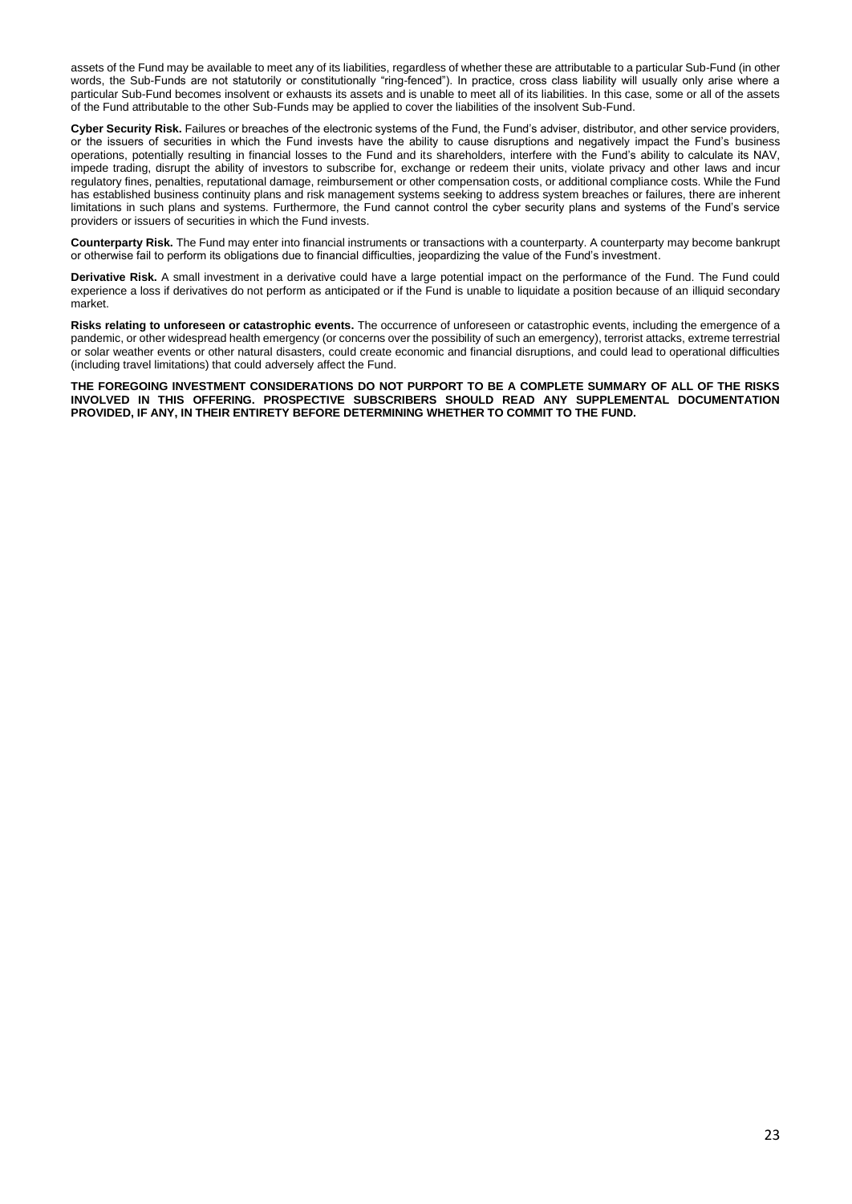assets of the Fund may be available to meet any of its liabilities, regardless of whether these are attributable to a particular Sub-Fund (in other words, the Sub-Funds are not statutorily or constitutionally "ring-fenced"). In practice, cross class liability will usually only arise where a particular Sub-Fund becomes insolvent or exhausts its assets and is unable to meet all of its liabilities. In this case, some or all of the assets of the Fund attributable to the other Sub-Funds may be applied to cover the liabilities of the insolvent Sub-Fund.

**Cyber Security Risk.** Failures or breaches of the electronic systems of the Fund, the Fund's adviser, distributor, and other service providers, or the issuers of securities in which the Fund invests have the ability to cause disruptions and negatively impact the Fund's business operations, potentially resulting in financial losses to the Fund and its shareholders, interfere with the Fund's ability to calculate its NAV, impede trading, disrupt the ability of investors to subscribe for, exchange or redeem their units, violate privacy and other laws and incur regulatory fines, penalties, reputational damage, reimbursement or other compensation costs, or additional compliance costs. While the Fund has established business continuity plans and risk management systems seeking to address system breaches or failures, there are inherent limitations in such plans and systems. Furthermore, the Fund cannot control the cyber security plans and systems of the Fund's service providers or issuers of securities in which the Fund invests.

**Counterparty Risk.** The Fund may enter into financial instruments or transactions with a counterparty. A counterparty may become bankrupt or otherwise fail to perform its obligations due to financial difficulties, jeopardizing the value of the Fund's investment.

**Derivative Risk.** A small investment in a derivative could have a large potential impact on the performance of the Fund. The Fund could experience a loss if derivatives do not perform as anticipated or if the Fund is unable to liquidate a position because of an illiquid secondary market.

**Risks relating to unforeseen or catastrophic events.** The occurrence of unforeseen or catastrophic events, including the emergence of a pandemic, or other widespread health emergency (or concerns over the possibility of such an emergency), terrorist attacks, extreme terrestrial or solar weather events or other natural disasters, could create economic and financial disruptions, and could lead to operational difficulties (including travel limitations) that could adversely affect the Fund.

**THE FOREGOING INVESTMENT CONSIDERATIONS DO NOT PURPORT TO BE A COMPLETE SUMMARY OF ALL OF THE RISKS INVOLVED IN THIS OFFERING. PROSPECTIVE SUBSCRIBERS SHOULD READ ANY SUPPLEMENTAL DOCUMENTATION PROVIDED, IF ANY, IN THEIR ENTIRETY BEFORE DETERMINING WHETHER TO COMMIT TO THE FUND.**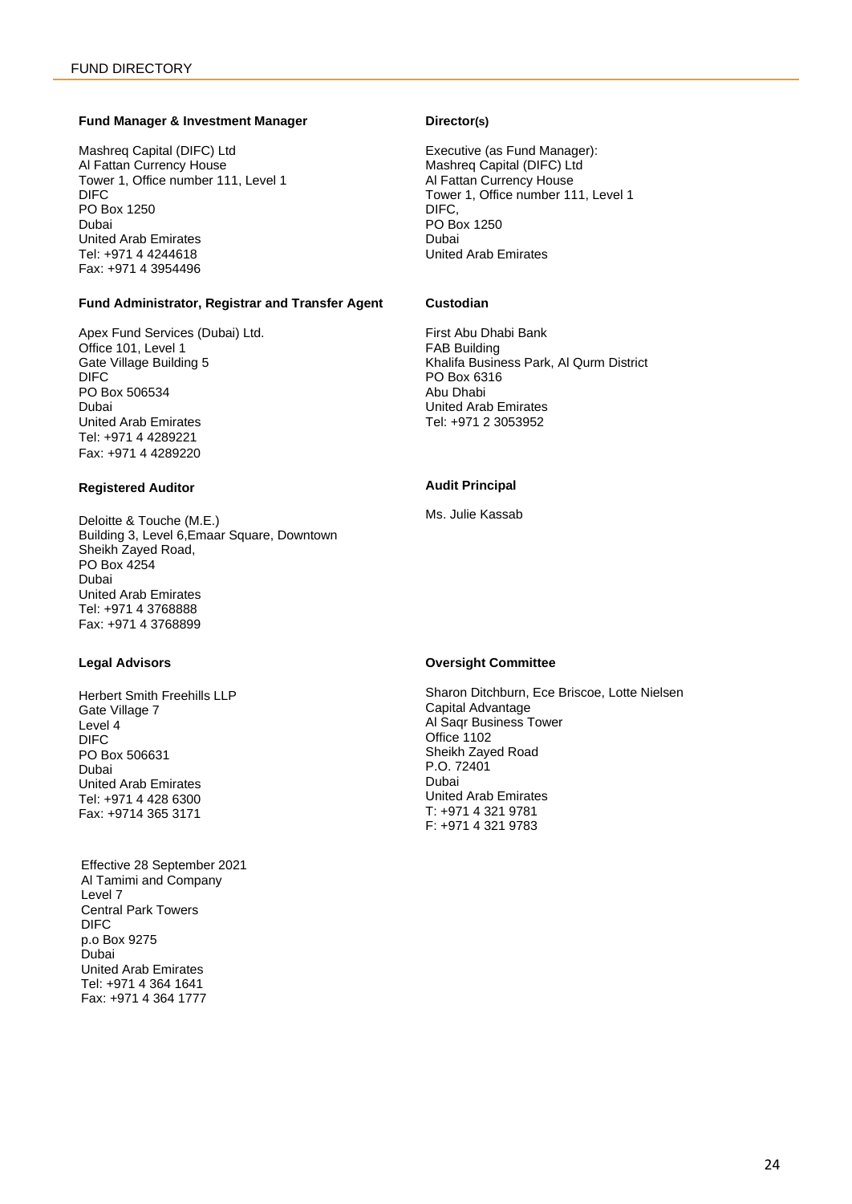# <span id="page-23-0"></span>**Fund Manager & Investment Manager**

Mashreq Capital (DIFC) Ltd Al Fattan Currency House Tower 1, Office number 111, Level 1 DIFC PO Box 1250 Dubai United Arab Emirates Tel: +971 4 4244618 Fax: +971 4 3954496

# **Fund Administrator, Registrar and Transfer Agent**

Apex Fund Services (Dubai) Ltd. Office 101, Level 1 Gate Village Building 5 DIFC PO Box 506534 Dubai United Arab Emirates Tel: +971 4 4289221 Fax: +971 4 4289220

# **Registered Auditor**

Deloitte & Touche (M.E.) Building 3, Level 6,Emaar Square, Downtown Sheikh Zayed Road, PO Box 4254 Dubai United Arab Emirates Tel: +971 4 3768888 Fax: +971 4 3768899

# **Legal Advisors**

Herbert Smith Freehills LLP Gate Village 7 Level 4 DIFC PO Box 506631 Dubai United Arab Emirates Tel: +971 4 428 6300 Fax: +9714 365 3171

Effective 28 September 2021 Al Tamimi and Company Level 7 Central Park Towers DIFC p.o Box 9275 Dubai United Arab Emirates Tel: +971 4 364 1641 Fax: +971 4 364 1777

# **Director(s)**

Executive (as Fund Manager): Mashreq Capital (DIFC) Ltd Al Fattan Currency House Tower 1, Office number 111, Level 1 DIFC, PO Box 1250 Dubai United Arab Emirates

# **Custodian**

First Abu Dhabi Bank FAB Building Khalifa Business Park, Al Qurm District PO Box 6316 Abu Dhabi United Arab Emirates Tel: +971 2 3053952

# **Audit Principal**

Ms. Julie Kassab

# **Oversight Committee**

Sharon Ditchburn, Ece Briscoe, Lotte Nielsen Capital Advantage Al Saqr Business Tower Office 1102 Sheikh Zayed Road P.O. 72401 Dubai United Arab Emirates T: +971 4 321 9781 F: +971 4 321 9783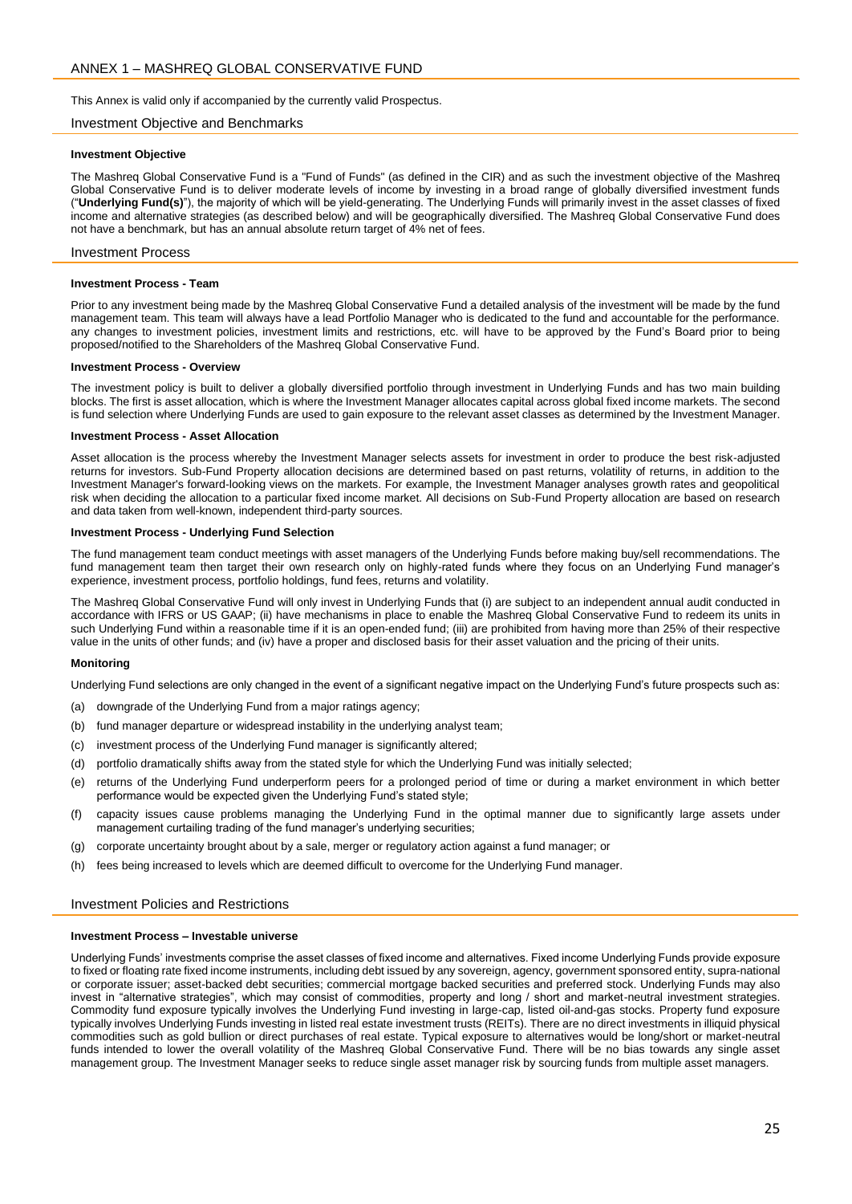<span id="page-24-0"></span>This Annex is valid only if accompanied by the currently valid Prospectus.

#### Investment Objective and Benchmarks

#### **Investment Objective**

The Mashreq Global Conservative Fund is a "Fund of Funds" (as defined in the CIR) and as such the investment objective of the Mashreq Global Conservative Fund is to deliver moderate levels of income by investing in a broad range of globally diversified investment funds ("**Underlying Fund(s)**"), the majority of which will be yield-generating. The Underlying Funds will primarily invest in the asset classes of fixed income and alternative strategies (as described below) and will be geographically diversified. The Mashreq Global Conservative Fund does not have a benchmark, but has an annual absolute return target of 4% net of fees.

#### Investment Process

#### **Investment Process - Team**

Prior to any investment being made by the Mashreq Global Conservative Fund a detailed analysis of the investment will be made by the fund management team. This team will always have a lead Portfolio Manager who is dedicated to the fund and accountable for the performance. any changes to investment policies, investment limits and restrictions, etc. will have to be approved by the Fund's Board prior to being proposed/notified to the Shareholders of the Mashreq Global Conservative Fund.

#### **Investment Process - Overview**

The investment policy is built to deliver a globally diversified portfolio through investment in Underlying Funds and has two main building blocks. The first is asset allocation, which is where the Investment Manager allocates capital across global fixed income markets. The second is fund selection where Underlying Funds are used to gain exposure to the relevant asset classes as determined by the Investment Manager.

#### **Investment Process - Asset Allocation**

Asset allocation is the process whereby the Investment Manager selects assets for investment in order to produce the best risk-adjusted returns for investors. Sub-Fund Property allocation decisions are determined based on past returns, volatility of returns, in addition to the Investment Manager's forward-looking views on the markets. For example, the Investment Manager analyses growth rates and geopolitical risk when deciding the allocation to a particular fixed income market. All decisions on Sub-Fund Property allocation are based on research and data taken from well-known, independent third-party sources.

#### **Investment Process - Underlying Fund Selection**

The fund management team conduct meetings with asset managers of the Underlying Funds before making buy/sell recommendations. The fund management team then target their own research only on highly-rated funds where they focus on an Underlying Fund manager's experience, investment process, portfolio holdings, fund fees, returns and volatility.

The Mashreq Global Conservative Fund will only invest in Underlying Funds that (i) are subject to an independent annual audit conducted in accordance with IFRS or US GAAP; (ii) have mechanisms in place to enable the Mashreq Global Conservative Fund to redeem its units in such Underlying Fund within a reasonable time if it is an open-ended fund; (iii) are prohibited from having more than 25% of their respective value in the units of other funds; and (iv) have a proper and disclosed basis for their asset valuation and the pricing of their units.

#### **Monitoring**

Underlying Fund selections are only changed in the event of a significant negative impact on the Underlying Fund's future prospects such as:

- (a) downgrade of the Underlying Fund from a major ratings agency;
- (b) fund manager departure or widespread instability in the underlying analyst team;
- (c) investment process of the Underlying Fund manager is significantly altered;
- (d) portfolio dramatically shifts away from the stated style for which the Underlying Fund was initially selected;
- (e) returns of the Underlying Fund underperform peers for a prolonged period of time or during a market environment in which better performance would be expected given the Underlying Fund's stated style;
- (f) capacity issues cause problems managing the Underlying Fund in the optimal manner due to significantly large assets under management curtailing trading of the fund manager's underlying securities;
- (g) corporate uncertainty brought about by a sale, merger or regulatory action against a fund manager; or
- (h) fees being increased to levels which are deemed difficult to overcome for the Underlying Fund manager.

# Investment Policies and Restrictions

# **Investment Process – Investable universe**

Underlying Funds' investments comprise the asset classes of fixed income and alternatives. Fixed income Underlying Funds provide exposure to fixed or floating rate fixed income instruments, including debt issued by any sovereign, agency, government sponsored entity, supra-national or corporate issuer; asset-backed debt securities; commercial mortgage backed securities and preferred stock. Underlying Funds may also invest in "alternative strategies", which may consist of commodities, property and long / short and market-neutral investment strategies. Commodity fund exposure typically involves the Underlying Fund investing in large-cap, listed oil-and-gas stocks. Property fund exposure typically involves Underlying Funds investing in listed real estate investment trusts (REITs). There are no direct investments in illiquid physical commodities such as gold bullion or direct purchases of real estate. Typical exposure to alternatives would be long/short or market-neutral funds intended to lower the overall volatility of the Mashreq Global Conservative Fund. There will be no bias towards any single asset management group. The Investment Manager seeks to reduce single asset manager risk by sourcing funds from multiple asset managers.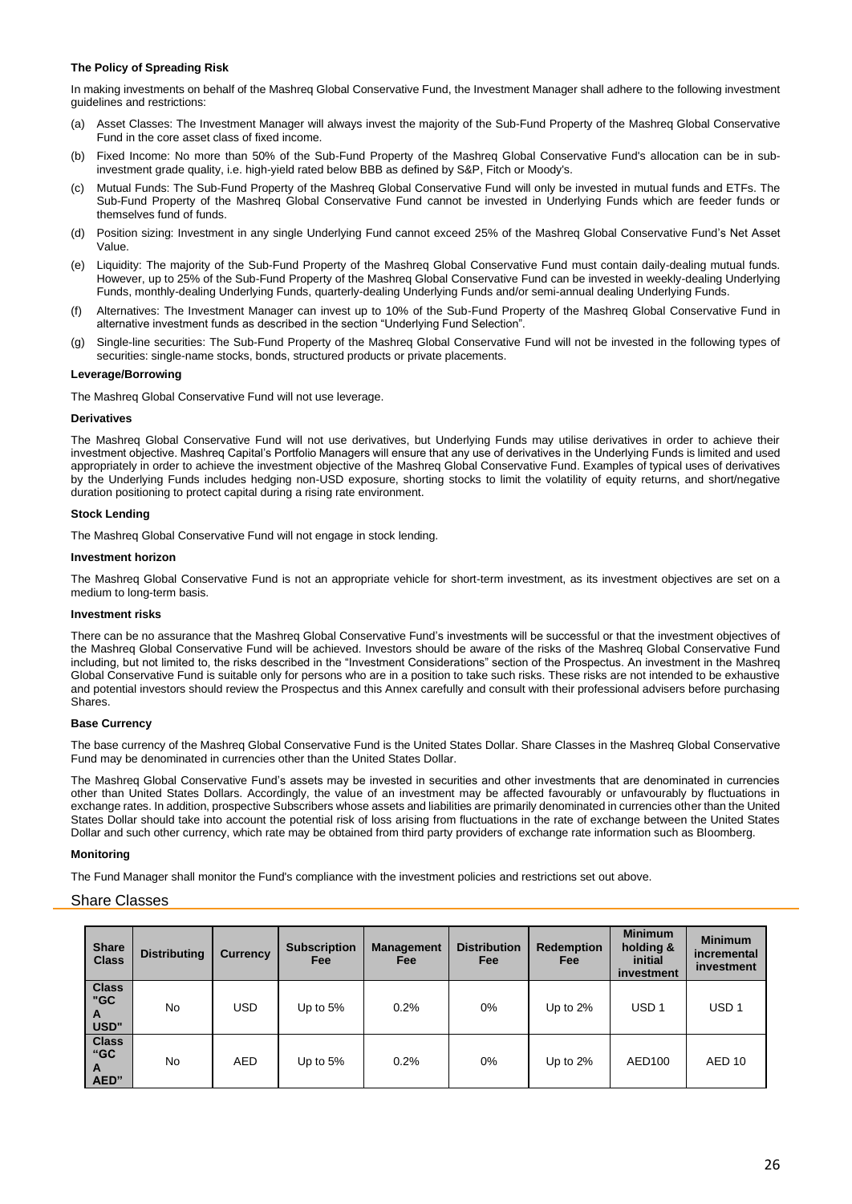# **The Policy of Spreading Risk**

In making investments on behalf of the Mashreq Global Conservative Fund, the Investment Manager shall adhere to the following investment guidelines and restrictions:

- (a) Asset Classes: The Investment Manager will always invest the majority of the Sub-Fund Property of the Mashreq Global Conservative Fund in the core asset class of fixed income.
- (b) Fixed Income: No more than 50% of the Sub-Fund Property of the Mashreq Global Conservative Fund's allocation can be in subinvestment grade quality, i.e. high-yield rated below BBB as defined by S&P, Fitch or Moody's.
- (c) Mutual Funds: The Sub-Fund Property of the Mashreq Global Conservative Fund will only be invested in mutual funds and ETFs. The Sub-Fund Property of the Mashreq Global Conservative Fund cannot be invested in Underlying Funds which are feeder funds or themselves fund of funds.
- (d) Position sizing: Investment in any single Underlying Fund cannot exceed 25% of the Mashreq Global Conservative Fund's Net Asset Value.
- (e) Liquidity: The majority of the Sub-Fund Property of the Mashreq Global Conservative Fund must contain daily-dealing mutual funds. However, up to 25% of the Sub-Fund Property of the Mashreq Global Conservative Fund can be invested in weekly-dealing Underlying Funds, monthly-dealing Underlying Funds, quarterly-dealing Underlying Funds and/or semi-annual dealing Underlying Funds.
- Alternatives: The Investment Manager can invest up to 10% of the Sub-Fund Property of the Mashreq Global Conservative Fund in alternative investment funds as described in the section "Underlying Fund Selection".
- (g) Single-line securities: The Sub-Fund Property of the Mashreq Global Conservative Fund will not be invested in the following types of securities: single-name stocks, bonds, structured products or private placements.

# **Leverage/Borrowing**

The Mashreq Global Conservative Fund will not use leverage.

# **Derivatives**

The Mashreq Global Conservative Fund will not use derivatives, but Underlying Funds may utilise derivatives in order to achieve their investment objective. Mashreq Capital's Portfolio Managers will ensure that any use of derivatives in the Underlying Funds is limited and used appropriately in order to achieve the investment objective of the Mashreq Global Conservative Fund. Examples of typical uses of derivatives by the Underlying Funds includes hedging non-USD exposure, shorting stocks to limit the volatility of equity returns, and short/negative duration positioning to protect capital during a rising rate environment.

# **Stock Lending**

The Mashreq Global Conservative Fund will not engage in stock lending.

## **Investment horizon**

The Mashreq Global Conservative Fund is not an appropriate vehicle for short-term investment, as its investment objectives are set on a medium to long-term basis.

## **Investment risks**

There can be no assurance that the Mashreq Global Conservative Fund's investments will be successful or that the investment objectives of the Mashreq Global Conservative Fund will be achieved. Investors should be aware of the risks of the Mashreq Global Conservative Fund including, but not limited to, the risks described in the "Investment Considerations" section of the Prospectus. An investment in the Mashreq Global Conservative Fund is suitable only for persons who are in a position to take such risks. These risks are not intended to be exhaustive and potential investors should review the Prospectus and this Annex carefully and consult with their professional advisers before purchasing Shares.

## **Base Currency**

The base currency of the Mashreq Global Conservative Fund is the United States Dollar. Share Classes in the Mashreq Global Conservative Fund may be denominated in currencies other than the United States Dollar.

The Mashreq Global Conservative Fund's assets may be invested in securities and other investments that are denominated in currencies other than United States Dollars. Accordingly, the value of an investment may be affected favourably or unfavourably by fluctuations in exchange rates. In addition, prospective Subscribers whose assets and liabilities are primarily denominated in currencies other than the United States Dollar should take into account the potential risk of loss arising from fluctuations in the rate of exchange between the United States Dollar and such other currency, which rate may be obtained from third party providers of exchange rate information such as Bloomberg.

## **Monitoring**

The Fund Manager shall monitor the Fund's compliance with the investment policies and restrictions set out above.

# Share Classes

| <b>Share</b><br><b>Class</b>     | <b>Distributing</b> | <b>Currency</b> | <b>Subscription</b><br><b>Fee</b> | <b>Management</b><br>Fee | <b>Distribution</b><br>Fee | <b>Redemption</b><br>Fee | <b>Minimum</b><br>holding &<br>initial<br>investment | <b>Minimum</b><br>incremental<br>investment |
|----------------------------------|---------------------|-----------------|-----------------------------------|--------------------------|----------------------------|--------------------------|------------------------------------------------------|---------------------------------------------|
| <b>Class</b><br>"GC<br>A<br>USD" | <b>No</b>           | USD             | Up to $5%$                        | 0.2%                     | $0\%$                      | Up to $2\%$              | USD <sub>1</sub>                                     | USD <sub>1</sub>                            |
| <b>Class</b><br>"GC<br>A<br>AED" | <b>No</b>           | <b>AED</b>      | Up to $5%$                        | 0.2%                     | $0\%$                      | Up to $2\%$              | AED100                                               | AED <sub>10</sub>                           |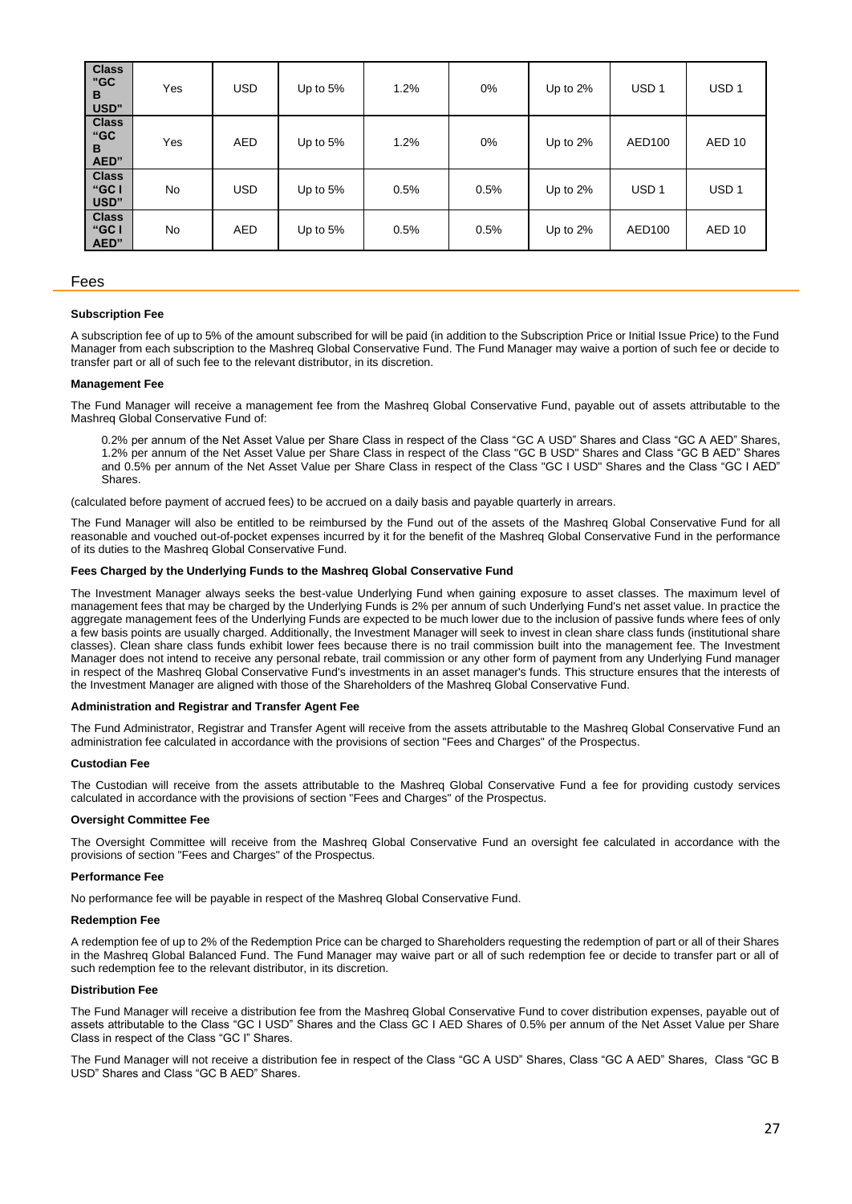| <b>Class</b><br>"GC<br>B<br>USD" | Yes       | <b>USD</b> | Up to $5%$ | 1.2% | 0%   | Up to 2%    | USD <sub>1</sub> | USD <sub>1</sub> |
|----------------------------------|-----------|------------|------------|------|------|-------------|------------------|------------------|
| <b>Class</b><br>"GC<br>B<br>AED" | Yes       | <b>AED</b> | Up to $5%$ | 1.2% | 0%   | Up to $2\%$ | AED100           | AED 10           |
| <b>Class</b><br>"GC I<br>USD"    | <b>No</b> | <b>USD</b> | Up to $5%$ | 0.5% | 0.5% | Up to 2%    | USD <sub>1</sub> | USD <sub>1</sub> |
| <b>Class</b><br>"GC I<br>AED"    | <b>No</b> | <b>AED</b> | Up to $5%$ | 0.5% | 0.5% | Up to $2\%$ | AED100           | AED 10           |

## Fees

#### **Subscription Fee**

A subscription fee of up to 5% of the amount subscribed for will be paid (in addition to the Subscription Price or Initial Issue Price) to the Fund Manager from each subscription to the Mashreq Global Conservative Fund. The Fund Manager may waive a portion of such fee or decide to transfer part or all of such fee to the relevant distributor, in its discretion.

#### **Management Fee**

The Fund Manager will receive a management fee from the Mashreq Global Conservative Fund, payable out of assets attributable to the Mashreq Global Conservative Fund of:

0.2% per annum of the Net Asset Value per Share Class in respect of the Class "GC A USD" Shares and Class "GC A AED" Shares, 1.2% per annum of the Net Asset Value per Share Class in respect of the Class "GC B USD" Shares and Class "GC B AED" Shares and 0.5% per annum of the Net Asset Value per Share Class in respect of the Class "GC I USD" Shares and the Class "GC I AED" Shares.

(calculated before payment of accrued fees) to be accrued on a daily basis and payable quarterly in arrears.

The Fund Manager will also be entitled to be reimbursed by the Fund out of the assets of the Mashreq Global Conservative Fund for all reasonable and vouched out-of-pocket expenses incurred by it for the benefit of the Mashreq Global Conservative Fund in the performance of its duties to the Mashreq Global Conservative Fund.

## **Fees Charged by the Underlying Funds to the Mashreq Global Conservative Fund**

The Investment Manager always seeks the best-value Underlying Fund when gaining exposure to asset classes. The maximum level of management fees that may be charged by the Underlying Funds is 2% per annum of such Underlying Fund's net asset value. In practice the aggregate management fees of the Underlying Funds are expected to be much lower due to the inclusion of passive funds where fees of only a few basis points are usually charged. Additionally, the Investment Manager will seek to invest in clean share class funds (institutional share classes). Clean share class funds exhibit lower fees because there is no trail commission built into the management fee. The Investment Manager does not intend to receive any personal rebate, trail commission or any other form of payment from any Underlying Fund manager in respect of the Mashreq Global Conservative Fund's investments in an asset manager's funds. This structure ensures that the interests of the Investment Manager are aligned with those of the Shareholders of the Mashreq Global Conservative Fund.

#### **Administration and Registrar and Transfer Agent Fee**

The Fund Administrator, Registrar and Transfer Agent will receive from the assets attributable to the Mashreq Global Conservative Fund an administration fee calculated in accordance with the provisions of section "Fees and Charges" of the Prospectus.

#### **Custodian Fee**

The Custodian will receive from the assets attributable to the Mashreq Global Conservative Fund a fee for providing custody services calculated in accordance with the provisions of section "Fees and Charges" of the Prospectus.

#### **Oversight Committee Fee**

The Oversight Committee will receive from the Mashreq Global Conservative Fund an oversight fee calculated in accordance with the provisions of section "Fees and Charges" of the Prospectus.

## **Performance Fee**

No performance fee will be payable in respect of the Mashreq Global Conservative Fund.

#### **Redemption Fee**

A redemption fee of up to 2% of the Redemption Price can be charged to Shareholders requesting the redemption of part or all of their Shares in the Mashreq Global Balanced Fund. The Fund Manager may waive part or all of such redemption fee or decide to transfer part or all of such redemption fee to the relevant distributor, in its discretion.

#### **Distribution Fee**

The Fund Manager will receive a distribution fee from the Mashreq Global Conservative Fund to cover distribution expenses, payable out of assets attributable to the Class "GC I USD" Shares and the Class GC I AED Shares of 0.5% per annum of the Net Asset Value per Share Class in respect of the Class "GC I" Shares.

The Fund Manager will not receive a distribution fee in respect of the Class "GC A USD" Shares, Class "GC A AED" Shares, Class "GC B USD" Shares and Class "GC B AED" Shares.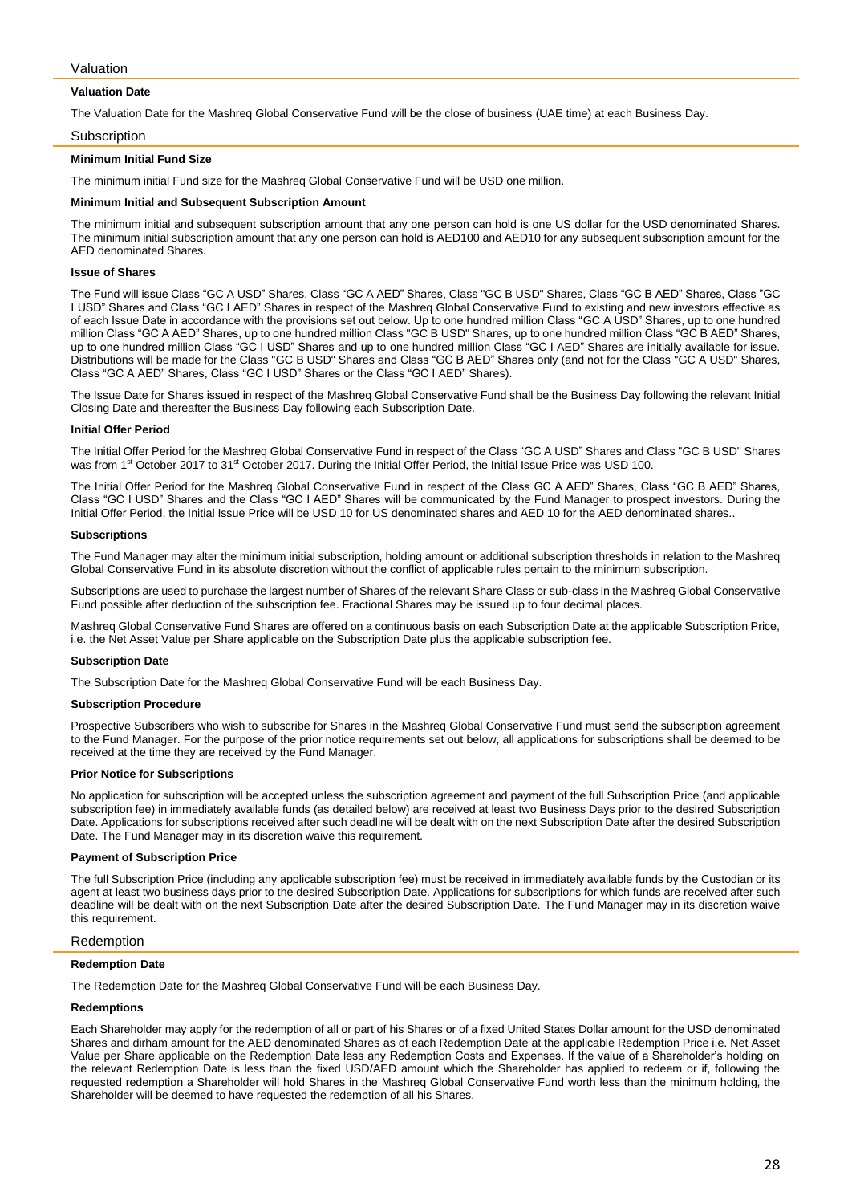# Valuation

## **Valuation Date**

The Valuation Date for the Mashreq Global Conservative Fund will be the close of business (UAE time) at each Business Day.

#### **Subscription**

#### **Minimum Initial Fund Size**

The minimum initial Fund size for the Mashreq Global Conservative Fund will be USD one million.

# **Minimum Initial and Subsequent Subscription Amount**

The minimum initial and subsequent subscription amount that any one person can hold is one US dollar for the USD denominated Shares. The minimum initial subscription amount that any one person can hold is AED100 and AED10 for any subsequent subscription amount for the AED denominated Shares.

# **Issue of Shares**

The Fund will issue Class "GC A USD" Shares, Class "GC A AED" Shares, Class "GC B USD" Shares, Class "GC B AED" Shares, Class "GC I USD" Shares and Class "GC I AED" Shares in respect of the Mashreq Global Conservative Fund to existing and new investors effective as of each Issue Date in accordance with the provisions set out below. Up to one hundred million Class "GC A USD" Shares, up to one hundred million Class "GC A AED" Shares, up to one hundred million Class "GC B USD" Shares, up to one hundred million Class "GC B AED" Shares, up to one hundred million Class "GC I USD" Shares and up to one hundred million Class "GC I AED" Shares are initially available for issue. Distributions will be made for the Class "GC B USD" Shares and Class "GC B AED" Shares only (and not for the Class "GC A USD" Shares, Class "GC A AED" Shares, Class "GC I USD" Shares or the Class "GC I AED" Shares).

The Issue Date for Shares issued in respect of the Mashreq Global Conservative Fund shall be the Business Day following the relevant Initial Closing Date and thereafter the Business Day following each Subscription Date.

## **Initial Offer Period**

The Initial Offer Period for the Mashreq Global Conservative Fund in respect of the Class "GC A USD" Shares and Class "GC B USD" Shares was from 1<sup>st</sup> October 2017 to 31<sup>st</sup> October 2017. During the Initial Offer Period, the Initial Issue Price was USD 100.

The Initial Offer Period for the Mashreq Global Conservative Fund in respect of the Class GC A AED" Shares, Class "GC B AED" Shares, Class "GC I USD" Shares and the Class "GC I AED" Shares will be communicated by the Fund Manager to prospect investors. During the Initial Offer Period, the Initial Issue Price will be USD 10 for US denominated shares and AED 10 for the AED denominated shares..

#### **Subscriptions**

The Fund Manager may alter the minimum initial subscription, holding amount or additional subscription thresholds in relation to the Mashreq Global Conservative Fund in its absolute discretion without the conflict of applicable rules pertain to the minimum subscription.

Subscriptions are used to purchase the largest number of Shares of the relevant Share Class or sub-class in the Mashreq Global Conservative Fund possible after deduction of the subscription fee. Fractional Shares may be issued up to four decimal places.

Mashreq Global Conservative Fund Shares are offered on a continuous basis on each Subscription Date at the applicable Subscription Price, i.e. the Net Asset Value per Share applicable on the Subscription Date plus the applicable subscription fee.

#### **Subscription Date**

The Subscription Date for the Mashreq Global Conservative Fund will be each Business Day.

#### **Subscription Procedure**

Prospective Subscribers who wish to subscribe for Shares in the Mashreq Global Conservative Fund must send the subscription agreement to the Fund Manager. For the purpose of the prior notice requirements set out below, all applications for subscriptions shall be deemed to be received at the time they are received by the Fund Manager.

# **Prior Notice for Subscriptions**

No application for subscription will be accepted unless the subscription agreement and payment of the full Subscription Price (and applicable subscription fee) in immediately available funds (as detailed below) are received at least two Business Days prior to the desired Subscription Date. Applications for subscriptions received after such deadline will be dealt with on the next Subscription Date after the desired Subscription Date. The Fund Manager may in its discretion waive this requirement.

#### **Payment of Subscription Price**

The full Subscription Price (including any applicable subscription fee) must be received in immediately available funds by the Custodian or its agent at least two business days prior to the desired Subscription Date. Applications for subscriptions for which funds are received after such deadline will be dealt with on the next Subscription Date after the desired Subscription Date. The Fund Manager may in its discretion waive this requirement.

## Redemption

#### **Redemption Date**

The Redemption Date for the Mashreq Global Conservative Fund will be each Business Day.

# **Redemptions**

Each Shareholder may apply for the redemption of all or part of his Shares or of a fixed United States Dollar amount for the USD denominated Shares and dirham amount for the AED denominated Shares as of each Redemption Date at the applicable Redemption Price i.e. Net Asset Value per Share applicable on the Redemption Date less any Redemption Costs and Expenses. If the value of a Shareholder's holding on the relevant Redemption Date is less than the fixed USD/AED amount which the Shareholder has applied to redeem or if, following the requested redemption a Shareholder will hold Shares in the Mashreq Global Conservative Fund worth less than the minimum holding, the Shareholder will be deemed to have requested the redemption of all his Shares.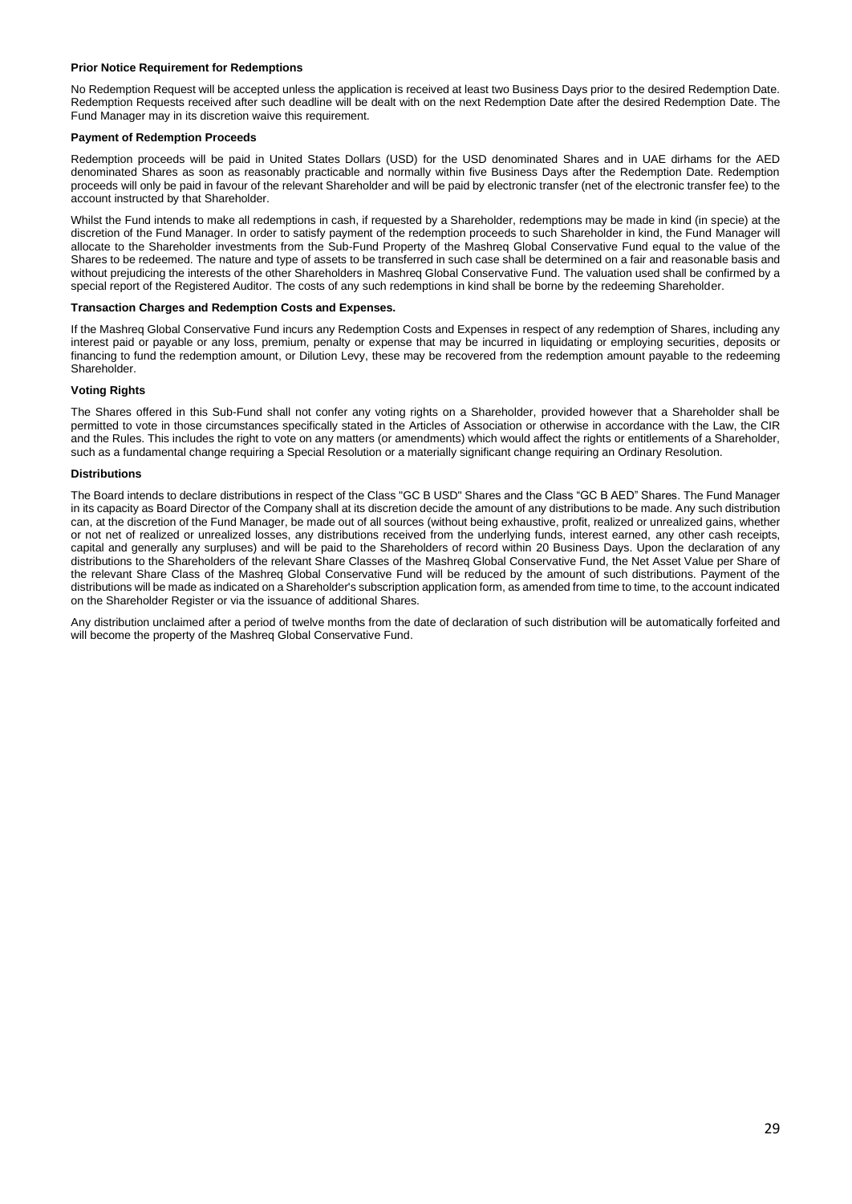# **Prior Notice Requirement for Redemptions**

No Redemption Request will be accepted unless the application is received at least two Business Days prior to the desired Redemption Date. Redemption Requests received after such deadline will be dealt with on the next Redemption Date after the desired Redemption Date. The Fund Manager may in its discretion waive this requirement.

## **Payment of Redemption Proceeds**

Redemption proceeds will be paid in United States Dollars (USD) for the USD denominated Shares and in UAE dirhams for the AED denominated Shares as soon as reasonably practicable and normally within five Business Days after the Redemption Date. Redemption proceeds will only be paid in favour of the relevant Shareholder and will be paid by electronic transfer (net of the electronic transfer fee) to the account instructed by that Shareholder.

Whilst the Fund intends to make all redemptions in cash, if requested by a Shareholder, redemptions may be made in kind (in specie) at the discretion of the Fund Manager. In order to satisfy payment of the redemption proceeds to such Shareholder in kind, the Fund Manager will allocate to the Shareholder investments from the Sub-Fund Property of the Mashreq Global Conservative Fund equal to the value of the Shares to be redeemed. The nature and type of assets to be transferred in such case shall be determined on a fair and reasonable basis and without prejudicing the interests of the other Shareholders in Mashreq Global Conservative Fund. The valuation used shall be confirmed by a special report of the Registered Auditor. The costs of any such redemptions in kind shall be borne by the redeeming Shareholder.

## **Transaction Charges and Redemption Costs and Expenses.**

If the Mashreq Global Conservative Fund incurs any Redemption Costs and Expenses in respect of any redemption of Shares, including any interest paid or payable or any loss, premium, penalty or expense that may be incurred in liquidating or employing securities, deposits or financing to fund the redemption amount, or Dilution Levy, these may be recovered from the redemption amount payable to the redeeming Shareholder.

# **Voting Rights**

The Shares offered in this Sub-Fund shall not confer any voting rights on a Shareholder, provided however that a Shareholder shall be permitted to vote in those circumstances specifically stated in the Articles of Association or otherwise in accordance with the Law, the CIR and the Rules. This includes the right to vote on any matters (or amendments) which would affect the rights or entitlements of a Shareholder, such as a fundamental change requiring a Special Resolution or a materially significant change requiring an Ordinary Resolution.

## **Distributions**

The Board intends to declare distributions in respect of the Class "GC B USD" Shares and the Class "GC B AED" Shares. The Fund Manager in its capacity as Board Director of the Company shall at its discretion decide the amount of any distributions to be made. Any such distribution can, at the discretion of the Fund Manager, be made out of all sources (without being exhaustive, profit, realized or unrealized gains, whether or not net of realized or unrealized losses, any distributions received from the underlying funds, interest earned, any other cash receipts, capital and generally any surpluses) and will be paid to the Shareholders of record within 20 Business Days. Upon the declaration of any distributions to the Shareholders of the relevant Share Classes of the Mashreq Global Conservative Fund, the Net Asset Value per Share of the relevant Share Class of the Mashreq Global Conservative Fund will be reduced by the amount of such distributions. Payment of the distributions will be made as indicated on a Shareholder's subscription application form, as amended from time to time, to the account indicated on the Shareholder Register or via the issuance of additional Shares.

Any distribution unclaimed after a period of twelve months from the date of declaration of such distribution will be automatically forfeited and will become the property of the Mashreq Global Conservative Fund.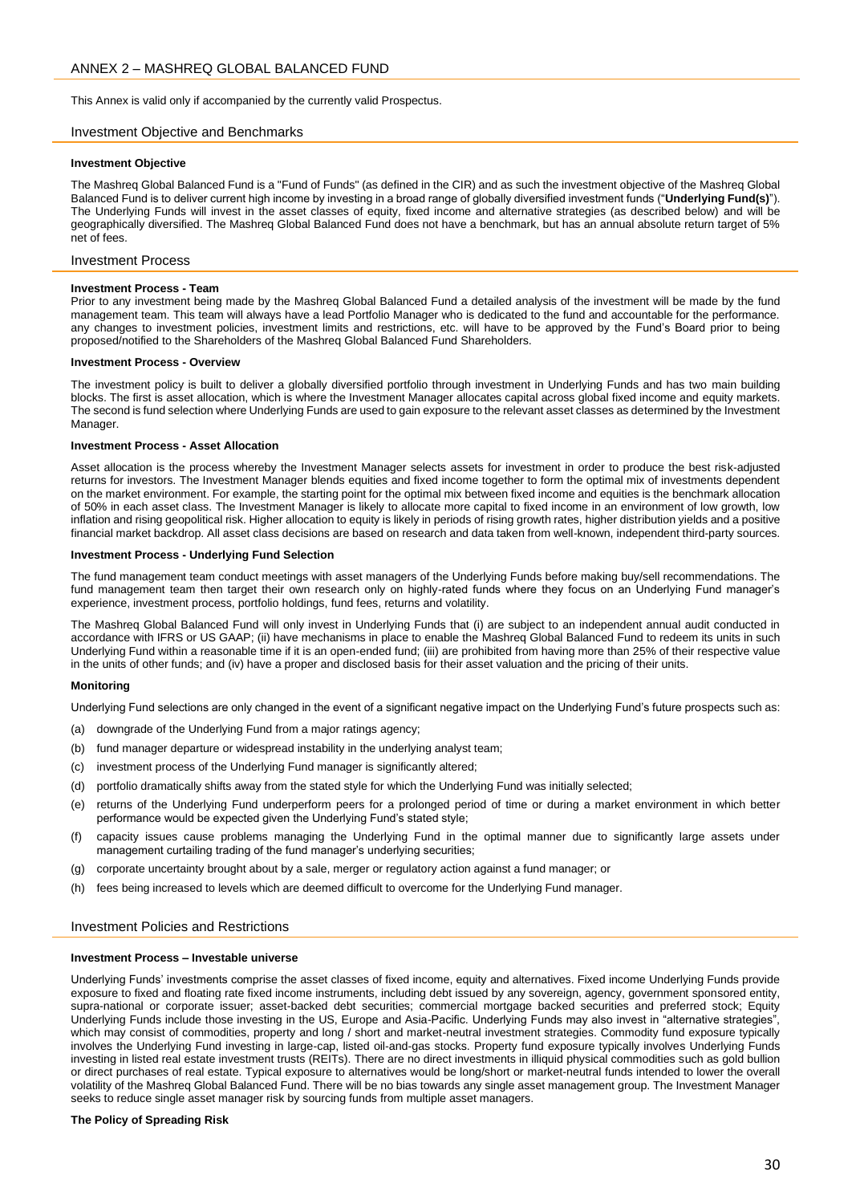<span id="page-29-0"></span>This Annex is valid only if accompanied by the currently valid Prospectus.

# Investment Objective and Benchmarks

#### **Investment Objective**

The Mashreq Global Balanced Fund is a "Fund of Funds" (as defined in the CIR) and as such the investment objective of the Mashreq Global Balanced Fund is to deliver current high income by investing in a broad range of globally diversified investment funds ("**Underlying Fund(s)**"). The Underlying Funds will invest in the asset classes of equity, fixed income and alternative strategies (as described below) and will be geographically diversified. The Mashreq Global Balanced Fund does not have a benchmark, but has an annual absolute return target of 5% net of fees.

# Investment Process

#### **Investment Process - Team**

Prior to any investment being made by the Mashreq Global Balanced Fund a detailed analysis of the investment will be made by the fund management team. This team will always have a lead Portfolio Manager who is dedicated to the fund and accountable for the performance. any changes to investment policies, investment limits and restrictions, etc. will have to be approved by the Fund's Board prior to being proposed/notified to the Shareholders of the Mashreq Global Balanced Fund Shareholders.

#### **Investment Process - Overview**

The investment policy is built to deliver a globally diversified portfolio through investment in Underlying Funds and has two main building blocks. The first is asset allocation, which is where the Investment Manager allocates capital across global fixed income and equity markets. The second is fund selection where Underlying Funds are used to gain exposure to the relevant asset classes as determined by the Investment Manager.

#### **Investment Process - Asset Allocation**

Asset allocation is the process whereby the Investment Manager selects assets for investment in order to produce the best risk-adjusted returns for investors. The Investment Manager blends equities and fixed income together to form the optimal mix of investments dependent on the market environment. For example, the starting point for the optimal mix between fixed income and equities is the benchmark allocation of 50% in each asset class. The Investment Manager is likely to allocate more capital to fixed income in an environment of low growth, low inflation and rising geopolitical risk. Higher allocation to equity is likely in periods of rising growth rates, higher distribution yields and a positive financial market backdrop. All asset class decisions are based on research and data taken from well-known, independent third-party sources.

## **Investment Process - Underlying Fund Selection**

The fund management team conduct meetings with asset managers of the Underlying Funds before making buy/sell recommendations. The fund management team then target their own research only on highly-rated funds where they focus on an Underlying Fund manager's experience, investment process, portfolio holdings, fund fees, returns and volatility.

The Mashreq Global Balanced Fund will only invest in Underlying Funds that (i) are subject to an independent annual audit conducted in accordance with IFRS or US GAAP; (ii) have mechanisms in place to enable the Mashreq Global Balanced Fund to redeem its units in such Underlying Fund within a reasonable time if it is an open-ended fund; (iii) are prohibited from having more than 25% of their respective value in the units of other funds; and (iv) have a proper and disclosed basis for their asset valuation and the pricing of their units.

## **Monitoring**

Underlying Fund selections are only changed in the event of a significant negative impact on the Underlying Fund's future prospects such as:

- (a) downgrade of the Underlying Fund from a major ratings agency;
- (b) fund manager departure or widespread instability in the underlying analyst team;
- (c) investment process of the Underlying Fund manager is significantly altered;
- (d) portfolio dramatically shifts away from the stated style for which the Underlying Fund was initially selected;
- (e) returns of the Underlying Fund underperform peers for a prolonged period of time or during a market environment in which better performance would be expected given the Underlying Fund's stated style;
- (f) capacity issues cause problems managing the Underlying Fund in the optimal manner due to significantly large assets under management curtailing trading of the fund manager's underlying securities;
- (g) corporate uncertainty brought about by a sale, merger or regulatory action against a fund manager; or
- (h) fees being increased to levels which are deemed difficult to overcome for the Underlying Fund manager.

## Investment Policies and Restrictions

#### **Investment Process – Investable universe**

Underlying Funds' investments comprise the asset classes of fixed income, equity and alternatives. Fixed income Underlying Funds provide exposure to fixed and floating rate fixed income instruments, including debt issued by any sovereign, agency, government sponsored entity, supra-national or corporate issuer; asset-backed debt securities; commercial mortgage backed securities and preferred stock; Equity Underlying Funds include those investing in the US, Europe and Asia-Pacific. Underlying Funds may also invest in "alternative strategies", which may consist of commodities, property and long / short and market-neutral investment strategies. Commodity fund exposure typically involves the Underlying Fund investing in large-cap, listed oil-and-gas stocks. Property fund exposure typically involves Underlying Funds investing in listed real estate investment trusts (REITs). There are no direct investments in illiquid physical commodities such as gold bullion or direct purchases of real estate. Typical exposure to alternatives would be long/short or market-neutral funds intended to lower the overall volatility of the Mashreq Global Balanced Fund. There will be no bias towards any single asset management group. The Investment Manager seeks to reduce single asset manager risk by sourcing funds from multiple asset managers.

## **The Policy of Spreading Risk**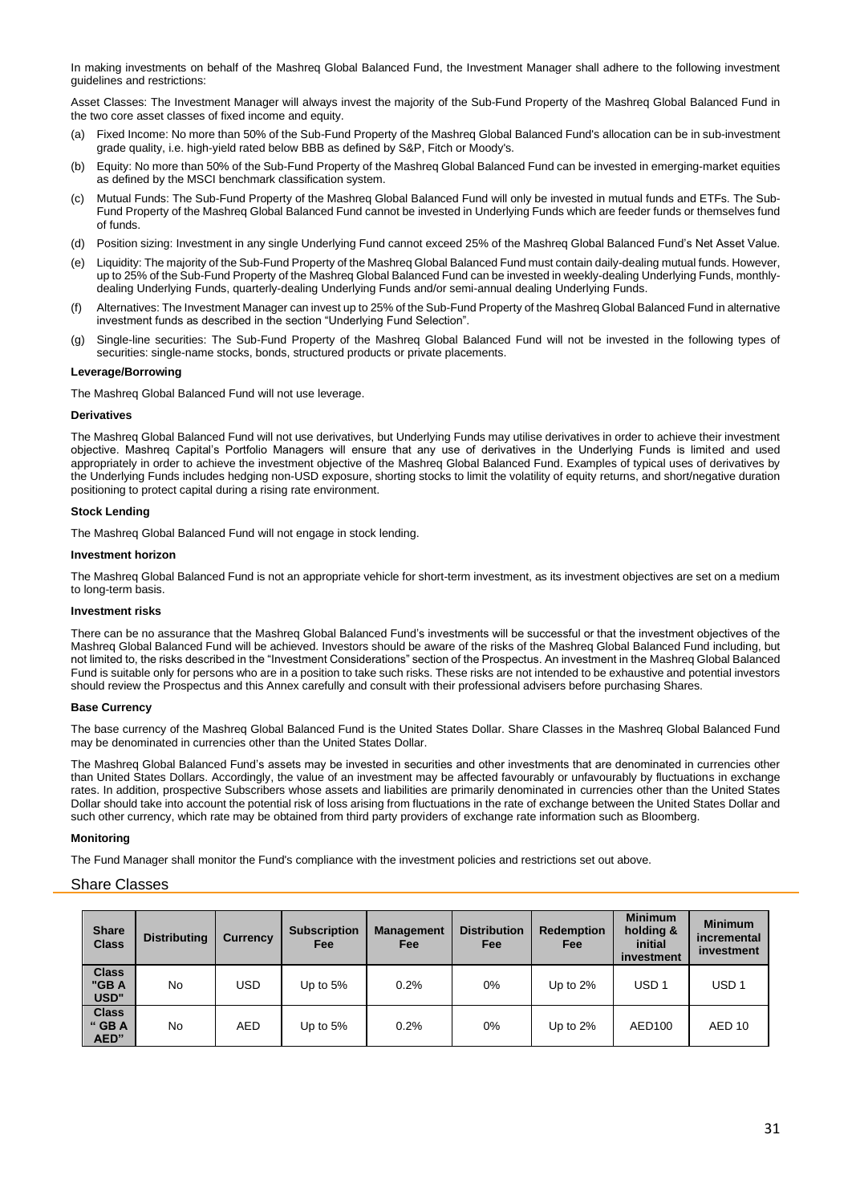In making investments on behalf of the Mashreq Global Balanced Fund, the Investment Manager shall adhere to the following investment guidelines and restrictions:

Asset Classes: The Investment Manager will always invest the majority of the Sub-Fund Property of the Mashreq Global Balanced Fund in the two core asset classes of fixed income and equity.

- (a) Fixed Income: No more than 50% of the Sub-Fund Property of the Mashreq Global Balanced Fund's allocation can be in sub-investment grade quality, i.e. high-yield rated below BBB as defined by S&P, Fitch or Moody's.
- (b) Equity: No more than 50% of the Sub-Fund Property of the Mashreq Global Balanced Fund can be invested in emerging-market equities as defined by the MSCI benchmark classification system.
- (c) Mutual Funds: The Sub-Fund Property of the Mashreq Global Balanced Fund will only be invested in mutual funds and ETFs. The Sub-Fund Property of the Mashreq Global Balanced Fund cannot be invested in Underlying Funds which are feeder funds or themselves fund of funds.
- (d) Position sizing: Investment in any single Underlying Fund cannot exceed 25% of the Mashreq Global Balanced Fund's Net Asset Value.
- (e) Liquidity: The majority of the Sub-Fund Property of the Mashreq Global Balanced Fund must contain daily-dealing mutual funds. However, up to 25% of the Sub-Fund Property of the Mashreq Global Balanced Fund can be invested in weekly-dealing Underlying Funds, monthlydealing Underlying Funds, quarterly-dealing Underlying Funds and/or semi-annual dealing Underlying Funds.
- (f) Alternatives: The Investment Manager can invest up to 25% of the Sub-Fund Property of the Mashreq Global Balanced Fund in alternative investment funds as described in the section "Underlying Fund Selection".
- (g) Single-line securities: The Sub-Fund Property of the Mashreq Global Balanced Fund will not be invested in the following types of securities: single-name stocks, bonds, structured products or private placements.

# **Leverage/Borrowing**

The Mashreq Global Balanced Fund will not use leverage.

# **Derivatives**

The Mashreq Global Balanced Fund will not use derivatives, but Underlying Funds may utilise derivatives in order to achieve their investment objective. Mashreq Capital's Portfolio Managers will ensure that any use of derivatives in the Underlying Funds is limited and used appropriately in order to achieve the investment objective of the Mashreq Global Balanced Fund. Examples of typical uses of derivatives by the Underlying Funds includes hedging non-USD exposure, shorting stocks to limit the volatility of equity returns, and short/negative duration positioning to protect capital during a rising rate environment.

# **Stock Lending**

The Mashreq Global Balanced Fund will not engage in stock lending.

# **Investment horizon**

The Mashreq Global Balanced Fund is not an appropriate vehicle for short-term investment, as its investment objectives are set on a medium to long-term basis.

# **Investment risks**

There can be no assurance that the Mashreq Global Balanced Fund's investments will be successful or that the investment objectives of the Mashreq Global Balanced Fund will be achieved. Investors should be aware of the risks of the Mashreq Global Balanced Fund including, but not limited to, the risks described in the "Investment Considerations" section of the Prospectus. An investment in the Mashreq Global Balanced Fund is suitable only for persons who are in a position to take such risks. These risks are not intended to be exhaustive and potential investors should review the Prospectus and this Annex carefully and consult with their professional advisers before purchasing Shares.

# **Base Currency**

The base currency of the Mashreq Global Balanced Fund is the United States Dollar. Share Classes in the Mashreq Global Balanced Fund may be denominated in currencies other than the United States Dollar.

The Mashreq Global Balanced Fund's assets may be invested in securities and other investments that are denominated in currencies other than United States Dollars. Accordingly, the value of an investment may be affected favourably or unfavourably by fluctuations in exchange rates. In addition, prospective Subscribers whose assets and liabilities are primarily denominated in currencies other than the United States Dollar should take into account the potential risk of loss arising from fluctuations in the rate of exchange between the United States Dollar and such other currency, which rate may be obtained from third party providers of exchange rate information such as Bloomberg.

# **Monitoring**

The Fund Manager shall monitor the Fund's compliance with the investment policies and restrictions set out above.

# Share Classes

| <b>Share</b><br><b>Class</b>    | <b>Distributing</b> | <b>Currency</b> | <b>Subscription</b><br><b>Fee</b> | <b>Management</b><br><b>Fee</b> | <b>Distribution</b><br>Fee | <b>Redemption</b><br>Fee | <b>Minimum</b><br>holding &<br>initial<br>investment | <b>Minimum</b><br>incremental<br>investment |
|---------------------------------|---------------------|-----------------|-----------------------------------|---------------------------------|----------------------------|--------------------------|------------------------------------------------------|---------------------------------------------|
| <b>Class</b><br>"GB A<br>USD"   | No.                 | USD             | Up to $5%$                        | 0.2%                            | $0\%$                      | Up to $2\%$              | USD 1                                                | USD 1                                       |
| <b>Class</b><br>" $GBA$<br>AED" | No.                 | <b>AED</b>      | Up to $5%$                        | 0.2%                            | 0%                         | Up to $2\%$              | AED100                                               | AED <sub>10</sub>                           |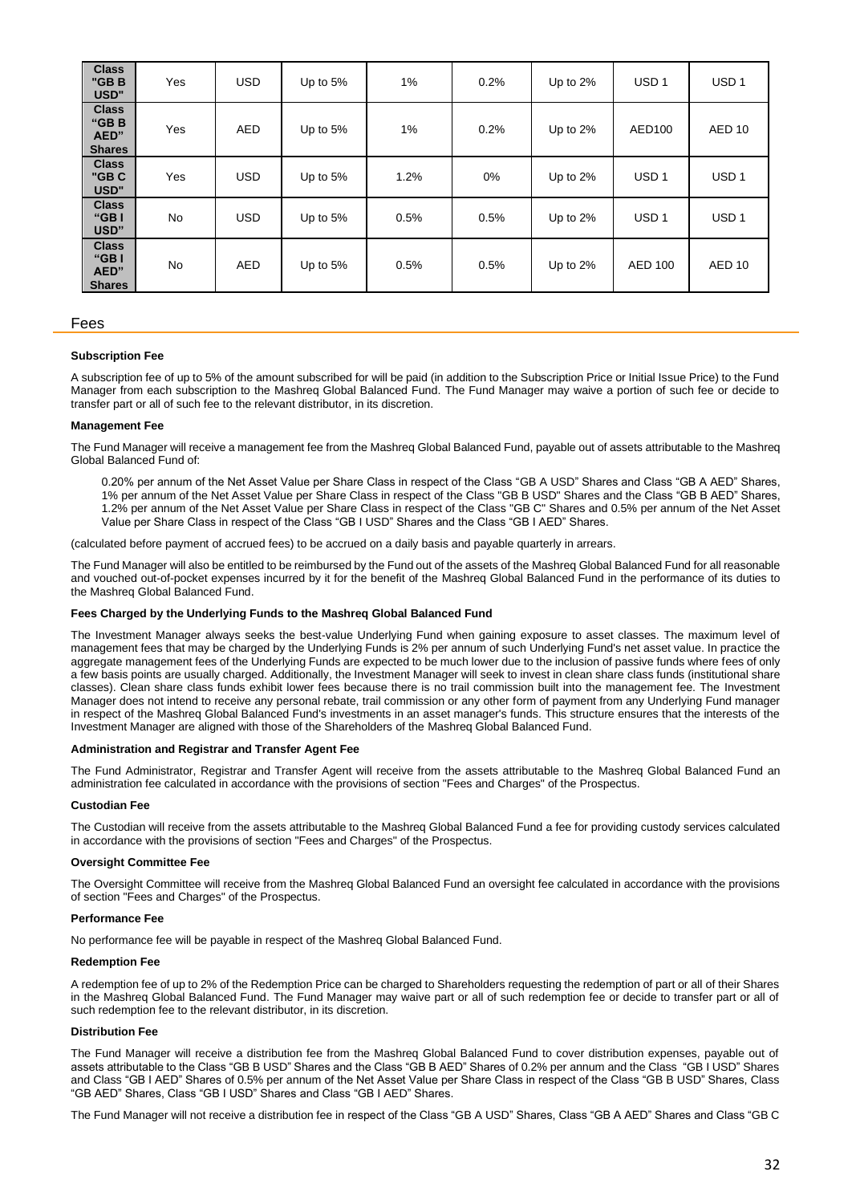| <b>Class</b><br>"GBB<br>USD"                  | Yes | <b>USD</b> | Up to 5%   | 1%   | 0.2% | Up to 2%    | USD <sub>1</sub> | USD <sub>1</sub>  |
|-----------------------------------------------|-----|------------|------------|------|------|-------------|------------------|-------------------|
| <b>Class</b><br>"GBB<br>AED"<br><b>Shares</b> | Yes | <b>AED</b> | Up to 5%   | 1%   | 0.2% | Up to 2%    | AED100           | AED <sub>10</sub> |
| <b>Class</b><br>"GBC<br>USD"                  | Yes | <b>USD</b> | Up to $5%$ | 1.2% | 0%   | Up to $2\%$ | USD <sub>1</sub> | USD <sub>1</sub>  |
| <b>Class</b><br>"GB<br>USD"                   | No  | <b>USD</b> | Up to 5%   | 0.5% | 0.5% | Up to 2%    | USD <sub>1</sub> | USD <sub>1</sub>  |
| <b>Class</b><br>"GB<br>AED"<br><b>Shares</b>  | No  | <b>AED</b> | Up to 5%   | 0.5% | 0.5% | Up to 2%    | <b>AED 100</b>   | AED <sub>10</sub> |

# Fees

#### **Subscription Fee**

A subscription fee of up to 5% of the amount subscribed for will be paid (in addition to the Subscription Price or Initial Issue Price) to the Fund Manager from each subscription to the Mashreq Global Balanced Fund. The Fund Manager may waive a portion of such fee or decide to transfer part or all of such fee to the relevant distributor, in its discretion.

## **Management Fee**

The Fund Manager will receive a management fee from the Mashreq Global Balanced Fund, payable out of assets attributable to the Mashreq Global Balanced Fund of:

0.20% per annum of the Net Asset Value per Share Class in respect of the Class "GB A USD" Shares and Class "GB A AED" Shares, 1% per annum of the Net Asset Value per Share Class in respect of the Class "GB B USD" Shares and the Class "GB B AED" Shares, 1.2% per annum of the Net Asset Value per Share Class in respect of the Class "GB C" Shares and 0.5% per annum of the Net Asset Value per Share Class in respect of the Class "GB I USD" Shares and the Class "GB I AED" Shares.

(calculated before payment of accrued fees) to be accrued on a daily basis and payable quarterly in arrears.

The Fund Manager will also be entitled to be reimbursed by the Fund out of the assets of the Mashreq Global Balanced Fund for all reasonable and vouched out-of-pocket expenses incurred by it for the benefit of the Mashreq Global Balanced Fund in the performance of its duties to the Mashreq Global Balanced Fund.

## **Fees Charged by the Underlying Funds to the Mashreq Global Balanced Fund**

The Investment Manager always seeks the best-value Underlying Fund when gaining exposure to asset classes. The maximum level of management fees that may be charged by the Underlying Funds is 2% per annum of such Underlying Fund's net asset value. In practice the aggregate management fees of the Underlying Funds are expected to be much lower due to the inclusion of passive funds where fees of only a few basis points are usually charged. Additionally, the Investment Manager will seek to invest in clean share class funds (institutional share classes). Clean share class funds exhibit lower fees because there is no trail commission built into the management fee. The Investment Manager does not intend to receive any personal rebate, trail commission or any other form of payment from any Underlying Fund manager in respect of the Mashreq Global Balanced Fund's investments in an asset manager's funds. This structure ensures that the interests of the Investment Manager are aligned with those of the Shareholders of the Mashreq Global Balanced Fund.

#### **Administration and Registrar and Transfer Agent Fee**

The Fund Administrator, Registrar and Transfer Agent will receive from the assets attributable to the Mashreq Global Balanced Fund an administration fee calculated in accordance with the provisions of section "Fees and Charges" of the Prospectus.

#### **Custodian Fee**

The Custodian will receive from the assets attributable to the Mashreq Global Balanced Fund a fee for providing custody services calculated in accordance with the provisions of section "Fees and Charges" of the Prospectus.

#### **Oversight Committee Fee**

The Oversight Committee will receive from the Mashreq Global Balanced Fund an oversight fee calculated in accordance with the provisions of section "Fees and Charges" of the Prospectus.

#### **Performance Fee**

No performance fee will be payable in respect of the Mashreq Global Balanced Fund.

#### **Redemption Fee**

A redemption fee of up to 2% of the Redemption Price can be charged to Shareholders requesting the redemption of part or all of their Shares in the Mashreq Global Balanced Fund. The Fund Manager may waive part or all of such redemption fee or decide to transfer part or all of such redemption fee to the relevant distributor, in its discretion.

#### **Distribution Fee**

The Fund Manager will receive a distribution fee from the Mashreq Global Balanced Fund to cover distribution expenses, payable out of assets attributable to the Class "GB B USD" Shares and the Class "GB B AED" Shares of 0.2% per annum and the Class "GB I USD" Shares and Class "GB I AED" Shares of 0.5% per annum of the Net Asset Value per Share Class in respect of the Class "GB B USD" Shares, Class "GB AED" Shares, Class "GB I USD" Shares and Class "GB I AED" Shares.

The Fund Manager will not receive a distribution fee in respect of the Class "GB A USD" Shares, Class "GB A AED" Shares and Class "GB C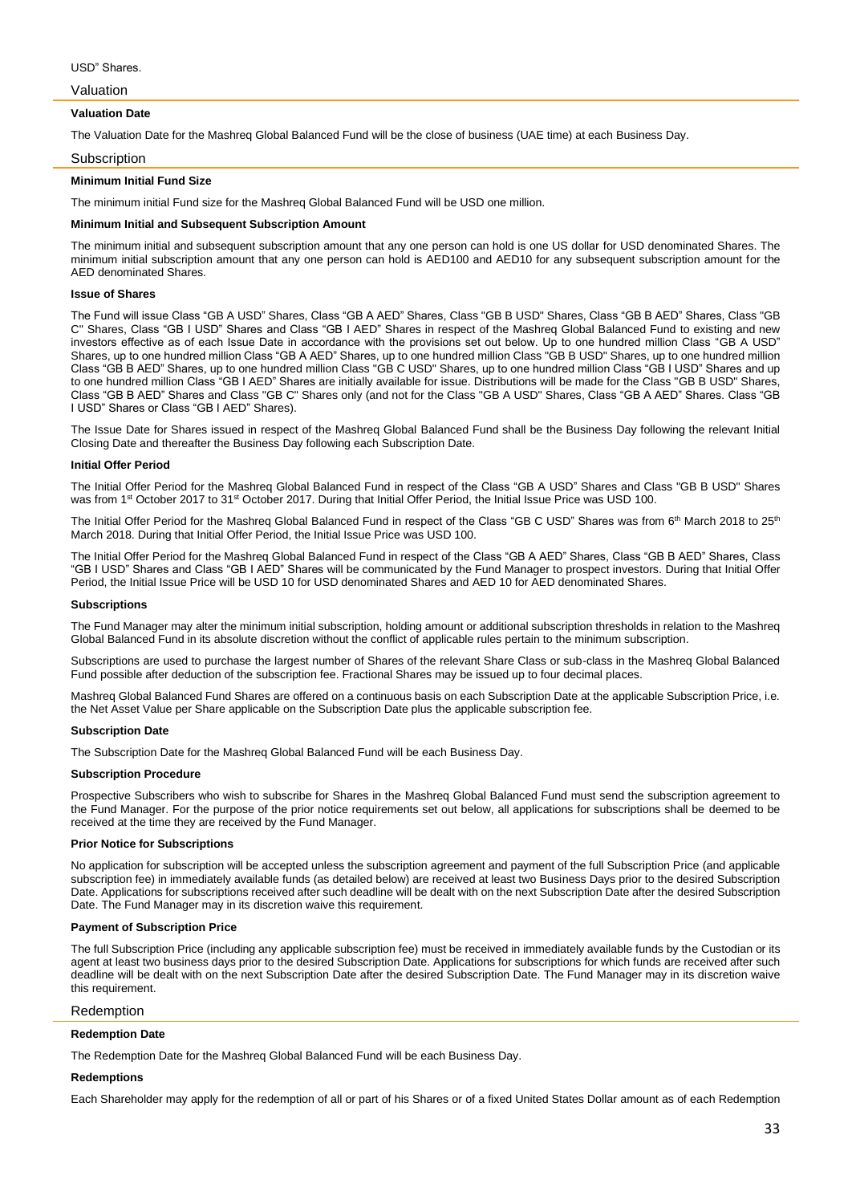Valuation

#### **Valuation Date**

The Valuation Date for the Mashreq Global Balanced Fund will be the close of business (UAE time) at each Business Day.

#### Subscription

## **Minimum Initial Fund Size**

The minimum initial Fund size for the Mashreq Global Balanced Fund will be USD one million.

#### **Minimum Initial and Subsequent Subscription Amount**

The minimum initial and subsequent subscription amount that any one person can hold is one US dollar for USD denominated Shares. The minimum initial subscription amount that any one person can hold is AED100 and AED10 for any subsequent subscription amount for the AED denominated Shares.

## **Issue of Shares**

The Fund will issue Class "GB A USD" Shares, Class "GB A AED" Shares, Class "GB B USD" Shares, Class "GB B AED" Shares, Class "GB C" Shares, Class "GB I USD" Shares and Class "GB I AED" Shares in respect of the Mashreq Global Balanced Fund to existing and new investors effective as of each Issue Date in accordance with the provisions set out below. Up to one hundred million Class "GB A USD" Shares, up to one hundred million Class "GB A AED" Shares, up to one hundred million Class "GB B USD" Shares, up to one hundred million Class "GB B AED" Shares, up to one hundred million Class "GB C USD" Shares, up to one hundred million Class "GB I USD" Shares and up to one hundred million Class "GB I AED" Shares are initially available for issue. Distributions will be made for the Class "GB B USD" Shares, Class "GB B AED" Shares and Class "GB C" Shares only (and not for the Class "GB A USD" Shares, Class "GB A AED" Shares. Class "GB I USD" Shares or Class "GB I AED" Shares).

The Issue Date for Shares issued in respect of the Mashreq Global Balanced Fund shall be the Business Day following the relevant Initial Closing Date and thereafter the Business Day following each Subscription Date.

#### **Initial Offer Period**

The Initial Offer Period for the Mashreq Global Balanced Fund in respect of the Class "GB A USD" Shares and Class "GB B USD" Shares was from 1<sup>st</sup> October 2017 to 31<sup>st</sup> October 2017. During that Initial Offer Period, the Initial Issue Price was USD 100.

The Initial Offer Period for the Mashreq Global Balanced Fund in respect of the Class "GB C USD" Shares was from 6<sup>th</sup> March 2018 to 25<sup>th</sup> March 2018. During that Initial Offer Period, the Initial Issue Price was USD 100.

The Initial Offer Period for the Mashreq Global Balanced Fund in respect of the Class "GB A AED" Shares, Class "GB B AED" Shares, Class "GB I USD" Shares and Class "GB I AED" Shares will be communicated by the Fund Manager to prospect investors. During that Initial Offer Period, the Initial Issue Price will be USD 10 for USD denominated Shares and AED 10 for AED denominated Shares.

#### **Subscriptions**

The Fund Manager may alter the minimum initial subscription, holding amount or additional subscription thresholds in relation to the Mashreq Global Balanced Fund in its absolute discretion without the conflict of applicable rules pertain to the minimum subscription.

Subscriptions are used to purchase the largest number of Shares of the relevant Share Class or sub-class in the Mashreq Global Balanced Fund possible after deduction of the subscription fee. Fractional Shares may be issued up to four decimal places.

Mashreq Global Balanced Fund Shares are offered on a continuous basis on each Subscription Date at the applicable Subscription Price, i.e. the Net Asset Value per Share applicable on the Subscription Date plus the applicable subscription fee.

#### **Subscription Date**

The Subscription Date for the Mashreq Global Balanced Fund will be each Business Day.

## **Subscription Procedure**

Prospective Subscribers who wish to subscribe for Shares in the Mashreq Global Balanced Fund must send the subscription agreement to the Fund Manager. For the purpose of the prior notice requirements set out below, all applications for subscriptions shall be deemed to be received at the time they are received by the Fund Manager.

## **Prior Notice for Subscriptions**

No application for subscription will be accepted unless the subscription agreement and payment of the full Subscription Price (and applicable subscription fee) in immediately available funds (as detailed below) are received at least two Business Days prior to the desired Subscription Date. Applications for subscriptions received after such deadline will be dealt with on the next Subscription Date after the desired Subscription Date. The Fund Manager may in its discretion waive this requirement.

#### **Payment of Subscription Price**

The full Subscription Price (including any applicable subscription fee) must be received in immediately available funds by the Custodian or its agent at least two business days prior to the desired Subscription Date. Applications for subscriptions for which funds are received after such deadline will be dealt with on the next Subscription Date after the desired Subscription Date. The Fund Manager may in its discretion waive this requirement.

## Redemption

#### **Redemption Date**

The Redemption Date for the Mashreq Global Balanced Fund will be each Business Day.

#### **Redemptions**

Each Shareholder may apply for the redemption of all or part of his Shares or of a fixed United States Dollar amount as of each Redemption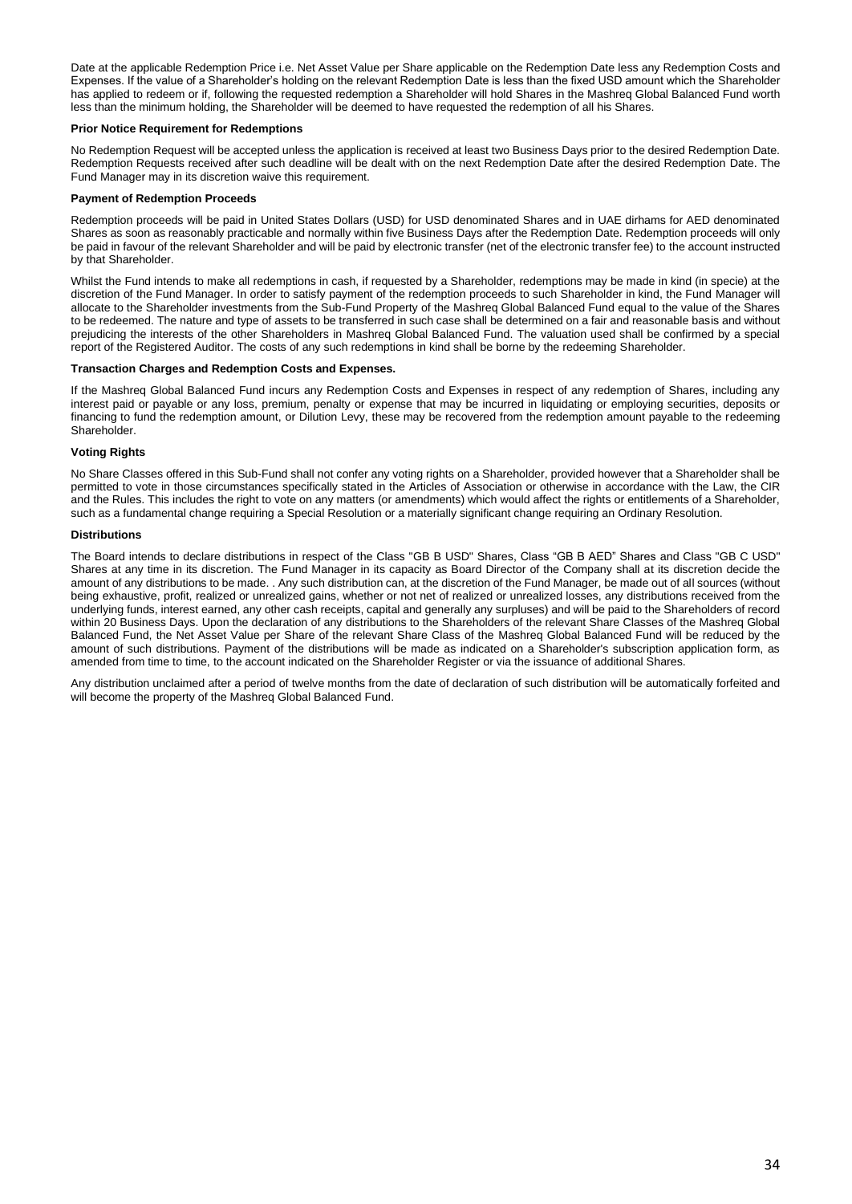Date at the applicable Redemption Price i.e. Net Asset Value per Share applicable on the Redemption Date less any Redemption Costs and Expenses. If the value of a Shareholder's holding on the relevant Redemption Date is less than the fixed USD amount which the Shareholder has applied to redeem or if, following the requested redemption a Shareholder will hold Shares in the Mashreq Global Balanced Fund worth less than the minimum holding, the Shareholder will be deemed to have requested the redemption of all his Shares.

## **Prior Notice Requirement for Redemptions**

No Redemption Request will be accepted unless the application is received at least two Business Days prior to the desired Redemption Date. Redemption Requests received after such deadline will be dealt with on the next Redemption Date after the desired Redemption Date. The Fund Manager may in its discretion waive this requirement.

## **Payment of Redemption Proceeds**

Redemption proceeds will be paid in United States Dollars (USD) for USD denominated Shares and in UAE dirhams for AED denominated Shares as soon as reasonably practicable and normally within five Business Days after the Redemption Date. Redemption proceeds will only be paid in favour of the relevant Shareholder and will be paid by electronic transfer (net of the electronic transfer fee) to the account instructed by that Shareholder.

Whilst the Fund intends to make all redemptions in cash, if requested by a Shareholder, redemptions may be made in kind (in specie) at the discretion of the Fund Manager. In order to satisfy payment of the redemption proceeds to such Shareholder in kind, the Fund Manager will allocate to the Shareholder investments from the Sub-Fund Property of the Mashreq Global Balanced Fund equal to the value of the Shares to be redeemed. The nature and type of assets to be transferred in such case shall be determined on a fair and reasonable basis and without prejudicing the interests of the other Shareholders in Mashreq Global Balanced Fund. The valuation used shall be confirmed by a special report of the Registered Auditor. The costs of any such redemptions in kind shall be borne by the redeeming Shareholder.

# **Transaction Charges and Redemption Costs and Expenses.**

If the Mashreq Global Balanced Fund incurs any Redemption Costs and Expenses in respect of any redemption of Shares, including any interest paid or payable or any loss, premium, penalty or expense that may be incurred in liquidating or employing securities, deposits or financing to fund the redemption amount, or Dilution Levy, these may be recovered from the redemption amount payable to the redeeming Shareholder.

# **Voting Rights**

No Share Classes offered in this Sub-Fund shall not confer any voting rights on a Shareholder, provided however that a Shareholder shall be permitted to vote in those circumstances specifically stated in the Articles of Association or otherwise in accordance with the Law, the CIR and the Rules. This includes the right to vote on any matters (or amendments) which would affect the rights or entitlements of a Shareholder, such as a fundamental change requiring a Special Resolution or a materially significant change requiring an Ordinary Resolution.

# **Distributions**

The Board intends to declare distributions in respect of the Class "GB B USD" Shares, Class "GB B AED" Shares and Class "GB C USD" Shares at any time in its discretion. The Fund Manager in its capacity as Board Director of the Company shall at its discretion decide the amount of any distributions to be made. . Any such distribution can, at the discretion of the Fund Manager, be made out of all sources (without being exhaustive, profit, realized or unrealized gains, whether or not net of realized or unrealized losses, any distributions received from the underlying funds, interest earned, any other cash receipts, capital and generally any surpluses) and will be paid to the Shareholders of record within 20 Business Days. Upon the declaration of any distributions to the Shareholders of the relevant Share Classes of the Mashreq Global Balanced Fund, the Net Asset Value per Share of the relevant Share Class of the Mashreq Global Balanced Fund will be reduced by the amount of such distributions. Payment of the distributions will be made as indicated on a Shareholder's subscription application form, as amended from time to time, to the account indicated on the Shareholder Register or via the issuance of additional Shares.

Any distribution unclaimed after a period of twelve months from the date of declaration of such distribution will be automatically forfeited and will become the property of the Mashreq Global Balanced Fund.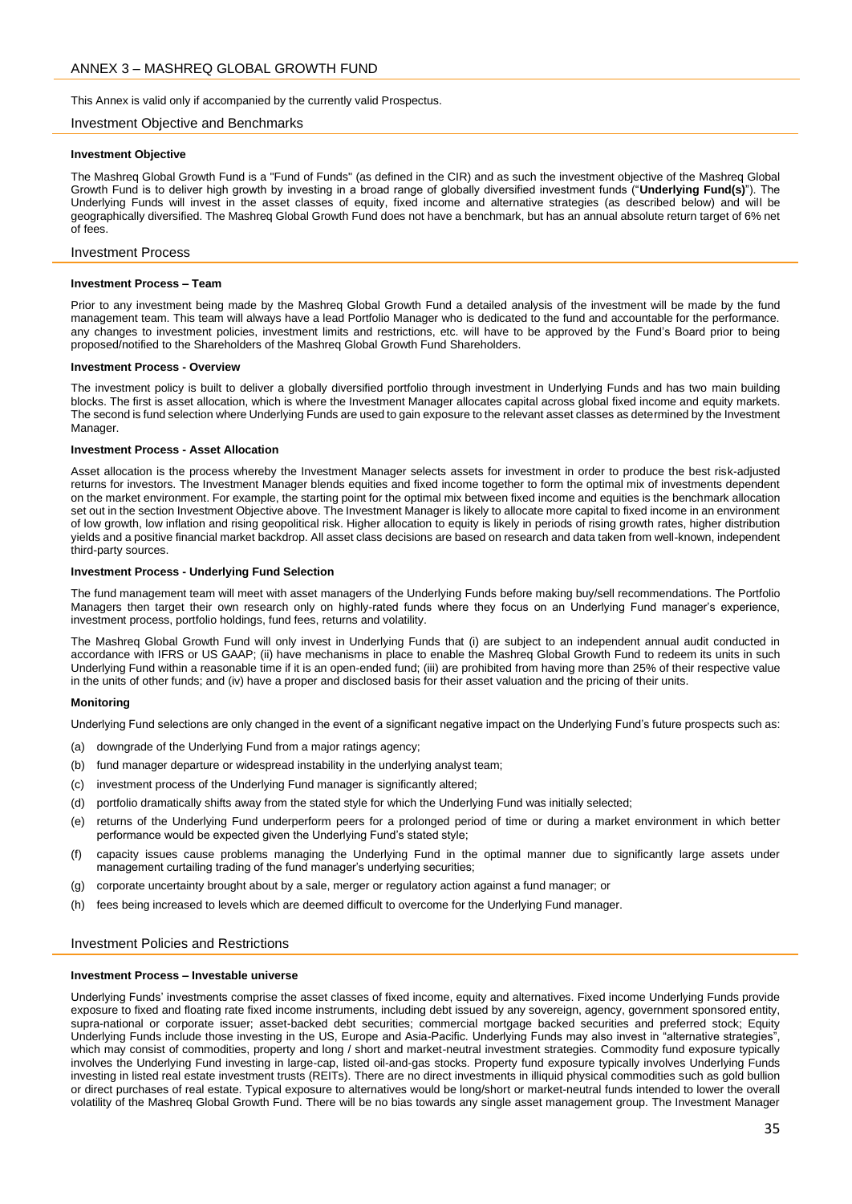<span id="page-34-0"></span>This Annex is valid only if accompanied by the currently valid Prospectus.

## Investment Objective and Benchmarks

#### **Investment Objective**

The Mashreq Global Growth Fund is a "Fund of Funds" (as defined in the CIR) and as such the investment objective of the Mashreq Global Growth Fund is to deliver high growth by investing in a broad range of globally diversified investment funds ("**Underlying Fund(s)**"). The Underlying Funds will invest in the asset classes of equity, fixed income and alternative strategies (as described below) and will be geographically diversified. The Mashreq Global Growth Fund does not have a benchmark, but has an annual absolute return target of 6% net of fees.

#### Investment Process

#### **Investment Process – Team**

Prior to any investment being made by the Mashreq Global Growth Fund a detailed analysis of the investment will be made by the fund management team. This team will always have a lead Portfolio Manager who is dedicated to the fund and accountable for the performance. any changes to investment policies, investment limits and restrictions, etc. will have to be approved by the Fund's Board prior to being proposed/notified to the Shareholders of the Mashreq Global Growth Fund Shareholders.

#### **Investment Process - Overview**

The investment policy is built to deliver a globally diversified portfolio through investment in Underlying Funds and has two main building blocks. The first is asset allocation, which is where the Investment Manager allocates capital across global fixed income and equity markets. The second is fund selection where Underlying Funds are used to gain exposure to the relevant asset classes as determined by the Investment Manager.

#### **Investment Process - Asset Allocation**

Asset allocation is the process whereby the Investment Manager selects assets for investment in order to produce the best risk-adjusted returns for investors. The Investment Manager blends equities and fixed income together to form the optimal mix of investments dependent on the market environment. For example, the starting point for the optimal mix between fixed income and equities is the benchmark allocation set out in the section Investment Objective above. The Investment Manager is likely to allocate more capital to fixed income in an environment of low growth, low inflation and rising geopolitical risk. Higher allocation to equity is likely in periods of rising growth rates, higher distribution yields and a positive financial market backdrop. All asset class decisions are based on research and data taken from well-known, independent third-party sources.

#### **Investment Process - Underlying Fund Selection**

The fund management team will meet with asset managers of the Underlying Funds before making buy/sell recommendations. The Portfolio Managers then target their own research only on highly-rated funds where they focus on an Underlying Fund manager's experience, investment process, portfolio holdings, fund fees, returns and volatility.

The Mashreq Global Growth Fund will only invest in Underlying Funds that (i) are subject to an independent annual audit conducted in accordance with IFRS or US GAAP; (ii) have mechanisms in place to enable the Mashreq Global Growth Fund to redeem its units in such Underlying Fund within a reasonable time if it is an open-ended fund; (iii) are prohibited from having more than 25% of their respective value in the units of other funds; and (iv) have a proper and disclosed basis for their asset valuation and the pricing of their units.

#### **Monitoring**

Underlying Fund selections are only changed in the event of a significant negative impact on the Underlying Fund's future prospects such as:

- (a) downgrade of the Underlying Fund from a major ratings agency;
- (b) fund manager departure or widespread instability in the underlying analyst team;
- (c) investment process of the Underlying Fund manager is significantly altered;
- (d) portfolio dramatically shifts away from the stated style for which the Underlying Fund was initially selected;
- (e) returns of the Underlying Fund underperform peers for a prolonged period of time or during a market environment in which better performance would be expected given the Underlying Fund's stated style;
- (f) capacity issues cause problems managing the Underlying Fund in the optimal manner due to significantly large assets under management curtailing trading of the fund manager's underlying securities;
- (g) corporate uncertainty brought about by a sale, merger or regulatory action against a fund manager; or
- (h) fees being increased to levels which are deemed difficult to overcome for the Underlying Fund manager.

## Investment Policies and Restrictions

## **Investment Process – Investable universe**

Underlying Funds' investments comprise the asset classes of fixed income, equity and alternatives. Fixed income Underlying Funds provide exposure to fixed and floating rate fixed income instruments, including debt issued by any sovereign, agency, government sponsored entity, supra-national or corporate issuer; asset-backed debt securities; commercial mortgage backed securities and preferred stock; Equity Underlying Funds include those investing in the US, Europe and Asia-Pacific. Underlying Funds may also invest in "alternative strategies", which may consist of commodities, property and long / short and market-neutral investment strategies. Commodity fund exposure typically involves the Underlying Fund investing in large-cap, listed oil-and-gas stocks. Property fund exposure typically involves Underlying Funds investing in listed real estate investment trusts (REITs). There are no direct investments in illiquid physical commodities such as gold bullion or direct purchases of real estate. Typical exposure to alternatives would be long/short or market-neutral funds intended to lower the overall volatility of the Mashreq Global Growth Fund. There will be no bias towards any single asset management group. The Investment Manager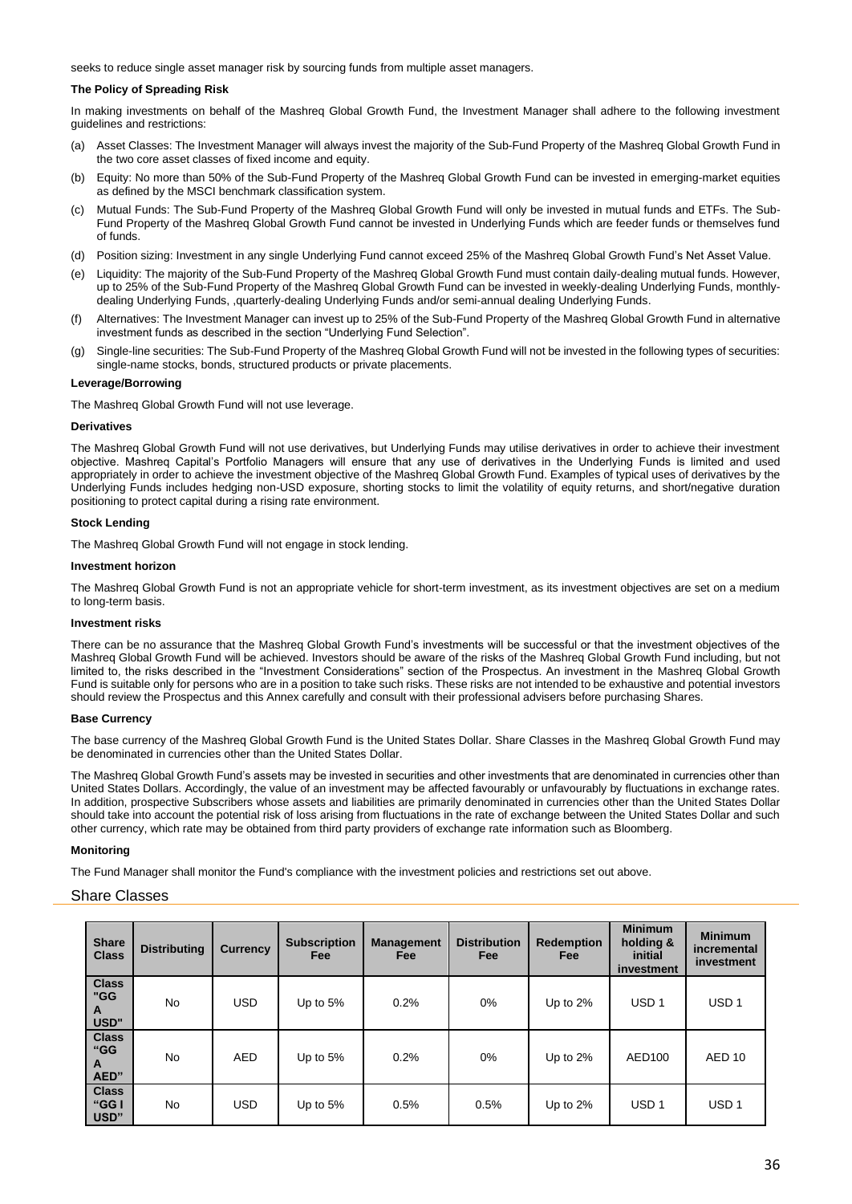seeks to reduce single asset manager risk by sourcing funds from multiple asset managers.

# **The Policy of Spreading Risk**

In making investments on behalf of the Mashreq Global Growth Fund, the Investment Manager shall adhere to the following investment guidelines and restrictions:

- (a) Asset Classes: The Investment Manager will always invest the majority of the Sub-Fund Property of the Mashreq Global Growth Fund in the two core asset classes of fixed income and equity.
- (b) Equity: No more than 50% of the Sub-Fund Property of the Mashreq Global Growth Fund can be invested in emerging-market equities as defined by the MSCI benchmark classification system.
- (c) Mutual Funds: The Sub-Fund Property of the Mashreq Global Growth Fund will only be invested in mutual funds and ETFs. The Sub-Fund Property of the Mashreq Global Growth Fund cannot be invested in Underlying Funds which are feeder funds or themselves fund of funds.
- (d) Position sizing: Investment in any single Underlying Fund cannot exceed 25% of the Mashreq Global Growth Fund's Net Asset Value.
- (e) Liquidity: The majority of the Sub-Fund Property of the Mashreq Global Growth Fund must contain daily-dealing mutual funds. However, up to 25% of the Sub-Fund Property of the Mashreq Global Growth Fund can be invested in weekly-dealing Underlying Funds, monthlydealing Underlying Funds, ,quarterly-dealing Underlying Funds and/or semi-annual dealing Underlying Funds.
- Alternatives: The Investment Manager can invest up to 25% of the Sub-Fund Property of the Mashreq Global Growth Fund in alternative investment funds as described in the section "Underlying Fund Selection".
- (g) Single-line securities: The Sub-Fund Property of the Mashreq Global Growth Fund will not be invested in the following types of securities: single-name stocks, bonds, structured products or private placements.

## **Leverage/Borrowing**

The Mashreq Global Growth Fund will not use leverage.

#### **Derivatives**

The Mashreq Global Growth Fund will not use derivatives, but Underlying Funds may utilise derivatives in order to achieve their investment objective. Mashreq Capital's Portfolio Managers will ensure that any use of derivatives in the Underlying Funds is limited and used appropriately in order to achieve the investment objective of the Mashreq Global Growth Fund. Examples of typical uses of derivatives by the Underlying Funds includes hedging non-USD exposure, shorting stocks to limit the volatility of equity returns, and short/negative duration positioning to protect capital during a rising rate environment.

## **Stock Lending**

The Mashreq Global Growth Fund will not engage in stock lending.

#### **Investment horizon**

The Mashreq Global Growth Fund is not an appropriate vehicle for short-term investment, as its investment objectives are set on a medium to long-term basis.

## **Investment risks**

There can be no assurance that the Mashreq Global Growth Fund's investments will be successful or that the investment objectives of the Mashreq Global Growth Fund will be achieved. Investors should be aware of the risks of the Mashreq Global Growth Fund including, but not limited to, the risks described in the "Investment Considerations" section of the Prospectus. An investment in the Mashreq Global Growth Fund is suitable only for persons who are in a position to take such risks. These risks are not intended to be exhaustive and potential investors should review the Prospectus and this Annex carefully and consult with their professional advisers before purchasing Shares.

#### **Base Currency**

The base currency of the Mashreq Global Growth Fund is the United States Dollar. Share Classes in the Mashreq Global Growth Fund may be denominated in currencies other than the United States Dollar.

The Mashreq Global Growth Fund's assets may be invested in securities and other investments that are denominated in currencies other than United States Dollars. Accordingly, the value of an investment may be affected favourably or unfavourably by fluctuations in exchange rates. In addition, prospective Subscribers whose assets and liabilities are primarily denominated in currencies other than the United States Dollar should take into account the potential risk of loss arising from fluctuations in the rate of exchange between the United States Dollar and such other currency, which rate may be obtained from third party providers of exchange rate information such as Bloomberg.

## **Monitoring**

The Fund Manager shall monitor the Fund's compliance with the investment policies and restrictions set out above.

# Share Classes

| <b>Share</b><br><b>Class</b>     | <b>Distributing</b> | <b>Currency</b> | <b>Subscription</b><br><b>Fee</b> | <b>Management</b><br><b>Fee</b> | <b>Distribution</b><br>Fee | <b>Redemption</b><br><b>Fee</b> | <b>Minimum</b><br>holding &<br>initial<br>investment | <b>Minimum</b><br>incremental<br>investment |
|----------------------------------|---------------------|-----------------|-----------------------------------|---------------------------------|----------------------------|---------------------------------|------------------------------------------------------|---------------------------------------------|
| <b>Class</b><br>"GG<br>A<br>USD" | <b>No</b>           | <b>USD</b>      | Up to $5%$                        | 0.2%                            | $0\%$                      | Up to $2\%$                     | USD <sub>1</sub>                                     | USD <sub>1</sub>                            |
| <b>Class</b><br>"GG<br>A<br>AED" | <b>No</b>           | <b>AED</b>      | Up to $5%$                        | 0.2%                            | $0\%$                      | Up to $2\%$                     | AED100                                               | AED <sub>10</sub>                           |
| <b>Class</b><br>"GG I<br>USD"    | <b>No</b>           | <b>USD</b>      | Up to $5%$                        | 0.5%                            | 0.5%                       | Up to $2\%$                     | USD <sub>1</sub>                                     | USD <sub>1</sub>                            |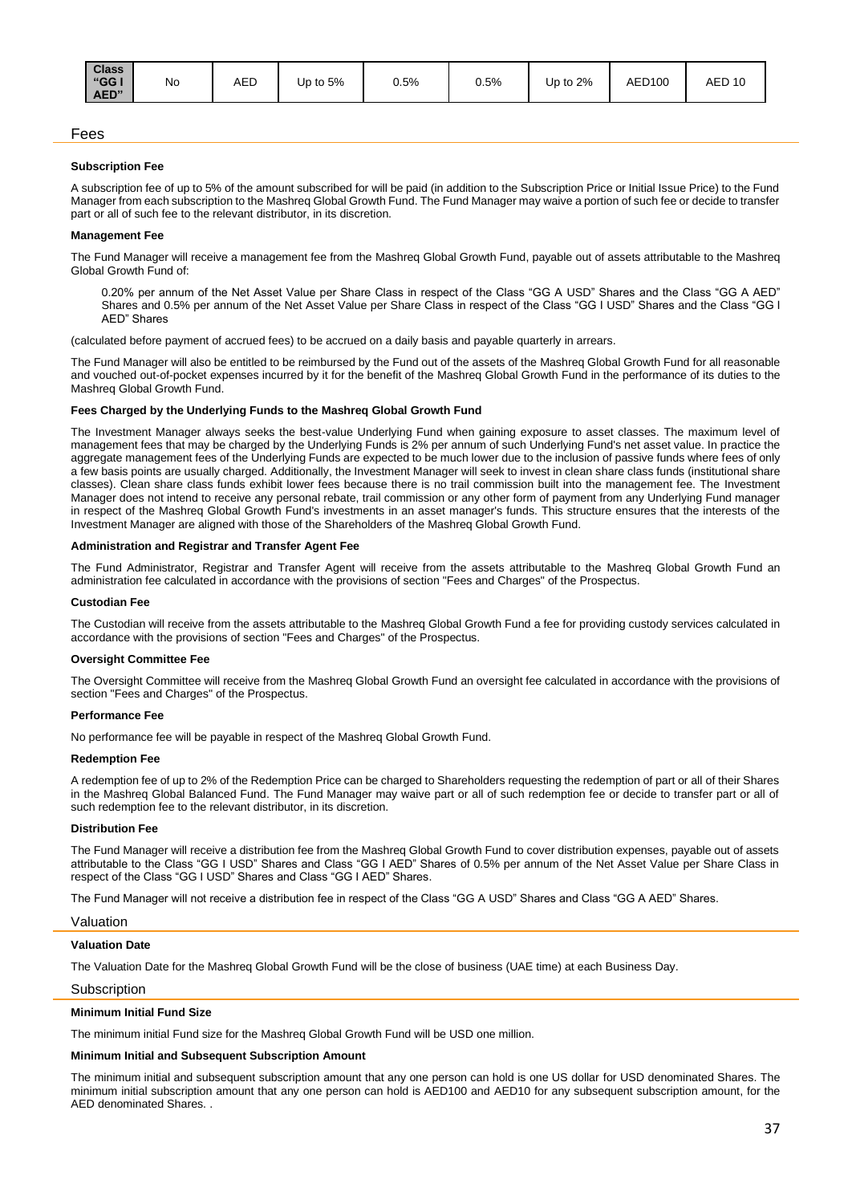| <b>Class</b><br>"GG I<br>AED" | No | <b>AED</b> | Up to $5%$ | 0.5% | 0.5% | Up to 2% | AED100 | <b>AED 10</b> |
|-------------------------------|----|------------|------------|------|------|----------|--------|---------------|
|-------------------------------|----|------------|------------|------|------|----------|--------|---------------|

## Fees

#### **Subscription Fee**

A subscription fee of up to 5% of the amount subscribed for will be paid (in addition to the Subscription Price or Initial Issue Price) to the Fund Manager from each subscription to the Mashreq Global Growth Fund. The Fund Manager may waive a portion of such fee or decide to transfer part or all of such fee to the relevant distributor, in its discretion.

#### **Management Fee**

The Fund Manager will receive a management fee from the Mashreq Global Growth Fund, payable out of assets attributable to the Mashreq Global Growth Fund of:

0.20% per annum of the Net Asset Value per Share Class in respect of the Class "GG A USD" Shares and the Class "GG A AED" Shares and 0.5% per annum of the Net Asset Value per Share Class in respect of the Class "GG I USD" Shares and the Class "GG I AED" Shares

(calculated before payment of accrued fees) to be accrued on a daily basis and payable quarterly in arrears.

The Fund Manager will also be entitled to be reimbursed by the Fund out of the assets of the Mashreq Global Growth Fund for all reasonable and vouched out-of-pocket expenses incurred by it for the benefit of the Mashreq Global Growth Fund in the performance of its duties to the Mashreq Global Growth Fund.

#### **Fees Charged by the Underlying Funds to the Mashreq Global Growth Fund**

The Investment Manager always seeks the best-value Underlying Fund when gaining exposure to asset classes. The maximum level of management fees that may be charged by the Underlying Funds is 2% per annum of such Underlying Fund's net asset value. In practice the aggregate management fees of the Underlying Funds are expected to be much lower due to the inclusion of passive funds where fees of only a few basis points are usually charged. Additionally, the Investment Manager will seek to invest in clean share class funds (institutional share classes). Clean share class funds exhibit lower fees because there is no trail commission built into the management fee. The Investment Manager does not intend to receive any personal rebate, trail commission or any other form of payment from any Underlying Fund manager in respect of the Mashreq Global Growth Fund's investments in an asset manager's funds. This structure ensures that the interests of the Investment Manager are aligned with those of the Shareholders of the Mashreq Global Growth Fund.

#### **Administration and Registrar and Transfer Agent Fee**

The Fund Administrator, Registrar and Transfer Agent will receive from the assets attributable to the Mashreq Global Growth Fund an administration fee calculated in accordance with the provisions of section "Fees and Charges" of the Prospectus.

#### **Custodian Fee**

The Custodian will receive from the assets attributable to the Mashreq Global Growth Fund a fee for providing custody services calculated in accordance with the provisions of section "Fees and Charges" of the Prospectus.

#### **Oversight Committee Fee**

The Oversight Committee will receive from the Mashreq Global Growth Fund an oversight fee calculated in accordance with the provisions of section "Fees and Charges" of the Prospectus.

#### **Performance Fee**

No performance fee will be payable in respect of the Mashreq Global Growth Fund.

#### **Redemption Fee**

A redemption fee of up to 2% of the Redemption Price can be charged to Shareholders requesting the redemption of part or all of their Shares in the Mashreq Global Balanced Fund. The Fund Manager may waive part or all of such redemption fee or decide to transfer part or all of such redemption fee to the relevant distributor, in its discretion.

#### **Distribution Fee**

The Fund Manager will receive a distribution fee from the Mashreq Global Growth Fund to cover distribution expenses, payable out of assets attributable to the Class "GG I USD" Shares and Class "GG I AED" Shares of 0.5% per annum of the Net Asset Value per Share Class in respect of the Class "GG I USD" Shares and Class "GG I AED" Shares.

The Fund Manager will not receive a distribution fee in respect of the Class "GG A USD" Shares and Class "GG A AED" Shares.

#### Valuation

## **Valuation Date**

The Valuation Date for the Mashreq Global Growth Fund will be the close of business (UAE time) at each Business Day.

#### **Subscription**

## **Minimum Initial Fund Size**

The minimum initial Fund size for the Mashreq Global Growth Fund will be USD one million.

# **Minimum Initial and Subsequent Subscription Amount**

The minimum initial and subsequent subscription amount that any one person can hold is one US dollar for USD denominated Shares. The minimum initial subscription amount that any one person can hold is AED100 and AED10 for any subsequent subscription amount, for the AED denominated Shares. .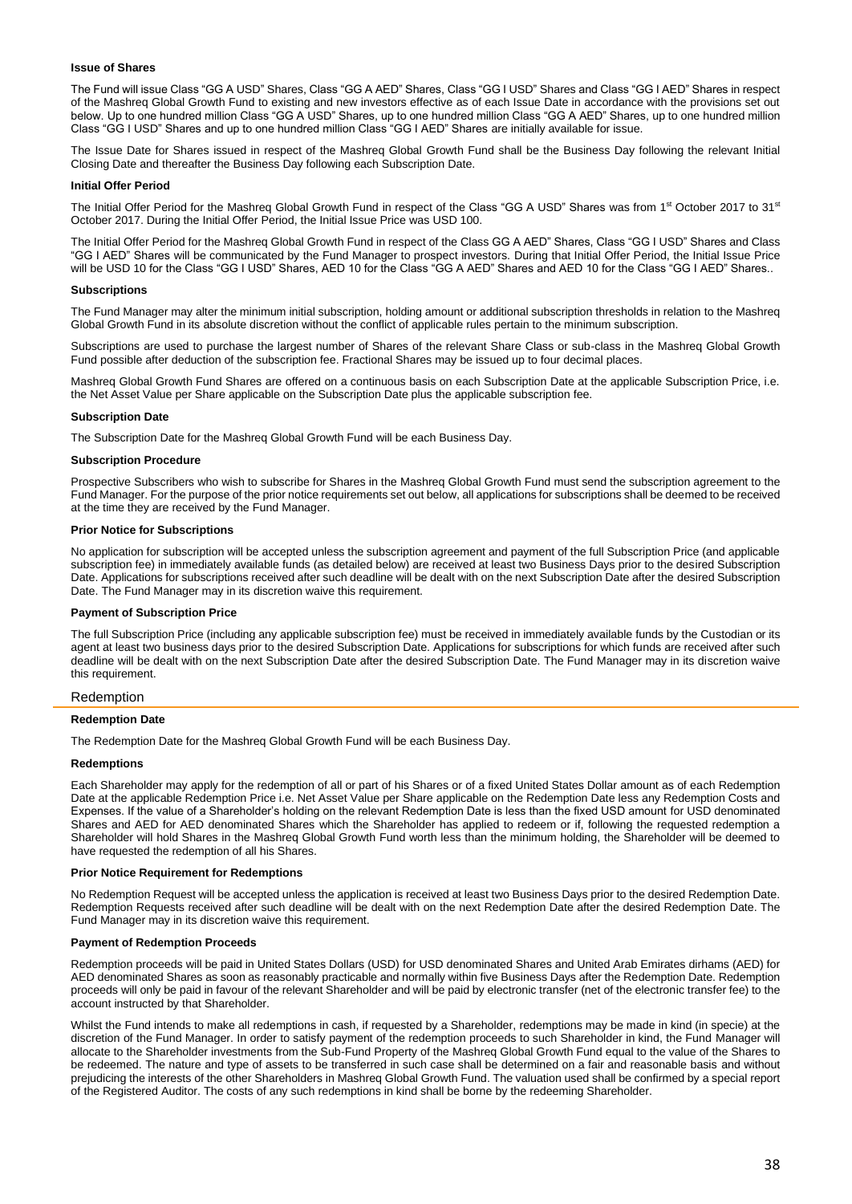## **Issue of Shares**

The Fund will issue Class "GG A USD" Shares, Class "GG A AED" Shares, Class "GG I USD" Shares and Class "GG I AED" Shares in respect of the Mashreq Global Growth Fund to existing and new investors effective as of each Issue Date in accordance with the provisions set out below. Up to one hundred million Class "GG A USD" Shares, up to one hundred million Class "GG A AED" Shares, up to one hundred million Class "GG I USD" Shares and up to one hundred million Class "GG I AED" Shares are initially available for issue.

The Issue Date for Shares issued in respect of the Mashreq Global Growth Fund shall be the Business Day following the relevant Initial Closing Date and thereafter the Business Day following each Subscription Date.

#### **Initial Offer Period**

The Initial Offer Period for the Mashreq Global Growth Fund in respect of the Class "GG A USD" Shares was from 1<sup>st</sup> October 2017 to 31<sup>st</sup> October 2017. During the Initial Offer Period, the Initial Issue Price was USD 100.

The Initial Offer Period for the Mashreq Global Growth Fund in respect of the Class GG A AED" Shares, Class "GG I USD" Shares and Class "GG I AED" Shares will be communicated by the Fund Manager to prospect investors. During that Initial Offer Period, the Initial Issue Price will be USD 10 for the Class "GG I USD" Shares, AED 10 for the Class "GG A AED" Shares and AED 10 for the Class "GG I AED" Shares..

#### **Subscriptions**

The Fund Manager may alter the minimum initial subscription, holding amount or additional subscription thresholds in relation to the Mashreq Global Growth Fund in its absolute discretion without the conflict of applicable rules pertain to the minimum subscription.

Subscriptions are used to purchase the largest number of Shares of the relevant Share Class or sub-class in the Mashreq Global Growth Fund possible after deduction of the subscription fee. Fractional Shares may be issued up to four decimal places.

Mashreq Global Growth Fund Shares are offered on a continuous basis on each Subscription Date at the applicable Subscription Price, i.e. the Net Asset Value per Share applicable on the Subscription Date plus the applicable subscription fee.

#### **Subscription Date**

The Subscription Date for the Mashreq Global Growth Fund will be each Business Day.

#### **Subscription Procedure**

Prospective Subscribers who wish to subscribe for Shares in the Mashreq Global Growth Fund must send the subscription agreement to the Fund Manager. For the purpose of the prior notice requirements set out below, all applications for subscriptions shall be deemed to be received at the time they are received by the Fund Manager.

#### **Prior Notice for Subscriptions**

No application for subscription will be accepted unless the subscription agreement and payment of the full Subscription Price (and applicable subscription fee) in immediately available funds (as detailed below) are received at least two Business Days prior to the desired Subscription Date. Applications for subscriptions received after such deadline will be dealt with on the next Subscription Date after the desired Subscription Date. The Fund Manager may in its discretion waive this requirement.

# **Payment of Subscription Price**

The full Subscription Price (including any applicable subscription fee) must be received in immediately available funds by the Custodian or its agent at least two business days prior to the desired Subscription Date. Applications for subscriptions for which funds are received after such deadline will be dealt with on the next Subscription Date after the desired Subscription Date. The Fund Manager may in its discretion waive this requirement.

## Redemption

#### **Redemption Date**

The Redemption Date for the Mashreq Global Growth Fund will be each Business Day.

#### **Redemptions**

Each Shareholder may apply for the redemption of all or part of his Shares or of a fixed United States Dollar amount as of each Redemption Date at the applicable Redemption Price i.e. Net Asset Value per Share applicable on the Redemption Date less any Redemption Costs and Expenses. If the value of a Shareholder's holding on the relevant Redemption Date is less than the fixed USD amount for USD denominated Shares and AED for AED denominated Shares which the Shareholder has applied to redeem or if, following the requested redemption a Shareholder will hold Shares in the Mashreq Global Growth Fund worth less than the minimum holding, the Shareholder will be deemed to have requested the redemption of all his Shares.

#### **Prior Notice Requirement for Redemptions**

No Redemption Request will be accepted unless the application is received at least two Business Days prior to the desired Redemption Date. Redemption Requests received after such deadline will be dealt with on the next Redemption Date after the desired Redemption Date. The Fund Manager may in its discretion waive this requirement.

#### **Payment of Redemption Proceeds**

Redemption proceeds will be paid in United States Dollars (USD) for USD denominated Shares and United Arab Emirates dirhams (AED) for AED denominated Shares as soon as reasonably practicable and normally within five Business Days after the Redemption Date. Redemption proceeds will only be paid in favour of the relevant Shareholder and will be paid by electronic transfer (net of the electronic transfer fee) to the account instructed by that Shareholder.

Whilst the Fund intends to make all redemptions in cash, if requested by a Shareholder, redemptions may be made in kind (in specie) at the discretion of the Fund Manager. In order to satisfy payment of the redemption proceeds to such Shareholder in kind, the Fund Manager will allocate to the Shareholder investments from the Sub-Fund Property of the Mashreq Global Growth Fund equal to the value of the Shares to be redeemed. The nature and type of assets to be transferred in such case shall be determined on a fair and reasonable basis and without prejudicing the interests of the other Shareholders in Mashreq Global Growth Fund. The valuation used shall be confirmed by a special report of the Registered Auditor. The costs of any such redemptions in kind shall be borne by the redeeming Shareholder.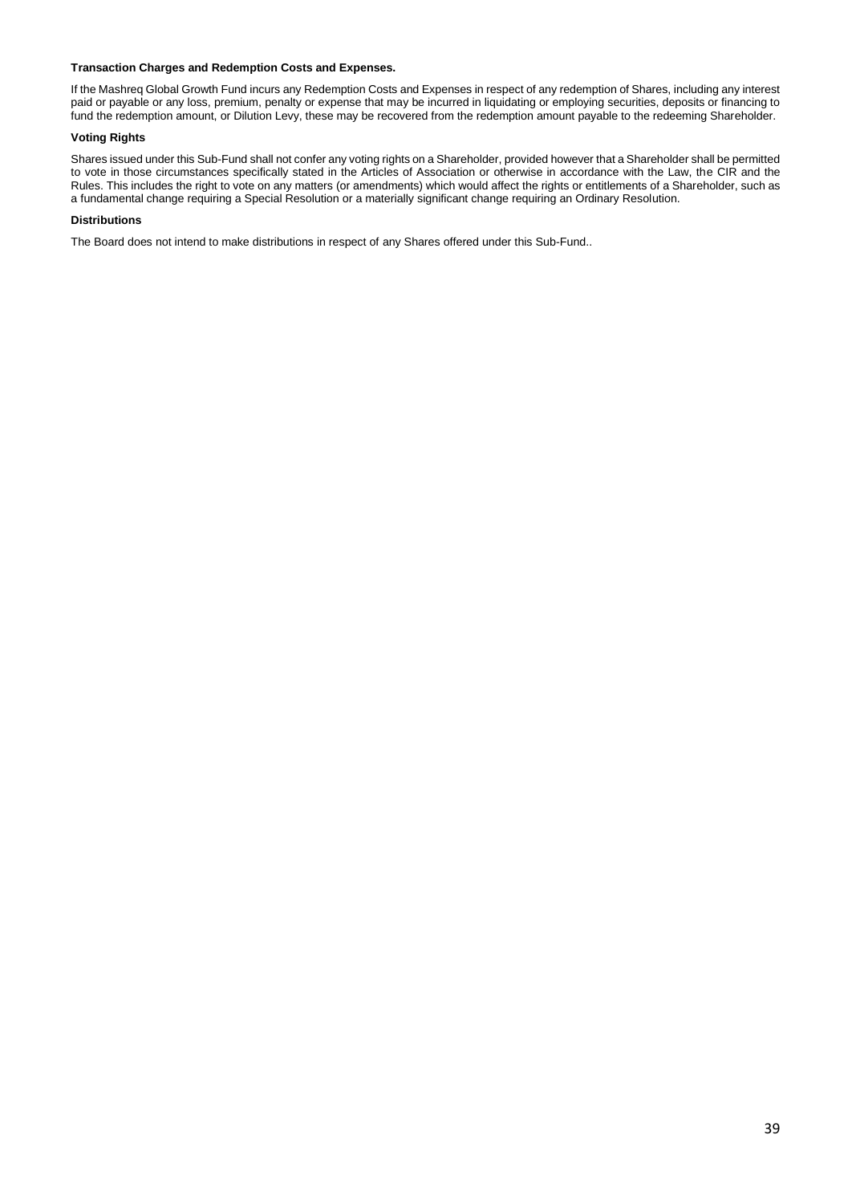# **Transaction Charges and Redemption Costs and Expenses.**

If the Mashreq Global Growth Fund incurs any Redemption Costs and Expenses in respect of any redemption of Shares, including any interest paid or payable or any loss, premium, penalty or expense that may be incurred in liquidating or employing securities, deposits or financing to fund the redemption amount, or Dilution Levy, these may be recovered from the redemption amount payable to the redeeming Shareholder.

# **Voting Rights**

Shares issued under this Sub-Fund shall not confer any voting rights on a Shareholder, provided however that a Shareholder shall be permitted to vote in those circumstances specifically stated in the Articles of Association or otherwise in accordance with the Law, the CIR and the Rules. This includes the right to vote on any matters (or amendments) which would affect the rights or entitlements of a Shareholder, such as a fundamental change requiring a Special Resolution or a materially significant change requiring an Ordinary Resolution.

## **Distributions**

The Board does not intend to make distributions in respect of any Shares offered under this Sub-Fund..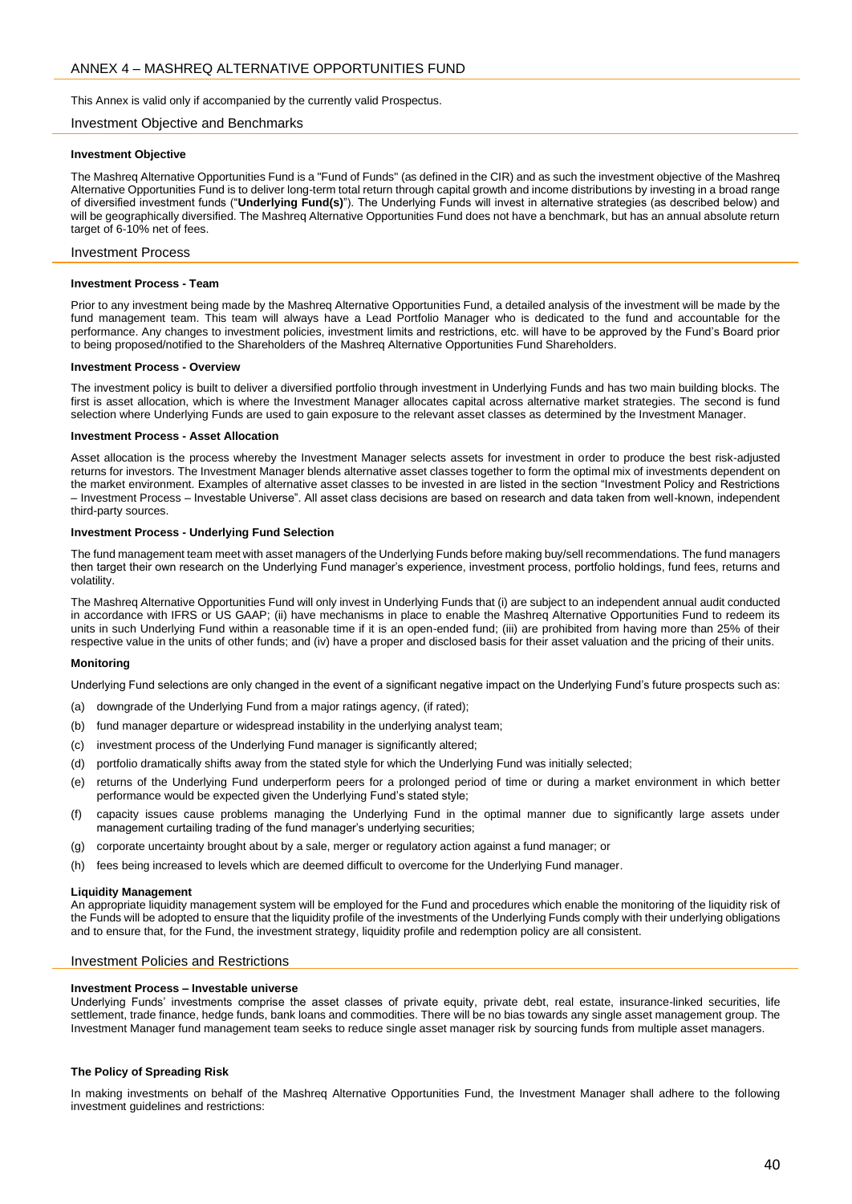<span id="page-39-0"></span>This Annex is valid only if accompanied by the currently valid Prospectus.

#### Investment Objective and Benchmarks

#### **Investment Objective**

The Mashreq Alternative Opportunities Fund is a "Fund of Funds" (as defined in the CIR) and as such the investment objective of the Mashreq Alternative Opportunities Fund is to deliver long-term total return through capital growth and income distributions by investing in a broad range of diversified investment funds ("**Underlying Fund(s)**"). The Underlying Funds will invest in alternative strategies (as described below) and will be geographically diversified. The Mashreq Alternative Opportunities Fund does not have a benchmark, but has an annual absolute return target of 6-10% net of fees.

#### Investment Process

#### **Investment Process - Team**

Prior to any investment being made by the Mashreq Alternative Opportunities Fund, a detailed analysis of the investment will be made by the fund management team. This team will always have a Lead Portfolio Manager who is dedicated to the fund and accountable for the performance. Any changes to investment policies, investment limits and restrictions, etc. will have to be approved by the Fund's Board prior to being proposed/notified to the Shareholders of the Mashreq Alternative Opportunities Fund Shareholders.

#### **Investment Process - Overview**

The investment policy is built to deliver a diversified portfolio through investment in Underlying Funds and has two main building blocks. The first is asset allocation, which is where the Investment Manager allocates capital across alternative market strategies. The second is fund selection where Underlying Funds are used to gain exposure to the relevant asset classes as determined by the Investment Manager.

#### **Investment Process - Asset Allocation**

Asset allocation is the process whereby the Investment Manager selects assets for investment in order to produce the best risk-adjusted returns for investors. The Investment Manager blends alternative asset classes together to form the optimal mix of investments dependent on the market environment. Examples of alternative asset classes to be invested in are listed in the section "Investment Policy and Restrictions – Investment Process – Investable Universe". All asset class decisions are based on research and data taken from well-known, independent third-party sources.

#### **Investment Process - Underlying Fund Selection**

The fund management team meet with asset managers of the Underlying Funds before making buy/sell recommendations. The fund managers then target their own research on the Underlying Fund manager's experience, investment process, portfolio holdings, fund fees, returns and volatility.

The Mashreq Alternative Opportunities Fund will only invest in Underlying Funds that (i) are subject to an independent annual audit conducted in accordance with IFRS or US GAAP; (ii) have mechanisms in place to enable the Mashreq Alternative Opportunities Fund to redeem its units in such Underlying Fund within a reasonable time if it is an open-ended fund; (iii) are prohibited from having more than 25% of their respective value in the units of other funds; and (iv) have a proper and disclosed basis for their asset valuation and the pricing of their units.

#### **Monitoring**

Underlying Fund selections are only changed in the event of a significant negative impact on the Underlying Fund's future prospects such as:

- (a) downgrade of the Underlying Fund from a major ratings agency, (if rated);
- (b) fund manager departure or widespread instability in the underlying analyst team;
- (c) investment process of the Underlying Fund manager is significantly altered;
- (d) portfolio dramatically shifts away from the stated style for which the Underlying Fund was initially selected;
- (e) returns of the Underlying Fund underperform peers for a prolonged period of time or during a market environment in which better performance would be expected given the Underlying Fund's stated style;
- (f) capacity issues cause problems managing the Underlying Fund in the optimal manner due to significantly large assets under management curtailing trading of the fund manager's underlying securities;
- (g) corporate uncertainty brought about by a sale, merger or regulatory action against a fund manager; or
- (h) fees being increased to levels which are deemed difficult to overcome for the Underlying Fund manager.

#### **Liquidity Management**

An appropriate liquidity management system will be employed for the Fund and procedures which enable the monitoring of the liquidity risk of the Funds will be adopted to ensure that the liquidity profile of the investments of the Underlying Funds comply with their underlying obligations and to ensure that, for the Fund, the investment strategy, liquidity profile and redemption policy are all consistent.

## Investment Policies and Restrictions

#### **Investment Process – Investable universe**

Underlying Funds' investments comprise the asset classes of private equity, private debt, real estate, insurance-linked securities, life settlement, trade finance, hedge funds, bank loans and commodities. There will be no bias towards any single asset management group. The Investment Manager fund management team seeks to reduce single asset manager risk by sourcing funds from multiple asset managers.

## **The Policy of Spreading Risk**

In making investments on behalf of the Mashreq Alternative Opportunities Fund, the Investment Manager shall adhere to the following investment guidelines and restrictions: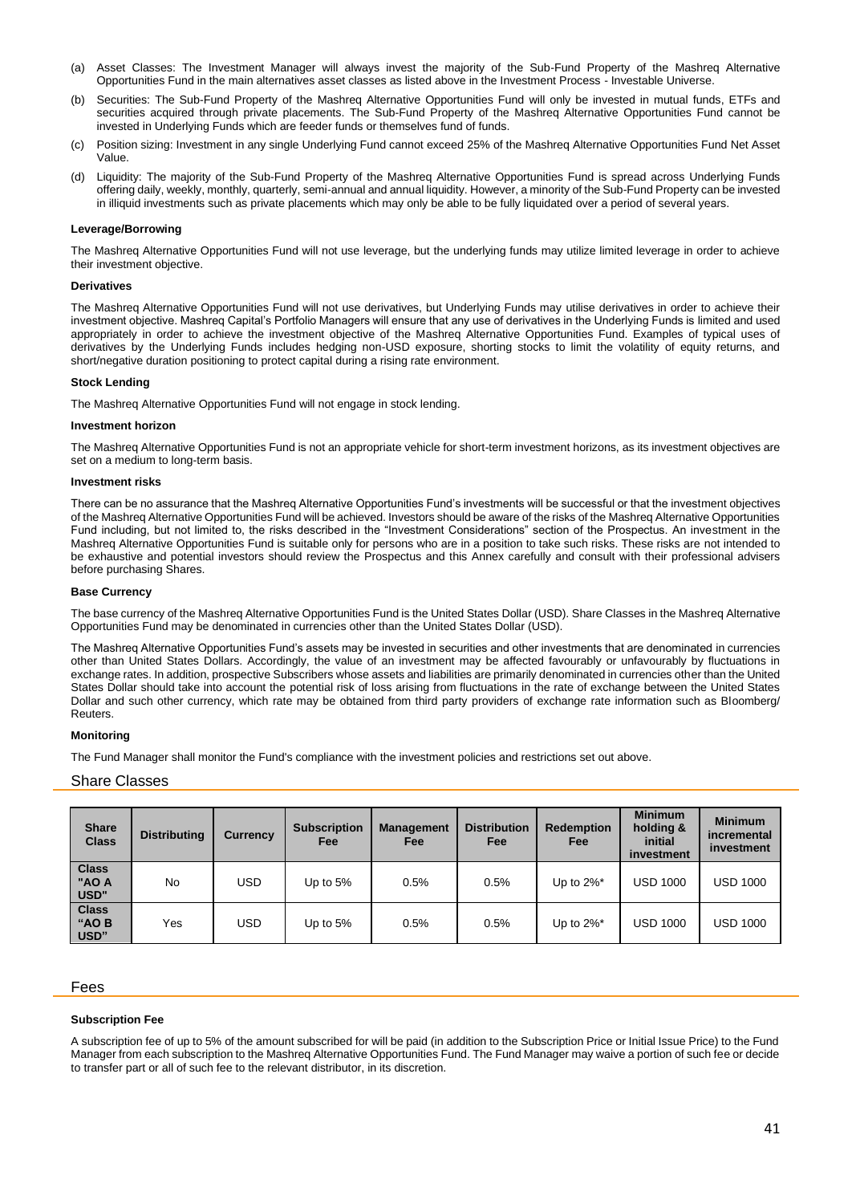- (a) Asset Classes: The Investment Manager will always invest the majority of the Sub-Fund Property of the Mashreq Alternative Opportunities Fund in the main alternatives asset classes as listed above in the Investment Process - Investable Universe.
- (b) Securities: The Sub-Fund Property of the Mashreq Alternative Opportunities Fund will only be invested in mutual funds, ETFs and securities acquired through private placements. The Sub-Fund Property of the Mashreq Alternative Opportunities Fund cannot be invested in Underlying Funds which are feeder funds or themselves fund of funds.
- (c) Position sizing: Investment in any single Underlying Fund cannot exceed 25% of the Mashreq Alternative Opportunities Fund Net Asset Value.
- (d) Liquidity: The majority of the Sub-Fund Property of the Mashreq Alternative Opportunities Fund is spread across Underlying Funds offering daily, weekly, monthly, quarterly, semi-annual and annual liquidity. However, a minority of the Sub-Fund Property can be invested in illiquid investments such as private placements which may only be able to be fully liquidated over a period of several years.

## **Leverage/Borrowing**

The Mashreq Alternative Opportunities Fund will not use leverage, but the underlying funds may utilize limited leverage in order to achieve their investment objective.

## **Derivatives**

The Mashreq Alternative Opportunities Fund will not use derivatives, but Underlying Funds may utilise derivatives in order to achieve their investment objective. Mashreq Capital's Portfolio Managers will ensure that any use of derivatives in the Underlying Funds is limited and used appropriately in order to achieve the investment objective of the Mashreq Alternative Opportunities Fund. Examples of typical uses of derivatives by the Underlying Funds includes hedging non-USD exposure, shorting stocks to limit the volatility of equity returns, and short/negative duration positioning to protect capital during a rising rate environment.

## **Stock Lending**

The Mashreq Alternative Opportunities Fund will not engage in stock lending.

## **Investment horizon**

The Mashreq Alternative Opportunities Fund is not an appropriate vehicle for short-term investment horizons, as its investment objectives are set on a medium to long-term basis.

## **Investment risks**

There can be no assurance that the Mashreq Alternative Opportunities Fund's investments will be successful or that the investment objectives of the Mashreq Alternative Opportunities Fund will be achieved. Investors should be aware of the risks of the Mashreq Alternative Opportunities Fund including, but not limited to, the risks described in the "Investment Considerations" section of the Prospectus. An investment in the Mashreq Alternative Opportunities Fund is suitable only for persons who are in a position to take such risks. These risks are not intended to be exhaustive and potential investors should review the Prospectus and this Annex carefully and consult with their professional advisers before purchasing Shares.

## **Base Currency**

The base currency of the Mashreq Alternative Opportunities Fund is the United States Dollar (USD). Share Classes in the Mashreq Alternative Opportunities Fund may be denominated in currencies other than the United States Dollar (USD).

The Mashreq Alternative Opportunities Fund's assets may be invested in securities and other investments that are denominated in currencies other than United States Dollars. Accordingly, the value of an investment may be affected favourably or unfavourably by fluctuations in exchange rates. In addition, prospective Subscribers whose assets and liabilities are primarily denominated in currencies other than the United States Dollar should take into account the potential risk of loss arising from fluctuations in the rate of exchange between the United States Dollar and such other currency, which rate may be obtained from third party providers of exchange rate information such as Bloomberg/ **Reuters** 

## **Monitoring**

The Fund Manager shall monitor the Fund's compliance with the investment policies and restrictions set out above.

# Share Classes

| <b>Share</b><br><b>Class</b>  | <b>Distributing</b> | <b>Currency</b> | <b>Subscription</b><br>Fee | <b>Management</b><br>Fee | <b>Distribution</b><br>Fee | <b>Redemption</b><br><b>Fee</b> | <b>Minimum</b><br>holding &<br>initial<br>investment | <b>Minimum</b><br>incremental<br>investment |
|-------------------------------|---------------------|-----------------|----------------------------|--------------------------|----------------------------|---------------------------------|------------------------------------------------------|---------------------------------------------|
| <b>Class</b><br>"AO A<br>USD" | No.                 | <b>USD</b>      | Up to $5%$                 | 0.5%                     | 0.5%                       | Up to $2\%$ <sup>*</sup>        | <b>USD 1000</b>                                      | USD 1000                                    |
| <b>Class</b><br>"AO B<br>USD" | Yes                 | <b>USD</b>      | Up to $5%$                 | 0.5%                     | 0.5%                       | Up to $2\%$ <sup>*</sup>        | <b>USD 1000</b>                                      | <b>USD 1000</b>                             |

## Fees

## **Subscription Fee**

A subscription fee of up to 5% of the amount subscribed for will be paid (in addition to the Subscription Price or Initial Issue Price) to the Fund Manager from each subscription to the Mashreq Alternative Opportunities Fund. The Fund Manager may waive a portion of such fee or decide to transfer part or all of such fee to the relevant distributor, in its discretion.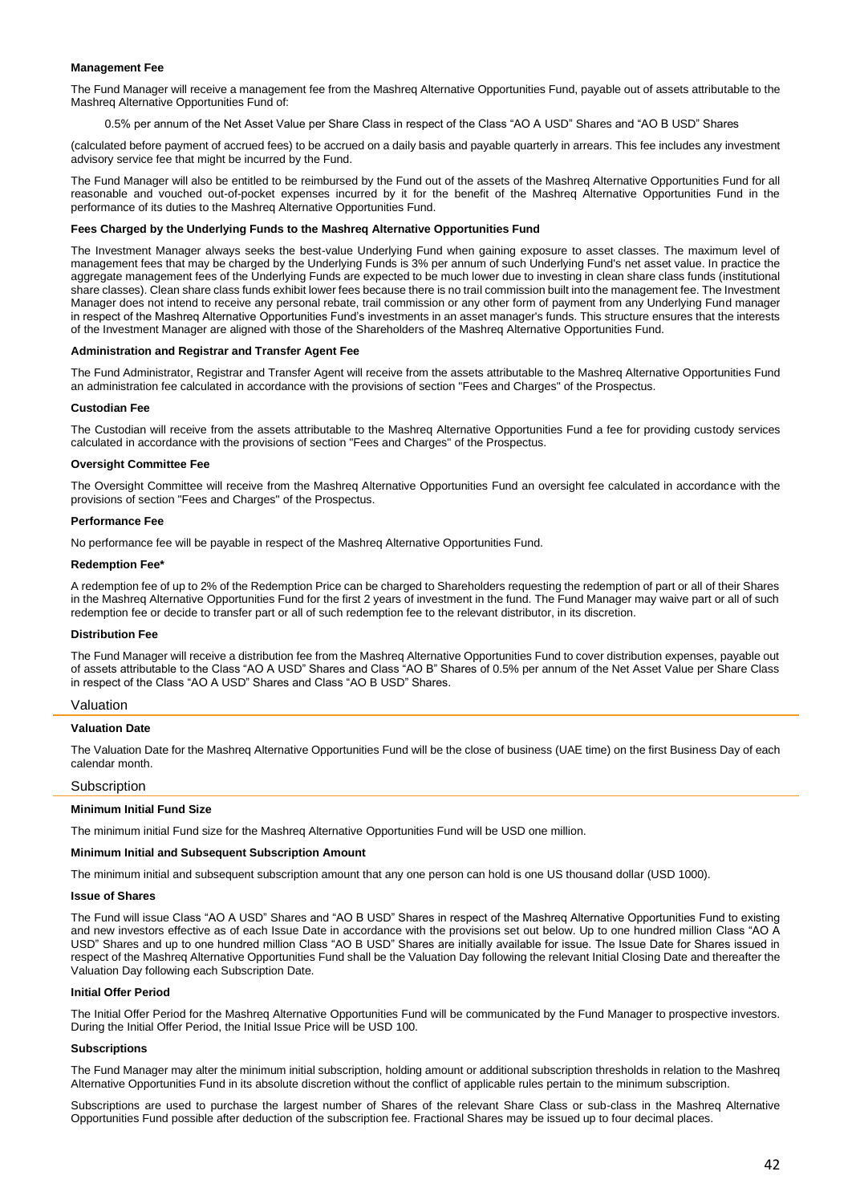## **Management Fee**

The Fund Manager will receive a management fee from the Mashreq Alternative Opportunities Fund, payable out of assets attributable to the Mashreq Alternative Opportunities Fund of:

0.5% per annum of the Net Asset Value per Share Class in respect of the Class "AO A USD" Shares and "AO B USD" Shares

(calculated before payment of accrued fees) to be accrued on a daily basis and payable quarterly in arrears. This fee includes any investment advisory service fee that might be incurred by the Fund.

The Fund Manager will also be entitled to be reimbursed by the Fund out of the assets of the Mashreq Alternative Opportunities Fund for all reasonable and vouched out-of-pocket expenses incurred by it for the benefit of the Mashreq Alternative Opportunities Fund in the performance of its duties to the Mashreq Alternative Opportunities Fund.

## **Fees Charged by the Underlying Funds to the Mashreq Alternative Opportunities Fund**

The Investment Manager always seeks the best-value Underlying Fund when gaining exposure to asset classes. The maximum level of management fees that may be charged by the Underlying Funds is 3% per annum of such Underlying Fund's net asset value. In practice the aggregate management fees of the Underlying Funds are expected to be much lower due to investing in clean share class funds (institutional share classes). Clean share class funds exhibit lower fees because there is no trail commission built into the management fee. The Investment Manager does not intend to receive any personal rebate, trail commission or any other form of payment from any Underlying Fund manager in respect of the Mashreq Alternative Opportunities Fund's investments in an asset manager's funds. This structure ensures that the interests of the Investment Manager are aligned with those of the Shareholders of the Mashreq Alternative Opportunities Fund.

## **Administration and Registrar and Transfer Agent Fee**

The Fund Administrator, Registrar and Transfer Agent will receive from the assets attributable to the Mashreq Alternative Opportunities Fund an administration fee calculated in accordance with the provisions of section "Fees and Charges" of the Prospectus.

#### **Custodian Fee**

The Custodian will receive from the assets attributable to the Mashreq Alternative Opportunities Fund a fee for providing custody services calculated in accordance with the provisions of section "Fees and Charges" of the Prospectus.

## **Oversight Committee Fee**

The Oversight Committee will receive from the Mashreq Alternative Opportunities Fund an oversight fee calculated in accordance with the provisions of section "Fees and Charges" of the Prospectus.

#### **Performance Fee**

No performance fee will be payable in respect of the Mashreq Alternative Opportunities Fund.

#### **Redemption Fee\***

A redemption fee of up to 2% of the Redemption Price can be charged to Shareholders requesting the redemption of part or all of their Shares in the Mashreq Alternative Opportunities Fund for the first 2 years of investment in the fund. The Fund Manager may waive part or all of such redemption fee or decide to transfer part or all of such redemption fee to the relevant distributor, in its discretion.

#### **Distribution Fee**

The Fund Manager will receive a distribution fee from the Mashreq Alternative Opportunities Fund to cover distribution expenses, payable out of assets attributable to the Class "AO A USD" Shares and Class "AO B" Shares of 0.5% per annum of the Net Asset Value per Share Class in respect of the Class "AO A USD" Shares and Class "AO B USD" Shares.

#### Valuation

#### **Valuation Date**

The Valuation Date for the Mashreq Alternative Opportunities Fund will be the close of business (UAE time) on the first Business Day of each calendar month.

## **Subscription**

#### **Minimum Initial Fund Size**

The minimum initial Fund size for the Mashreq Alternative Opportunities Fund will be USD one million.

#### **Minimum Initial and Subsequent Subscription Amount**

The minimum initial and subsequent subscription amount that any one person can hold is one US thousand dollar (USD 1000).

#### **Issue of Shares**

The Fund will issue Class "AO A USD" Shares and "AO B USD" Shares in respect of the Mashreq Alternative Opportunities Fund to existing and new investors effective as of each Issue Date in accordance with the provisions set out below. Up to one hundred million Class "AO A USD" Shares and up to one hundred million Class "AO B USD" Shares are initially available for issue. The Issue Date for Shares issued in respect of the Mashreq Alternative Opportunities Fund shall be the Valuation Day following the relevant Initial Closing Date and thereafter the Valuation Day following each Subscription Date.

## **Initial Offer Period**

The Initial Offer Period for the Mashreq Alternative Opportunities Fund will be communicated by the Fund Manager to prospective investors. During the Initial Offer Period, the Initial Issue Price will be USD 100.

#### **Subscriptions**

The Fund Manager may alter the minimum initial subscription, holding amount or additional subscription thresholds in relation to the Mashreq Alternative Opportunities Fund in its absolute discretion without the conflict of applicable rules pertain to the minimum subscription.

Subscriptions are used to purchase the largest number of Shares of the relevant Share Class or sub-class in the Mashreq Alternative Opportunities Fund possible after deduction of the subscription fee. Fractional Shares may be issued up to four decimal places.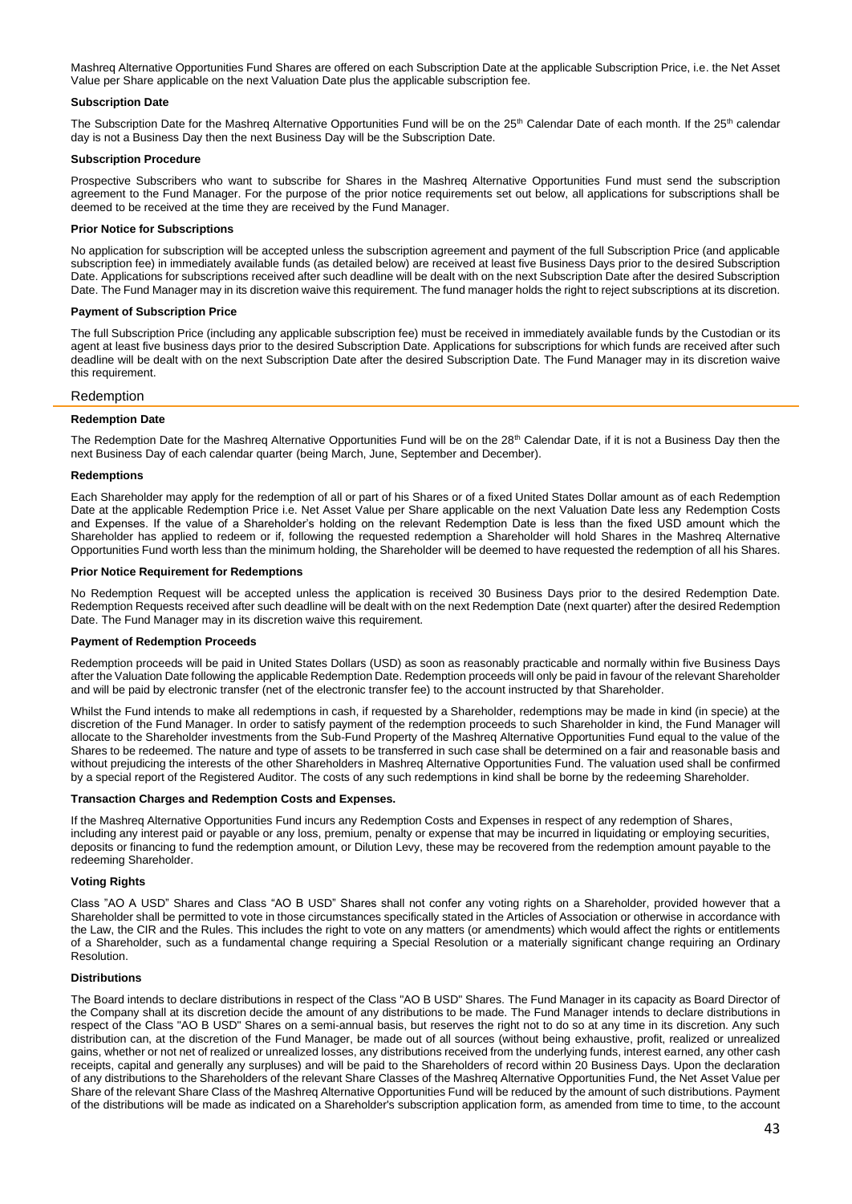Mashreq Alternative Opportunities Fund Shares are offered on each Subscription Date at the applicable Subscription Price, i.e. the Net Asset Value per Share applicable on the next Valuation Date plus the applicable subscription fee.

# **Subscription Date**

The Subscription Date for the Mashreq Alternative Opportunities Fund will be on the 25<sup>th</sup> Calendar Date of each month. If the 25<sup>th</sup> calendar day is not a Business Day then the next Business Day will be the Subscription Date.

## **Subscription Procedure**

Prospective Subscribers who want to subscribe for Shares in the Mashreq Alternative Opportunities Fund must send the subscription agreement to the Fund Manager. For the purpose of the prior notice requirements set out below, all applications for subscriptions shall be deemed to be received at the time they are received by the Fund Manager.

## **Prior Notice for Subscriptions**

No application for subscription will be accepted unless the subscription agreement and payment of the full Subscription Price (and applicable subscription fee) in immediately available funds (as detailed below) are received at least five Business Days prior to the desired Subscription Date. Applications for subscriptions received after such deadline will be dealt with on the next Subscription Date after the desired Subscription Date. The Fund Manager may in its discretion waive this requirement. The fund manager holds the right to reject subscriptions at its discretion.

## **Payment of Subscription Price**

The full Subscription Price (including any applicable subscription fee) must be received in immediately available funds by the Custodian or its agent at least five business days prior to the desired Subscription Date. Applications for subscriptions for which funds are received after such deadline will be dealt with on the next Subscription Date after the desired Subscription Date. The Fund Manager may in its discretion waive this requirement.

# Redemption

## **Redemption Date**

The Redemption Date for the Mashreq Alternative Opportunities Fund will be on the 28<sup>th</sup> Calendar Date, if it is not a Business Day then the next Business Day of each calendar quarter (being March, June, September and December).

## **Redemptions**

Each Shareholder may apply for the redemption of all or part of his Shares or of a fixed United States Dollar amount as of each Redemption Date at the applicable Redemption Price i.e. Net Asset Value per Share applicable on the next Valuation Date less any Redemption Costs and Expenses. If the value of a Shareholder's holding on the relevant Redemption Date is less than the fixed USD amount which the Shareholder has applied to redeem or if, following the requested redemption a Shareholder will hold Shares in the Mashreq Alternative Opportunities Fund worth less than the minimum holding, the Shareholder will be deemed to have requested the redemption of all his Shares.

## **Prior Notice Requirement for Redemptions**

No Redemption Request will be accepted unless the application is received 30 Business Days prior to the desired Redemption Date. Redemption Requests received after such deadline will be dealt with on the next Redemption Date (next quarter) after the desired Redemption Date. The Fund Manager may in its discretion waive this requirement.

## **Payment of Redemption Proceeds**

Redemption proceeds will be paid in United States Dollars (USD) as soon as reasonably practicable and normally within five Business Days after the Valuation Date following the applicable Redemption Date. Redemption proceeds will only be paid in favour of the relevant Shareholder and will be paid by electronic transfer (net of the electronic transfer fee) to the account instructed by that Shareholder.

Whilst the Fund intends to make all redemptions in cash, if requested by a Shareholder, redemptions may be made in kind (in specie) at the discretion of the Fund Manager. In order to satisfy payment of the redemption proceeds to such Shareholder in kind, the Fund Manager will allocate to the Shareholder investments from the Sub-Fund Property of the Mashreq Alternative Opportunities Fund equal to the value of the Shares to be redeemed. The nature and type of assets to be transferred in such case shall be determined on a fair and reasonable basis and without prejudicing the interests of the other Shareholders in Mashreq Alternative Opportunities Fund. The valuation used shall be confirmed by a special report of the Registered Auditor. The costs of any such redemptions in kind shall be borne by the redeeming Shareholder.

## **Transaction Charges and Redemption Costs and Expenses.**

If the Mashreq Alternative Opportunities Fund incurs any Redemption Costs and Expenses in respect of any redemption of Shares, including any interest paid or payable or any loss, premium, penalty or expense that may be incurred in liquidating or employing securities, deposits or financing to fund the redemption amount, or Dilution Levy, these may be recovered from the redemption amount payable to the redeeming Shareholder.

# **Voting Rights**

Class "AO A USD" Shares and Class "AO B USD" Shares shall not confer any voting rights on a Shareholder, provided however that a Shareholder shall be permitted to vote in those circumstances specifically stated in the Articles of Association or otherwise in accordance with the Law, the CIR and the Rules. This includes the right to vote on any matters (or amendments) which would affect the rights or entitlements of a Shareholder, such as a fundamental change requiring a Special Resolution or a materially significant change requiring an Ordinary Resolution.

## **Distributions**

The Board intends to declare distributions in respect of the Class "AO B USD" Shares. The Fund Manager in its capacity as Board Director of the Company shall at its discretion decide the amount of any distributions to be made. The Fund Manager intends to declare distributions in respect of the Class "AO B USD" Shares on a semi-annual basis, but reserves the right not to do so at any time in its discretion. Any such distribution can, at the discretion of the Fund Manager, be made out of all sources (without being exhaustive, profit, realized or unrealized gains, whether or not net of realized or unrealized losses, any distributions received from the underlying funds, interest earned, any other cash receipts, capital and generally any surpluses) and will be paid to the Shareholders of record within 20 Business Days. Upon the declaration of any distributions to the Shareholders of the relevant Share Classes of the Mashreq Alternative Opportunities Fund, the Net Asset Value per Share of the relevant Share Class of the Mashreq Alternative Opportunities Fund will be reduced by the amount of such distributions. Payment of the distributions will be made as indicated on a Shareholder's subscription application form, as amended from time to time, to the account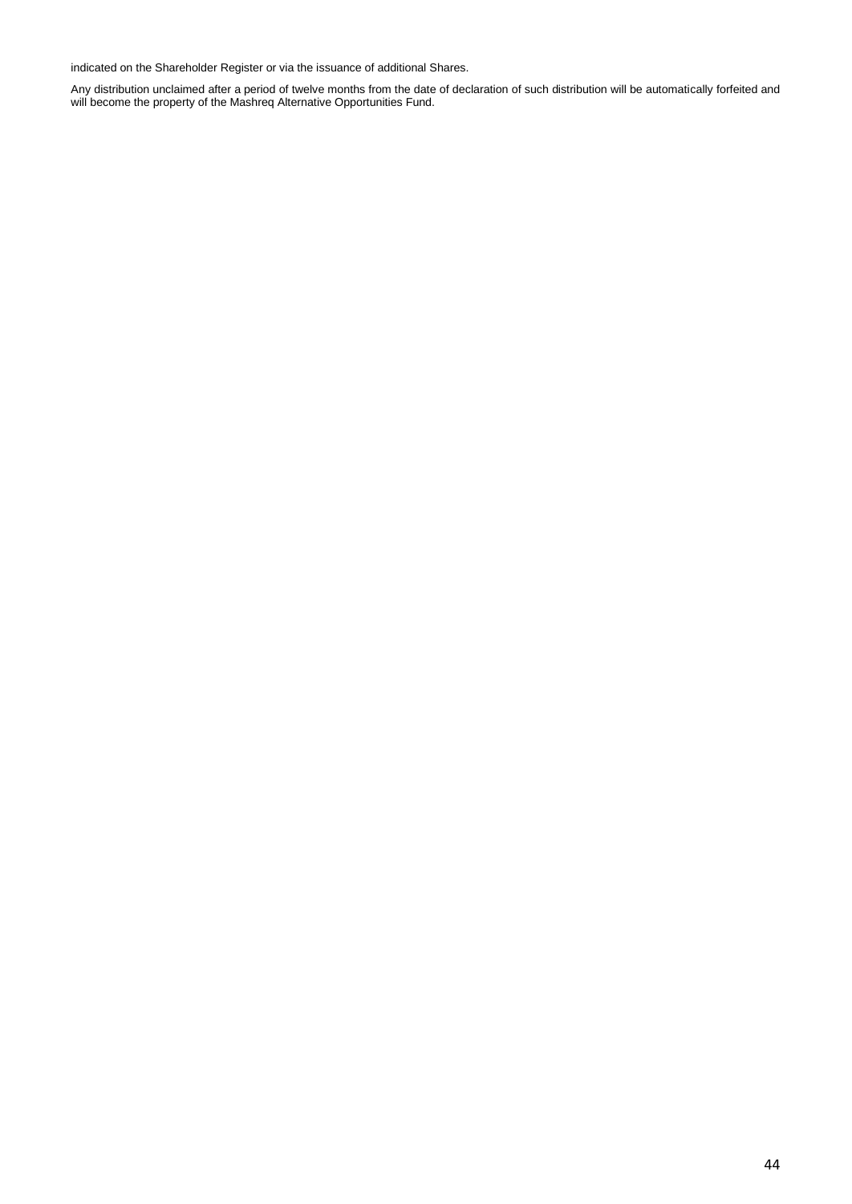indicated on the Shareholder Register or via the issuance of additional Shares.

Any distribution unclaimed after a period of twelve months from the date of declaration of such distribution will be automatically forfeited and will become the property of the Mashreq Alternative Opportunities Fund.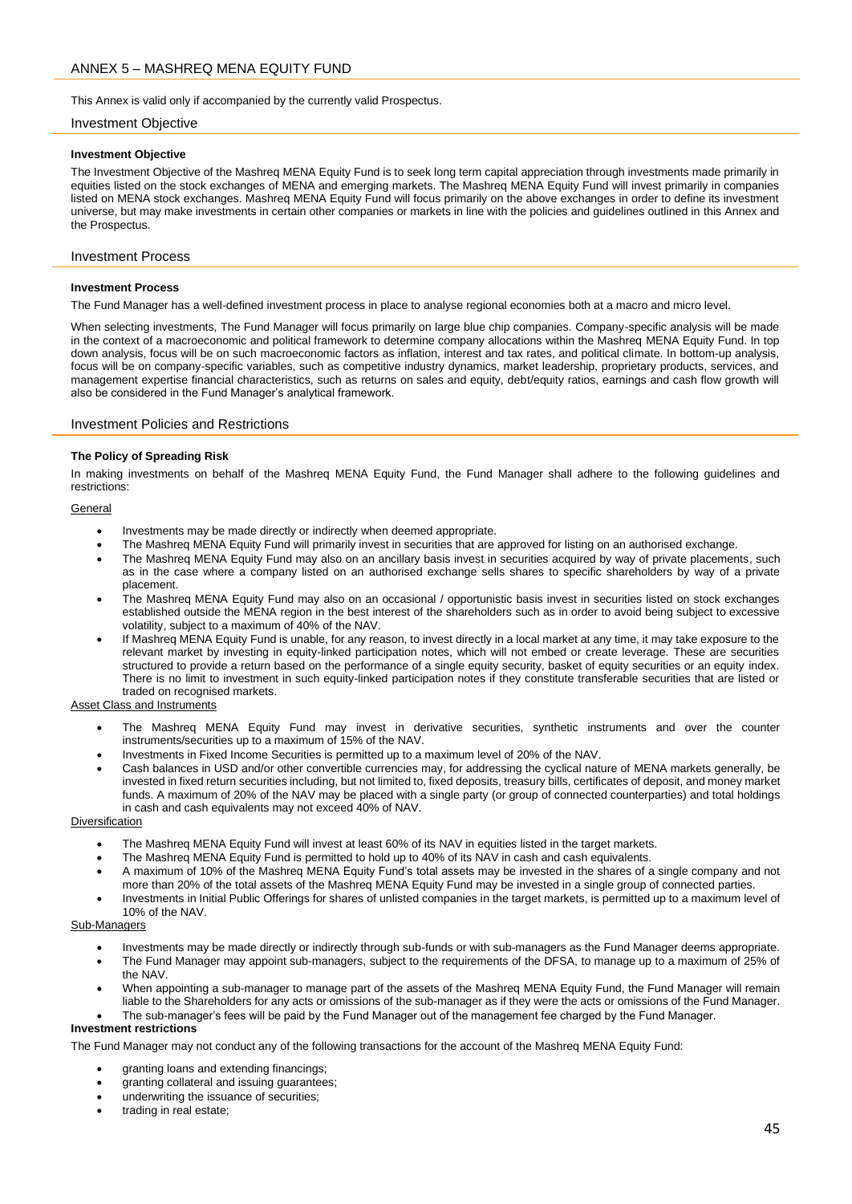<span id="page-44-0"></span>This Annex is valid only if accompanied by the currently valid Prospectus.

## Investment Objective

## **Investment Objective**

The Investment Objective of the Mashreq MENA Equity Fund is to seek long term capital appreciation through investments made primarily in equities listed on the stock exchanges of MENA and emerging markets. The Mashreq MENA Equity Fund will invest primarily in companies listed on MENA stock exchanges. Mashreq MENA Equity Fund will focus primarily on the above exchanges in order to define its investment universe, but may make investments in certain other companies or markets in line with the policies and guidelines outlined in this Annex and the Prospectus.

# Investment Process

## **Investment Process**

The Fund Manager has a well-defined investment process in place to analyse regional economies both at a macro and micro level.

When selecting investments, The Fund Manager will focus primarily on large blue chip companies. Company-specific analysis will be made in the context of a macroeconomic and political framework to determine company allocations within the Mashreq MENA Equity Fund. In top down analysis, focus will be on such macroeconomic factors as inflation, interest and tax rates, and political climate. In bottom-up analysis, focus will be on company-specific variables, such as competitive industry dynamics, market leadership, proprietary products, services, and management expertise financial characteristics, such as returns on sales and equity, debt/equity ratios, earnings and cash flow growth will also be considered in the Fund Manager's analytical framework.

# Investment Policies and Restrictions

# **The Policy of Spreading Risk**

In making investments on behalf of the Mashreq MENA Equity Fund, the Fund Manager shall adhere to the following guidelines and restrictions:

## **General**

- Investments may be made directly or indirectly when deemed appropriate.
- The Mashreq MENA Equity Fund will primarily invest in securities that are approved for listing on an authorised exchange.
- The Mashreg MENA Equity Fund may also on an ancillary basis invest in securities acquired by way of private placements, such as in the case where a company listed on an authorised exchange sells shares to specific shareholders by way of a private placement.
- The Mashreq MENA Equity Fund may also on an occasional / opportunistic basis invest in securities listed on stock exchanges established outside the MENA region in the best interest of the shareholders such as in order to avoid being subject to excessive volatility, subject to a maximum of 40% of the NAV.
- If Mashreq MENA Equity Fund is unable, for any reason, to invest directly in a local market at any time, it may take exposure to the relevant market by investing in equity-linked participation notes, which will not embed or create leverage. These are securities structured to provide a return based on the performance of a single equity security, basket of equity securities or an equity index. There is no limit to investment in such equity-linked participation notes if they constitute transferable securities that are listed or traded on recognised markets.

## Asset Class and Instruments

- The Mashreq MENA Equity Fund may invest in derivative securities, synthetic instruments and over the counter instruments/securities up to a maximum of 15% of the NAV.
- Investments in Fixed Income Securities is permitted up to a maximum level of 20% of the NAV.
- Cash balances in USD and/or other convertible currencies may, for addressing the cyclical nature of MENA markets generally, be invested in fixed return securities including, but not limited to, fixed deposits, treasury bills, certificates of deposit, and money market funds. A maximum of 20% of the NAV may be placed with a single party (or group of connected counterparties) and total holdings in cash and cash equivalents may not exceed 40% of NAV.

## **Diversification**

- The Mashreq MENA Equity Fund will invest at least 60% of its NAV in equities listed in the target markets.
- The Mashreq MENA Equity Fund is permitted to hold up to 40% of its NAV in cash and cash equivalents.
- A maximum of 10% of the Mashreq MENA Equity Fund's total assets may be invested in the shares of a single company and not more than 20% of the total assets of the Mashreq MENA Equity Fund may be invested in a single group of connected parties.
- Investments in Initial Public Offerings for shares of unlisted companies in the target markets, is permitted up to a maximum level of 10% of the NAV.

## Sub-Managers

- Investments may be made directly or indirectly through sub-funds or with sub-managers as the Fund Manager deems appropriate.
- The Fund Manager may appoint sub-managers, subject to the requirements of the DFSA, to manage up to a maximum of 25% of the NAV.
- When appointing a sub-manager to manage part of the assets of the Mashreq MENA Equity Fund, the Fund Manager will remain liable to the Shareholders for any acts or omissions of the sub-manager as if they were the acts or omissions of the Fund Manager.
- The sub-manager's fees will be paid by the Fund Manager out of the management fee charged by the Fund Manager.

# **Investment restrictions**

The Fund Manager may not conduct any of the following transactions for the account of the Mashreq MENA Equity Fund:

- granting loans and extending financings;
- granting collateral and issuing guarantees;
- underwriting the issuance of securities;
- trading in real estate;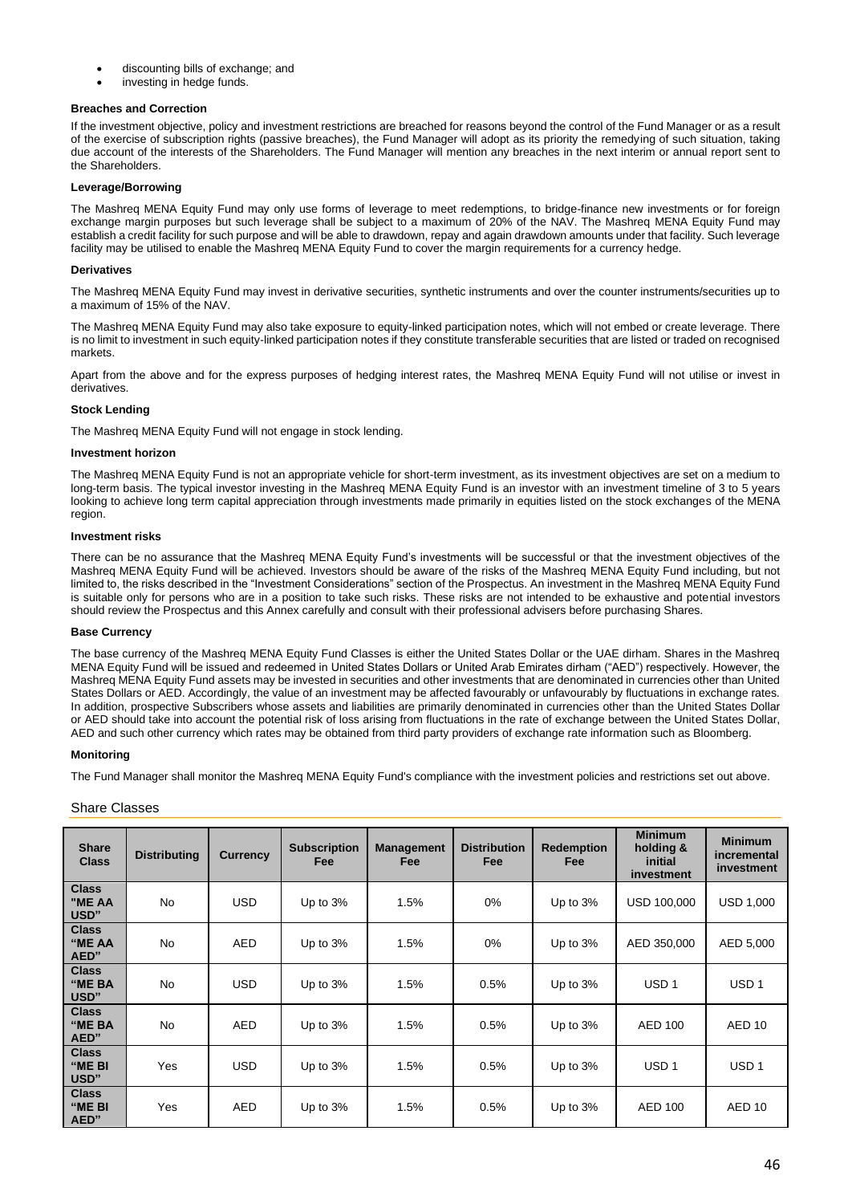- discounting bills of exchange; and
- investing in hedge funds.

# **Breaches and Correction**

If the investment objective, policy and investment restrictions are breached for reasons beyond the control of the Fund Manager or as a result of the exercise of subscription rights (passive breaches), the Fund Manager will adopt as its priority the remedying of such situation, taking due account of the interests of the Shareholders. The Fund Manager will mention any breaches in the next interim or annual report sent to the Shareholders.

# **Leverage/Borrowing**

The Mashreq MENA Equity Fund may only use forms of leverage to meet redemptions, to bridge-finance new investments or for foreign exchange margin purposes but such leverage shall be subject to a maximum of 20% of the NAV. The Mashreq MENA Equity Fund may establish a credit facility for such purpose and will be able to drawdown, repay and again drawdown amounts under that facility. Such leverage facility may be utilised to enable the Mashreq MENA Equity Fund to cover the margin requirements for a currency hedge.

## **Derivatives**

The Mashreq MENA Equity Fund may invest in derivative securities, synthetic instruments and over the counter instruments/securities up to a maximum of 15% of the NAV.

The Mashreq MENA Equity Fund may also take exposure to equity-linked participation notes, which will not embed or create leverage. There is no limit to investment in such equity-linked participation notes if they constitute transferable securities that are listed or traded on recognised markets.

Apart from the above and for the express purposes of hedging interest rates, the Mashreq MENA Equity Fund will not utilise or invest in derivatives.

# **Stock Lending**

The Mashreq MENA Equity Fund will not engage in stock lending.

## **Investment horizon**

The Mashreq MENA Equity Fund is not an appropriate vehicle for short-term investment, as its investment objectives are set on a medium to long-term basis. The typical investor investing in the Mashreq MENA Equity Fund is an investor with an investment timeline of 3 to 5 years looking to achieve long term capital appreciation through investments made primarily in equities listed on the stock exchanges of the MENA region.

# **Investment risks**

There can be no assurance that the Mashreq MENA Equity Fund's investments will be successful or that the investment objectives of the Mashreq MENA Equity Fund will be achieved. Investors should be aware of the risks of the Mashreq MENA Equity Fund including, but not limited to, the risks described in the "Investment Considerations" section of the Prospectus. An investment in the Mashreq MENA Equity Fund is suitable only for persons who are in a position to take such risks. These risks are not intended to be exhaustive and potential investors should review the Prospectus and this Annex carefully and consult with their professional advisers before purchasing Shares.

## **Base Currency**

The base currency of the Mashreq MENA Equity Fund Classes is either the United States Dollar or the UAE dirham. Shares in the Mashreq MENA Equity Fund will be issued and redeemed in United States Dollars or United Arab Emirates dirham ("AED") respectively. However, the Mashreq MENA Equity Fund assets may be invested in securities and other investments that are denominated in currencies other than United States Dollars or AED. Accordingly, the value of an investment may be affected favourably or unfavourably by fluctuations in exchange rates. In addition, prospective Subscribers whose assets and liabilities are primarily denominated in currencies other than the United States Dollar or AED should take into account the potential risk of loss arising from fluctuations in the rate of exchange between the United States Dollar, AED and such other currency which rates may be obtained from third party providers of exchange rate information such as Bloomberg.

## **Monitoring**

The Fund Manager shall monitor the Mashreq MENA Equity Fund's compliance with the investment policies and restrictions set out above.

# Share Classes

| <b>Share</b><br><b>Class</b>   | <b>Distributing</b> | <b>Currency</b> | <b>Subscription</b><br>Fee | <b>Management</b><br><b>Fee</b> | <b>Distribution</b><br>Fee | <b>Redemption</b><br>Fee | <b>Minimum</b><br>holding &<br>initial<br>investment | <b>Minimum</b><br>incremental<br>investment |
|--------------------------------|---------------------|-----------------|----------------------------|---------------------------------|----------------------------|--------------------------|------------------------------------------------------|---------------------------------------------|
| <b>Class</b><br>"ME AA<br>USD" | <b>No</b>           | <b>USD</b>      | Up to 3%                   | 1.5%                            | $0\%$                      | Up to $3%$               | USD 100,000                                          | <b>USD 1,000</b>                            |
| <b>Class</b><br>"ME AA<br>AED" | <b>No</b>           | <b>AED</b>      | Up to 3%                   | 1.5%                            | $0\%$                      | Up to $3%$               | AED 350,000                                          | AED 5,000                                   |
| <b>Class</b><br>"ME BA<br>USD" | <b>No</b>           | <b>USD</b>      | Up to 3%                   | 1.5%                            | 0.5%                       | Up to 3%                 | USD <sub>1</sub>                                     | USD <sub>1</sub>                            |
| <b>Class</b><br>"ME BA<br>AED" | <b>No</b>           | <b>AED</b>      | Up to 3%                   | 1.5%                            | 0.5%                       | Up to 3%                 | AED 100                                              | AED <sub>10</sub>                           |
| <b>Class</b><br>"ME BI<br>USD" | Yes                 | <b>USD</b>      | Up to 3%                   | 1.5%                            | 0.5%                       | Up to 3%                 | USD <sub>1</sub>                                     | USD <sub>1</sub>                            |
| <b>Class</b><br>"ME BI<br>AED" | Yes                 | <b>AED</b>      | Up to 3%                   | 1.5%                            | 0.5%                       | Up to 3%                 | <b>AED 100</b>                                       | AED <sub>10</sub>                           |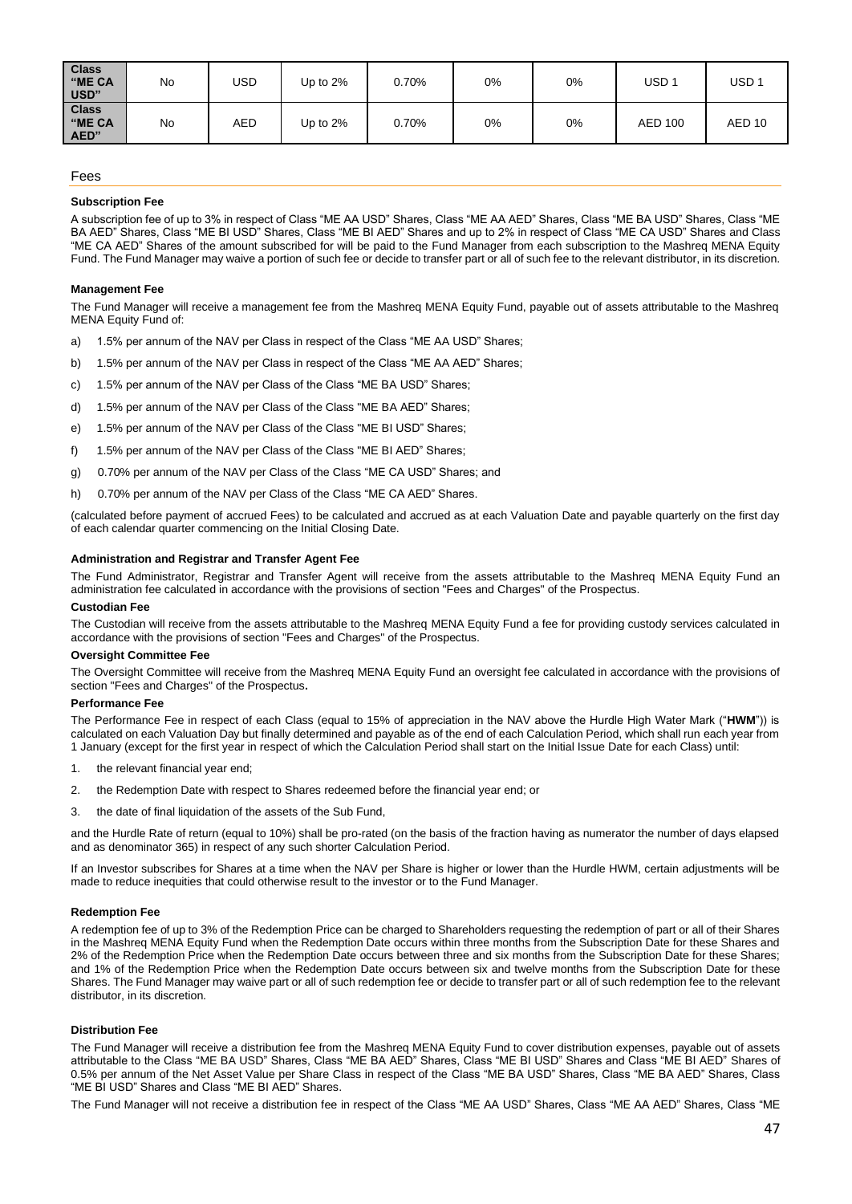| <b>Class</b><br>"ME CA<br>USD" | No | USD        | Up to 2% | 0.70% | 0% | 0% | USD <sub>1</sub> | USD <sub>1</sub> |
|--------------------------------|----|------------|----------|-------|----|----|------------------|------------------|
| <b>Class</b><br>"ME CA<br>AED" | No | <b>AED</b> | Up to 2% | 0.70% | 0% | 0% | <b>AED 100</b>   | AED 10           |

## Fees

## **Subscription Fee**

A subscription fee of up to 3% in respect of Class "ME AA USD" Shares, Class "ME AA AED" Shares, Class "ME BA USD" Shares, Class "ME BA AED" Shares, Class "ME BI USD" Shares, Class "ME BI AED" Shares and up to 2% in respect of Class "ME CA USD" Shares and Class "ME CA AED" Shares of the amount subscribed for will be paid to the Fund Manager from each subscription to the Mashreq MENA Equity Fund. The Fund Manager may waive a portion of such fee or decide to transfer part or all of such fee to the relevant distributor, in its discretion.

#### **Management Fee**

The Fund Manager will receive a management fee from the Mashreq MENA Equity Fund, payable out of assets attributable to the Mashreq MENA Equity Fund of:

- a) 1.5% per annum of the NAV per Class in respect of the Class "ME AA USD" Shares;
- b) 1.5% per annum of the NAV per Class in respect of the Class "ME AA AED" Shares;
- c) 1.5% per annum of the NAV per Class of the Class "ME BA USD" Shares;
- d) 1.5% per annum of the NAV per Class of the Class "ME BA AED" Shares;
- e) 1.5% per annum of the NAV per Class of the Class "ME BI USD" Shares;
- f) 1.5% per annum of the NAV per Class of the Class "ME BI AED" Shares;
- g) 0.70% per annum of the NAV per Class of the Class "ME CA USD" Shares; and
- h) 0.70% per annum of the NAV per Class of the Class "ME CA AED" Shares.

(calculated before payment of accrued Fees) to be calculated and accrued as at each Valuation Date and payable quarterly on the first day of each calendar quarter commencing on the Initial Closing Date.

## **Administration and Registrar and Transfer Agent Fee**

The Fund Administrator, Registrar and Transfer Agent will receive from the assets attributable to the Mashreq MENA Equity Fund an administration fee calculated in accordance with the provisions of section "Fees and Charges" of the Prospectus.

#### **Custodian Fee**

The Custodian will receive from the assets attributable to the Mashreq MENA Equity Fund a fee for providing custody services calculated in accordance with the provisions of section "Fees and Charges" of the Prospectus.

#### **Oversight Committee Fee**

The Oversight Committee will receive from the Mashreq MENA Equity Fund an oversight fee calculated in accordance with the provisions of section "Fees and Charges" of the Prospectus**.** 

#### **Performance Fee**

The Performance Fee in respect of each Class (equal to 15% of appreciation in the NAV above the Hurdle High Water Mark ("**HWM**")) is calculated on each Valuation Day but finally determined and payable as of the end of each Calculation Period, which shall run each year from 1 January (except for the first year in respect of which the Calculation Period shall start on the Initial Issue Date for each Class) until:

- 1. the relevant financial year end;
- 2. the Redemption Date with respect to Shares redeemed before the financial year end; or
- 3. the date of final liquidation of the assets of the Sub Fund,

and the Hurdle Rate of return (equal to 10%) shall be pro-rated (on the basis of the fraction having as numerator the number of days elapsed and as denominator 365) in respect of any such shorter Calculation Period.

If an Investor subscribes for Shares at a time when the NAV per Share is higher or lower than the Hurdle HWM, certain adjustments will be made to reduce inequities that could otherwise result to the investor or to the Fund Manager.

## **Redemption Fee**

A redemption fee of up to 3% of the Redemption Price can be charged to Shareholders requesting the redemption of part or all of their Shares in the Mashreq MENA Equity Fund when the Redemption Date occurs within three months from the Subscription Date for these Shares and 2% of the Redemption Price when the Redemption Date occurs between three and six months from the Subscription Date for these Shares; and 1% of the Redemption Price when the Redemption Date occurs between six and twelve months from the Subscription Date for these Shares. The Fund Manager may waive part or all of such redemption fee or decide to transfer part or all of such redemption fee to the relevant distributor, in its discretion.

#### **Distribution Fee**

The Fund Manager will receive a distribution fee from the Mashreq MENA Equity Fund to cover distribution expenses, payable out of assets attributable to the Class "ME BA USD" Shares, Class "ME BA AED" Shares, Class "ME BI USD" Shares and Class "ME BI AED" Shares of 0.5% per annum of the Net Asset Value per Share Class in respect of the Class "ME BA USD" Shares, Class "ME BA AED" Shares, Class "ME BI USD" Shares and Class "ME BI AED" Shares.

The Fund Manager will not receive a distribution fee in respect of the Class "ME AA USD" Shares, Class "ME AA AED" Shares, Class "ME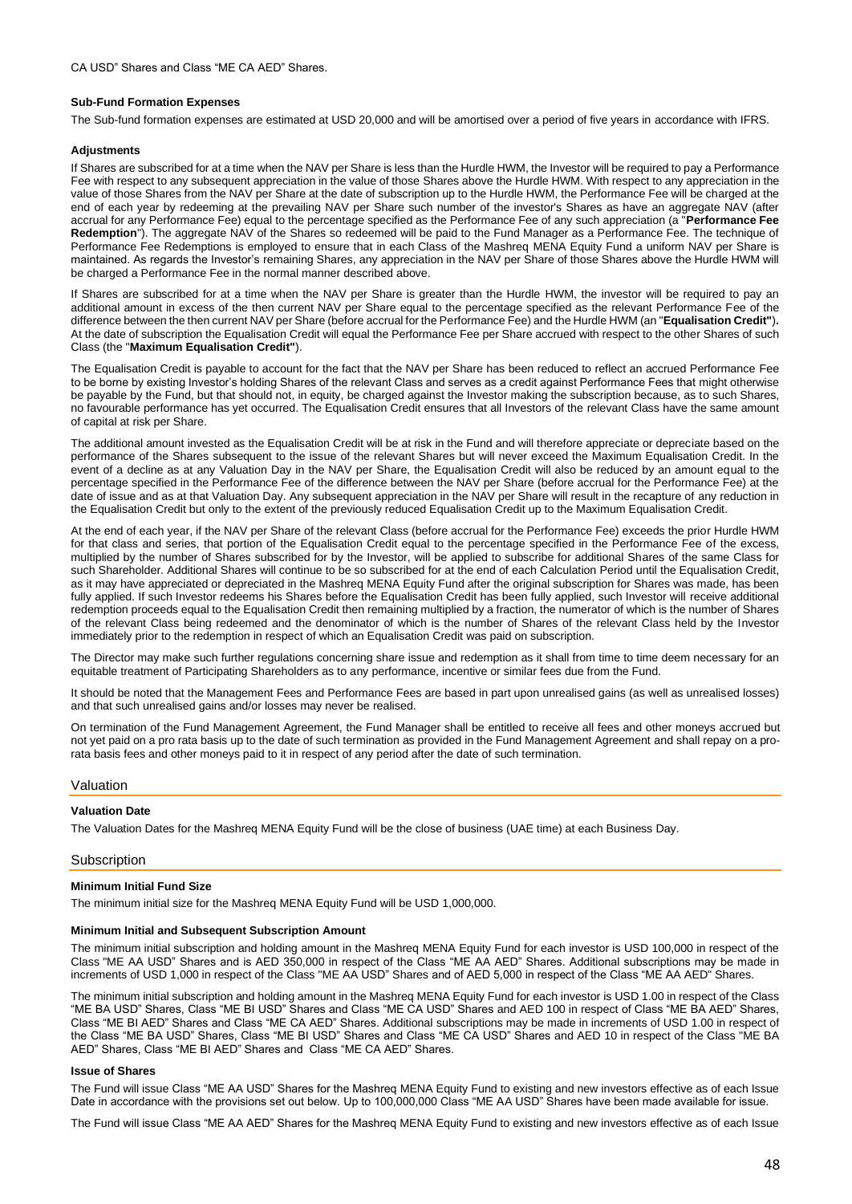#### **Sub-Fund Formation Expenses**

The Sub-fund formation expenses are estimated at USD 20,000 and will be amortised over a period of five years in accordance with IFRS.

#### **Adjustments**

If Shares are subscribed for at a time when the NAV per Share is less than the Hurdle HWM, the Investor will be required to pay a Performance Fee with respect to any subsequent appreciation in the value of those Shares above the Hurdle HWM. With respect to any appreciation in the value of those Shares from the NAV per Share at the date of subscription up to the Hurdle HWM, the Performance Fee will be charged at the end of each year by redeeming at the prevailing NAV per Share such number of the investor's Shares as have an aggregate NAV (after accrual for any Performance Fee) equal to the percentage specified as the Performance Fee of any such appreciation (a "**Performance Fee Redemption**"). The aggregate NAV of the Shares so redeemed will be paid to the Fund Manager as a Performance Fee. The technique of Performance Fee Redemptions is employed to ensure that in each Class of the Mashreq MENA Equity Fund a uniform NAV per Share is maintained. As regards the Investor's remaining Shares, any appreciation in the NAV per Share of those Shares above the Hurdle HWM will be charged a Performance Fee in the normal manner described above.

If Shares are subscribed for at a time when the NAV per Share is greater than the Hurdle HWM, the investor will be required to pay an additional amount in excess of the then current NAV per Share equal to the percentage specified as the relevant Performance Fee of the difference between the then current NAV per Share (before accrual for the Performance Fee) and the Hurdle HWM (an "**Equalisation Credit"**)**.**  At the date of subscription the Equalisation Credit will equal the Performance Fee per Share accrued with respect to the other Shares of such Class (the "**Maximum Equalisation Credit"**).

The Equalisation Credit is payable to account for the fact that the NAV per Share has been reduced to reflect an accrued Performance Fee to be borne by existing Investor's holding Shares of the relevant Class and serves as a credit against Performance Fees that might otherwise be payable by the Fund, but that should not, in equity, be charged against the Investor making the subscription because, as to such Shares, no favourable performance has yet occurred. The Equalisation Credit ensures that all Investors of the relevant Class have the same amount of capital at risk per Share.

The additional amount invested as the Equalisation Credit will be at risk in the Fund and will therefore appreciate or depreciate based on the performance of the Shares subsequent to the issue of the relevant Shares but will never exceed the Maximum Equalisation Credit. In the event of a decline as at any Valuation Day in the NAV per Share, the Equalisation Credit will also be reduced by an amount equal to the percentage specified in the Performance Fee of the difference between the NAV per Share (before accrual for the Performance Fee) at the date of issue and as at that Valuation Day. Any subsequent appreciation in the NAV per Share will result in the recapture of any reduction in the Equalisation Credit but only to the extent of the previously reduced Equalisation Credit up to the Maximum Equalisation Credit.

At the end of each year, if the NAV per Share of the relevant Class (before accrual for the Performance Fee) exceeds the prior Hurdle HWM for that class and series, that portion of the Equalisation Credit equal to the percentage specified in the Performance Fee of the excess, multiplied by the number of Shares subscribed for by the Investor, will be applied to subscribe for additional Shares of the same Class for such Shareholder. Additional Shares will continue to be so subscribed for at the end of each Calculation Period until the Equalisation Credit, as it may have appreciated or depreciated in the Mashreq MENA Equity Fund after the original subscription for Shares was made, has been fully applied. If such Investor redeems his Shares before the Equalisation Credit has been fully applied, such Investor will receive additional redemption proceeds equal to the Equalisation Credit then remaining multiplied by a fraction, the numerator of which is the number of Shares of the relevant Class being redeemed and the denominator of which is the number of Shares of the relevant Class held by the Investor immediately prior to the redemption in respect of which an Equalisation Credit was paid on subscription.

The Director may make such further regulations concerning share issue and redemption as it shall from time to time deem necessary for an equitable treatment of Participating Shareholders as to any performance, incentive or similar fees due from the Fund.

It should be noted that the Management Fees and Performance Fees are based in part upon unrealised gains (as well as unrealised losses) and that such unrealised gains and/or losses may never be realised.

On termination of the Fund Management Agreement, the Fund Manager shall be entitled to receive all fees and other moneys accrued but not yet paid on a pro rata basis up to the date of such termination as provided in the Fund Management Agreement and shall repay on a prorata basis fees and other moneys paid to it in respect of any period after the date of such termination.

#### Valuation

#### **Valuation Date**

The Valuation Dates for the Mashreq MENA Equity Fund will be the close of business (UAE time) at each Business Day.

#### **Subscription**

#### **Minimum Initial Fund Size**

The minimum initial size for the Mashreq MENA Equity Fund will be USD 1,000,000.

#### **Minimum Initial and Subsequent Subscription Amount**

The minimum initial subscription and holding amount in the Mashreq MENA Equity Fund for each investor is USD 100,000 in respect of the Class "ME AA USD" Shares and is AED 350,000 in respect of the Class "ME AA AED" Shares. Additional subscriptions may be made in increments of USD 1,000 in respect of the Class "ME AA USD" Shares and of AED 5,000 in respect of the Class "ME AA AED" Shares.

The minimum initial subscription and holding amount in the Mashreq MENA Equity Fund for each investor is USD 1.00 in respect of the Class "ME BA USD" Shares, Class "ME BI USD" Shares and Class "ME CA USD" Shares and AED 100 in respect of Class "ME BA AED" Shares, Class "ME BI AED" Shares and Class "ME CA AED" Shares. Additional subscriptions may be made in increments of USD 1.00 in respect of the Class "ME BA USD" Shares, Class "ME BI USD" Shares and Class "ME CA USD" Shares and AED 10 in respect of the Class "ME BA AED" Shares, Class "ME BI AED" Shares and Class "ME CA AED" Shares.

#### **Issue of Shares**

The Fund will issue Class "ME AA USD" Shares for the Mashreq MENA Equity Fund to existing and new investors effective as of each Issue Date in accordance with the provisions set out below. Up to 100,000,000 Class "ME AA USD" Shares have been made available for issue.

The Fund will issue Class "ME AA AED" Shares for the Mashreq MENA Equity Fund to existing and new investors effective as of each Issue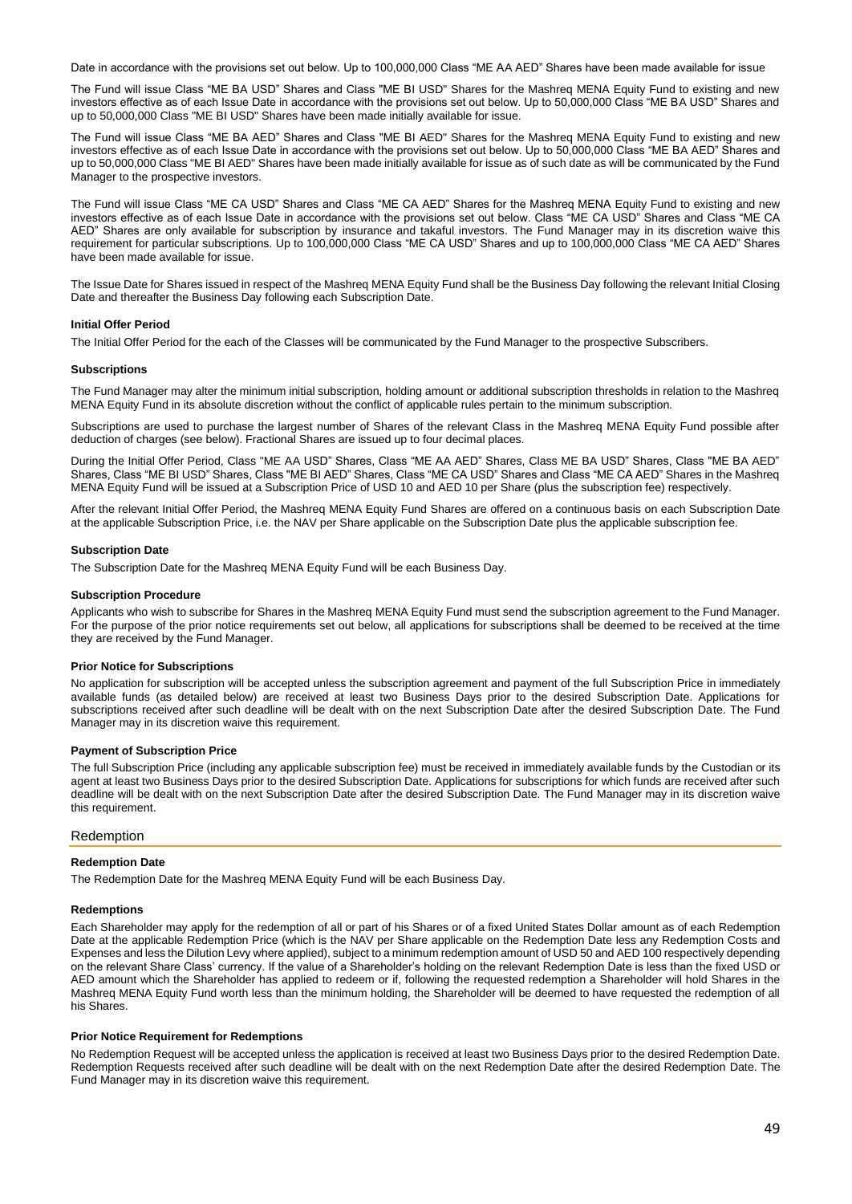Date in accordance with the provisions set out below. Up to 100,000,000 Class "ME AA AED" Shares have been made available for issue

The Fund will issue Class "ME BA USD" Shares and Class "ME BI USD" Shares for the Mashreq MENA Equity Fund to existing and new investors effective as of each Issue Date in accordance with the provisions set out below. Up to 50,000,000 Class "ME BA USD" Shares and up to 50,000,000 Class "ME BI USD" Shares have been made initially available for issue.

The Fund will issue Class "ME BA AED" Shares and Class "ME BI AED" Shares for the Mashreq MENA Equity Fund to existing and new investors effective as of each Issue Date in accordance with the provisions set out below. Up to 50,000,000 Class "ME BA AED" Shares and up to 50,000,000 Class "ME BI AED" Shares have been made initially available for issue as of such date as will be communicated by the Fund Manager to the prospective investors.

The Fund will issue Class "ME CA USD" Shares and Class "ME CA AED" Shares for the Mashreq MENA Equity Fund to existing and new investors effective as of each Issue Date in accordance with the provisions set out below. Class "ME CA USD" Shares and Class "ME CA AED" Shares are only available for subscription by insurance and takaful investors. The Fund Manager may in its discretion waive this requirement for particular subscriptions. Up to 100,000,000 Class "ME CA USD" Shares and up to 100,000,000 Class "ME CA AED" Shares have been made available for issue.

The Issue Date for Shares issued in respect of the Mashreq MENA Equity Fund shall be the Business Day following the relevant Initial Closing Date and thereafter the Business Day following each Subscription Date.

## **Initial Offer Period**

The Initial Offer Period for the each of the Classes will be communicated by the Fund Manager to the prospective Subscribers.

#### **Subscriptions**

The Fund Manager may alter the minimum initial subscription, holding amount or additional subscription thresholds in relation to the Mashreq MENA Equity Fund in its absolute discretion without the conflict of applicable rules pertain to the minimum subscription.

Subscriptions are used to purchase the largest number of Shares of the relevant Class in the Mashreq MENA Equity Fund possible after deduction of charges (see below). Fractional Shares are issued up to four decimal places.

During the Initial Offer Period, Class "ME AA USD" Shares, Class "ME AA AED" Shares, Class ME BA USD" Shares, Class "ME BA AED" Shares, Class "ME BI USD" Shares, Class "ME BI AED" Shares, Class "ME CA USD" Shares and Class "ME CA AED" Shares in the Mashreq MENA Equity Fund will be issued at a Subscription Price of USD 10 and AED 10 per Share (plus the subscription fee) respectively.

After the relevant Initial Offer Period, the Mashreq MENA Equity Fund Shares are offered on a continuous basis on each Subscription Date at the applicable Subscription Price, i.e. the NAV per Share applicable on the Subscription Date plus the applicable subscription fee.

## **Subscription Date**

The Subscription Date for the Mashreq MENA Equity Fund will be each Business Day.

#### **Subscription Procedure**

Applicants who wish to subscribe for Shares in the Mashreq MENA Equity Fund must send the subscription agreement to the Fund Manager. For the purpose of the prior notice requirements set out below, all applications for subscriptions shall be deemed to be received at the time they are received by the Fund Manager.

#### **Prior Notice for Subscriptions**

No application for subscription will be accepted unless the subscription agreement and payment of the full Subscription Price in immediately available funds (as detailed below) are received at least two Business Days prior to the desired Subscription Date. Applications for subscriptions received after such deadline will be dealt with on the next Subscription Date after the desired Subscription Date. The Fund Manager may in its discretion waive this requirement.

#### **Payment of Subscription Price**

The full Subscription Price (including any applicable subscription fee) must be received in immediately available funds by the Custodian or its agent at least two Business Days prior to the desired Subscription Date. Applications for subscriptions for which funds are received after such deadline will be dealt with on the next Subscription Date after the desired Subscription Date. The Fund Manager may in its discretion waive this requirement.

#### Redemption

#### **Redemption Date**

The Redemption Date for the Mashreq MENA Equity Fund will be each Business Day.

#### **Redemptions**

Each Shareholder may apply for the redemption of all or part of his Shares or of a fixed United States Dollar amount as of each Redemption Date at the applicable Redemption Price (which is the NAV per Share applicable on the Redemption Date less any Redemption Costs and Expenses and less the Dilution Levy where applied), subject to a minimum redemption amount of USD 50 and AED 100 respectively depending on the relevant Share Class' currency. If the value of a Shareholder's holding on the relevant Redemption Date is less than the fixed USD or AED amount which the Shareholder has applied to redeem or if, following the requested redemption a Shareholder will hold Shares in the Mashreq MENA Equity Fund worth less than the minimum holding, the Shareholder will be deemed to have requested the redemption of all his Shares.

#### **Prior Notice Requirement for Redemptions**

No Redemption Request will be accepted unless the application is received at least two Business Days prior to the desired Redemption Date. Redemption Requests received after such deadline will be dealt with on the next Redemption Date after the desired Redemption Date. The Fund Manager may in its discretion waive this requirement.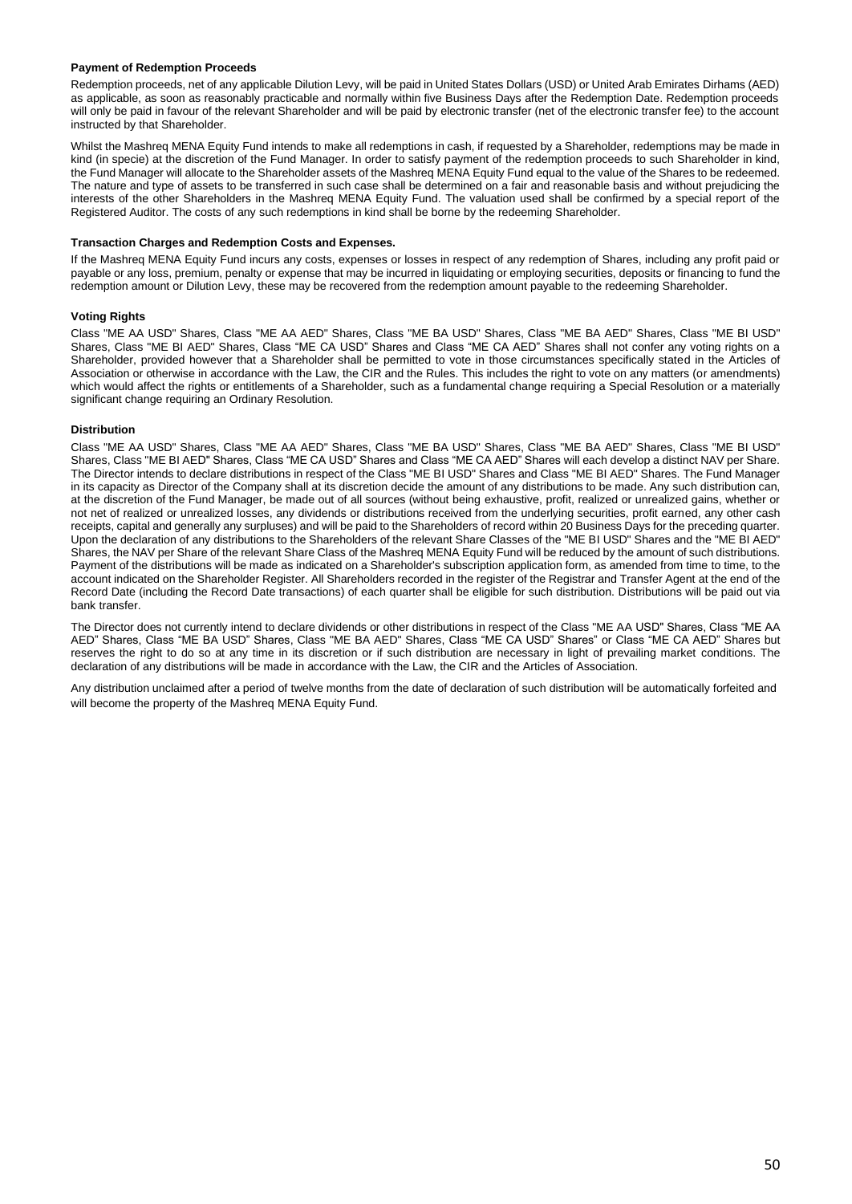# **Payment of Redemption Proceeds**

Redemption proceeds, net of any applicable Dilution Levy, will be paid in United States Dollars (USD) or United Arab Emirates Dirhams (AED) as applicable, as soon as reasonably practicable and normally within five Business Days after the Redemption Date. Redemption proceeds will only be paid in favour of the relevant Shareholder and will be paid by electronic transfer (net of the electronic transfer fee) to the account instructed by that Shareholder.

Whilst the Mashreq MENA Equity Fund intends to make all redemptions in cash, if requested by a Shareholder, redemptions may be made in kind (in specie) at the discretion of the Fund Manager. In order to satisfy payment of the redemption proceeds to such Shareholder in kind, the Fund Manager will allocate to the Shareholder assets of the Mashreq MENA Equity Fund equal to the value of the Shares to be redeemed. The nature and type of assets to be transferred in such case shall be determined on a fair and reasonable basis and without prejudicing the interests of the other Shareholders in the Mashreq MENA Equity Fund. The valuation used shall be confirmed by a special report of the Registered Auditor. The costs of any such redemptions in kind shall be borne by the redeeming Shareholder.

#### **Transaction Charges and Redemption Costs and Expenses.**

If the Mashreq MENA Equity Fund incurs any costs, expenses or losses in respect of any redemption of Shares, including any profit paid or payable or any loss, premium, penalty or expense that may be incurred in liquidating or employing securities, deposits or financing to fund the redemption amount or Dilution Levy, these may be recovered from the redemption amount payable to the redeeming Shareholder.

## **Voting Rights**

Class "ME AA USD" Shares, Class "ME AA AED" Shares, Class "ME BA USD" Shares, Class "ME BA AED" Shares, Class "ME BI USD" Shares, Class "ME BI AED" Shares, Class "ME CA USD" Shares and Class "ME CA AED" Shares shall not confer any voting rights on a Shareholder, provided however that a Shareholder shall be permitted to vote in those circumstances specifically stated in the Articles of Association or otherwise in accordance with the Law, the CIR and the Rules. This includes the right to vote on any matters (or amendments) which would affect the rights or entitlements of a Shareholder, such as a fundamental change requiring a Special Resolution or a materially significant change requiring an Ordinary Resolution.

## **Distribution**

Class "ME AA USD" Shares, Class "ME AA AED" Shares, Class "ME BA USD" Shares, Class "ME BA AED" Shares, Class "ME BI USD" Shares, Class "ME BI AED" Shares, Class "ME CA USD" Shares and Class "ME CA AED" Shares will each develop a distinct NAV per Share. The Director intends to declare distributions in respect of the Class "ME BI USD" Shares and Class "ME BI AED" Shares. The Fund Manager in its capacity as Director of the Company shall at its discretion decide the amount of any distributions to be made. Any such distribution can, at the discretion of the Fund Manager, be made out of all sources (without being exhaustive, profit, realized or unrealized gains, whether or not net of realized or unrealized losses, any dividends or distributions received from the underlying securities, profit earned, any other cash receipts, capital and generally any surpluses) and will be paid to the Shareholders of record within 20 Business Days for the preceding quarter. Upon the declaration of any distributions to the Shareholders of the relevant Share Classes of the "ME BI USD" Shares and the "ME BI AED" Shares, the NAV per Share of the relevant Share Class of the Mashreq MENA Equity Fund will be reduced by the amount of such distributions. Payment of the distributions will be made as indicated on a Shareholder's subscription application form, as amended from time to time, to the account indicated on the Shareholder Register. All Shareholders recorded in the register of the Registrar and Transfer Agent at the end of the Record Date (including the Record Date transactions) of each quarter shall be eligible for such distribution. Distributions will be paid out via bank transfer.

The Director does not currently intend to declare dividends or other distributions in respect of the Class "ME AA USD" Shares, Class "ME AA AED" Shares, Class "ME BA USD" Shares, Class "ME BA AED" Shares, Class "ME CA USD" Shares" or Class "ME CA AED" Shares but reserves the right to do so at any time in its discretion or if such distribution are necessary in light of prevailing market conditions. The declaration of any distributions will be made in accordance with the Law, the CIR and the Articles of Association.

Any distribution unclaimed after a period of twelve months from the date of declaration of such distribution will be automatically forfeited and will become the property of the Mashreq MENA Equity Fund.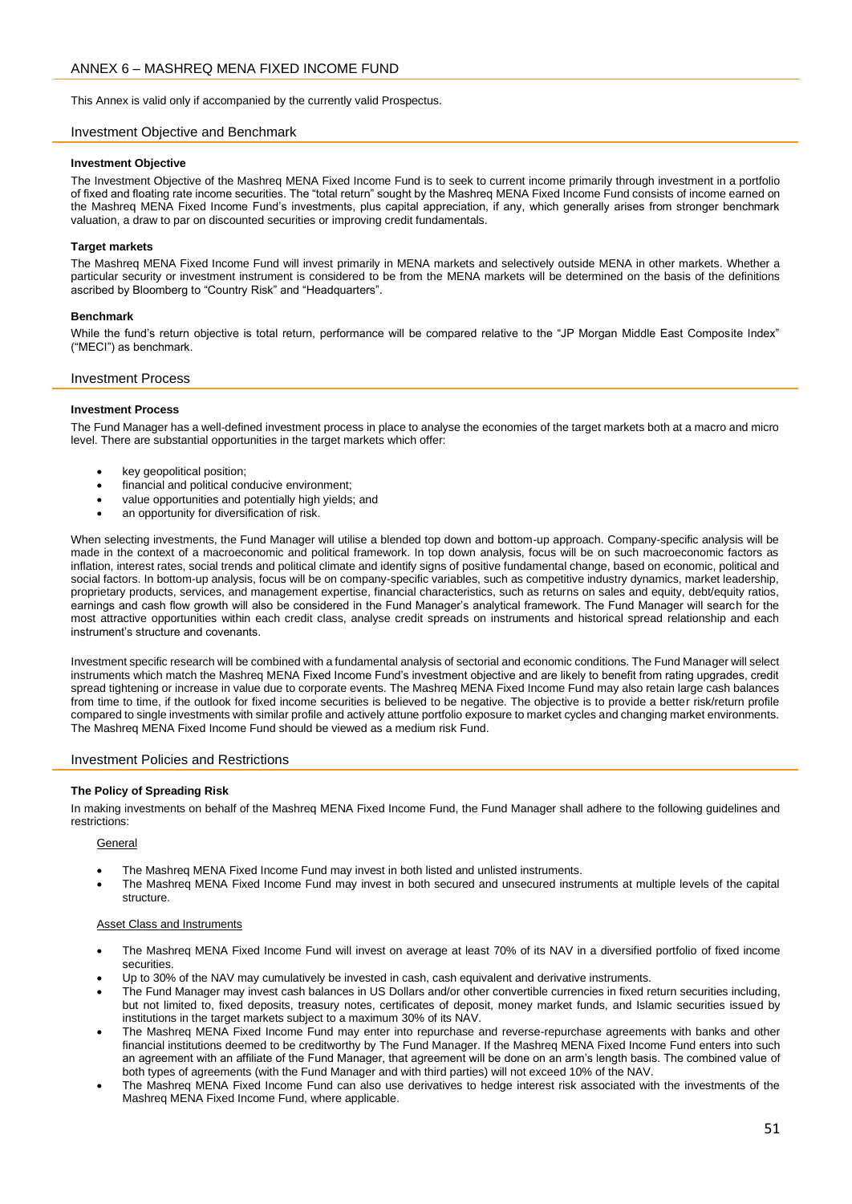<span id="page-50-0"></span>This Annex is valid only if accompanied by the currently valid Prospectus.

# Investment Objective and Benchmark

## **Investment Objective**

The Investment Objective of the Mashreq MENA Fixed Income Fund is to seek to current income primarily through investment in a portfolio of fixed and floating rate income securities. The "total return" sought by the Mashreq MENA Fixed Income Fund consists of income earned on the Mashreq MENA Fixed Income Fund's investments, plus capital appreciation, if any, which generally arises from stronger benchmark valuation, a draw to par on discounted securities or improving credit fundamentals.

## **Target markets**

The Mashreq MENA Fixed Income Fund will invest primarily in MENA markets and selectively outside MENA in other markets. Whether a particular security or investment instrument is considered to be from the MENA markets will be determined on the basis of the definitions ascribed by Bloomberg to "Country Risk" and "Headquarters".

# **Benchmark**

While the fund's return objective is total return, performance will be compared relative to the "JP Morgan Middle East Composite Index" ("MECI") as benchmark.

## Investment Process

## **Investment Process**

The Fund Manager has a well-defined investment process in place to analyse the economies of the target markets both at a macro and micro level. There are substantial opportunities in the target markets which offer:

- key geopolitical position;
- financial and political conducive environment;
- value opportunities and potentially high yields; and
- an opportunity for diversification of risk.

When selecting investments, the Fund Manager will utilise a blended top down and bottom-up approach. Company-specific analysis will be made in the context of a macroeconomic and political framework. In top down analysis, focus will be on such macroeconomic factors as inflation, interest rates, social trends and political climate and identify signs of positive fundamental change, based on economic, political and social factors. In bottom-up analysis, focus will be on company-specific variables, such as competitive industry dynamics, market leadership, proprietary products, services, and management expertise, financial characteristics, such as returns on sales and equity, debt/equity ratios, earnings and cash flow growth will also be considered in the Fund Manager's analytical framework. The Fund Manager will search for the most attractive opportunities within each credit class, analyse credit spreads on instruments and historical spread relationship and each instrument's structure and covenants.

Investment specific research will be combined with a fundamental analysis of sectorial and economic conditions. The Fund Manager will select instruments which match the Mashreq MENA Fixed Income Fund's investment objective and are likely to benefit from rating upgrades, credit spread tightening or increase in value due to corporate events. The Mashreq MENA Fixed Income Fund may also retain large cash balances from time to time, if the outlook for fixed income securities is believed to be negative. The objective is to provide a better risk/return profile compared to single investments with similar profile and actively attune portfolio exposure to market cycles and changing market environments. The Mashreq MENA Fixed Income Fund should be viewed as a medium risk Fund.

# Investment Policies and Restrictions

## **The Policy of Spreading Risk**

In making investments on behalf of the Mashreq MENA Fixed Income Fund, the Fund Manager shall adhere to the following guidelines and restrictions:

## **General**

- The Mashreq MENA Fixed Income Fund may invest in both listed and unlisted instruments.
- The Mashreq MENA Fixed Income Fund may invest in both secured and unsecured instruments at multiple levels of the capital structure.

## Asset Class and Instruments

- The Mashreq MENA Fixed Income Fund will invest on average at least 70% of its NAV in a diversified portfolio of fixed income securities.
- Up to 30% of the NAV may cumulatively be invested in cash, cash equivalent and derivative instruments.
- The Fund Manager may invest cash balances in US Dollars and/or other convertible currencies in fixed return securities including, but not limited to, fixed deposits, treasury notes, certificates of deposit, money market funds, and Islamic securities issued by institutions in the target markets subject to a maximum 30% of its NAV.
- The Mashreq MENA Fixed Income Fund may enter into repurchase and reverse-repurchase agreements with banks and other financial institutions deemed to be creditworthy by The Fund Manager. If the Mashreq MENA Fixed Income Fund enters into such an agreement with an affiliate of the Fund Manager, that agreement will be done on an arm's length basis. The combined value of both types of agreements (with the Fund Manager and with third parties) will not exceed 10% of the NAV.
- The Mashreq MENA Fixed Income Fund can also use derivatives to hedge interest risk associated with the investments of the Mashreq MENA Fixed Income Fund, where applicable.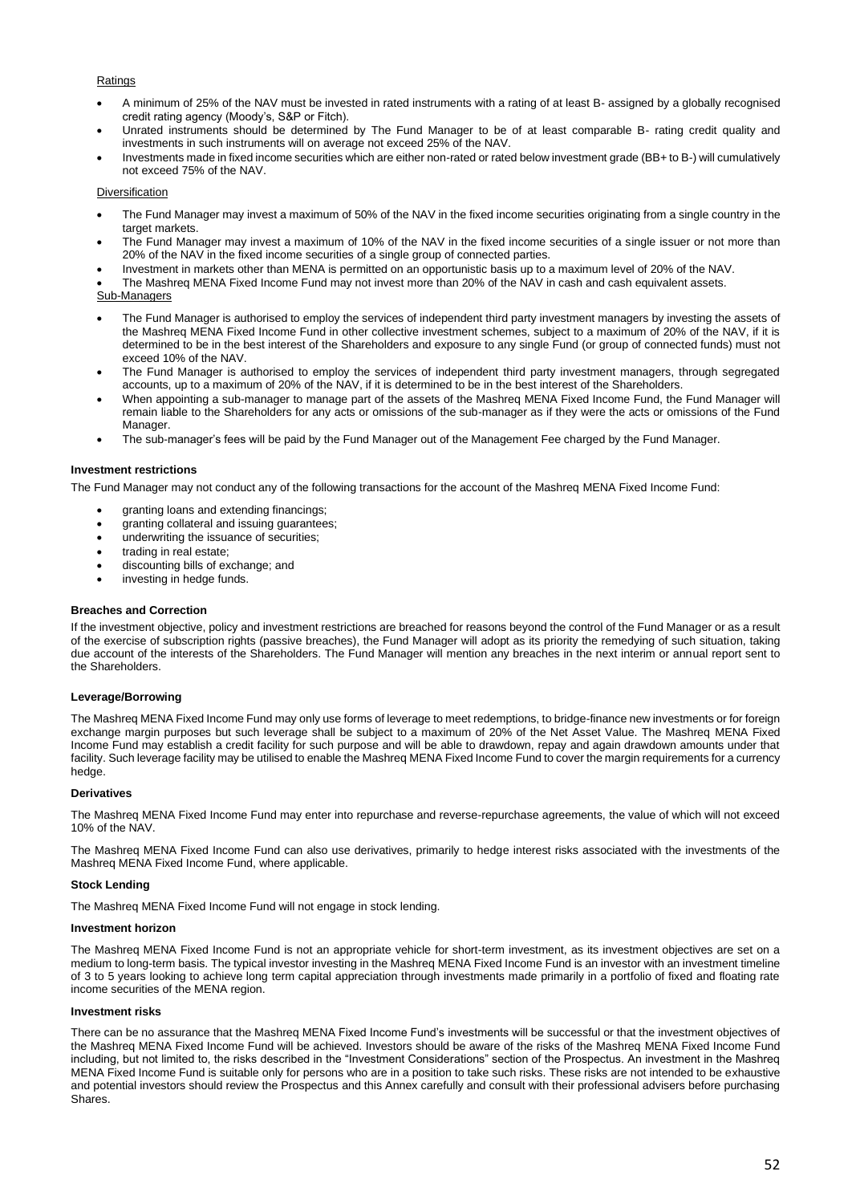## Ratings

- A minimum of 25% of the NAV must be invested in rated instruments with a rating of at least B- assigned by a globally recognised credit rating agency (Moody's, S&P or Fitch).
- Unrated instruments should be determined by The Fund Manager to be of at least comparable B- rating credit quality and investments in such instruments will on average not exceed 25% of the NAV.
- Investments made in fixed income securities which are either non-rated or rated below investment grade (BB+ to B-) will cumulatively not exceed 75% of the NAV.

## Diversification

- The Fund Manager may invest a maximum of 50% of the NAV in the fixed income securities originating from a single country in the target markets.
- The Fund Manager may invest a maximum of 10% of the NAV in the fixed income securities of a single issuer or not more than 20% of the NAV in the fixed income securities of a single group of connected parties.
- Investment in markets other than MENA is permitted on an opportunistic basis up to a maximum level of 20% of the NAV.
- The Mashreq MENA Fixed Income Fund may not invest more than 20% of the NAV in cash and cash equivalent assets.
- Sub-Managers
- The Fund Manager is authorised to employ the services of independent third party investment managers by investing the assets of the Mashreq MENA Fixed Income Fund in other collective investment schemes, subject to a maximum of 20% of the NAV, if it is determined to be in the best interest of the Shareholders and exposure to any single Fund (or group of connected funds) must not exceed 10% of the NAV.
- The Fund Manager is authorised to employ the services of independent third party investment managers, through segregated accounts, up to a maximum of 20% of the NAV, if it is determined to be in the best interest of the Shareholders.
- When appointing a sub-manager to manage part of the assets of the Mashreq MENA Fixed Income Fund, the Fund Manager will remain liable to the Shareholders for any acts or omissions of the sub-manager as if they were the acts or omissions of the Fund Manager.
- The sub-manager's fees will be paid by the Fund Manager out of the Management Fee charged by the Fund Manager.

## **Investment restrictions**

The Fund Manager may not conduct any of the following transactions for the account of the Mashreq MENA Fixed Income Fund:

- granting loans and extending financings;
- granting collateral and issuing guarantees;
- underwriting the issuance of securities;
- trading in real estate:
- discounting bills of exchange; and
- investing in hedge funds.

## **Breaches and Correction**

If the investment objective, policy and investment restrictions are breached for reasons beyond the control of the Fund Manager or as a result of the exercise of subscription rights (passive breaches), the Fund Manager will adopt as its priority the remedying of such situation, taking due account of the interests of the Shareholders. The Fund Manager will mention any breaches in the next interim or annual report sent to the Shareholders.

## **Leverage/Borrowing**

The Mashreq MENA Fixed Income Fund may only use forms of leverage to meet redemptions, to bridge-finance new investments or for foreign exchange margin purposes but such leverage shall be subject to a maximum of 20% of the Net Asset Value. The Mashreq MENA Fixed Income Fund may establish a credit facility for such purpose and will be able to drawdown, repay and again drawdown amounts under that facility. Such leverage facility may be utilised to enable the Mashreq MENA Fixed Income Fund to cover the margin requirements for a currency hedge.

## **Derivatives**

The Mashreq MENA Fixed Income Fund may enter into repurchase and reverse-repurchase agreements, the value of which will not exceed 10% of the NAV.

The Mashreq MENA Fixed Income Fund can also use derivatives, primarily to hedge interest risks associated with the investments of the Mashreq MENA Fixed Income Fund, where applicable.

## **Stock Lending**

The Mashreq MENA Fixed Income Fund will not engage in stock lending.

# **Investment horizon**

The Mashreq MENA Fixed Income Fund is not an appropriate vehicle for short-term investment, as its investment objectives are set on a medium to long-term basis. The typical investor investing in the Mashreq MENA Fixed Income Fund is an investor with an investment timeline of 3 to 5 years looking to achieve long term capital appreciation through investments made primarily in a portfolio of fixed and floating rate income securities of the MENA region.

## **Investment risks**

There can be no assurance that the Mashreq MENA Fixed Income Fund's investments will be successful or that the investment objectives of the Mashreq MENA Fixed Income Fund will be achieved. Investors should be aware of the risks of the Mashreq MENA Fixed Income Fund including, but not limited to, the risks described in the "Investment Considerations" section of the Prospectus. An investment in the Mashreq MENA Fixed Income Fund is suitable only for persons who are in a position to take such risks. These risks are not intended to be exhaustive and potential investors should review the Prospectus and this Annex carefully and consult with their professional advisers before purchasing Shares.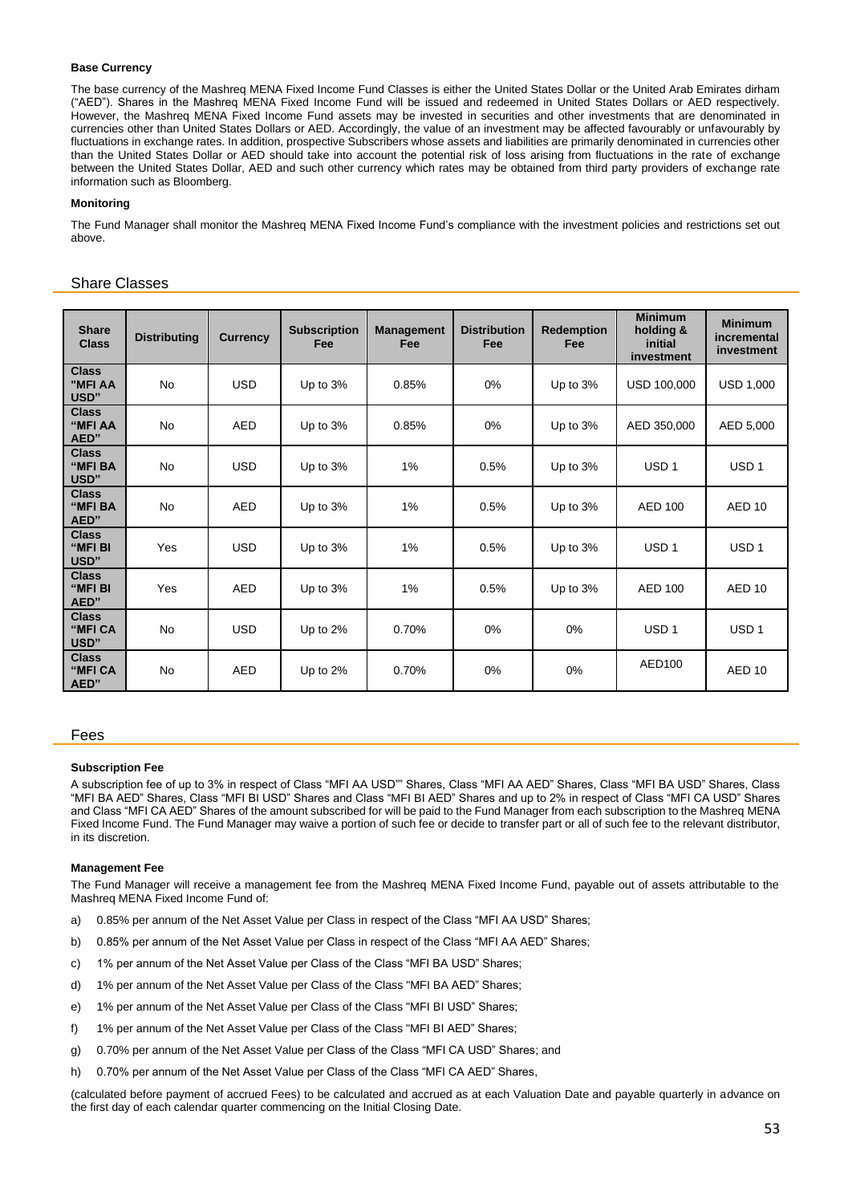# **Base Currency**

The base currency of the Mashreq MENA Fixed Income Fund Classes is either the United States Dollar or the United Arab Emirates dirham ("AED"). Shares in the Mashreq MENA Fixed Income Fund will be issued and redeemed in United States Dollars or AED respectively. However, the Mashreq MENA Fixed Income Fund assets may be invested in securities and other investments that are denominated in currencies other than United States Dollars or AED. Accordingly, the value of an investment may be affected favourably or unfavourably by fluctuations in exchange rates. In addition, prospective Subscribers whose assets and liabilities are primarily denominated in currencies other than the United States Dollar or AED should take into account the potential risk of loss arising from fluctuations in the rate of exchange between the United States Dollar, AED and such other currency which rates may be obtained from third party providers of exchange rate information such as Bloomberg.

## **Monitoring**

The Fund Manager shall monitor the Mashreq MENA Fixed Income Fund's compliance with the investment policies and restrictions set out above.

# Share Classes

| <b>Share</b><br><b>Class</b>    | <b>Distributing</b> | <b>Currency</b> | <b>Subscription</b><br>Fee | <b>Management</b><br>Fee | <b>Distribution</b><br>Fee | <b>Redemption</b><br>Fee | <b>Minimum</b><br>holding &<br>initial<br>investment | <b>Minimum</b><br>incremental<br>investment |
|---------------------------------|---------------------|-----------------|----------------------------|--------------------------|----------------------------|--------------------------|------------------------------------------------------|---------------------------------------------|
| <b>Class</b><br>"MFI AA<br>USD" | <b>No</b>           | <b>USD</b>      | Up to 3%                   | 0.85%                    | $0\%$                      | Up to 3%                 | USD 100,000                                          | <b>USD 1,000</b>                            |
| <b>Class</b><br>"MFI AA<br>AED" | <b>No</b>           | <b>AED</b>      | Up to 3%                   | 0.85%                    | 0%                         | Up to 3%                 | AED 350,000                                          | AED 5,000                                   |
| <b>Class</b><br>"MFI BA<br>USD" | <b>No</b>           | <b>USD</b>      | Up to $3%$                 | $1\%$                    | 0.5%                       | Up to $3%$               | USD <sub>1</sub>                                     | USD <sub>1</sub>                            |
| <b>Class</b><br>"MFI BA<br>AED" | <b>No</b>           | <b>AED</b>      | Up to 3%                   | $1\%$                    | 0.5%                       | Up to 3%                 | <b>AED 100</b>                                       | AED <sub>10</sub>                           |
| <b>Class</b><br>"MFI BI<br>USD" | Yes                 | <b>USD</b>      | Up to 3%                   | 1%                       | 0.5%                       | Up to $3%$               | USD <sub>1</sub>                                     | USD <sub>1</sub>                            |
| <b>Class</b><br>"MFI BI<br>AED" | Yes                 | <b>AED</b>      | Up to 3%                   | 1%                       | 0.5%                       | Up to 3%                 | <b>AED 100</b>                                       | AED <sub>10</sub>                           |
| <b>Class</b><br>"MFI CA<br>USD" | <b>No</b>           | <b>USD</b>      | Up to 2%                   | 0.70%                    | 0%                         | 0%                       | USD <sub>1</sub>                                     | USD <sub>1</sub>                            |
| <b>Class</b><br>"MFI CA<br>AED" | No                  | <b>AED</b>      | Up to 2%                   | 0.70%                    | 0%                         | 0%                       | AED100                                               | AED <sub>10</sub>                           |

## Fees

## **Subscription Fee**

A subscription fee of up to 3% in respect of Class "MFI AA USD"" Shares, Class "MFI AA AED" Shares, Class "MFI BA USD" Shares, Class "MFI BA AED" Shares, Class "MFI BI USD" Shares and Class "MFI BI AED" Shares and up to 2% in respect of Class "MFI CA USD" Shares and Class "MFI CA AED" Shares of the amount subscribed for will be paid to the Fund Manager from each subscription to the Mashreq MENA Fixed Income Fund. The Fund Manager may waive a portion of such fee or decide to transfer part or all of such fee to the relevant distributor, in its discretion.

## **Management Fee**

The Fund Manager will receive a management fee from the Mashreq MENA Fixed Income Fund, payable out of assets attributable to the Mashreq MENA Fixed Income Fund of:

- a) 0.85% per annum of the Net Asset Value per Class in respect of the Class "MFI AA USD" Shares;
- b) 0.85% per annum of the Net Asset Value per Class in respect of the Class "MFI AA AED" Shares;
- c) 1% per annum of the Net Asset Value per Class of the Class "MFI BA USD" Shares;
- d) 1% per annum of the Net Asset Value per Class of the Class "MFI BA AED" Shares;
- e) 1% per annum of the Net Asset Value per Class of the Class "MFI BI USD" Shares;
- f) 1% per annum of the Net Asset Value per Class of the Class "MFI BI AED" Shares;
- g) 0.70% per annum of the Net Asset Value per Class of the Class "MFI CA USD" Shares; and
- h) 0.70% per annum of the Net Asset Value per Class of the Class "MFI CA AED" Shares,

(calculated before payment of accrued Fees) to be calculated and accrued as at each Valuation Date and payable quarterly in advance on the first day of each calendar quarter commencing on the Initial Closing Date.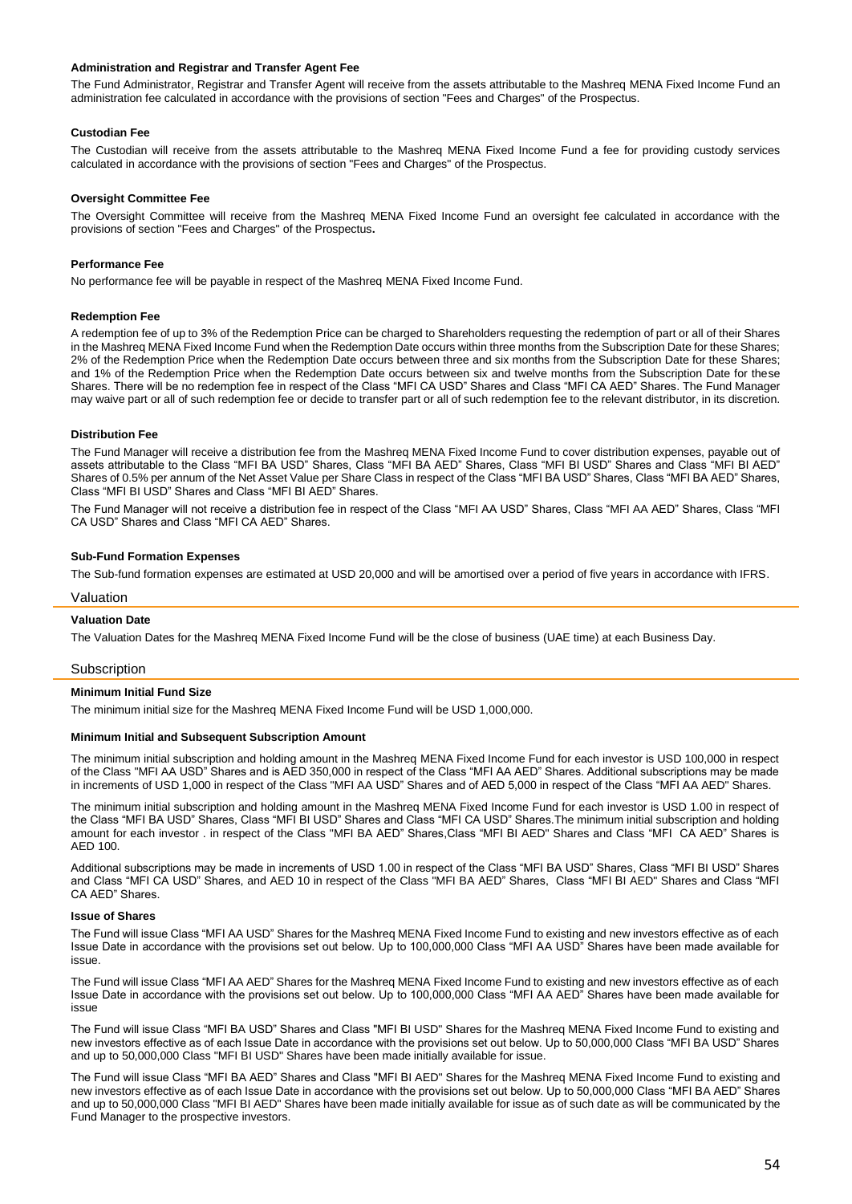## **Administration and Registrar and Transfer Agent Fee**

The Fund Administrator, Registrar and Transfer Agent will receive from the assets attributable to the Mashreq MENA Fixed Income Fund an administration fee calculated in accordance with the provisions of section "Fees and Charges" of the Prospectus.

## **Custodian Fee**

The Custodian will receive from the assets attributable to the Mashreq MENA Fixed Income Fund a fee for providing custody services calculated in accordance with the provisions of section "Fees and Charges" of the Prospectus.

## **Oversight Committee Fee**

The Oversight Committee will receive from the Mashreq MENA Fixed Income Fund an oversight fee calculated in accordance with the provisions of section "Fees and Charges" of the Prospectus**.** 

## **Performance Fee**

No performance fee will be payable in respect of the Mashreq MENA Fixed Income Fund.

#### **Redemption Fee**

A redemption fee of up to 3% of the Redemption Price can be charged to Shareholders requesting the redemption of part or all of their Shares in the Mashreq MENA Fixed Income Fund when the Redemption Date occurs within three months from the Subscription Date for these Shares; 2% of the Redemption Price when the Redemption Date occurs between three and six months from the Subscription Date for these Shares; and 1% of the Redemption Price when the Redemption Date occurs between six and twelve months from the Subscription Date for these Shares. There will be no redemption fee in respect of the Class "MFI CA USD" Shares and Class "MFI CA AED" Shares. The Fund Manager may waive part or all of such redemption fee or decide to transfer part or all of such redemption fee to the relevant distributor, in its discretion.

## **Distribution Fee**

The Fund Manager will receive a distribution fee from the Mashreq MENA Fixed Income Fund to cover distribution expenses, payable out of assets attributable to the Class "MFI BA USD" Shares, Class "MFI BA AED" Shares, Class "MFI BI USD" Shares and Class "MFI BI AED" Shares of 0.5% per annum of the Net Asset Value per Share Class in respect of the Class "MFI BA USD" Shares, Class "MFI BA AED" Shares, Class "MFI BI USD" Shares and Class "MFI BI AED" Shares.

The Fund Manager will not receive a distribution fee in respect of the Class "MFI AA USD" Shares, Class "MFI AA AED" Shares, Class "MFI CA USD" Shares and Class "MFI CA AED" Shares.

#### **Sub-Fund Formation Expenses**

The Sub-fund formation expenses are estimated at USD 20,000 and will be amortised over a period of five years in accordance with IFRS.

#### Valuation

## **Valuation Date**

The Valuation Dates for the Mashreq MENA Fixed Income Fund will be the close of business (UAE time) at each Business Day.

#### **Subscription**

#### **Minimum Initial Fund Size**

The minimum initial size for the Mashreq MENA Fixed Income Fund will be USD 1,000,000.

#### **Minimum Initial and Subsequent Subscription Amount**

The minimum initial subscription and holding amount in the Mashreq MENA Fixed Income Fund for each investor is USD 100,000 in respect of the Class "MFI AA USD" Shares and is AED 350,000 in respect of the Class "MFI AA AED" Shares. Additional subscriptions may be made in increments of USD 1,000 in respect of the Class "MFI AA USD" Shares and of AED 5,000 in respect of the Class "MFI AA AED" Shares.

The minimum initial subscription and holding amount in the Mashreq MENA Fixed Income Fund for each investor is USD 1.00 in respect of the Class "MFI BA USD" Shares, Class "MFI BI USD" Shares and Class "MFI CA USD" Shares.The minimum initial subscription and holding amount for each investor . in respect of the Class "MFI BA AED" Shares,Class "MFI BI AED" Shares and Class "MFI CA AED" Shares is AED 100.

Additional subscriptions may be made in increments of USD 1.00 in respect of the Class "MFI BA USD" Shares, Class "MFI BI USD" Shares and Class "MFI CA USD" Shares, and AED 10 in respect of the Class "MFI BA AED" Shares, Class "MFI BI AED" Shares and Class "MFI CA AED" Shares.

# **Issue of Shares**

The Fund will issue Class "MFI AA USD" Shares for the Mashreq MENA Fixed Income Fund to existing and new investors effective as of each Issue Date in accordance with the provisions set out below. Up to 100,000,000 Class "MFI AA USD" Shares have been made available for issue.

The Fund will issue Class "MFI AA AED" Shares for the Mashreq MENA Fixed Income Fund to existing and new investors effective as of each Issue Date in accordance with the provisions set out below. Up to 100,000,000 Class "MFI AA AED" Shares have been made available for issue

The Fund will issue Class "MFI BA USD" Shares and Class "MFI BI USD" Shares for the Mashreq MENA Fixed Income Fund to existing and new investors effective as of each Issue Date in accordance with the provisions set out below. Up to 50,000,000 Class "MFI BA USD" Shares and up to 50,000,000 Class "MFI BI USD" Shares have been made initially available for issue.

The Fund will issue Class "MFI BA AED" Shares and Class "MFI BI AED" Shares for the Mashreq MENA Fixed Income Fund to existing and new investors effective as of each Issue Date in accordance with the provisions set out below. Up to 50,000,000 Class "MFI BA AED" Shares and up to 50,000,000 Class "MFI BI AED" Shares have been made initially available for issue as of such date as will be communicated by the Fund Manager to the prospective investors.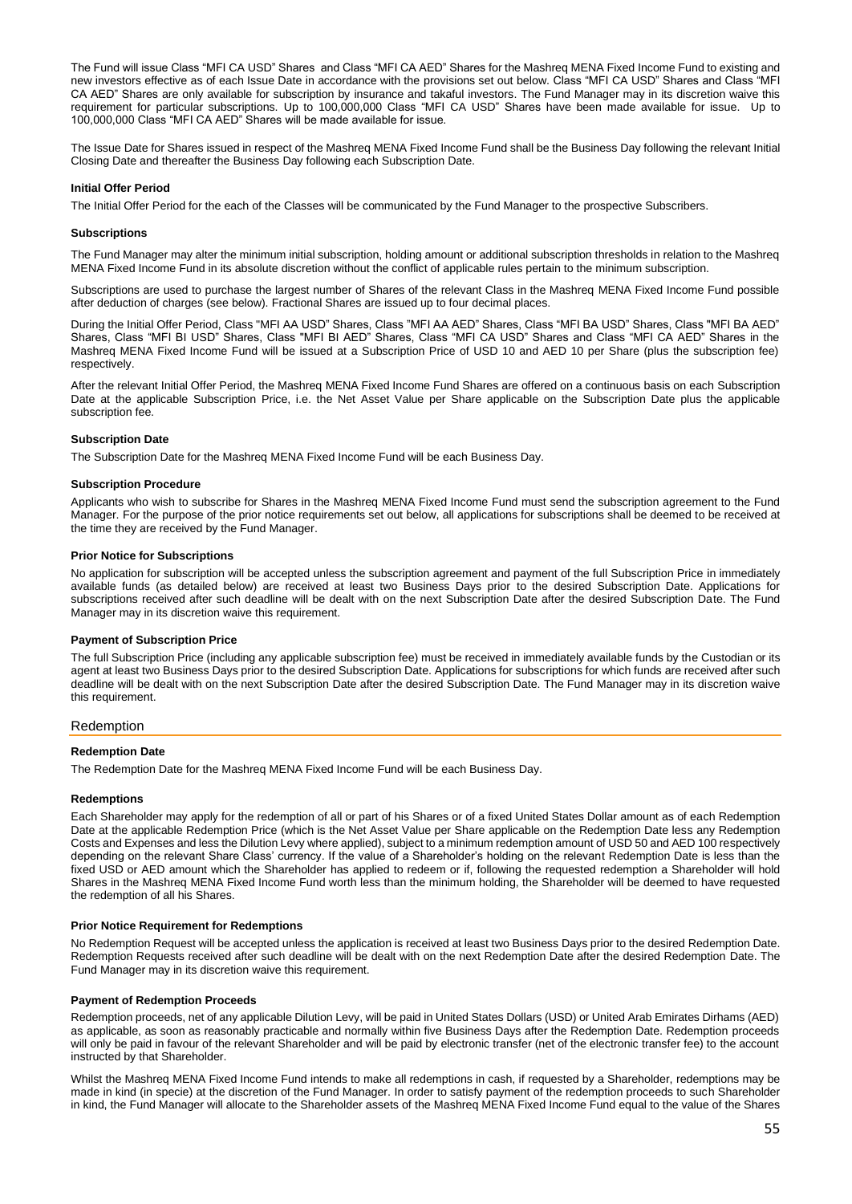The Fund will issue Class "MFI CA USD" Shares and Class "MFI CA AED" Shares for the Mashreq MENA Fixed Income Fund to existing and new investors effective as of each Issue Date in accordance with the provisions set out below. Class "MFI CA USD" Shares and Class "MFI CA AED" Shares are only available for subscription by insurance and takaful investors. The Fund Manager may in its discretion waive this requirement for particular subscriptions. Up to 100,000,000 Class "MFI CA USD" Shares have been made available for issue. Up to 100,000,000 Class "MFI CA AED" Shares will be made available for issue.

The Issue Date for Shares issued in respect of the Mashreq MENA Fixed Income Fund shall be the Business Day following the relevant Initial Closing Date and thereafter the Business Day following each Subscription Date.

## **Initial Offer Period**

The Initial Offer Period for the each of the Classes will be communicated by the Fund Manager to the prospective Subscribers.

#### **Subscriptions**

The Fund Manager may alter the minimum initial subscription, holding amount or additional subscription thresholds in relation to the Mashreq MENA Fixed Income Fund in its absolute discretion without the conflict of applicable rules pertain to the minimum subscription.

Subscriptions are used to purchase the largest number of Shares of the relevant Class in the Mashreq MENA Fixed Income Fund possible after deduction of charges (see below). Fractional Shares are issued up to four decimal places.

During the Initial Offer Period, Class "MFI AA USD" Shares, Class "MFI AA AED" Shares, Class "MFI BA USD" Shares, Class "MFI BA AED" Shares, Class "MFI BI USD" Shares, Class "MFI BI AED" Shares, Class "MFI CA USD" Shares and Class "MFI CA AED" Shares in the Mashreq MENA Fixed Income Fund will be issued at a Subscription Price of USD 10 and AED 10 per Share (plus the subscription fee) respectively.

After the relevant Initial Offer Period, the Mashreq MENA Fixed Income Fund Shares are offered on a continuous basis on each Subscription Date at the applicable Subscription Price, i.e. the Net Asset Value per Share applicable on the Subscription Date plus the applicable subscription fee.

#### **Subscription Date**

The Subscription Date for the Mashreq MENA Fixed Income Fund will be each Business Day.

#### **Subscription Procedure**

Applicants who wish to subscribe for Shares in the Mashreq MENA Fixed Income Fund must send the subscription agreement to the Fund Manager. For the purpose of the prior notice requirements set out below, all applications for subscriptions shall be deemed to be received at the time they are received by the Fund Manager.

## **Prior Notice for Subscriptions**

No application for subscription will be accepted unless the subscription agreement and payment of the full Subscription Price in immediately available funds (as detailed below) are received at least two Business Days prior to the desired Subscription Date. Applications for subscriptions received after such deadline will be dealt with on the next Subscription Date after the desired Subscription Date. The Fund Manager may in its discretion waive this requirement.

#### **Payment of Subscription Price**

The full Subscription Price (including any applicable subscription fee) must be received in immediately available funds by the Custodian or its agent at least two Business Days prior to the desired Subscription Date. Applications for subscriptions for which funds are received after such deadline will be dealt with on the next Subscription Date after the desired Subscription Date. The Fund Manager may in its discretion waive this requirement.

## Redemption

# **Redemption Date**

The Redemption Date for the Mashreq MENA Fixed Income Fund will be each Business Day.

#### **Redemptions**

Each Shareholder may apply for the redemption of all or part of his Shares or of a fixed United States Dollar amount as of each Redemption Date at the applicable Redemption Price (which is the Net Asset Value per Share applicable on the Redemption Date less any Redemption Costs and Expenses and less the Dilution Levy where applied), subject to a minimum redemption amount of USD 50 and AED 100 respectively depending on the relevant Share Class' currency. If the value of a Shareholder's holding on the relevant Redemption Date is less than the fixed USD or AED amount which the Shareholder has applied to redeem or if, following the requested redemption a Shareholder will hold Shares in the Mashreq MENA Fixed Income Fund worth less than the minimum holding, the Shareholder will be deemed to have requested the redemption of all his Shares.

## **Prior Notice Requirement for Redemptions**

No Redemption Request will be accepted unless the application is received at least two Business Days prior to the desired Redemption Date. Redemption Requests received after such deadline will be dealt with on the next Redemption Date after the desired Redemption Date. The Fund Manager may in its discretion waive this requirement.

## **Payment of Redemption Proceeds**

Redemption proceeds, net of any applicable Dilution Levy, will be paid in United States Dollars (USD) or United Arab Emirates Dirhams (AED) as applicable, as soon as reasonably practicable and normally within five Business Days after the Redemption Date. Redemption proceeds will only be paid in favour of the relevant Shareholder and will be paid by electronic transfer (net of the electronic transfer fee) to the account instructed by that Shareholder.

Whilst the Mashreq MENA Fixed Income Fund intends to make all redemptions in cash, if requested by a Shareholder, redemptions may be made in kind (in specie) at the discretion of the Fund Manager. In order to satisfy payment of the redemption proceeds to such Shareholder in kind, the Fund Manager will allocate to the Shareholder assets of the Mashreq MENA Fixed Income Fund equal to the value of the Shares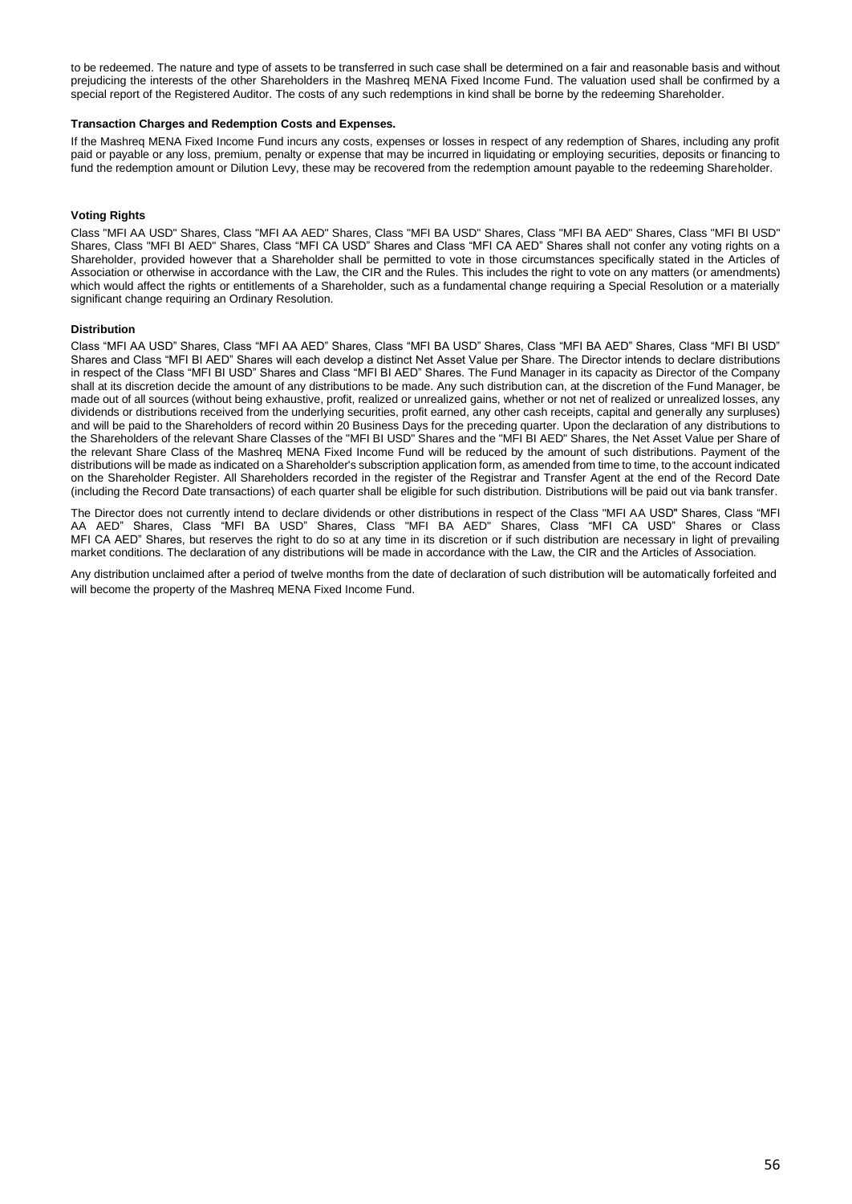to be redeemed. The nature and type of assets to be transferred in such case shall be determined on a fair and reasonable basis and without prejudicing the interests of the other Shareholders in the Mashreq MENA Fixed Income Fund. The valuation used shall be confirmed by a special report of the Registered Auditor. The costs of any such redemptions in kind shall be borne by the redeeming Shareholder.

#### **Transaction Charges and Redemption Costs and Expenses.**

If the Mashreq MENA Fixed Income Fund incurs any costs, expenses or losses in respect of any redemption of Shares, including any profit paid or payable or any loss, premium, penalty or expense that may be incurred in liquidating or employing securities, deposits or financing to fund the redemption amount or Dilution Levy, these may be recovered from the redemption amount payable to the redeeming Shareholder.

## **Voting Rights**

Class "MFI AA USD" Shares, Class "MFI AA AED" Shares, Class "MFI BA USD" Shares, Class "MFI BA AED" Shares, Class "MFI BI USD" Shares, Class "MFI BI AED" Shares, Class "MFI CA USD" Shares and Class "MFI CA AED" Shares shall not confer any voting rights on a Shareholder, provided however that a Shareholder shall be permitted to vote in those circumstances specifically stated in the Articles of Association or otherwise in accordance with the Law, the CIR and the Rules. This includes the right to vote on any matters (or amendments) which would affect the rights or entitlements of a Shareholder, such as a fundamental change requiring a Special Resolution or a materially significant change requiring an Ordinary Resolution.

## **Distribution**

Class "MFI AA USD" Shares, Class "MFI AA AED" Shares, Class "MFI BA USD" Shares, Class "MFI BA AED" Shares, Class "MFI BI USD" Shares and Class "MFI BI AED" Shares will each develop a distinct Net Asset Value per Share. The Director intends to declare distributions in respect of the Class "MFI BI USD" Shares and Class "MFI BI AED" Shares. The Fund Manager in its capacity as Director of the Company shall at its discretion decide the amount of any distributions to be made. Any such distribution can, at the discretion of the Fund Manager, be made out of all sources (without being exhaustive, profit, realized or unrealized gains, whether or not net of realized or unrealized losses, any dividends or distributions received from the underlying securities, profit earned, any other cash receipts, capital and generally any surpluses) and will be paid to the Shareholders of record within 20 Business Days for the preceding quarter. Upon the declaration of any distributions to the Shareholders of the relevant Share Classes of the "MFI BI USD" Shares and the "MFI BI AED" Shares, the Net Asset Value per Share of the relevant Share Class of the Mashreq MENA Fixed Income Fund will be reduced by the amount of such distributions. Payment of the distributions will be made as indicated on a Shareholder's subscription application form, as amended from time to time, to the account indicated on the Shareholder Register. All Shareholders recorded in the register of the Registrar and Transfer Agent at the end of the Record Date (including the Record Date transactions) of each quarter shall be eligible for such distribution. Distributions will be paid out via bank transfer.

The Director does not currently intend to declare dividends or other distributions in respect of the Class "MFI AA USD" Shares, Class "MFI AA AED" Shares, Class "MFI BA USD" Shares, Class "MFI BA AED" Shares, Class "MFI CA USD" Shares or Class MFI CA AED" Shares, but reserves the right to do so at any time in its discretion or if such distribution are necessary in light of prevailing market conditions. The declaration of any distributions will be made in accordance with the Law, the CIR and the Articles of Association.

Any distribution unclaimed after a period of twelve months from the date of declaration of such distribution will be automatically forfeited and will become the property of the Mashreq MENA Fixed Income Fund.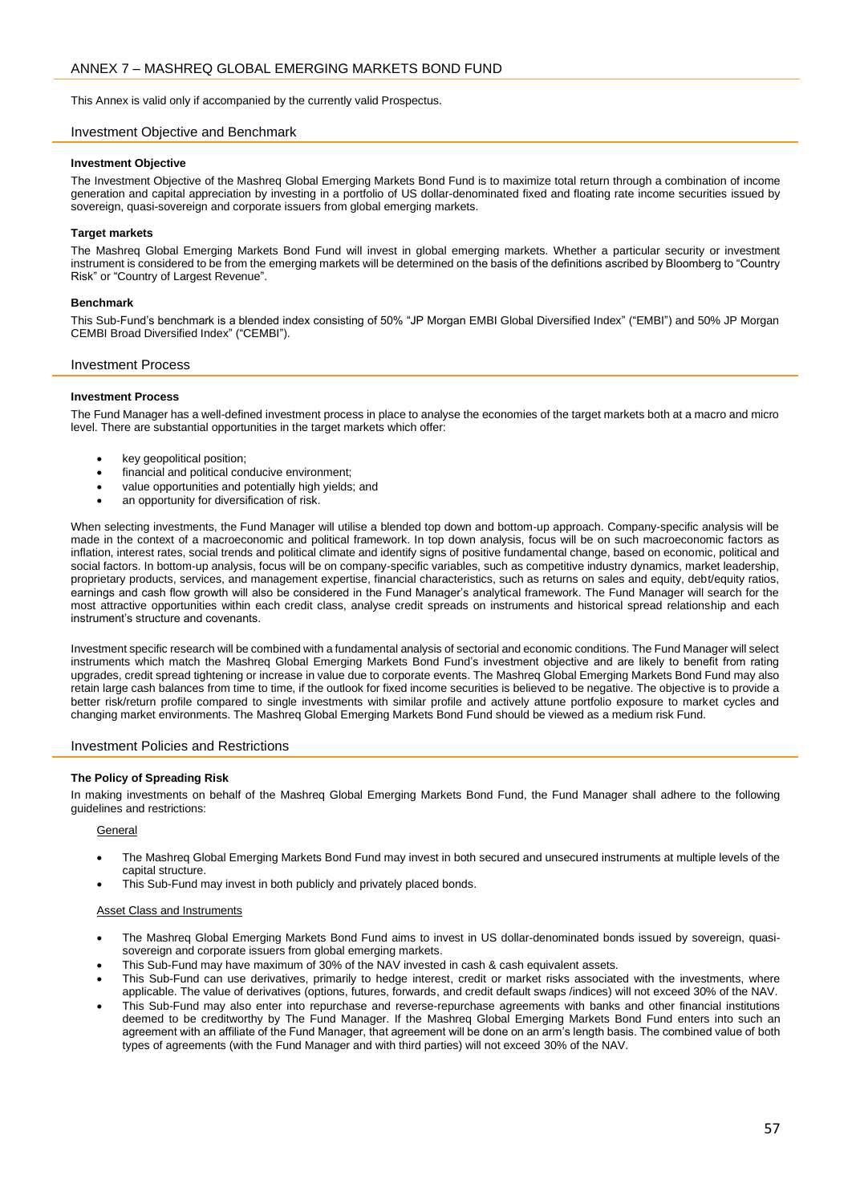<span id="page-56-0"></span>This Annex is valid only if accompanied by the currently valid Prospectus.

# Investment Objective and Benchmark

## **Investment Objective**

The Investment Objective of the Mashreq Global Emerging Markets Bond Fund is to maximize total return through a combination of income generation and capital appreciation by investing in a portfolio of US dollar-denominated fixed and floating rate income securities issued by sovereign, quasi-sovereign and corporate issuers from global emerging markets.

# **Target markets**

The Mashreq Global Emerging Markets Bond Fund will invest in global emerging markets. Whether a particular security or investment instrument is considered to be from the emerging markets will be determined on the basis of the definitions ascribed by Bloomberg to "Country Risk" or "Country of Largest Revenue".

## **Benchmark**

This Sub-Fund's benchmark is a blended index consisting of 50% "JP Morgan EMBI Global Diversified Index" ("EMBI") and 50% JP Morgan CEMBI Broad Diversified Index" ("CEMBI").

## Investment Process

# **Investment Process**

The Fund Manager has a well-defined investment process in place to analyse the economies of the target markets both at a macro and micro level. There are substantial opportunities in the target markets which offer:

- key geopolitical position;
- financial and political conducive environment;
- value opportunities and potentially high yields; and
- an opportunity for diversification of risk.

When selecting investments, the Fund Manager will utilise a blended top down and bottom-up approach. Company-specific analysis will be made in the context of a macroeconomic and political framework. In top down analysis, focus will be on such macroeconomic factors as inflation, interest rates, social trends and political climate and identify signs of positive fundamental change, based on economic, political and social factors. In bottom-up analysis, focus will be on company-specific variables, such as competitive industry dynamics, market leadership, proprietary products, services, and management expertise, financial characteristics, such as returns on sales and equity, debt/equity ratios, earnings and cash flow growth will also be considered in the Fund Manager's analytical framework. The Fund Manager will search for the most attractive opportunities within each credit class, analyse credit spreads on instruments and historical spread relationship and each instrument's structure and covenants.

Investment specific research will be combined with a fundamental analysis of sectorial and economic conditions. The Fund Manager will select instruments which match the Mashreq Global Emerging Markets Bond Fund's investment objective and are likely to benefit from rating upgrades, credit spread tightening or increase in value due to corporate events. The Mashreq Global Emerging Markets Bond Fund may also retain large cash balances from time to time, if the outlook for fixed income securities is believed to be negative. The objective is to provide a better risk/return profile compared to single investments with similar profile and actively attune portfolio exposure to market cycles and changing market environments. The Mashreq Global Emerging Markets Bond Fund should be viewed as a medium risk Fund.

# Investment Policies and Restrictions

## **The Policy of Spreading Risk**

In making investments on behalf of the Mashreq Global Emerging Markets Bond Fund, the Fund Manager shall adhere to the following guidelines and restrictions:

## General

- The Mashreq Global Emerging Markets Bond Fund may invest in both secured and unsecured instruments at multiple levels of the capital structure.
- This Sub-Fund may invest in both publicly and privately placed bonds.

## Asset Class and Instruments

- The Mashreq Global Emerging Markets Bond Fund aims to invest in US dollar-denominated bonds issued by sovereign, quasisovereign and corporate issuers from global emerging markets.
- This Sub-Fund may have maximum of 30% of the NAV invested in cash & cash equivalent assets.
- This Sub-Fund can use derivatives, primarily to hedge interest, credit or market risks associated with the investments, where applicable. The value of derivatives (options, futures, forwards, and credit default swaps /indices) will not exceed 30% of the NAV.
- This Sub-Fund may also enter into repurchase and reverse-repurchase agreements with banks and other financial institutions deemed to be creditworthy by The Fund Manager. If the Mashreq Global Emerging Markets Bond Fund enters into such an agreement with an affiliate of the Fund Manager, that agreement will be done on an arm's length basis. The combined value of both types of agreements (with the Fund Manager and with third parties) will not exceed 30% of the NAV.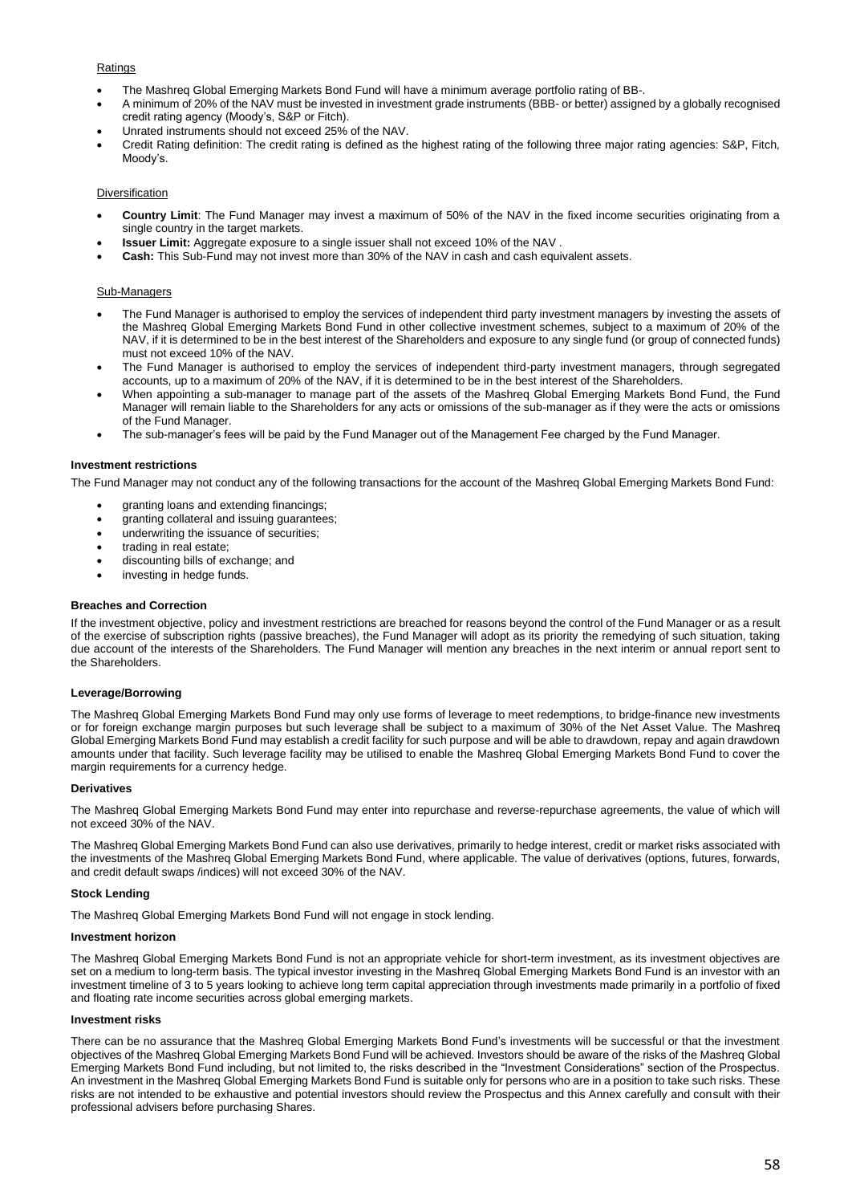# **Ratings**

- The Mashreq Global Emerging Markets Bond Fund will have a minimum average portfolio rating of BB-.
- A minimum of 20% of the NAV must be invested in investment grade instruments (BBB- or better) assigned by a globally recognised credit rating agency (Moody's, S&P or Fitch).
- Unrated instruments should not exceed 25% of the NAV.
- Credit Rating definition: The credit rating is defined as the highest rating of the following three major rating agencies: S&P, Fitch, Moody's.

# Diversification

- **Country Limit**: The Fund Manager may invest a maximum of 50% of the NAV in the fixed income securities originating from a single country in the target markets.
- **Issuer Limit:** Aggregate exposure to a single issuer shall not exceed 10% of the NAV .
- **Cash:** This Sub-Fund may not invest more than 30% of the NAV in cash and cash equivalent assets.

#### Sub-Managers

- The Fund Manager is authorised to employ the services of independent third party investment managers by investing the assets of the Mashreq Global Emerging Markets Bond Fund in other collective investment schemes, subject to a maximum of 20% of the NAV, if it is determined to be in the best interest of the Shareholders and exposure to any single fund (or group of connected funds) must not exceed 10% of the NAV.
- The Fund Manager is authorised to employ the services of independent third-party investment managers, through segregated accounts, up to a maximum of 20% of the NAV, if it is determined to be in the best interest of the Shareholders.
- When appointing a sub-manager to manage part of the assets of the Mashreq Global Emerging Markets Bond Fund, the Fund Manager will remain liable to the Shareholders for any acts or omissions of the sub-manager as if they were the acts or omissions of the Fund Manager.
- The sub-manager's fees will be paid by the Fund Manager out of the Management Fee charged by the Fund Manager.

#### **Investment restrictions**

The Fund Manager may not conduct any of the following transactions for the account of the Mashreq Global Emerging Markets Bond Fund:

- granting loans and extending financings;
- granting collateral and issuing guarantees;
- underwriting the issuance of securities;
- trading in real estate:
- discounting bills of exchange; and
- investing in hedge funds.

#### **Breaches and Correction**

If the investment objective, policy and investment restrictions are breached for reasons beyond the control of the Fund Manager or as a result of the exercise of subscription rights (passive breaches), the Fund Manager will adopt as its priority the remedying of such situation, taking due account of the interests of the Shareholders. The Fund Manager will mention any breaches in the next interim or annual report sent to the Shareholders.

#### **Leverage/Borrowing**

The Mashreq Global Emerging Markets Bond Fund may only use forms of leverage to meet redemptions, to bridge-finance new investments or for foreign exchange margin purposes but such leverage shall be subject to a maximum of 30% of the Net Asset Value. The Mashreq Global Emerging Markets Bond Fund may establish a credit facility for such purpose and will be able to drawdown, repay and again drawdown amounts under that facility. Such leverage facility may be utilised to enable the Mashreq Global Emerging Markets Bond Fund to cover the margin requirements for a currency hedge.

#### **Derivatives**

The Mashreq Global Emerging Markets Bond Fund may enter into repurchase and reverse-repurchase agreements, the value of which will not exceed 30% of the NAV.

The Mashreq Global Emerging Markets Bond Fund can also use derivatives, primarily to hedge interest, credit or market risks associated with the investments of the Mashreq Global Emerging Markets Bond Fund, where applicable. The value of derivatives (options, futures, forwards, and credit default swaps /indices) will not exceed 30% of the NAV.

## **Stock Lending**

The Mashreq Global Emerging Markets Bond Fund will not engage in stock lending.

#### **Investment horizon**

The Mashreq Global Emerging Markets Bond Fund is not an appropriate vehicle for short-term investment, as its investment objectives are set on a medium to long-term basis. The typical investor investing in the Mashreq Global Emerging Markets Bond Fund is an investor with an investment timeline of 3 to 5 years looking to achieve long term capital appreciation through investments made primarily in a portfolio of fixed and floating rate income securities across global emerging markets.

#### **Investment risks**

There can be no assurance that the Mashreq Global Emerging Markets Bond Fund's investments will be successful or that the investment objectives of the Mashreq Global Emerging Markets Bond Fund will be achieved. Investors should be aware of the risks of the Mashreq Global Emerging Markets Bond Fund including, but not limited to, the risks described in the "Investment Considerations" section of the Prospectus. An investment in the Mashreq Global Emerging Markets Bond Fund is suitable only for persons who are in a position to take such risks. These risks are not intended to be exhaustive and potential investors should review the Prospectus and this Annex carefully and consult with their professional advisers before purchasing Shares.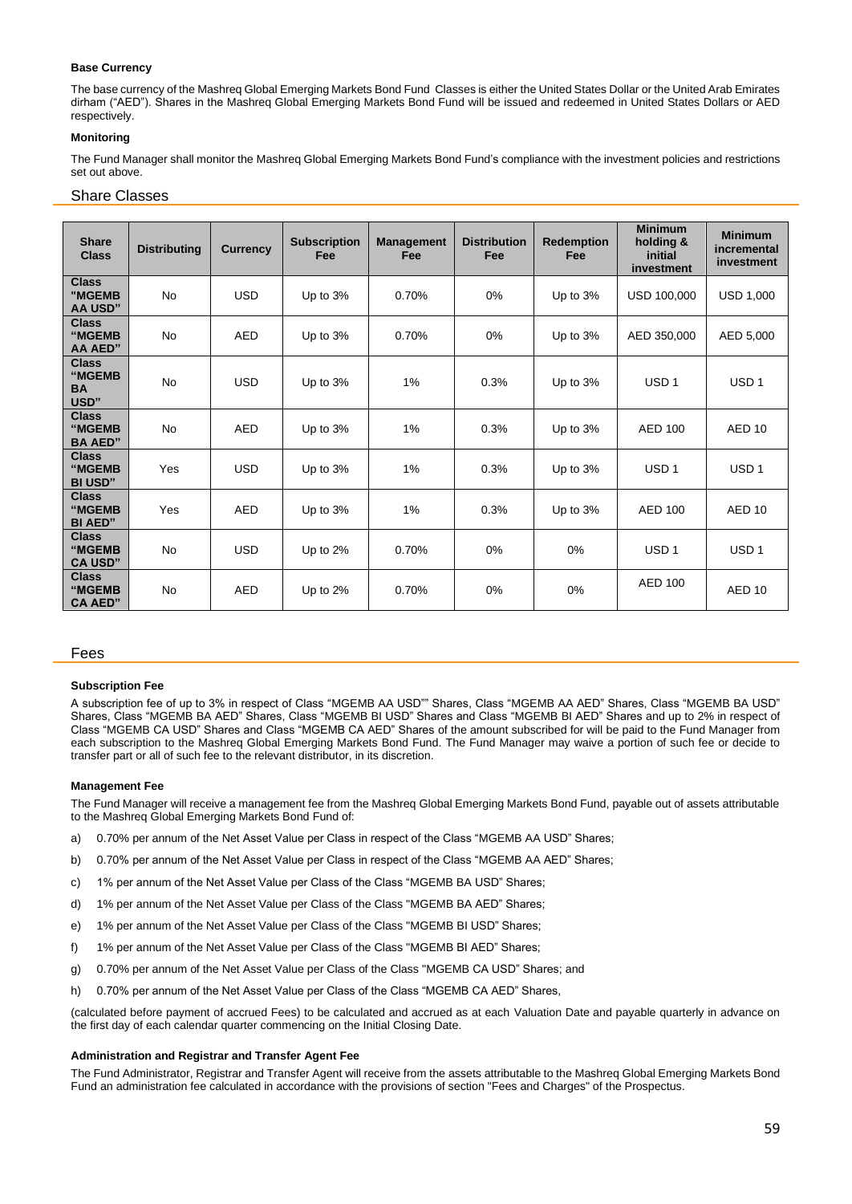# **Base Currency**

The base currency of the Mashreq Global Emerging Markets Bond Fund Classes is either the United States Dollar or the United Arab Emirates dirham ("AED"). Shares in the Mashreq Global Emerging Markets Bond Fund will be issued and redeemed in United States Dollars or AED respectively.

# **Monitoring**

The Fund Manager shall monitor the Mashreq Global Emerging Markets Bond Fund's compliance with the investment policies and restrictions set out above.

# Share Classes

| <b>Share</b><br><b>Class</b>                | <b>Distributing</b> | <b>Currency</b> | <b>Subscription</b><br>Fee | <b>Management</b><br>Fee | <b>Distribution</b><br>Fee | <b>Redemption</b><br>Fee | <b>Minimum</b><br>holding &<br>initial<br>investment | <b>Minimum</b><br>incremental<br>investment |
|---------------------------------------------|---------------------|-----------------|----------------------------|--------------------------|----------------------------|--------------------------|------------------------------------------------------|---------------------------------------------|
| <b>Class</b><br>"MGEMB<br><b>AA USD"</b>    | <b>No</b>           | <b>USD</b>      | Up to 3%                   | 0.70%                    | 0%                         | Up to 3%                 | USD 100,000                                          | <b>USD 1,000</b>                            |
| <b>Class</b><br>"MGEMB<br><b>AA AED"</b>    | <b>No</b>           | <b>AED</b>      | Up to $3%$                 | 0.70%                    | 0%                         | Up to 3%                 | AED 350,000                                          | AED 5,000                                   |
| <b>Class</b><br>"MGEMB<br><b>BA</b><br>USD" | <b>No</b>           | <b>USD</b>      | Up to 3%                   | 1%                       | 0.3%                       | Up to 3%                 | USD <sub>1</sub>                                     | USD <sub>1</sub>                            |
| <b>Class</b><br>"MGEMB<br><b>BA AED"</b>    | <b>No</b>           | <b>AED</b>      | Up to 3%                   | 1%                       | 0.3%                       | Up to 3%                 | <b>AED 100</b>                                       | AED <sub>10</sub>                           |
| <b>Class</b><br>"MGEMB<br><b>BI USD"</b>    | Yes                 | <b>USD</b>      | Up to 3%                   | 1%                       | 0.3%                       | Up to 3%                 | USD <sub>1</sub>                                     | USD <sub>1</sub>                            |
| <b>Class</b><br>"MGEMB<br><b>BI AED"</b>    | Yes                 | <b>AED</b>      | Up to 3%                   | 1%                       | 0.3%                       | Up to 3%                 | <b>AED 100</b>                                       | AED <sub>10</sub>                           |
| <b>Class</b><br>"MGEMB<br><b>CA USD"</b>    | No                  | <b>USD</b>      | Up to 2%                   | 0.70%                    | 0%                         | 0%                       | USD <sub>1</sub>                                     | USD <sub>1</sub>                            |
| <b>Class</b><br>"MGEMB<br><b>CA AED"</b>    | <b>No</b>           | <b>AED</b>      | Up to $2\%$                | 0.70%                    | 0%                         | 0%                       | <b>AED 100</b>                                       | AED <sub>10</sub>                           |

## Fees

## **Subscription Fee**

A subscription fee of up to 3% in respect of Class "MGEMB AA USD"" Shares, Class "MGEMB AA AED" Shares, Class "MGEMB BA USD" Shares, Class "MGEMB BA AED" Shares, Class "MGEMB BI USD" Shares and Class "MGEMB BI AED" Shares and up to 2% in respect of Class "MGEMB CA USD" Shares and Class "MGEMB CA AED" Shares of the amount subscribed for will be paid to the Fund Manager from each subscription to the Mashreq Global Emerging Markets Bond Fund. The Fund Manager may waive a portion of such fee or decide to transfer part or all of such fee to the relevant distributor, in its discretion.

#### **Management Fee**

The Fund Manager will receive a management fee from the Mashreq Global Emerging Markets Bond Fund, payable out of assets attributable to the Mashreq Global Emerging Markets Bond Fund of:

- a) 0.70% per annum of the Net Asset Value per Class in respect of the Class "MGEMB AA USD" Shares;
- b) 0.70% per annum of the Net Asset Value per Class in respect of the Class "MGEMB AA AED" Shares;
- c) 1% per annum of the Net Asset Value per Class of the Class "MGEMB BA USD" Shares;
- d) 1% per annum of the Net Asset Value per Class of the Class "MGEMB BA AED" Shares;
- e) 1% per annum of the Net Asset Value per Class of the Class "MGEMB BI USD" Shares;
- f) 1% per annum of the Net Asset Value per Class of the Class "MGEMB BI AED" Shares;
- g) 0.70% per annum of the Net Asset Value per Class of the Class "MGEMB CA USD" Shares; and
- h) 0.70% per annum of the Net Asset Value per Class of the Class "MGEMB CA AED" Shares,

(calculated before payment of accrued Fees) to be calculated and accrued as at each Valuation Date and payable quarterly in advance on the first day of each calendar quarter commencing on the Initial Closing Date.

## **Administration and Registrar and Transfer Agent Fee**

The Fund Administrator, Registrar and Transfer Agent will receive from the assets attributable to the Mashreq Global Emerging Markets Bond Fund an administration fee calculated in accordance with the provisions of section "Fees and Charges" of the Prospectus.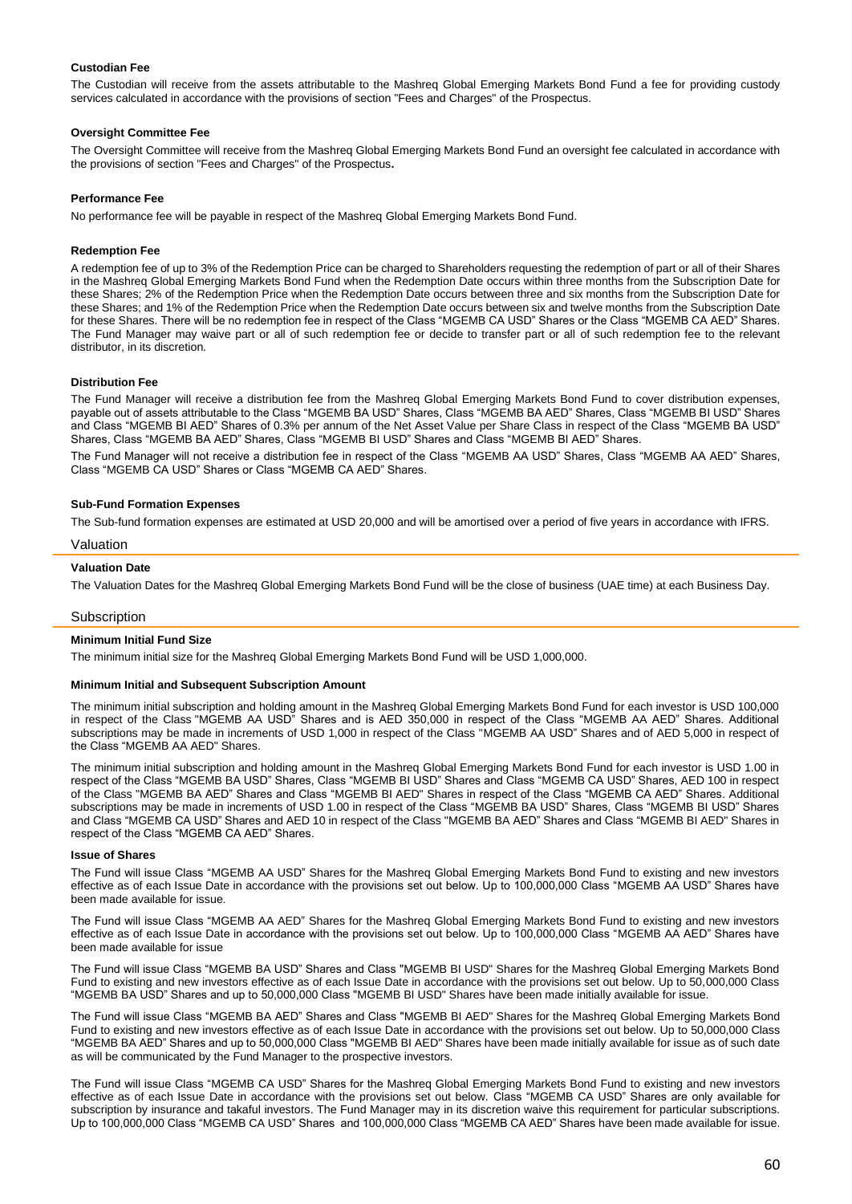## **Custodian Fee**

The Custodian will receive from the assets attributable to the Mashreq Global Emerging Markets Bond Fund a fee for providing custody services calculated in accordance with the provisions of section "Fees and Charges" of the Prospectus.

## **Oversight Committee Fee**

The Oversight Committee will receive from the Mashreq Global Emerging Markets Bond Fund an oversight fee calculated in accordance with the provisions of section "Fees and Charges" of the Prospectus**.** 

## **Performance Fee**

No performance fee will be payable in respect of the Mashreq Global Emerging Markets Bond Fund.

#### **Redemption Fee**

A redemption fee of up to 3% of the Redemption Price can be charged to Shareholders requesting the redemption of part or all of their Shares in the Mashreq Global Emerging Markets Bond Fund when the Redemption Date occurs within three months from the Subscription Date for these Shares; 2% of the Redemption Price when the Redemption Date occurs between three and six months from the Subscription Date for these Shares; and 1% of the Redemption Price when the Redemption Date occurs between six and twelve months from the Subscription Date for these Shares. There will be no redemption fee in respect of the Class "MGEMB CA USD" Shares or the Class "MGEMB CA AED" Shares. The Fund Manager may waive part or all of such redemption fee or decide to transfer part or all of such redemption fee to the relevant distributor, in its discretion.

## **Distribution Fee**

The Fund Manager will receive a distribution fee from the Mashreq Global Emerging Markets Bond Fund to cover distribution expenses, payable out of assets attributable to the Class "MGEMB BA USD" Shares, Class "MGEMB BA AED" Shares, Class "MGEMB BI USD" Shares and Class "MGEMB BI AED" Shares of 0.3% per annum of the Net Asset Value per Share Class in respect of the Class "MGEMB BA USD" Shares, Class "MGEMB BA AED" Shares, Class "MGEMB BI USD" Shares and Class "MGEMB BI AED" Shares.

The Fund Manager will not receive a distribution fee in respect of the Class "MGEMB AA USD" Shares, Class "MGEMB AA AED" Shares, Class "MGEMB CA USD" Shares or Class "MGEMB CA AED" Shares.

#### **Sub-Fund Formation Expenses**

The Sub-fund formation expenses are estimated at USD 20,000 and will be amortised over a period of five years in accordance with IFRS.

## Valuation

## **Valuation Date**

The Valuation Dates for the Mashreq Global Emerging Markets Bond Fund will be the close of business (UAE time) at each Business Day.

## **Subscription**

#### **Minimum Initial Fund Size**

The minimum initial size for the Mashreq Global Emerging Markets Bond Fund will be USD 1,000,000.

#### **Minimum Initial and Subsequent Subscription Amount**

The minimum initial subscription and holding amount in the Mashreq Global Emerging Markets Bond Fund for each investor is USD 100,000 in respect of the Class "MGEMB AA USD" Shares and is AED 350,000 in respect of the Class "MGEMB AA AED" Shares. Additional subscriptions may be made in increments of USD 1,000 in respect of the Class "MGEMB AA USD" Shares and of AED 5,000 in respect of the Class "MGEMB AA AED" Shares.

The minimum initial subscription and holding amount in the Mashreq Global Emerging Markets Bond Fund for each investor is USD 1.00 in respect of the Class "MGEMB BA USD" Shares, Class "MGEMB BI USD" Shares and Class "MGEMB CA USD" Shares, AED 100 in respect of the Class "MGEMB BA AED" Shares and Class "MGEMB BI AED" Shares in respect of the Class "MGEMB CA AED" Shares. Additional subscriptions may be made in increments of USD 1.00 in respect of the Class "MGEMB BA USD" Shares, Class "MGEMB BI USD" Shares and Class "MGEMB CA USD" Shares and AED 10 in respect of the Class "MGEMB BA AED" Shares and Class "MGEMB BI AED" Shares in respect of the Class "MGEMB CA AED" Shares.

#### **Issue of Shares**

The Fund will issue Class "MGEMB AA USD" Shares for the Mashreq Global Emerging Markets Bond Fund to existing and new investors effective as of each Issue Date in accordance with the provisions set out below. Up to 100,000,000 Class "MGEMB AA USD" Shares have been made available for issue.

The Fund will issue Class "MGEMB AA AED" Shares for the Mashreq Global Emerging Markets Bond Fund to existing and new investors effective as of each Issue Date in accordance with the provisions set out below. Up to 100,000,000 Class "MGEMB AA AED" Shares have been made available for issue

The Fund will issue Class "MGEMB BA USD" Shares and Class "MGEMB BI USD" Shares for the Mashreq Global Emerging Markets Bond Fund to existing and new investors effective as of each Issue Date in accordance with the provisions set out below. Up to 50,000,000 Class "MGEMB BA USD" Shares and up to 50,000,000 Class "MGEMB BI USD" Shares have been made initially available for issue.

The Fund will issue Class "MGEMB BA AED" Shares and Class "MGEMB BI AED" Shares for the Mashreq Global Emerging Markets Bond Fund to existing and new investors effective as of each Issue Date in accordance with the provisions set out below. Up to 50,000,000 Class "MGEMB BA AED" Shares and up to 50,000,000 Class "MGEMB BI AED" Shares have been made initially available for issue as of such date as will be communicated by the Fund Manager to the prospective investors.

The Fund will issue Class "MGEMB CA USD" Shares for the Mashreq Global Emerging Markets Bond Fund to existing and new investors effective as of each Issue Date in accordance with the provisions set out below. Class "MGEMB CA USD" Shares are only available for subscription by insurance and takaful investors. The Fund Manager may in its discretion waive this requirement for particular subscriptions. Up to 100,000,000 Class "MGEMB CA USD" Shares and 100,000,000 Class "MGEMB CA AED" Shares have been made available for issue.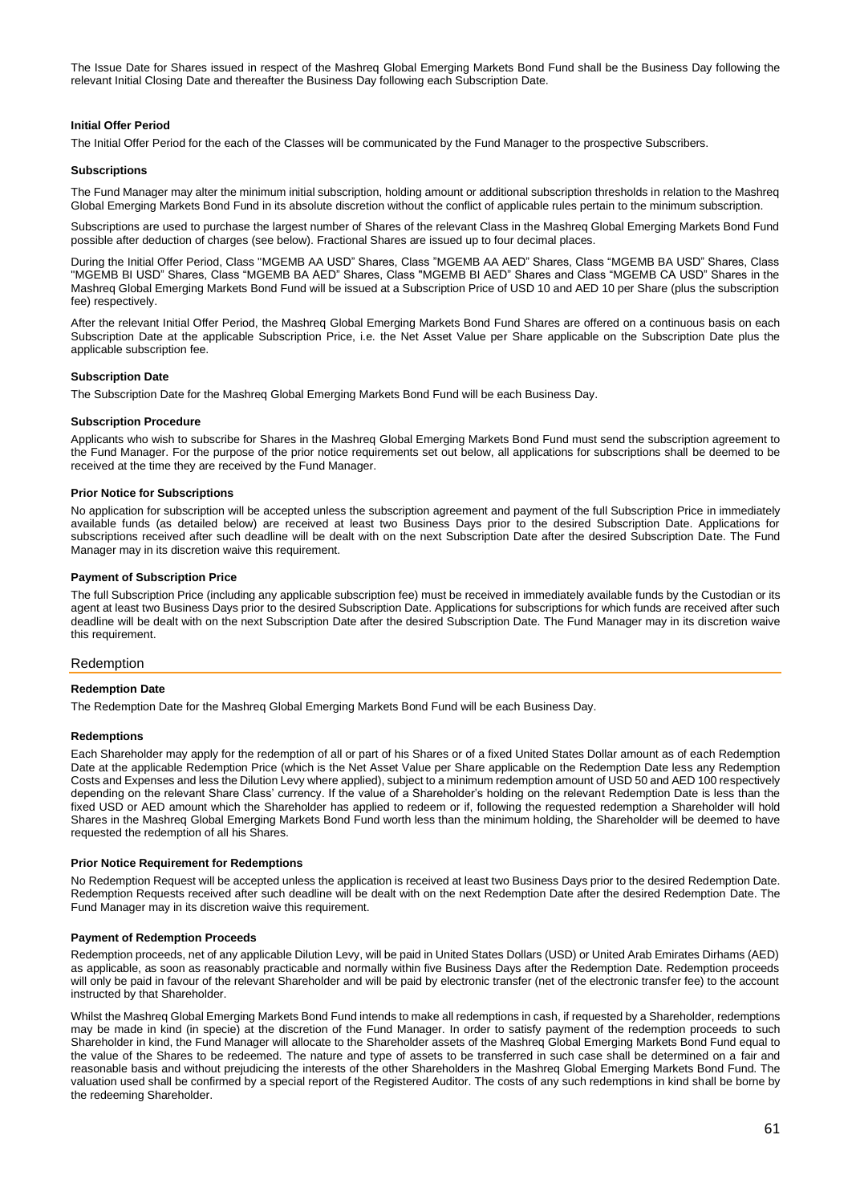The Issue Date for Shares issued in respect of the Mashreq Global Emerging Markets Bond Fund shall be the Business Day following the relevant Initial Closing Date and thereafter the Business Day following each Subscription Date.

# **Initial Offer Period**

The Initial Offer Period for the each of the Classes will be communicated by the Fund Manager to the prospective Subscribers.

#### **Subscriptions**

The Fund Manager may alter the minimum initial subscription, holding amount or additional subscription thresholds in relation to the Mashreq Global Emerging Markets Bond Fund in its absolute discretion without the conflict of applicable rules pertain to the minimum subscription.

Subscriptions are used to purchase the largest number of Shares of the relevant Class in the Mashreq Global Emerging Markets Bond Fund possible after deduction of charges (see below). Fractional Shares are issued up to four decimal places.

During the Initial Offer Period, Class "MGEMB AA USD" Shares, Class "MGEMB AA AED" Shares, Class "MGEMB BA USD" Shares, Class "MGEMB BI USD" Shares, Class "MGEMB BA AED" Shares, Class "MGEMB BI AED" Shares and Class "MGEMB CA USD" Shares in the Mashreq Global Emerging Markets Bond Fund will be issued at a Subscription Price of USD 10 and AED 10 per Share (plus the subscription fee) respectively.

After the relevant Initial Offer Period, the Mashreq Global Emerging Markets Bond Fund Shares are offered on a continuous basis on each Subscription Date at the applicable Subscription Price, i.e. the Net Asset Value per Share applicable on the Subscription Date plus the applicable subscription fee.

#### **Subscription Date**

The Subscription Date for the Mashreq Global Emerging Markets Bond Fund will be each Business Day.

#### **Subscription Procedure**

Applicants who wish to subscribe for Shares in the Mashreq Global Emerging Markets Bond Fund must send the subscription agreement to the Fund Manager. For the purpose of the prior notice requirements set out below, all applications for subscriptions shall be deemed to be received at the time they are received by the Fund Manager.

## **Prior Notice for Subscriptions**

No application for subscription will be accepted unless the subscription agreement and payment of the full Subscription Price in immediately available funds (as detailed below) are received at least two Business Days prior to the desired Subscription Date. Applications for subscriptions received after such deadline will be dealt with on the next Subscription Date after the desired Subscription Date. The Fund Manager may in its discretion waive this requirement.

#### **Payment of Subscription Price**

The full Subscription Price (including any applicable subscription fee) must be received in immediately available funds by the Custodian or its agent at least two Business Days prior to the desired Subscription Date. Applications for subscriptions for which funds are received after such deadline will be dealt with on the next Subscription Date after the desired Subscription Date. The Fund Manager may in its discretion waive this requirement.

#### Redemption

#### **Redemption Date**

The Redemption Date for the Mashreq Global Emerging Markets Bond Fund will be each Business Day.

#### **Redemptions**

Each Shareholder may apply for the redemption of all or part of his Shares or of a fixed United States Dollar amount as of each Redemption Date at the applicable Redemption Price (which is the Net Asset Value per Share applicable on the Redemption Date less any Redemption Costs and Expenses and less the Dilution Levy where applied), subject to a minimum redemption amount of USD 50 and AED 100 respectively depending on the relevant Share Class' currency. If the value of a Shareholder's holding on the relevant Redemption Date is less than the fixed USD or AED amount which the Shareholder has applied to redeem or if, following the requested redemption a Shareholder will hold Shares in the Mashreq Global Emerging Markets Bond Fund worth less than the minimum holding, the Shareholder will be deemed to have requested the redemption of all his Shares.

#### **Prior Notice Requirement for Redemptions**

No Redemption Request will be accepted unless the application is received at least two Business Days prior to the desired Redemption Date. Redemption Requests received after such deadline will be dealt with on the next Redemption Date after the desired Redemption Date. The Fund Manager may in its discretion waive this requirement.

#### **Payment of Redemption Proceeds**

Redemption proceeds, net of any applicable Dilution Levy, will be paid in United States Dollars (USD) or United Arab Emirates Dirhams (AED) as applicable, as soon as reasonably practicable and normally within five Business Days after the Redemption Date. Redemption proceeds will only be paid in favour of the relevant Shareholder and will be paid by electronic transfer (net of the electronic transfer fee) to the account instructed by that Shareholder.

Whilst the Mashreq Global Emerging Markets Bond Fund intends to make all redemptions in cash, if requested by a Shareholder, redemptions may be made in kind (in specie) at the discretion of the Fund Manager. In order to satisfy payment of the redemption proceeds to such Shareholder in kind, the Fund Manager will allocate to the Shareholder assets of the Mashreq Global Emerging Markets Bond Fund equal to the value of the Shares to be redeemed. The nature and type of assets to be transferred in such case shall be determined on a fair and reasonable basis and without prejudicing the interests of the other Shareholders in the Mashreq Global Emerging Markets Bond Fund. The valuation used shall be confirmed by a special report of the Registered Auditor. The costs of any such redemptions in kind shall be borne by the redeeming Shareholder.